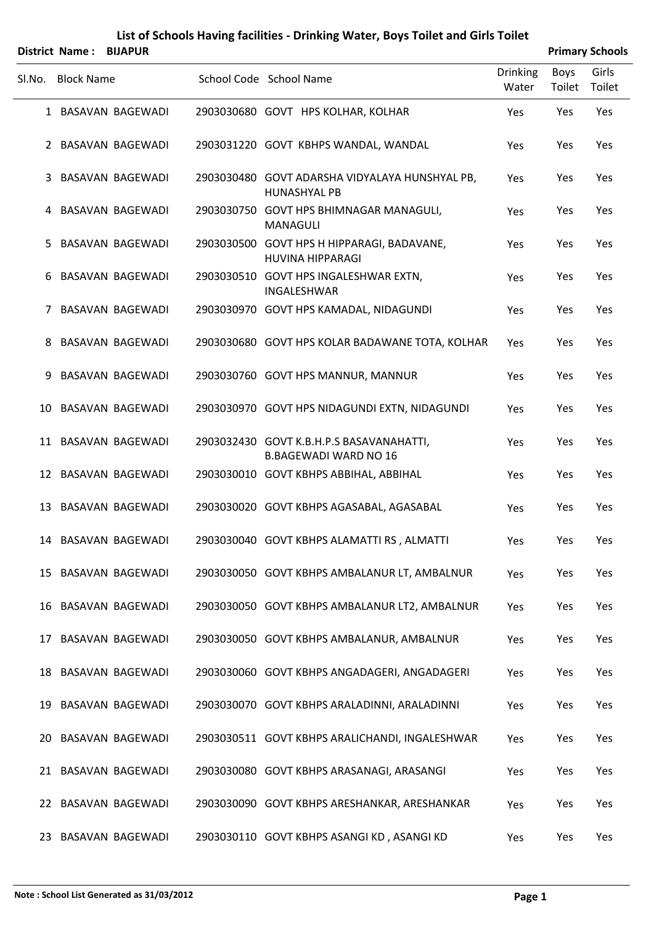|             |                   | District Name: BIJAPUR  |                                                                          |                          |                | <b>Primary Schools</b> |
|-------------|-------------------|-------------------------|--------------------------------------------------------------------------|--------------------------|----------------|------------------------|
| SI.No.      | <b>Block Name</b> |                         | School Code School Name                                                  | <b>Drinking</b><br>Water | Boys<br>Toilet | Girls<br>Toilet        |
|             |                   | 1 BASAVAN BAGEWADI      | 2903030680 GOVT HPS KOLHAR, KOLHAR                                       | Yes                      | Yes            | Yes                    |
|             |                   | 2 BASAVAN BAGEWADI      | 2903031220 GOVT KBHPS WANDAL, WANDAL                                     | Yes                      | Yes            | Yes                    |
| 3           |                   | <b>BASAVAN BAGEWADI</b> | 2903030480 GOVT ADARSHA VIDYALAYA HUNSHYAL PB,<br><b>HUNASHYAL PB</b>    | Yes                      | Yes            | Yes                    |
|             |                   | 4 BASAVAN BAGEWADI      | 2903030750 GOVT HPS BHIMNAGAR MANAGULI,<br><b>MANAGULI</b>               | Yes                      | Yes            | Yes                    |
| 5.          |                   | BASAVAN BAGEWADI        | 2903030500 GOVT HPS H HIPPARAGI, BADAVANE,<br>HUVINA HIPPARAGI           | Yes                      | Yes            | Yes                    |
|             |                   | 6 BASAVAN BAGEWADI      | 2903030510 GOVT HPS INGALESHWAR EXTN,<br><b>INGALESHWAR</b>              | Yes                      | Yes            | Yes                    |
| $7^{\circ}$ |                   | BASAVAN BAGEWADI        | 2903030970 GOVT HPS KAMADAL, NIDAGUNDI                                   | Yes                      | Yes            | Yes                    |
|             |                   | 8 BASAVAN BAGEWADI      | 2903030680 GOVT HPS KOLAR BADAWANE TOTA, KOLHAR                          | Yes                      | Yes            | Yes                    |
| 9.          |                   | BASAVAN BAGEWADI        | 2903030760 GOVT HPS MANNUR, MANNUR                                       | Yes                      | Yes            | Yes                    |
|             |                   | 10 BASAVAN BAGEWADI     | 2903030970 GOVT HPS NIDAGUNDI EXTN, NIDAGUNDI                            | Yes                      | Yes            | Yes                    |
|             |                   | 11 BASAVAN BAGEWADI     | 2903032430 GOVT K.B.H.P.S BASAVANAHATTI,<br><b>B.BAGEWADI WARD NO 16</b> | Yes                      | Yes            | Yes                    |
|             |                   | 12 BASAVAN BAGEWADI     | 2903030010 GOVT KBHPS ABBIHAL, ABBIHAL                                   | Yes                      | Yes            | Yes                    |
| 13          |                   | BASAVAN BAGEWADI        | 2903030020 GOVT KBHPS AGASABAL, AGASABAL                                 | Yes                      | Yes            | Yes                    |
|             |                   | 14 BASAVAN BAGEWADI     | 2903030040 GOVT KBHPS ALAMATTI RS, ALMATTI                               | Yes                      | Yes            | Yes                    |
| 15          |                   | <b>BASAVAN BAGEWADI</b> | 2903030050 GOVT KBHPS AMBALANUR LT, AMBALNUR                             | Yes                      | Yes            | Yes                    |
|             |                   | 16 BASAVAN BAGEWADI     | 2903030050 GOVT KBHPS AMBALANUR LT2, AMBALNUR                            | Yes                      | Yes            | Yes                    |
| 17          |                   | <b>BASAVAN BAGEWADI</b> | 2903030050 GOVT KBHPS AMBALANUR, AMBALNUR                                | Yes                      | Yes            | Yes                    |
|             |                   | 18 BASAVAN BAGEWADI     | 2903030060 GOVT KBHPS ANGADAGERI, ANGADAGERI                             | Yes                      | Yes            | Yes                    |
| 19          |                   | BASAVAN BAGEWADI        | 2903030070 GOVT KBHPS ARALADINNI, ARALADINNI                             | Yes                      | Yes            | Yes                    |
| 20          |                   | BASAVAN BAGEWADI        | 2903030511 GOVT KBHPS ARALICHANDI, INGALESHWAR                           | Yes                      | Yes            | Yes                    |
|             |                   | 21 BASAVAN BAGEWADI     | 2903030080 GOVT KBHPS ARASANAGI, ARASANGI                                | Yes                      | Yes            | Yes                    |
|             |                   | 22 BASAVAN BAGEWADI     | 2903030090 GOVT KBHPS ARESHANKAR, ARESHANKAR                             | Yes                      | Yes            | Yes                    |
|             |                   | 23 BASAVAN BAGEWADI     | 2903030110 GOVT KBHPS ASANGI KD, ASANGI KD                               | Yes                      | Yes            | Yes                    |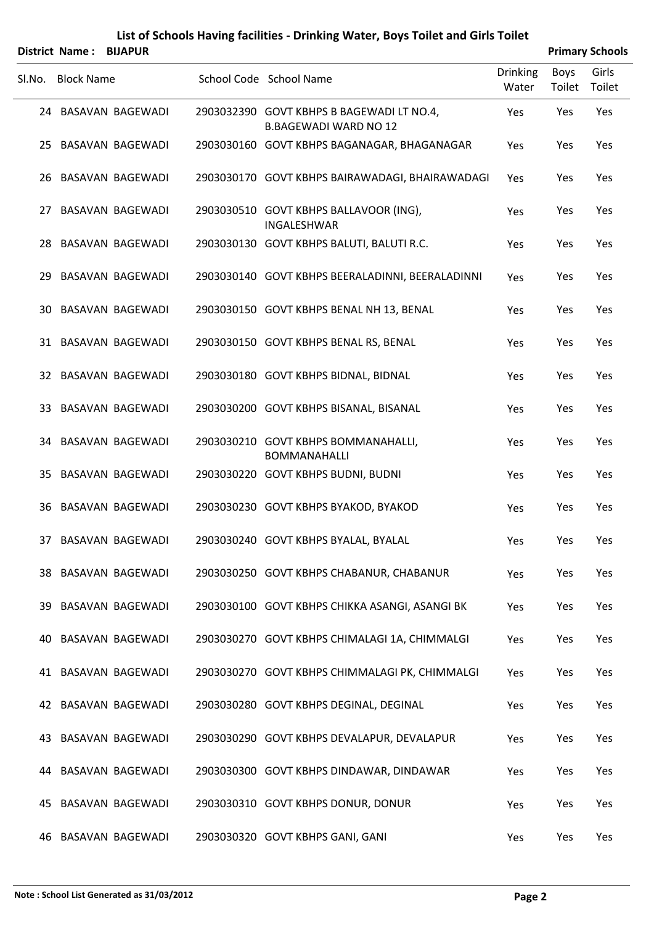|        |                   | District Name: BIJAPUR |                                                                           |                          |                | <b>Primary Schools</b> |
|--------|-------------------|------------------------|---------------------------------------------------------------------------|--------------------------|----------------|------------------------|
| SI.No. | <b>Block Name</b> |                        | School Code School Name                                                   | <b>Drinking</b><br>Water | Boys<br>Toilet | Girls<br>Toilet        |
|        |                   | 24 BASAVAN BAGEWADI    | 2903032390 GOVT KBHPS B BAGEWADI LT NO.4,<br><b>B.BAGEWADI WARD NO 12</b> | Yes                      | Yes            | Yes                    |
|        |                   | 25 BASAVAN BAGEWADI    | 2903030160 GOVT KBHPS BAGANAGAR, BHAGANAGAR                               | Yes                      | Yes            | Yes                    |
|        |                   | 26 BASAVAN BAGEWADI    | 2903030170 GOVT KBHPS BAIRAWADAGI, BHAIRAWADAGI                           | Yes                      | Yes            | Yes                    |
| 27     |                   | BASAVAN BAGEWADI       | 2903030510 GOVT KBHPS BALLAVOOR (ING),<br>INGALESHWAR                     | Yes                      | Yes            | Yes                    |
|        |                   | 28 BASAVAN BAGEWADI    | 2903030130 GOVT KBHPS BALUTI, BALUTI R.C.                                 | Yes                      | Yes            | Yes                    |
| 29.    |                   | BASAVAN BAGEWADI       | 2903030140 GOVT KBHPS BEERALADINNI, BEERALADINNI                          | Yes                      | Yes            | Yes                    |
|        |                   | 30 BASAVAN BAGEWADI    | 2903030150 GOVT KBHPS BENAL NH 13, BENAL                                  | Yes                      | Yes            | Yes                    |
|        |                   | 31 BASAVAN BAGEWADI    | 2903030150 GOVT KBHPS BENAL RS, BENAL                                     | Yes                      | Yes            | Yes                    |
|        |                   | 32 BASAVAN BAGEWADI    | 2903030180 GOVT KBHPS BIDNAL, BIDNAL                                      | Yes                      | Yes            | Yes                    |
|        |                   | 33 BASAVAN BAGEWADI    | 2903030200 GOVT KBHPS BISANAL, BISANAL                                    | Yes                      | Yes            | Yes                    |
|        |                   | 34 BASAVAN BAGEWADI    | 2903030210 GOVT KBHPS BOMMANAHALLI,<br><b>BOMMANAHALLI</b>                | Yes                      | Yes            | Yes                    |
|        |                   | 35 BASAVAN BAGEWADI    | 2903030220 GOVT KBHPS BUDNI, BUDNI                                        | Yes                      | Yes            | Yes                    |
| 36.    |                   | BASAVAN BAGEWADI       | 2903030230 GOVT KBHPS BYAKOD, BYAKOD                                      | Yes                      | Yes            | Yes                    |
|        |                   | 37 BASAVAN BAGEWADI    | 2903030240 GOVT KBHPS BYALAL, BYALAL                                      | Yes                      | Yes            | Yes                    |
|        |                   | 38 BASAVAN BAGEWADI    | 2903030250 GOVT KBHPS CHABANUR, CHABANUR                                  | Yes                      | Yes            | Yes                    |
|        |                   | 39 BASAVAN BAGEWADI    | 2903030100 GOVT KBHPS CHIKKA ASANGI, ASANGI BK                            | Yes                      | Yes            | Yes                    |
| 40     |                   | BASAVAN BAGEWADI       | 2903030270 GOVT KBHPS CHIMALAGI 1A, CHIMMALGI                             | Yes                      | Yes            | Yes                    |
|        |                   | 41 BASAVAN BAGEWADI    | 2903030270 GOVT KBHPS CHIMMALAGI PK, CHIMMALGI                            | Yes                      | Yes            | Yes                    |
|        |                   | 42 BASAVAN BAGEWADI    | 2903030280 GOVT KBHPS DEGINAL, DEGINAL                                    | Yes                      | Yes            | Yes                    |
| 43.    |                   | BASAVAN BAGEWADI       | 2903030290 GOVT KBHPS DEVALAPUR, DEVALAPUR                                | Yes                      | Yes            | Yes                    |
| 44     |                   | BASAVAN BAGEWADI       | 2903030300 GOVT KBHPS DINDAWAR, DINDAWAR                                  | Yes                      | Yes            | Yes                    |
| 45     |                   | BASAVAN BAGEWADI       | 2903030310 GOVT KBHPS DONUR, DONUR                                        | Yes                      | Yes            | Yes                    |
|        |                   | 46 BASAVAN BAGEWADI    | 2903030320 GOVT KBHPS GANI, GANI                                          | Yes                      | Yes            | Yes                    |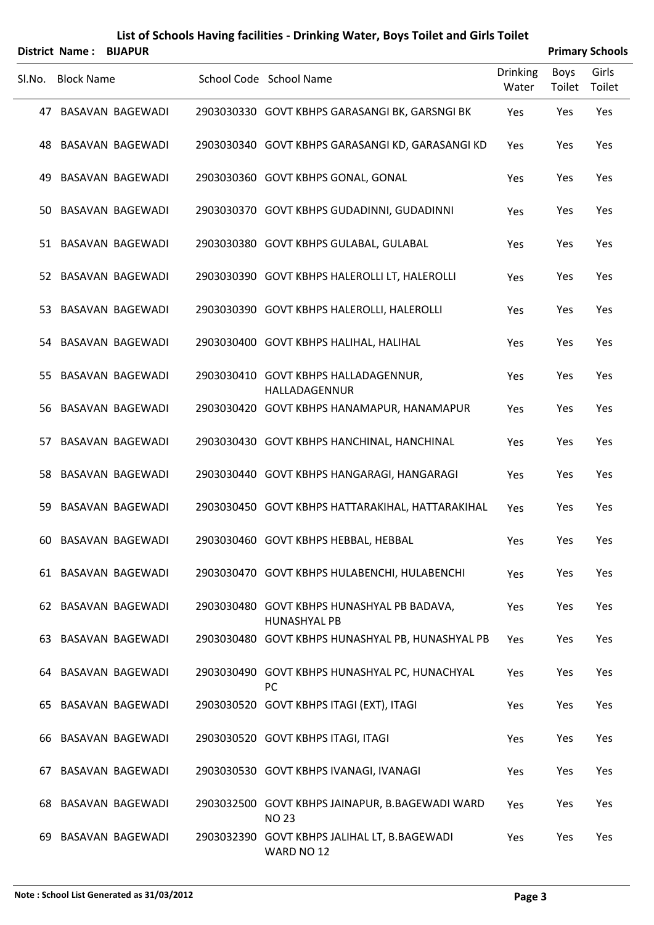## **List of Schools Having facilities ‐ Drinking Water, Boys Toilet and Girls Toilet District in the contract of the contract of the contract of the Primary Schools Primary Schools**

| District Name: | BIJA |
|----------------|------|
|                |      |

| Sl.No. Block Name | School Code School Name                           | Drinking Boys Girls<br>Water | Toilet        | Toilet |
|-------------------|---------------------------------------------------|------------------------------|---------------|--------|
|                   | 3003030330 COUT VOLUS CABACANICLE V. CABCNICLE V. |                              | $\mathcal{L}$ |        |

|      | 47 BASAVAN BAGEWADI     | 2903030330 GOVT KBHPS GARASANGI BK, GARSNGI BK                    | Yes | Yes | Yes |
|------|-------------------------|-------------------------------------------------------------------|-----|-----|-----|
|      | 48 BASAVAN BAGEWADI     | 2903030340 GOVT KBHPS GARASANGI KD, GARASANGI KD                  | Yes | Yes | Yes |
| 49.  | <b>BASAVAN BAGEWADI</b> | 2903030360 GOVT KBHPS GONAL, GONAL                                | Yes | Yes | Yes |
|      | 50 BASAVAN BAGEWADI     | 2903030370 GOVT KBHPS GUDADINNI, GUDADINNI                        | Yes | Yes | Yes |
|      | 51 BASAVAN BAGEWADI     | 2903030380 GOVT KBHPS GULABAL, GULABAL                            | Yes | Yes | Yes |
| 52   | <b>BASAVAN BAGEWADI</b> | 2903030390 GOVT KBHPS HALEROLLI LT, HALEROLLI                     | Yes | Yes | Yes |
| 53   | BASAVAN BAGEWADI        | 2903030390 GOVT KBHPS HALEROLLI, HALEROLLI                        | Yes | Yes | Yes |
|      | 54 BASAVAN BAGEWADI     | 2903030400 GOVT KBHPS HALIHAL, HALIHAL                            | Yes | Yes | Yes |
| 55   | <b>BASAVAN BAGEWADI</b> | 2903030410 GOVT KBHPS HALLADAGENNUR,<br>HALLADAGENNUR             | Yes | Yes | Yes |
| 56.  | BASAVAN BAGEWADI        | 2903030420 GOVT KBHPS HANAMAPUR, HANAMAPUR                        | Yes | Yes | Yes |
| 57   | <b>BASAVAN BAGEWADI</b> | 2903030430 GOVT KBHPS HANCHINAL, HANCHINAL                        | Yes | Yes | Yes |
| 58 - | <b>BASAVAN BAGEWADI</b> | 2903030440 GOVT KBHPS HANGARAGI, HANGARAGI                        | Yes | Yes | Yes |
| 59   | <b>BASAVAN BAGEWADI</b> | 2903030450 GOVT KBHPS HATTARAKIHAL, HATTARAKIHAL                  | Yes | Yes | Yes |
| 60.  | BASAVAN BAGEWADI        | 2903030460 GOVT KBHPS HEBBAL, HEBBAL                              | Yes | Yes | Yes |
| 61   | <b>BASAVAN BAGEWADI</b> | 2903030470 GOVT KBHPS HULABENCHI, HULABENCHI                      | Yes | Yes | Yes |
|      | 62 BASAVAN BAGEWADI     | 2903030480 GOVT KBHPS HUNASHYAL PB BADAVA,<br><b>HUNASHYAL PB</b> | Yes | Yes | Yes |
|      | 63 BASAVAN BAGEWADI     | 2903030480 GOVT KBHPS HUNASHYAL PB, HUNASHYAL PB                  | Yes | Yes | Yes |
|      | 64 BASAVAN BAGEWADI     | 2903030490 GOVT KBHPS HUNASHYAL PC, HUNACHYAL<br><b>PC</b>        | Yes | Yes | Yes |
| 65 - | BASAVAN BAGEWADI        | 2903030520 GOVT KBHPS ITAGI (EXT), ITAGI                          | Yes | Yes | Yes |
| 66 - | <b>BASAVAN BAGEWADI</b> | 2903030520 GOVT KBHPS ITAGI, ITAGI                                | Yes | Yes | Yes |
| 67.  | BASAVAN BAGEWADI        | 2903030530 GOVT KBHPS IVANAGI, IVANAGI                            | Yes | Yes | Yes |
|      | 68 BASAVAN BAGEWADI     | 2903032500 GOVT KBHPS JAINAPUR, B.BAGEWADI WARD<br><b>NO 23</b>   | Yes | Yes | Yes |
| 69.  | BASAVAN BAGEWADI        | 2903032390 GOVT KBHPS JALIHAL LT, B.BAGEWADI<br>WARD NO 12        | Yes | Yes | Yes |
|      |                         |                                                                   |     |     |     |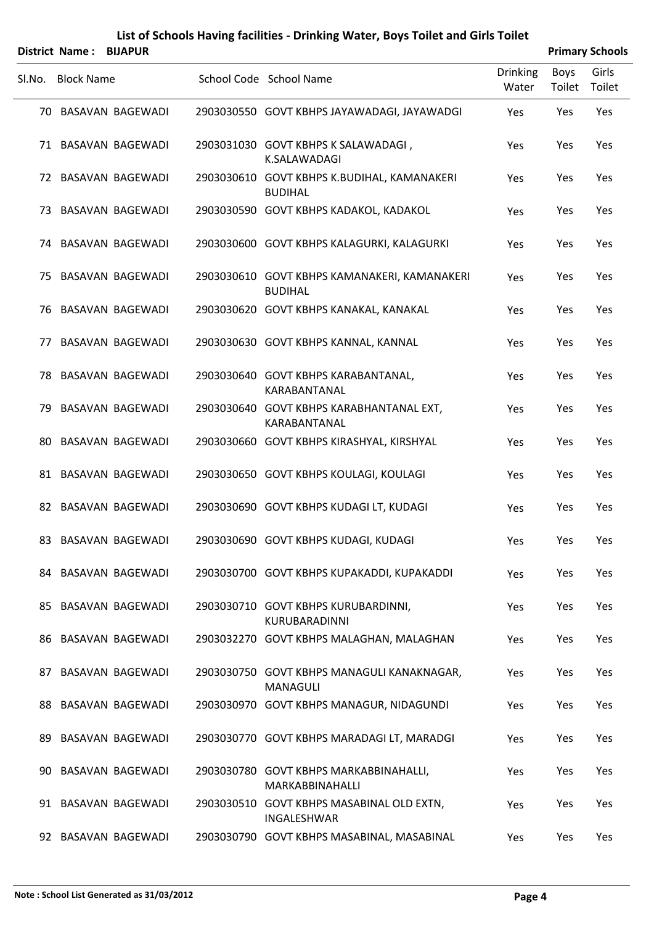|        | District Name:    | <b>BIJAPUR</b>      |                                                                |                          |                | <b>Primary Schools</b> |
|--------|-------------------|---------------------|----------------------------------------------------------------|--------------------------|----------------|------------------------|
| SI.No. | <b>Block Name</b> |                     | School Code School Name                                        | <b>Drinking</b><br>Water | Boys<br>Toilet | Girls<br>Toilet        |
|        |                   | 70 BASAVAN BAGEWADI | 2903030550 GOVT KBHPS JAYAWADAGI, JAYAWADGI                    | Yes                      | Yes            | Yes                    |
|        |                   | 71 BASAVAN BAGEWADI | 2903031030 GOVT KBHPS K SALAWADAGI,<br>K.SALAWADAGI            | Yes                      | Yes            | Yes                    |
|        |                   | 72 BASAVAN BAGEWADI | 2903030610 GOVT KBHPS K.BUDIHAL, KAMANAKERI<br><b>BUDIHAL</b>  | Yes                      | Yes            | Yes                    |
| 73     |                   | BASAVAN BAGEWADI    | 2903030590 GOVT KBHPS KADAKOL, KADAKOL                         | Yes                      | Yes            | Yes                    |
|        |                   | 74 BASAVAN BAGEWADI | 2903030600 GOVT KBHPS KALAGURKI, KALAGURKI                     | Yes                      | Yes            | Yes                    |
| 75     |                   | BASAVAN BAGEWADI    | 2903030610 GOVT KBHPS KAMANAKERI, KAMANAKERI<br><b>BUDIHAL</b> | Yes                      | Yes            | Yes                    |
|        |                   | 76 BASAVAN BAGEWADI | 2903030620 GOVT KBHPS KANAKAL, KANAKAL                         | Yes                      | Yes            | Yes                    |
| 77     |                   | BASAVAN BAGEWADI    | 2903030630 GOVT KBHPS KANNAL, KANNAL                           | Yes                      | Yes            | Yes                    |
|        |                   | 78 BASAVAN BAGEWADI | 2903030640 GOVT KBHPS KARABANTANAL,<br>KARABANTANAL            | Yes                      | Yes            | Yes                    |
| 79.    |                   | BASAVAN BAGEWADI    | 2903030640 GOVT KBHPS KARABHANTANAL EXT,<br>KARABANTANAL       | Yes                      | Yes            | Yes                    |
| 80.    |                   | BASAVAN BAGEWADI    | 2903030660 GOVT KBHPS KIRASHYAL, KIRSHYAL                      | Yes                      | Yes            | Yes                    |
|        |                   | 81 BASAVAN BAGEWADI | 2903030650 GOVT KBHPS KOULAGI, KOULAGI                         | Yes                      | Yes            | Yes                    |
|        |                   | 82 BASAVAN BAGEWADI | 2903030690 GOVT KBHPS KUDAGI LT, KUDAGI                        | Yes                      | Yes            | Yes                    |
|        |                   | 83 BASAVAN BAGEWADI | 2903030690 GOVT KBHPS KUDAGI, KUDAGI                           | Yes                      | Yes            | Yes                    |
|        |                   | 84 BASAVAN BAGEWADI | 2903030700 GOVT KBHPS KUPAKADDI, KUPAKADDI                     | Yes                      | Yes            | Yes                    |
|        |                   | 85 BASAVAN BAGEWADI | 2903030710 GOVT KBHPS KURUBARDINNI,<br>KURUBARADINNI           | Yes                      | Yes            | Yes                    |
|        |                   | 86 BASAVAN BAGEWADI | 2903032270 GOVT KBHPS MALAGHAN, MALAGHAN                       | Yes                      | Yes            | Yes                    |
|        |                   | 87 BASAVAN BAGEWADI | 2903030750 GOVT KBHPS MANAGULI KANAKNAGAR,<br><b>MANAGULI</b>  | Yes                      | Yes            | Yes                    |
|        |                   | 88 BASAVAN BAGEWADI | 2903030970 GOVT KBHPS MANAGUR, NIDAGUNDI                       | Yes                      | Yes            | Yes                    |
|        |                   | 89 BASAVAN BAGEWADI | 2903030770 GOVT KBHPS MARADAGI LT, MARADGI                     | Yes                      | Yes            | Yes                    |
|        |                   | 90 BASAVAN BAGEWADI | 2903030780 GOVT KBHPS MARKABBINAHALLI,<br>MARKABBINAHALLI      | Yes                      | Yes            | Yes                    |
|        |                   | 91 BASAVAN BAGEWADI | 2903030510 GOVT KBHPS MASABINAL OLD EXTN,<br>INGALESHWAR       | Yes                      | Yes            | Yes                    |
|        |                   | 92 BASAVAN BAGEWADI | 2903030790 GOVT KBHPS MASABINAL, MASABINAL                     | Yes                      | Yes            | Yes                    |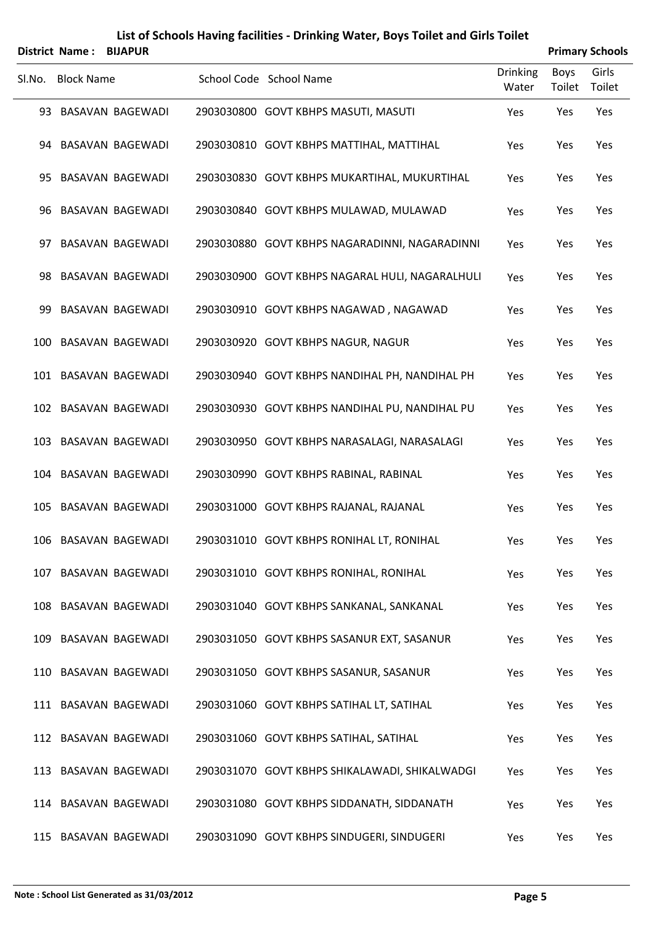| <b>District Name:</b> | <b>BIJAF</b> |
|-----------------------|--------------|
|                       |              |

| <b>Primary Scho</b> |  |
|---------------------|--|
|                     |  |

|        |                   | District Name: BIJAPUR |                                                 |                          |                       | <b>Primary Schools</b> |
|--------|-------------------|------------------------|-------------------------------------------------|--------------------------|-----------------------|------------------------|
| Sl.No. | <b>Block Name</b> |                        | School Code School Name                         | <b>Drinking</b><br>Water | <b>Boys</b><br>Toilet | Girls<br>Toilet        |
|        |                   | 93 BASAVAN BAGEWADI    | 2903030800 GOVT KBHPS MASUTI, MASUTI            | Yes                      | Yes                   | Yes                    |
|        |                   | 94 BASAVAN BAGEWADI    | 2903030810 GOVT KBHPS MATTIHAL, MATTIHAL        | Yes                      | Yes                   | Yes                    |
|        |                   | 95 BASAVAN BAGEWADI    | 2903030830 GOVT KBHPS MUKARTIHAL, MUKURTIHAL    | Yes                      | Yes                   | Yes                    |
| 96.    |                   | BASAVAN BAGEWADI       | 2903030840 GOVT KBHPS MULAWAD, MULAWAD          | Yes                      | Yes                   | Yes                    |
|        |                   | 97 BASAVAN BAGEWADI    | 2903030880 GOVT KBHPS NAGARADINNI, NAGARADINNI  | Yes                      | Yes                   | Yes                    |
| 98.    |                   | BASAVAN BAGEWADI       | 2903030900 GOVT KBHPS NAGARAL HULI, NAGARALHULI | Yes                      | Yes                   | Yes                    |
| 99.    |                   | BASAVAN BAGEWADI       | 2903030910 GOVT KBHPS NAGAWAD, NAGAWAD          | Yes                      | Yes                   | Yes                    |
| 100    |                   | BASAVAN BAGEWADI       | 2903030920 GOVT KBHPS NAGUR, NAGUR              | Yes                      | Yes                   | Yes                    |
|        |                   | 101 BASAVAN BAGEWADI   | 2903030940 GOVT KBHPS NANDIHAL PH, NANDIHAL PH  | Yes                      | Yes                   | Yes                    |
|        |                   | 102 BASAVAN BAGEWADI   | 2903030930 GOVT KBHPS NANDIHAL PU, NANDIHAL PU  | Yes                      | Yes                   | Yes                    |
|        |                   | 103 BASAVAN BAGEWADI   | 2903030950 GOVT KBHPS NARASALAGI, NARASALAGI    | Yes                      | Yes                   | Yes                    |
|        |                   | 104 BASAVAN BAGEWADI   | 2903030990 GOVT KBHPS RABINAL, RABINAL          | Yes                      | Yes                   | Yes                    |
|        |                   | 105 BASAVAN BAGEWADI   | 2903031000 GOVT KBHPS RAJANAL, RAJANAL          | Yes                      | Yes                   | Yes                    |
|        |                   | 106 BASAVAN BAGEWADI   | 2903031010 GOVT KBHPS RONIHAL LT, RONIHAL       | Yes                      | Yes                   | Yes                    |
|        |                   | 107 BASAVAN BAGEWADI   | 2903031010 GOVT KBHPS RONIHAL, RONIHAL          | Yes                      | Yes                   | Yes                    |
|        |                   | 108 BASAVAN BAGEWADI   | 2903031040 GOVT KBHPS SANKANAL, SANKANAL        | Yes                      | Yes                   | Yes                    |
|        |                   | 109 BASAVAN BAGEWADI   | 2903031050 GOVT KBHPS SASANUR EXT, SASANUR      | Yes                      | Yes                   | Yes                    |
|        |                   | 110 BASAVAN BAGEWADI   | 2903031050 GOVT KBHPS SASANUR, SASANUR          | Yes                      | Yes                   | Yes                    |
|        |                   | 111 BASAVAN BAGEWADI   | 2903031060 GOVT KBHPS SATIHAL LT, SATIHAL       | Yes                      | Yes                   | Yes                    |
|        |                   | 112 BASAVAN BAGEWADI   | 2903031060 GOVT KBHPS SATIHAL, SATIHAL          | Yes                      | Yes                   | Yes                    |
|        |                   | 113 BASAVAN BAGEWADI   | 2903031070 GOVT KBHPS SHIKALAWADI, SHIKALWADGI  | Yes                      | Yes                   | Yes                    |
|        |                   | 114 BASAVAN BAGEWADI   | 2903031080 GOVT KBHPS SIDDANATH, SIDDANATH      | Yes                      | Yes                   | Yes                    |
|        |                   | 115 BASAVAN BAGEWADI   | 2903031090 GOVT KBHPS SINDUGERI, SINDUGERI      | Yes                      | Yes                   | Yes                    |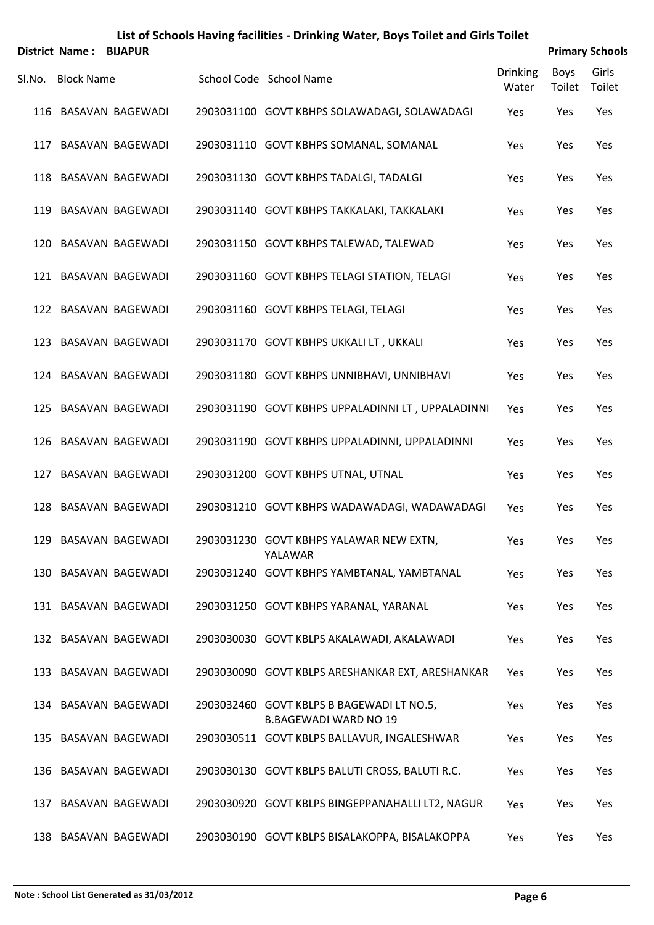| <b>District Name:</b> | <b>BIJAI</b> |
|-----------------------|--------------|
|                       |              |

|  |  | <b>Primary Schools</b> |  |  |  |
|--|--|------------------------|--|--|--|
|  |  |                        |  |  |  |

|        |                   | District Name: BIJAPUR |                                                                           |                   |                | <b>Primary Schools</b> |
|--------|-------------------|------------------------|---------------------------------------------------------------------------|-------------------|----------------|------------------------|
| SI.No. | <b>Block Name</b> |                        | School Code School Name                                                   | Drinking<br>Water | Boys<br>Toilet | Girls<br>Toilet        |
|        |                   | 116 BASAVAN BAGEWADI   | 2903031100 GOVT KBHPS SOLAWADAGI, SOLAWADAGI                              | Yes               | Yes            | Yes                    |
|        |                   | 117 BASAVAN BAGEWADI   | 2903031110 GOVT KBHPS SOMANAL, SOMANAL                                    | Yes               | Yes            | Yes                    |
|        |                   | 118 BASAVAN BAGEWADI   | 2903031130 GOVT KBHPS TADALGI, TADALGI                                    | Yes               | Yes            | Yes                    |
|        |                   | 119 BASAVAN BAGEWADI   | 2903031140 GOVT KBHPS TAKKALAKI, TAKKALAKI                                | Yes               | Yes            | Yes                    |
|        |                   | 120 BASAVAN BAGEWADI   | 2903031150 GOVT KBHPS TALEWAD, TALEWAD                                    | Yes               | Yes            | Yes                    |
|        |                   | 121 BASAVAN BAGEWADI   | 2903031160 GOVT KBHPS TELAGI STATION, TELAGI                              | Yes               | Yes            | Yes                    |
|        |                   | 122 BASAVAN BAGEWADI   | 2903031160 GOVT KBHPS TELAGI, TELAGI                                      | Yes               | Yes            | Yes                    |
|        |                   | 123 BASAVAN BAGEWADI   | 2903031170 GOVT KBHPS UKKALI LT, UKKALI                                   | Yes               | Yes            | Yes                    |
|        |                   | 124 BASAVAN BAGEWADI   | 2903031180 GOVT KBHPS UNNIBHAVI, UNNIBHAVI                                | Yes               | Yes            | Yes                    |
|        |                   | 125 BASAVAN BAGEWADI   | 2903031190 GOVT KBHPS UPPALADINNI LT, UPPALADINNI                         | Yes               | Yes            | Yes                    |
|        |                   | 126 BASAVAN BAGEWADI   | 2903031190 GOVT KBHPS UPPALADINNI, UPPALADINNI                            | Yes               | Yes            | Yes                    |
|        |                   | 127 BASAVAN BAGEWADI   | 2903031200 GOVT KBHPS UTNAL, UTNAL                                        | Yes               | Yes            | Yes                    |
|        |                   | 128 BASAVAN BAGEWADI   | 2903031210 GOVT KBHPS WADAWADAGI, WADAWADAGI                              | Yes               | Yes            | Yes                    |
|        |                   | 129 BASAVAN BAGEWADI   | 2903031230 GOVT KBHPS YALAWAR NEW EXTN,<br>YALAWAR                        | Yes               | Yes            | Yes                    |
|        |                   | 130 BASAVAN BAGEWADI   | 2903031240 GOVT KBHPS YAMBTANAL, YAMBTANAL                                | Yes               | Yes            | Yes                    |
|        |                   | 131 BASAVAN BAGEWADI   | 2903031250 GOVT KBHPS YARANAL, YARANAL                                    | Yes               | Yes            | Yes                    |
|        |                   | 132 BASAVAN BAGEWADI   | 2903030030 GOVT KBLPS AKALAWADI, AKALAWADI                                | Yes               | Yes            | Yes                    |
|        |                   | 133 BASAVAN BAGEWADI   | 2903030090 GOVT KBLPS ARESHANKAR EXT, ARESHANKAR                          | Yes               | Yes            | Yes                    |
|        |                   | 134 BASAVAN BAGEWADI   | 2903032460 GOVT KBLPS B BAGEWADI LT NO.5,<br><b>B.BAGEWADI WARD NO 19</b> | Yes               | Yes            | Yes                    |
|        |                   | 135 BASAVAN BAGEWADI   | 2903030511 GOVT KBLPS BALLAVUR, INGALESHWAR                               | Yes               | Yes            | Yes                    |
|        |                   | 136 BASAVAN BAGEWADI   | 2903030130 GOVT KBLPS BALUTI CROSS, BALUTI R.C.                           | Yes               | Yes            | Yes                    |
|        |                   | 137 BASAVAN BAGEWADI   | 2903030920 GOVT KBLPS BINGEPPANAHALLI LT2, NAGUR                          | Yes               | Yes            | Yes                    |
|        |                   | 138 BASAVAN BAGEWADI   | 2903030190 GOVT KBLPS BISALAKOPPA, BISALAKOPPA                            | Yes               | Yes            | Yes                    |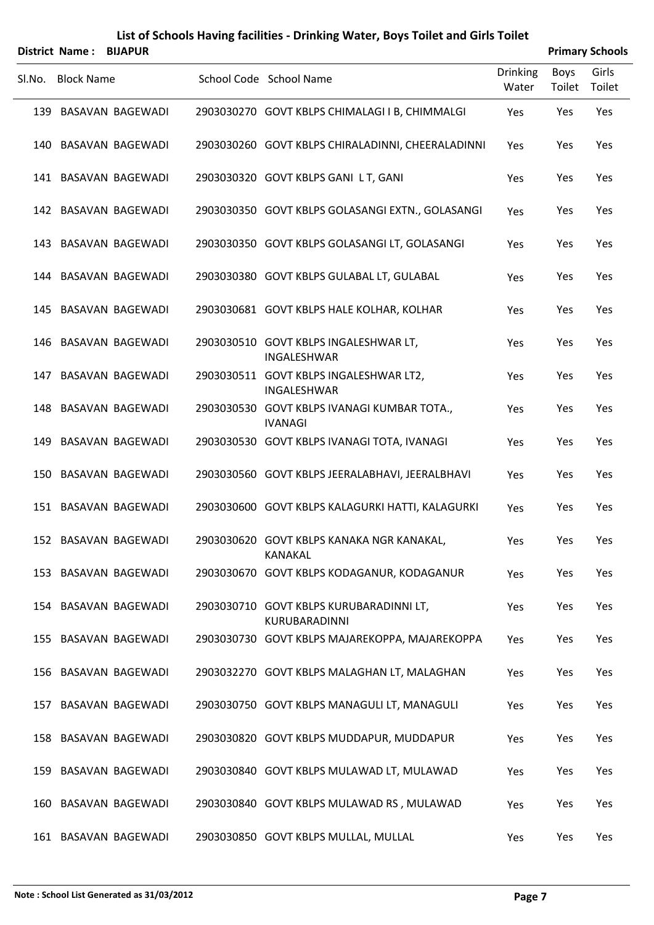|        | <b>District Name:</b><br><b>BIJAPUR</b> |                                                               |                          |                | <b>Primary Schools</b> |
|--------|-----------------------------------------|---------------------------------------------------------------|--------------------------|----------------|------------------------|
| SI.No. | <b>Block Name</b>                       | School Code School Name                                       | <b>Drinking</b><br>Water | Boys<br>Toilet | Girls<br>Toilet        |
|        | 139 BASAVAN BAGEWADI                    | 2903030270 GOVT KBLPS CHIMALAGI I B, CHIMMALGI                | Yes                      | Yes            | Yes                    |
|        | 140 BASAVAN BAGEWADI                    | 2903030260 GOVT KBLPS CHIRALADINNI, CHEERALADINNI             | Yes                      | Yes            | Yes                    |
|        | 141 BASAVAN BAGEWADI                    | 2903030320 GOVT KBLPS GANI LT, GANI                           | Yes                      | Yes            | Yes                    |
|        | 142 BASAVAN BAGEWADI                    | 2903030350 GOVT KBLPS GOLASANGI EXTN., GOLASANGI              | Yes                      | Yes            | Yes                    |
|        | 143 BASAVAN BAGEWADI                    | 2903030350 GOVT KBLPS GOLASANGI LT, GOLASANGI                 | Yes                      | Yes            | Yes                    |
|        | 144 BASAVAN BAGEWADI                    | 2903030380 GOVT KBLPS GULABAL LT, GULABAL                     | Yes                      | Yes            | Yes                    |
|        | 145 BASAVAN BAGEWADI                    | 2903030681 GOVT KBLPS HALE KOLHAR, KOLHAR                     | Yes                      | Yes            | Yes                    |
| 146    | BASAVAN BAGEWADI                        | 2903030510 GOVT KBLPS INGALESHWAR LT,<br>INGALESHWAR          | Yes                      | Yes            | Yes                    |
| 147    | BASAVAN BAGEWADI                        | 2903030511 GOVT KBLPS INGALESHWAR LT2,<br>INGALESHWAR         | Yes                      | Yes            | Yes                    |
|        | 148 BASAVAN BAGEWADI                    | 2903030530 GOVT KBLPS IVANAGI KUMBAR TOTA.,<br><b>IVANAGI</b> | Yes                      | Yes            | Yes                    |
| 149    | BASAVAN BAGEWADI                        | 2903030530 GOVT KBLPS IVANAGI TOTA, IVANAGI                   | Yes                      | Yes            | Yes                    |
|        | 150 BASAVAN BAGEWADI                    | 2903030560 GOVT KBLPS JEERALABHAVI, JEERALBHAVI               | Yes                      | Yes            | Yes                    |
|        | 151 BASAVAN BAGEWADI                    | 2903030600 GOVT KBLPS KALAGURKI HATTI, KALAGURKI              | Yes                      | Yes            | Yes                    |
|        | 152 BASAVAN BAGEWADI                    | 2903030620 GOVT KBLPS KANAKA NGR KANAKAL,<br>KANAKAL          | Yes                      | Yes            | Yes                    |
|        | 153 BASAVAN BAGEWADI                    | 2903030670 GOVT KBLPS KODAGANUR, KODAGANUR                    | Yes                      | Yes            | Yes                    |
|        | 154 BASAVAN BAGEWADI                    | 2903030710 GOVT KBLPS KURUBARADINNI LT,<br>KURUBARADINNI      | Yes                      | Yes            | Yes                    |
|        | 155 BASAVAN BAGEWADI                    | 2903030730 GOVT KBLPS MAJAREKOPPA, MAJAREKOPPA                | Yes                      | Yes            | Yes                    |
|        | 156 BASAVAN BAGEWADI                    | 2903032270 GOVT KBLPS MALAGHAN LT, MALAGHAN                   | Yes                      | Yes            | Yes                    |
|        | 157 BASAVAN BAGEWADI                    | 2903030750 GOVT KBLPS MANAGULI LT, MANAGULI                   | Yes                      | Yes            | Yes                    |
|        | 158 BASAVAN BAGEWADI                    | 2903030820 GOVT KBLPS MUDDAPUR, MUDDAPUR                      | Yes                      | Yes            | Yes                    |
|        | 159 BASAVAN BAGEWADI                    | 2903030840 GOVT KBLPS MULAWAD LT, MULAWAD                     | Yes                      | Yes            | Yes                    |
|        | 160 BASAVAN BAGEWADI                    | 2903030840 GOVT KBLPS MULAWAD RS, MULAWAD                     | Yes                      | Yes            | Yes                    |
|        | 161 BASAVAN BAGEWADI                    | 2903030850 GOVT KBLPS MULLAL, MULLAL                          | Yes                      | Yes            | Yes                    |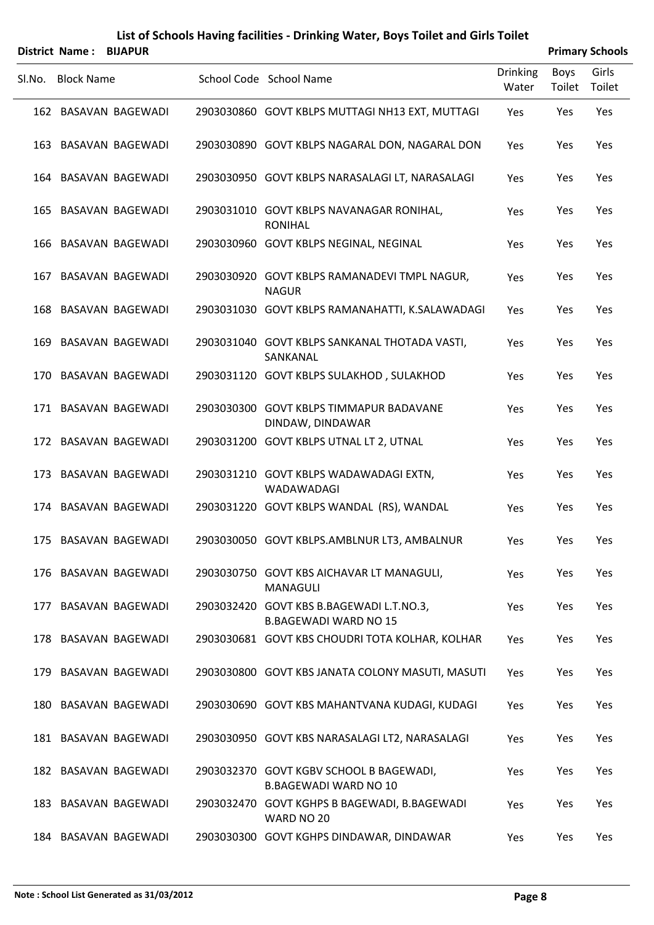|        | District Name:<br><b>BIJAPUR</b> |                                                                          |                          |                       | <b>Primary Schools</b> |
|--------|----------------------------------|--------------------------------------------------------------------------|--------------------------|-----------------------|------------------------|
| SI.No. | <b>Block Name</b>                | School Code School Name                                                  | <b>Drinking</b><br>Water | <b>Boys</b><br>Toilet | Girls<br>Toilet        |
|        | 162 BASAVAN BAGEWADI             | 2903030860 GOVT KBLPS MUTTAGI NH13 EXT, MUTTAGI                          | Yes                      | Yes                   | Yes                    |
|        | 163 BASAVAN BAGEWADI             | 2903030890 GOVT KBLPS NAGARAL DON, NAGARAL DON                           | Yes                      | Yes                   | Yes                    |
|        | 164 BASAVAN BAGEWADI             | 2903030950 GOVT KBLPS NARASALAGI LT, NARASALAGI                          | Yes                      | Yes                   | Yes                    |
| 165    | <b>BASAVAN BAGEWADI</b>          | 2903031010 GOVT KBLPS NAVANAGAR RONIHAL,<br><b>RONIHAL</b>               | Yes                      | Yes                   | Yes                    |
|        | 166 BASAVAN BAGEWADI             | 2903030960 GOVT KBLPS NEGINAL, NEGINAL                                   | Yes                      | Yes                   | Yes                    |
| 167    | <b>BASAVAN BAGEWADI</b>          | 2903030920 GOVT KBLPS RAMANADEVI TMPL NAGUR,<br><b>NAGUR</b>             | Yes                      | Yes                   | Yes                    |
|        | 168 BASAVAN BAGEWADI             | 2903031030 GOVT KBLPS RAMANAHATTI, K.SALAWADAGI                          | Yes                      | Yes                   | Yes                    |
| 169    | BASAVAN BAGEWADI                 | 2903031040 GOVT KBLPS SANKANAL THOTADA VASTI,<br>SANKANAL                | Yes                      | Yes                   | Yes                    |
|        | 170 BASAVAN BAGEWADI             | 2903031120 GOVT KBLPS SULAKHOD, SULAKHOD                                 | Yes                      | Yes                   | Yes                    |
|        | 171 BASAVAN BAGEWADI             | 2903030300 GOVT KBLPS TIMMAPUR BADAVANE<br>DINDAW, DINDAWAR              | Yes                      | Yes                   | Yes                    |
|        | 172 BASAVAN BAGEWADI             | 2903031200 GOVT KBLPS UTNAL LT 2, UTNAL                                  | Yes                      | Yes                   | Yes                    |
| 173    | BASAVAN BAGEWADI                 | 2903031210 GOVT KBLPS WADAWADAGI EXTN,<br>WADAWADAGI                     | Yes                      | Yes                   | Yes                    |
|        | 174 BASAVAN BAGEWADI             | 2903031220 GOVT KBLPS WANDAL (RS), WANDAL                                | Yes                      | Yes                   | Yes                    |
|        | 175 BASAVAN BAGEWADI             | 2903030050 GOVT KBLPS.AMBLNUR LT3, AMBALNUR                              | Yes                      | Yes                   | Yes                    |
|        | 176 BASAVAN BAGEWADI             | 2903030750 GOVT KBS AICHAVAR LT MANAGULI,<br><b>MANAGULI</b>             | Yes                      | Yes                   | Yes                    |
|        | 177 BASAVAN BAGEWADI             | 2903032420 GOVT KBS B.BAGEWADI L.T.NO.3,<br><b>B.BAGEWADI WARD NO 15</b> | Yes                      | Yes                   | Yes                    |
|        | 178 BASAVAN BAGEWADI             | 2903030681 GOVT KBS CHOUDRI TOTA KOLHAR, KOLHAR                          | Yes                      | Yes                   | Yes                    |
|        | 179 BASAVAN BAGEWADI             | 2903030800 GOVT KBS JANATA COLONY MASUTI, MASUTI                         | Yes                      | Yes                   | Yes                    |
|        | 180 BASAVAN BAGEWADI             | 2903030690 GOVT KBS MAHANTVANA KUDAGI, KUDAGI                            | Yes                      | Yes                   | Yes                    |
|        | 181 BASAVAN BAGEWADI             | 2903030950 GOVT KBS NARASALAGI LT2, NARASALAGI                           | Yes                      | Yes                   | Yes                    |
|        | 182 BASAVAN BAGEWADI             | 2903032370 GOVT KGBV SCHOOL B BAGEWADI,<br><b>B.BAGEWADI WARD NO 10</b>  | Yes                      | Yes                   | Yes                    |
|        | 183 BASAVAN BAGEWADI             | 2903032470 GOVT KGHPS B BAGEWADI, B.BAGEWADI<br>WARD NO 20               | Yes                      | Yes                   | Yes                    |
|        | 184 BASAVAN BAGEWADI             | 2903030300 GOVT KGHPS DINDAWAR, DINDAWAR                                 | Yes                      | Yes                   | Yes                    |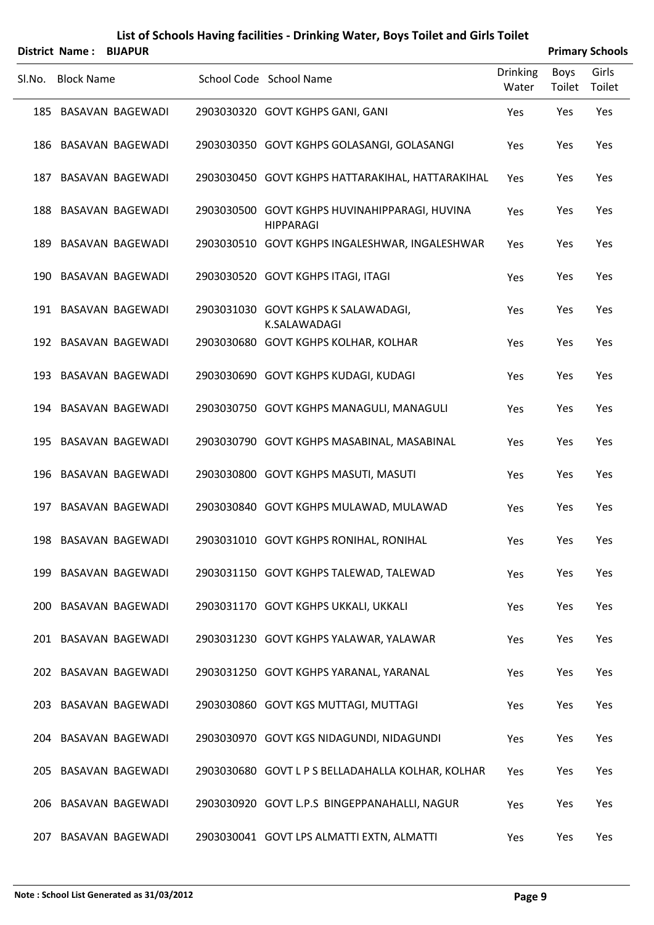|        | <b>District Name:</b><br><b>BIJAPUR</b> |                                                                   |                          |                       | <b>Primary Schools</b> |
|--------|-----------------------------------------|-------------------------------------------------------------------|--------------------------|-----------------------|------------------------|
| Sl.No. | <b>Block Name</b>                       | School Code School Name                                           | <b>Drinking</b><br>Water | <b>Boys</b><br>Toilet | Girls<br>Toilet        |
|        | 185 BASAVAN BAGEWADI                    | 2903030320 GOVT KGHPS GANI, GANI                                  | Yes                      | Yes                   | Yes                    |
| 186    | BASAVAN BAGEWADI                        | 2903030350 GOVT KGHPS GOLASANGI, GOLASANGI                        | Yes                      | Yes                   | Yes                    |
|        | 187 BASAVAN BAGEWADI                    | 2903030450 GOVT KGHPS HATTARAKIHAL, HATTARAKIHAL                  | Yes                      | Yes                   | Yes                    |
| 188    | BASAVAN BAGEWADI                        | 2903030500 GOVT KGHPS HUVINAHIPPARAGI, HUVINA<br><b>HIPPARAGI</b> | Yes                      | Yes                   | Yes                    |
| 189    | BASAVAN BAGEWADI                        | 2903030510 GOVT KGHPS INGALESHWAR, INGALESHWAR                    | Yes                      | Yes                   | Yes                    |
| 190    | BASAVAN BAGEWADI                        | 2903030520 GOVT KGHPS ITAGI, ITAGI                                | Yes                      | Yes                   | Yes                    |
|        | 191 BASAVAN BAGEWADI                    | 2903031030 GOVT KGHPS K SALAWADAGI,<br>K.SALAWADAGI               | Yes                      | Yes                   | Yes                    |
|        | 192 BASAVAN BAGEWADI                    | 2903030680 GOVT KGHPS KOLHAR, KOLHAR                              | Yes                      | Yes                   | Yes                    |
|        | 193 BASAVAN BAGEWADI                    | 2903030690 GOVT KGHPS KUDAGI, KUDAGI                              | Yes                      | Yes                   | Yes                    |
|        | 194 BASAVAN BAGEWADI                    | 2903030750 GOVT KGHPS MANAGULI, MANAGULI                          | Yes                      | Yes                   | Yes                    |
| 195    | BASAVAN BAGEWADI                        | 2903030790 GOVT KGHPS MASABINAL, MASABINAL                        | Yes                      | Yes                   | Yes                    |
| 196    | BASAVAN BAGEWADI                        | 2903030800 GOVT KGHPS MASUTI, MASUTI                              | Yes                      | Yes                   | Yes                    |
| 197    | BASAVAN BAGEWADI                        | 2903030840 GOVT KGHPS MULAWAD, MULAWAD                            | Yes                      | Yes                   | Yes                    |
|        | 198 BASAVAN BAGEWADI                    | 2903031010 GOVT KGHPS RONIHAL, RONIHAL                            | Yes                      | Yes                   | Yes                    |
| 199    | BASAVAN BAGEWADI                        | 2903031150 GOVT KGHPS TALEWAD, TALEWAD                            | Yes                      | Yes                   | Yes                    |
|        | 200 BASAVAN BAGEWADI                    | 2903031170 GOVT KGHPS UKKALI, UKKALI                              | Yes                      | Yes                   | Yes                    |
|        | 201 BASAVAN BAGEWADI                    | 2903031230 GOVT KGHPS YALAWAR, YALAWAR                            | Yes                      | Yes                   | Yes                    |
|        | 202 BASAVAN BAGEWADI                    | 2903031250 GOVT KGHPS YARANAL, YARANAL                            | Yes                      | Yes                   | Yes                    |
|        | 203 BASAVAN BAGEWADI                    | 2903030860 GOVT KGS MUTTAGI, MUTTAGI                              | Yes                      | Yes                   | Yes                    |
|        | 204 BASAVAN BAGEWADI                    | 2903030970 GOVT KGS NIDAGUNDI, NIDAGUNDI                          | Yes                      | Yes                   | Yes                    |
|        | 205 BASAVAN BAGEWADI                    | 2903030680 GOVT L P S BELLADAHALLA KOLHAR, KOLHAR                 | Yes                      | Yes                   | Yes                    |
|        | 206 BASAVAN BAGEWADI                    | 2903030920 GOVT L.P.S BINGEPPANAHALLI, NAGUR                      | Yes                      | Yes                   | Yes                    |
|        | 207 BASAVAN BAGEWADI                    | 2903030041 GOVT LPS ALMATTI EXTN, ALMATTI                         | Yes                      | Yes                   | Yes                    |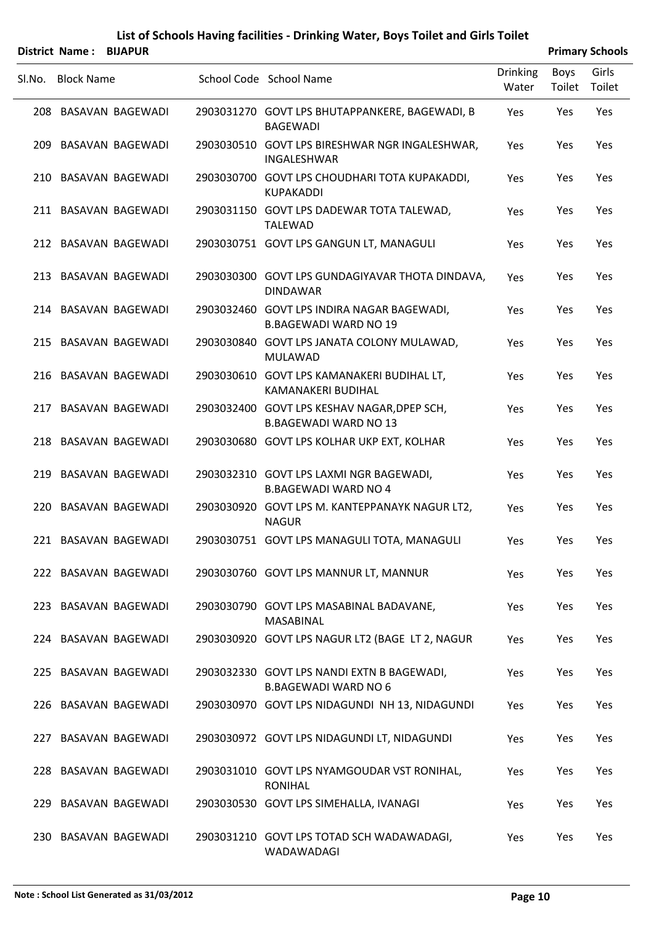|        | <b>District Name:</b> | <b>BIJAPUR</b>       |                                                                             |                          |                | <b>Primary Schools</b> |
|--------|-----------------------|----------------------|-----------------------------------------------------------------------------|--------------------------|----------------|------------------------|
| SI.No. | <b>Block Name</b>     |                      | School Code School Name                                                     | <b>Drinking</b><br>Water | Boys<br>Toilet | Girls<br>Toilet        |
|        |                       | 208 BASAVAN BAGEWADI | 2903031270 GOVT LPS BHUTAPPANKERE, BAGEWADI, B<br><b>BAGEWADI</b>           | Yes                      | Yes            | Yes                    |
|        |                       | 209 BASAVAN BAGEWADI | 2903030510 GOVT LPS BIRESHWAR NGR INGALESHWAR,<br>INGALESHWAR               | Yes                      | Yes            | Yes                    |
|        |                       | 210 BASAVAN BAGEWADI | 2903030700 GOVT LPS CHOUDHARI TOTA KUPAKADDI,<br><b>KUPAKADDI</b>           | Yes                      | Yes            | Yes                    |
|        |                       | 211 BASAVAN BAGEWADI | 2903031150 GOVT LPS DADEWAR TOTA TALEWAD,<br><b>TALEWAD</b>                 | Yes                      | Yes            | Yes                    |
|        |                       | 212 BASAVAN BAGEWADI | 2903030751 GOVT LPS GANGUN LT, MANAGULI                                     | Yes                      | Yes            | Yes                    |
|        |                       | 213 BASAVAN BAGEWADI | 2903030300 GOVT LPS GUNDAGIYAVAR THOTA DINDAVA,<br><b>DINDAWAR</b>          | Yes                      | Yes            | Yes                    |
|        |                       | 214 BASAVAN BAGEWADI | 2903032460 GOVT LPS INDIRA NAGAR BAGEWADI,<br><b>B.BAGEWADI WARD NO 19</b>  | Yes                      | Yes            | Yes                    |
|        |                       | 215 BASAVAN BAGEWADI | 2903030840 GOVT LPS JANATA COLONY MULAWAD,<br><b>MULAWAD</b>                | Yes                      | Yes            | Yes                    |
|        |                       | 216 BASAVAN BAGEWADI | 2903030610 GOVT LPS KAMANAKERI BUDIHAL LT,<br>KAMANAKERI BUDIHAL            | Yes                      | Yes            | Yes                    |
|        |                       | 217 BASAVAN BAGEWADI | 2903032400 GOVT LPS KESHAV NAGAR, DPEP SCH,<br><b>B.BAGEWADI WARD NO 13</b> | Yes                      | Yes            | Yes                    |
|        |                       | 218 BASAVAN BAGEWADI | 2903030680 GOVT LPS KOLHAR UKP EXT, KOLHAR                                  | Yes                      | Yes            | Yes                    |
|        |                       | 219 BASAVAN BAGEWADI | 2903032310 GOVT LPS LAXMI NGR BAGEWADI,<br><b>B.BAGEWADI WARD NO 4</b>      | Yes                      | Yes            | Yes                    |
| 220    |                       | BASAVAN BAGEWADI     | 2903030920 GOVT LPS M. KANTEPPANAYK NAGUR LT2,<br><b>NAGUR</b>              | Yes                      | Yes            | Yes                    |
|        |                       | 221 BASAVAN BAGEWADI | 2903030751 GOVT LPS MANAGULI TOTA, MANAGULI                                 | Yes                      | Yes            | Yes                    |
|        |                       | 222 BASAVAN BAGEWADI | 2903030760 GOVT LPS MANNUR LT, MANNUR                                       | Yes                      | Yes            | Yes                    |
|        |                       | 223 BASAVAN BAGEWADI | 2903030790 GOVT LPS MASABINAL BADAVANE,<br><b>MASABINAL</b>                 | Yes                      | Yes            | Yes                    |
|        |                       | 224 BASAVAN BAGEWADI | 2903030920 GOVT LPS NAGUR LT2 (BAGE LT 2, NAGUR                             | Yes                      | Yes            | Yes                    |
|        |                       | 225 BASAVAN BAGEWADI | 2903032330 GOVT LPS NANDI EXTN B BAGEWADI,<br><b>B.BAGEWADI WARD NO 6</b>   | Yes                      | Yes            | Yes                    |
|        |                       | 226 BASAVAN BAGEWADI | 2903030970 GOVT LPS NIDAGUNDI NH 13, NIDAGUNDI                              | Yes                      | Yes            | Yes                    |
|        |                       | 227 BASAVAN BAGEWADI | 2903030972 GOVT LPS NIDAGUNDI LT, NIDAGUNDI                                 | Yes                      | Yes            | Yes                    |
|        |                       | 228 BASAVAN BAGEWADI | 2903031010 GOVT LPS NYAMGOUDAR VST RONIHAL,<br><b>RONIHAL</b>               | Yes                      | Yes            | Yes                    |
|        |                       | 229 BASAVAN BAGEWADI | 2903030530 GOVT LPS SIMEHALLA, IVANAGI                                      | Yes                      | Yes            | Yes                    |
|        |                       | 230 BASAVAN BAGEWADI | 2903031210 GOVT LPS TOTAD SCH WADAWADAGI,<br>WADAWADAGI                     | Yes                      | Yes            | Yes                    |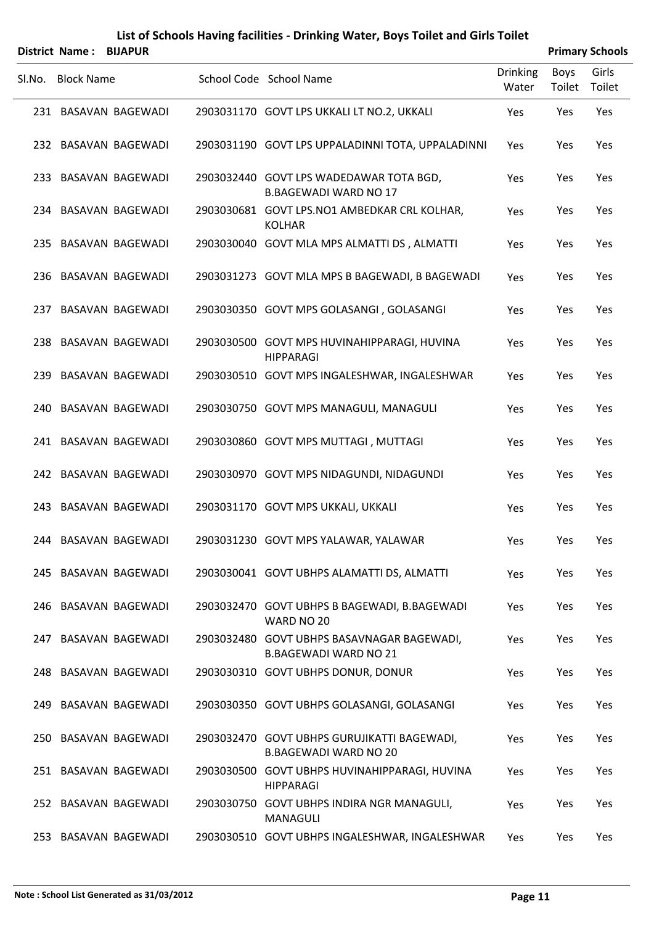| <b>District Name:</b> | <b>BIJAI</b> |
|-----------------------|--------------|
|                       |              |

#### **DRISPUR PUR PUR**

| Sl.No. Block Name    | School Code School Name                                                     | <b>Drinking</b><br>Water | Boys<br>Toilet Toilet | Girls |
|----------------------|-----------------------------------------------------------------------------|--------------------------|-----------------------|-------|
| 231 BASAVAN BAGEWADI | 2903031170 GOVT LPS UKKALI LT NO.2, UKKALI                                  | Yes                      | Yes                   | Yes   |
| 232 BASAVAN BAGEWADI | 2903031190 GOVT LPS UPPALADINNI TOTA, UPPALADINNI                           | Yes                      | Yes                   | Yes   |
| 233 BASAVAN BAGEWADI | 2903032440 GOVT LPS WADEDAWAR TOTA BGD,<br><b>B.BAGEWADI WARD NO 17</b>     | Yes                      | Yes                   | Yes   |
| 234 BASAVAN BAGEWADI | 2903030681 GOVT LPS.NO1 AMBEDKAR CRL KOLHAR,<br><b>KOLHAR</b>               | Yes                      | Yes                   | Yes   |
| 235 BASAVAN BAGEWADI | 2903030040 GOVT MLA MPS ALMATTI DS, ALMATTI                                 | Yes                      | Yes                   | Yes   |
| 236 BASAVAN BAGEWADI | 2903031273 GOVT MLA MPS B BAGEWADI, B BAGEWADI                              | Yes                      | Yes                   | Yes   |
| 237 BASAVAN BAGEWADI | 2903030350 GOVT MPS GOLASANGI, GOLASANGI                                    | Yes                      | Yes                   | Yes   |
| 238 BASAVAN BAGEWADI | 2903030500 GOVT MPS HUVINAHIPPARAGI, HUVINA<br><b>HIPPARAGI</b>             | Yes                      | Yes                   | Yes   |
| 239 BASAVAN BAGEWADI | 2903030510 GOVT MPS INGALESHWAR, INGALESHWAR                                | Yes                      | Yes                   | Yes   |
| 240 BASAVAN BAGEWADI | 2903030750 GOVT MPS MANAGULI, MANAGULI                                      | Yes                      | Yes                   | Yes   |
| 241 BASAVAN BAGEWADI | 2903030860 GOVT MPS MUTTAGI, MUTTAGI                                        | Yes                      | Yes                   | Yes   |
| 242 BASAVAN BAGEWADI | 2903030970 GOVT MPS NIDAGUNDI, NIDAGUNDI                                    | Yes                      | Yes                   | Yes   |
| 243 BASAVAN BAGEWADI | 2903031170 GOVT MPS UKKALI, UKKALI                                          | Yes                      | Yes                   | Yes   |
| 244 BASAVAN BAGEWADI | 2903031230 GOVT MPS YALAWAR, YALAWAR                                        | Yes                      | Yes                   | Yes   |
| 245 BASAVAN BAGEWADI | 2903030041 GOVT UBHPS ALAMATTI DS, ALMATTI                                  | <b>Yes</b>               | Yes                   | Yes   |
| 246 BASAVAN BAGEWADI | 2903032470 GOVT UBHPS B BAGEWADI, B.BAGEWADI<br>WARD NO 20                  | Yes                      | Yes                   | Yes   |
| 247 BASAVAN BAGEWADI | 2903032480 GOVT UBHPS BASAVNAGAR BAGEWADI,<br><b>B.BAGEWADI WARD NO 21</b>  | Yes                      | Yes                   | Yes   |
| 248 BASAVAN BAGEWADI | 2903030310 GOVT UBHPS DONUR, DONUR                                          | <b>Yes</b>               | Yes                   | Yes   |
| 249 BASAVAN BAGEWADI | 2903030350 GOVT UBHPS GOLASANGI, GOLASANGI                                  | <b>Yes</b>               | Yes                   | Yes   |
| 250 BASAVAN BAGEWADI | 2903032470 GOVT UBHPS GURUJIKATTI BAGEWADI,<br><b>B.BAGEWADI WARD NO 20</b> | Yes                      | Yes                   | Yes   |
| 251 BASAVAN BAGEWADI | 2903030500 GOVT UBHPS HUVINAHIPPARAGI, HUVINA<br><b>HIPPARAGI</b>           | <b>Yes</b>               | Yes                   | Yes   |
| 252 BASAVAN BAGEWADI | 2903030750 GOVT UBHPS INDIRA NGR MANAGULI,<br><b>MANAGULI</b>               | <b>Yes</b>               | Yes                   | Yes   |
| 253 BASAVAN BAGEWADI | 2903030510 GOVT UBHPS INGALESHWAR, INGALESHWAR                              | Yes                      | Yes                   | Yes   |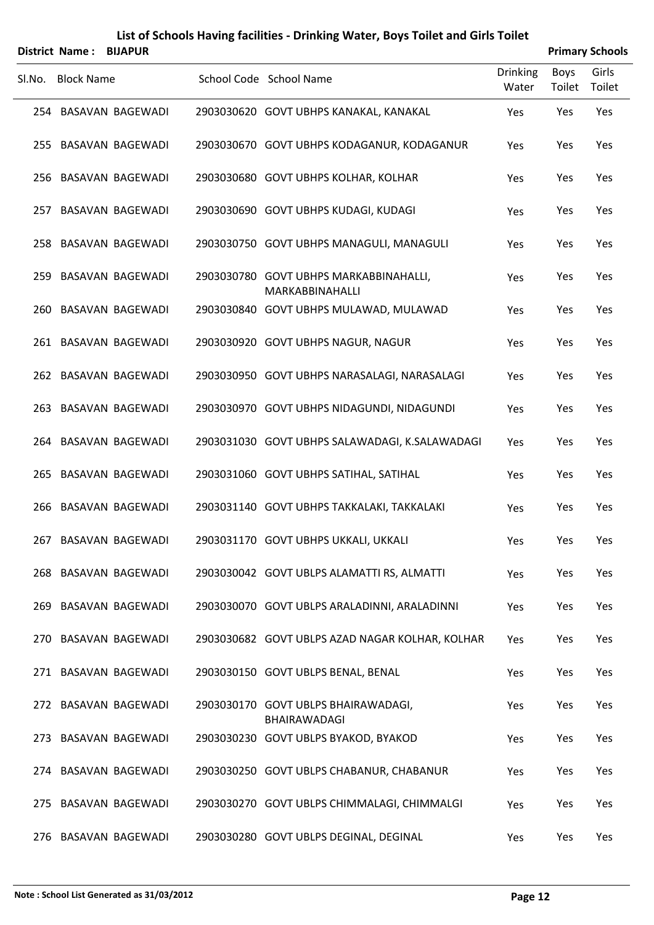|        | District Name: BIJAPUR |                                                                  |                          |                       | <b>Primary Schools</b> |
|--------|------------------------|------------------------------------------------------------------|--------------------------|-----------------------|------------------------|
| SI.No. | <b>Block Name</b>      | School Code School Name                                          | <b>Drinking</b><br>Water | <b>Boys</b><br>Toilet | Girls<br>Toilet        |
|        | 254 BASAVAN BAGEWADI   | 2903030620 GOVT UBHPS KANAKAL, KANAKAL                           | Yes                      | Yes                   | Yes                    |
|        | 255 BASAVAN BAGEWADI   | 2903030670 GOVT UBHPS KODAGANUR, KODAGANUR                       | Yes                      | Yes                   | Yes                    |
|        | 256 BASAVAN BAGEWADI   | 2903030680 GOVT UBHPS KOLHAR, KOLHAR                             | Yes                      | Yes                   | Yes                    |
| 257    | BASAVAN BAGEWADI       | 2903030690 GOVT UBHPS KUDAGI, KUDAGI                             | Yes                      | Yes                   | Yes                    |
|        | 258 BASAVAN BAGEWADI   | 2903030750 GOVT UBHPS MANAGULI, MANAGULI                         | Yes                      | Yes                   | Yes                    |
| 259    | BASAVAN BAGEWADI       | 2903030780 GOVT UBHPS MARKABBINAHALLI,<br><b>MARKABBINAHALLI</b> | Yes                      | Yes                   | Yes                    |
|        | 260 BASAVAN BAGEWADI   | 2903030840 GOVT UBHPS MULAWAD, MULAWAD                           | Yes                      | Yes                   | Yes                    |
|        | 261 BASAVAN BAGEWADI   | 2903030920 GOVT UBHPS NAGUR, NAGUR                               | Yes                      | Yes                   | Yes                    |
|        | 262 BASAVAN BAGEWADI   | 2903030950 GOVT UBHPS NARASALAGI, NARASALAGI                     | Yes                      | Yes                   | Yes                    |
|        | 263 BASAVAN BAGEWADI   | 2903030970 GOVT UBHPS NIDAGUNDI, NIDAGUNDI                       | Yes                      | Yes                   | Yes                    |
|        | 264 BASAVAN BAGEWADI   | 2903031030 GOVT UBHPS SALAWADAGI, K.SALAWADAGI                   | Yes                      | Yes                   | Yes                    |
|        | 265 BASAVAN BAGEWADI   | 2903031060 GOVT UBHPS SATIHAL, SATIHAL                           | Yes                      | Yes                   | Yes                    |
|        | 266 BASAVAN BAGEWADI   | 2903031140 GOVT UBHPS TAKKALAKI, TAKKALAKI                       | Yes                      | Yes                   | Yes                    |
|        | 267 BASAVAN BAGEWADI   | 2903031170 GOVT UBHPS UKKALI, UKKALI                             | Yes                      | Yes                   | Yes                    |
|        | 268 BASAVAN BAGEWADI   | 2903030042 GOVT UBLPS ALAMATTI RS, ALMATTI                       | Yes                      | Yes                   | Yes                    |
|        | 269 BASAVAN BAGEWADI   | 2903030070 GOVT UBLPS ARALADINNI, ARALADINNI                     | Yes                      | Yes                   | Yes                    |
|        | 270 BASAVAN BAGEWADI   | 2903030682 GOVT UBLPS AZAD NAGAR KOLHAR, KOLHAR                  | Yes                      | Yes                   | Yes                    |
|        | 271 BASAVAN BAGEWADI   | 2903030150 GOVT UBLPS BENAL, BENAL                               | Yes                      | Yes                   | Yes                    |
|        | 272 BASAVAN BAGEWADI   | 2903030170 GOVT UBLPS BHAIRAWADAGI,<br>BHAIRAWADAGI              | Yes                      | Yes                   | Yes                    |
|        | 273 BASAVAN BAGEWADI   | 2903030230 GOVT UBLPS BYAKOD, BYAKOD                             | Yes                      | Yes                   | Yes                    |
|        | 274 BASAVAN BAGEWADI   | 2903030250 GOVT UBLPS CHABANUR, CHABANUR                         | Yes                      | Yes                   | Yes                    |
|        | 275 BASAVAN BAGEWADI   | 2903030270 GOVT UBLPS CHIMMALAGI, CHIMMALGI                      | Yes                      | Yes                   | Yes                    |
|        | 276 BASAVAN BAGEWADI   | 2903030280 GOVT UBLPS DEGINAL, DEGINAL                           | Yes                      | Yes                   | Yes                    |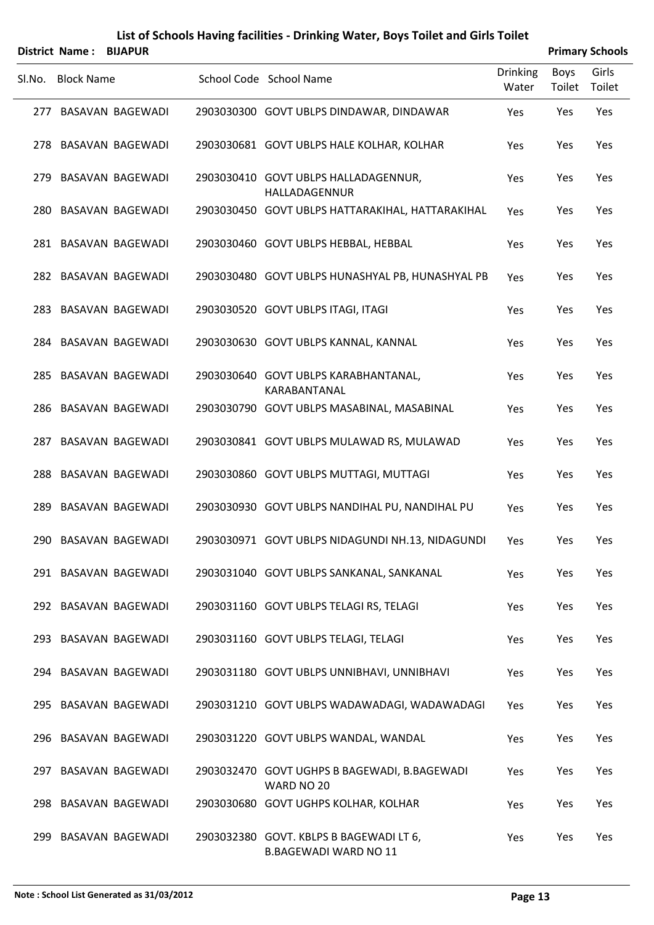|        | District Name: BIJAPUR |                      |                                                                         |                          |                | <b>Primary Schools</b> |
|--------|------------------------|----------------------|-------------------------------------------------------------------------|--------------------------|----------------|------------------------|
| SI.No. | <b>Block Name</b>      |                      | School Code School Name                                                 | <b>Drinking</b><br>Water | Boys<br>Toilet | Girls<br>Toilet        |
|        |                        | 277 BASAVAN BAGEWADI | 2903030300 GOVT UBLPS DINDAWAR, DINDAWAR                                | Yes                      | Yes            | Yes                    |
|        |                        | 278 BASAVAN BAGEWADI | 2903030681 GOVT UBLPS HALE KOLHAR, KOLHAR                               | Yes                      | Yes            | Yes                    |
|        |                        | 279 BASAVAN BAGEWADI | 2903030410 GOVT UBLPS HALLADAGENNUR,<br>HALLADAGENNUR                   | Yes                      | Yes            | Yes                    |
|        |                        | 280 BASAVAN BAGEWADI | 2903030450 GOVT UBLPS HATTARAKIHAL, HATTARAKIHAL                        | Yes                      | Yes            | Yes                    |
|        |                        | 281 BASAVAN BAGEWADI | 2903030460 GOVT UBLPS HEBBAL, HEBBAL                                    | Yes                      | Yes            | Yes                    |
|        |                        | 282 BASAVAN BAGEWADI | 2903030480 GOVT UBLPS HUNASHYAL PB, HUNASHYAL PB                        | Yes                      | Yes            | Yes                    |
|        |                        | 283 BASAVAN BAGEWADI | 2903030520 GOVT UBLPS ITAGI, ITAGI                                      | Yes                      | Yes            | Yes                    |
|        |                        | 284 BASAVAN BAGEWADI | 2903030630 GOVT UBLPS KANNAL, KANNAL                                    | Yes                      | Yes            | Yes                    |
|        |                        | 285 BASAVAN BAGEWADI | 2903030640 GOVT UBLPS KARABHANTANAL,<br>KARABANTANAL                    | Yes                      | Yes            | Yes                    |
|        |                        | 286 BASAVAN BAGEWADI | 2903030790 GOVT UBLPS MASABINAL, MASABINAL                              | Yes                      | Yes            | Yes                    |
|        |                        | 287 BASAVAN BAGEWADI | 2903030841 GOVT UBLPS MULAWAD RS, MULAWAD                               | Yes                      | Yes            | Yes                    |
|        |                        | 288 BASAVAN BAGEWADI | 2903030860 GOVT UBLPS MUTTAGI, MUTTAGI                                  | Yes                      | Yes            | Yes                    |
|        |                        | 289 BASAVAN BAGEWADI | 2903030930 GOVT UBLPS NANDIHAL PU, NANDIHAL PU                          | Yes                      | Yes            | Yes                    |
|        |                        | 290 BASAVAN BAGEWADI | 2903030971 GOVT UBLPS NIDAGUNDI NH.13, NIDAGUNDI                        | Yes                      | Yes            | Yes                    |
|        |                        | 291 BASAVAN BAGEWADI | 2903031040 GOVT UBLPS SANKANAL, SANKANAL                                | Yes                      | Yes            | Yes                    |
|        |                        | 292 BASAVAN BAGEWADI | 2903031160 GOVT UBLPS TELAGI RS, TELAGI                                 | Yes                      | Yes            | Yes                    |
|        |                        | 293 BASAVAN BAGEWADI | 2903031160 GOVT UBLPS TELAGI, TELAGI                                    | Yes                      | Yes            | Yes                    |
|        |                        | 294 BASAVAN BAGEWADI | 2903031180 GOVT UBLPS UNNIBHAVI, UNNIBHAVI                              | Yes                      | Yes            | Yes                    |
|        |                        | 295 BASAVAN BAGEWADI | 2903031210 GOVT UBLPS WADAWADAGI, WADAWADAGI                            | Yes                      | Yes            | Yes                    |
|        |                        | 296 BASAVAN BAGEWADI | 2903031220 GOVT UBLPS WANDAL, WANDAL                                    | Yes                      | Yes            | Yes                    |
|        |                        | 297 BASAVAN BAGEWADI | 2903032470 GOVT UGHPS B BAGEWADI, B.BAGEWADI<br>WARD NO 20              | Yes                      | Yes            | Yes                    |
|        |                        | 298 BASAVAN BAGEWADI | 2903030680 GOVT UGHPS KOLHAR, KOLHAR                                    | Yes                      | Yes            | Yes                    |
| 299    |                        | BASAVAN BAGEWADI     | 2903032380 GOVT. KBLPS B BAGEWADI LT 6,<br><b>B.BAGEWADI WARD NO 11</b> | Yes                      | Yes            | Yes                    |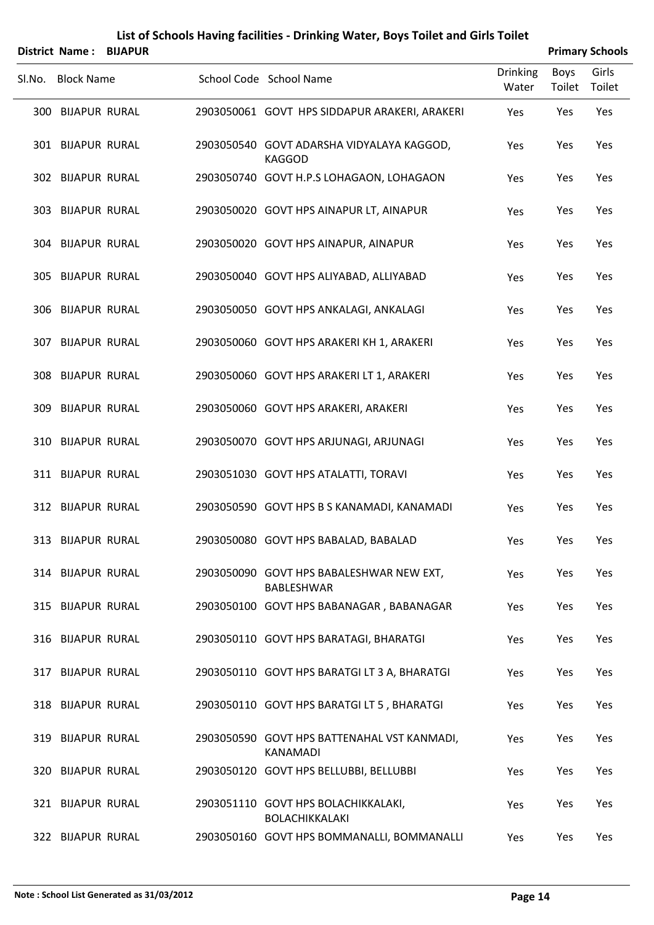|        | District Name:           | <b>BIJAPUR</b> |                                                                |                          |                | <b>Primary Schools</b> |
|--------|--------------------------|----------------|----------------------------------------------------------------|--------------------------|----------------|------------------------|
| SI.No. | <b>Block Name</b>        |                | School Code School Name                                        | <b>Drinking</b><br>Water | Boys<br>Toilet | Girls<br>Toilet        |
|        | <b>300 BIJAPUR RURAL</b> |                | 2903050061 GOVT HPS SIDDAPUR ARAKERI, ARAKERI                  | Yes                      | Yes            | Yes                    |
|        | 301 BIJAPUR RURAL        |                | 2903050540 GOVT ADARSHA VIDYALAYA KAGGOD,<br><b>KAGGOD</b>     | Yes                      | Yes            | Yes                    |
|        | 302 BIJAPUR RURAL        |                | 2903050740 GOVT H.P.S LOHAGAON, LOHAGAON                       | Yes                      | Yes            | Yes                    |
|        | 303 BIJAPUR RURAL        |                | 2903050020 GOVT HPS AINAPUR LT, AINAPUR                        | Yes                      | Yes            | Yes                    |
|        | 304 BIJAPUR RURAL        |                | 2903050020 GOVT HPS AINAPUR, AINAPUR                           | Yes                      | Yes            | Yes                    |
|        | 305 BIJAPUR RURAL        |                | 2903050040 GOVT HPS ALIYABAD, ALLIYABAD                        | Yes                      | Yes            | Yes                    |
|        | 306 BIJAPUR RURAL        |                | 2903050050 GOVT HPS ANKALAGI, ANKALAGI                         | Yes                      | Yes            | Yes                    |
|        | 307 BIJAPUR RURAL        |                | 2903050060 GOVT HPS ARAKERI KH 1, ARAKERI                      | Yes                      | Yes            | Yes                    |
|        | 308 BIJAPUR RURAL        |                | 2903050060 GOVT HPS ARAKERI LT 1, ARAKERI                      | Yes                      | Yes            | Yes                    |
|        | 309 BIJAPUR RURAL        |                | 2903050060 GOVT HPS ARAKERI, ARAKERI                           | Yes                      | Yes            | Yes                    |
|        | 310 BIJAPUR RURAL        |                | 2903050070 GOVT HPS ARJUNAGI, ARJUNAGI                         | Yes                      | Yes            | Yes                    |
|        | 311 BIJAPUR RURAL        |                | 2903051030 GOVT HPS ATALATTI, TORAVI                           | Yes                      | Yes            | Yes                    |
|        | 312 BIJAPUR RURAL        |                | 2903050590 GOVT HPS B S KANAMADI, KANAMADI                     | Yes                      | Yes            | Yes                    |
|        | 313 BIJAPUR RURAL        |                | 2903050080 GOVT HPS BABALAD, BABALAD                           | Yes                      | Yes            | Yes                    |
|        | 314 BIJAPUR RURAL        |                | 2903050090 GOVT HPS BABALESHWAR NEW EXT,<br>BABLESHWAR         | Yes                      | Yes            | Yes                    |
|        | 315 BIJAPUR RURAL        |                | 2903050100 GOVT HPS BABANAGAR, BABANAGAR                       | Yes                      | Yes            | Yes                    |
|        | 316 BIJAPUR RURAL        |                | 2903050110 GOVT HPS BARATAGI, BHARATGI                         | Yes                      | Yes            | Yes                    |
|        | 317 BIJAPUR RURAL        |                | 2903050110 GOVT HPS BARATGI LT 3 A, BHARATGI                   | Yes                      | Yes            | Yes                    |
|        | 318 BIJAPUR RURAL        |                | 2903050110 GOVT HPS BARATGI LT 5, BHARATGI                     | Yes                      | Yes            | Yes                    |
|        | 319 BIJAPUR RURAL        |                | 2903050590 GOVT HPS BATTENAHAL VST KANMADI,<br><b>KANAMADI</b> | Yes                      | Yes            | Yes                    |
|        | 320 BIJAPUR RURAL        |                | 2903050120 GOVT HPS BELLUBBI, BELLUBBI                         | Yes                      | Yes            | Yes                    |
|        | 321 BIJAPUR RURAL        |                | 2903051110 GOVT HPS BOLACHIKKALAKI,<br>BOLACHIKKALAKI          | Yes                      | Yes            | Yes                    |
|        | 322 BIJAPUR RURAL        |                | 2903050160 GOVT HPS BOMMANALLI, BOMMANALLI                     | Yes                      | Yes            | Yes                    |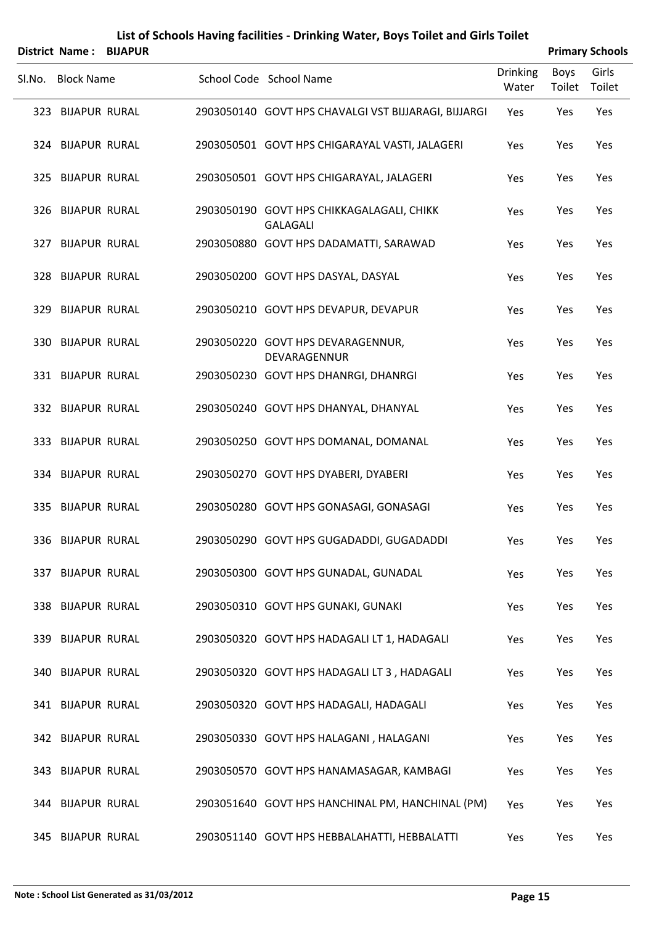|        |                   | District Name: BIJAPUR |                                                              |                          |                       | <b>Primary Schools</b> |
|--------|-------------------|------------------------|--------------------------------------------------------------|--------------------------|-----------------------|------------------------|
| SI.No. | <b>Block Name</b> |                        | School Code School Name                                      | <b>Drinking</b><br>Water | <b>Boys</b><br>Toilet | Girls<br>Toilet        |
|        | 323 BIJAPUR RURAL |                        | 2903050140 GOVT HPS CHAVALGI VST BIJJARAGI, BIJJARGI         | Yes                      | Yes                   | Yes                    |
|        | 324 BIJAPUR RURAL |                        | 2903050501 GOVT HPS CHIGARAYAL VASTI, JALAGERI               | Yes                      | Yes                   | Yes                    |
|        | 325 BIJAPUR RURAL |                        | 2903050501 GOVT HPS CHIGARAYAL, JALAGERI                     | Yes                      | Yes                   | Yes                    |
|        | 326 BIJAPUR RURAL |                        | 2903050190 GOVT HPS CHIKKAGALAGALI, CHIKK<br><b>GALAGALI</b> | Yes                      | Yes                   | Yes                    |
|        | 327 BIJAPUR RURAL |                        | 2903050880 GOVT HPS DADAMATTI, SARAWAD                       | Yes                      | Yes                   | Yes                    |
|        | 328 BIJAPUR RURAL |                        | 2903050200 GOVT HPS DASYAL, DASYAL                           | Yes                      | Yes                   | Yes                    |
|        | 329 BIJAPUR RURAL |                        | 2903050210 GOVT HPS DEVAPUR, DEVAPUR                         | Yes                      | Yes                   | Yes                    |
|        | 330 BIJAPUR RURAL |                        | 2903050220 GOVT HPS DEVARAGENNUR,<br>DEVARAGENNUR            | Yes                      | Yes                   | Yes                    |
|        | 331 BIJAPUR RURAL |                        | 2903050230 GOVT HPS DHANRGI, DHANRGI                         | Yes                      | Yes                   | Yes                    |
|        | 332 BIJAPUR RURAL |                        | 2903050240 GOVT HPS DHANYAL, DHANYAL                         | Yes                      | Yes                   | Yes                    |
|        | 333 BIJAPUR RURAL |                        | 2903050250 GOVT HPS DOMANAL, DOMANAL                         | Yes                      | Yes                   | Yes                    |
|        | 334 BIJAPUR RURAL |                        | 2903050270 GOVT HPS DYABERI, DYABERI                         | Yes                      | Yes                   | Yes                    |
|        | 335 BIJAPUR RURAL |                        | 2903050280 GOVT HPS GONASAGI, GONASAGI                       | Yes                      | Yes                   | Yes                    |
|        | 336 BIJAPUR RURAL |                        | 2903050290 GOVT HPS GUGADADDI, GUGADADDI                     | Yes                      | Yes                   | Yes                    |
|        | 337 BIJAPUR RURAL |                        | 2903050300 GOVT HPS GUNADAL, GUNADAL                         | Yes                      | Yes                   | Yes                    |
|        | 338 BIJAPUR RURAL |                        | 2903050310 GOVT HPS GUNAKI, GUNAKI                           | Yes                      | Yes                   | Yes                    |
|        | 339 BIJAPUR RURAL |                        | 2903050320 GOVT HPS HADAGALI LT 1, HADAGALI                  | Yes                      | Yes                   | Yes                    |
|        | 340 BIJAPUR RURAL |                        | 2903050320 GOVT HPS HADAGALI LT 3, HADAGALI                  | Yes                      | Yes                   | Yes                    |
|        | 341 BIJAPUR RURAL |                        | 2903050320 GOVT HPS HADAGALI, HADAGALI                       | Yes                      | Yes                   | Yes                    |
|        | 342 BIJAPUR RURAL |                        | 2903050330 GOVT HPS HALAGANI, HALAGANI                       | Yes                      | Yes                   | Yes                    |
|        | 343 BIJAPUR RURAL |                        | 2903050570 GOVT HPS HANAMASAGAR, KAMBAGI                     | Yes                      | Yes                   | Yes                    |
|        | 344 BIJAPUR RURAL |                        | 2903051640 GOVT HPS HANCHINAL PM, HANCHINAL (PM)             | Yes                      | Yes                   | Yes                    |
|        | 345 BIJAPUR RURAL |                        | 2903051140 GOVT HPS HEBBALAHATTI, HEBBALATTI                 | Yes                      | Yes                   | Yes                    |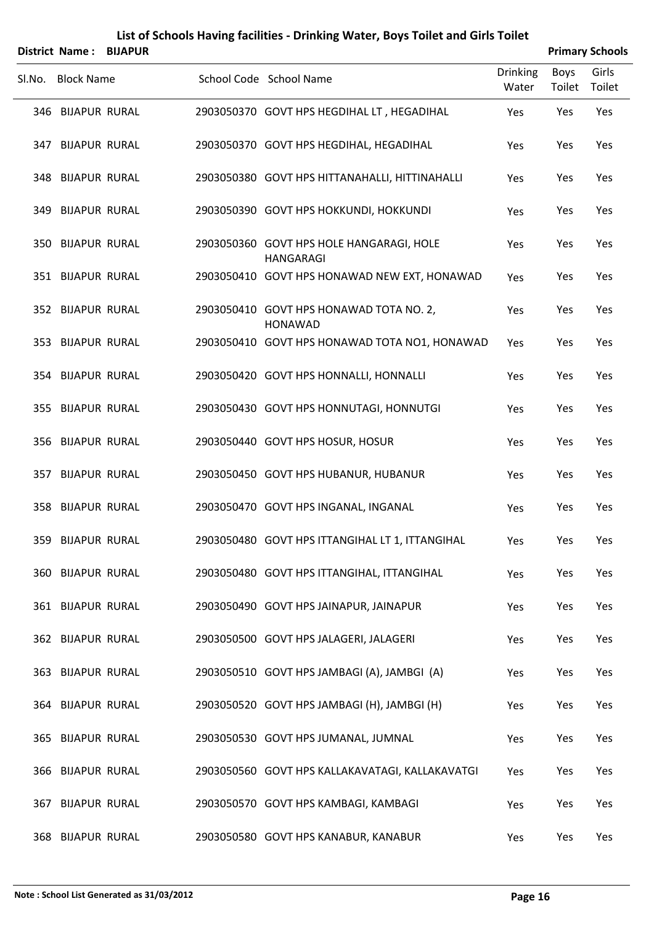|        |                          | District Name: BIJAPUR |                                                           |                          |                | <b>Primary Schools</b> |
|--------|--------------------------|------------------------|-----------------------------------------------------------|--------------------------|----------------|------------------------|
| Sl.No. | <b>Block Name</b>        |                        | School Code School Name                                   | <b>Drinking</b><br>Water | Boys<br>Toilet | Girls<br>Toilet        |
|        | 346 BIJAPUR RURAL        |                        | 2903050370 GOVT HPS HEGDIHAL LT, HEGADIHAL                | Yes                      | Yes            | Yes                    |
|        | 347 BIJAPUR RURAL        |                        | 2903050370 GOVT HPS HEGDIHAL, HEGADIHAL                   | Yes                      | Yes            | Yes                    |
|        | 348 BIJAPUR RURAL        |                        | 2903050380 GOVT HPS HITTANAHALLI, HITTINAHALLI            | Yes                      | Yes            | Yes                    |
|        | 349 BIJAPUR RURAL        |                        | 2903050390 GOVT HPS HOKKUNDI, HOKKUNDI                    | Yes                      | Yes            | Yes                    |
|        | 350 BIJAPUR RURAL        |                        | 2903050360 GOVT HPS HOLE HANGARAGI, HOLE<br>HANGARAGI     | Yes                      | Yes            | Yes                    |
|        | 351 BIJAPUR RURAL        |                        | 2903050410 GOVT HPS HONAWAD NEW EXT, HONAWAD              | Yes                      | Yes            | Yes                    |
|        | <b>352 BIJAPUR RURAL</b> |                        | 2903050410 GOVT HPS HONAWAD TOTA NO. 2,<br><b>HONAWAD</b> | Yes                      | Yes            | Yes                    |
|        | 353 BIJAPUR RURAL        |                        | 2903050410 GOVT HPS HONAWAD TOTA NO1, HONAWAD             | Yes                      | Yes            | Yes                    |
|        | 354 BIJAPUR RURAL        |                        | 2903050420 GOVT HPS HONNALLI, HONNALLI                    | Yes                      | Yes            | Yes                    |
|        | 355 BIJAPUR RURAL        |                        | 2903050430 GOVT HPS HONNUTAGI, HONNUTGI                   | Yes                      | Yes            | Yes                    |
|        | 356 BIJAPUR RURAL        |                        | 2903050440 GOVT HPS HOSUR, HOSUR                          | Yes                      | Yes            | Yes                    |
|        | 357 BIJAPUR RURAL        |                        | 2903050450 GOVT HPS HUBANUR, HUBANUR                      | Yes                      | Yes            | Yes                    |
|        | 358 BIJAPUR RURAL        |                        | 2903050470 GOVT HPS INGANAL, INGANAL                      | Yes                      | Yes            | Yes                    |
|        | 359 BIJAPUR RURAL        |                        | 2903050480 GOVT HPS ITTANGIHAL LT 1, ITTANGIHAL           | Yes                      | Yes            | Yes                    |
|        | 360 BIJAPUR RURAL        |                        | 2903050480 GOVT HPS ITTANGIHAL, ITTANGIHAL                | Yes                      | Yes            | Yes                    |
|        | 361 BIJAPUR RURAL        |                        | 2903050490 GOVT HPS JAINAPUR, JAINAPUR                    | Yes                      | Yes            | Yes                    |
|        | 362 BIJAPUR RURAL        |                        | 2903050500 GOVT HPS JALAGERI, JALAGERI                    | Yes                      | Yes            | Yes                    |
|        | 363 BIJAPUR RURAL        |                        | 2903050510 GOVT HPS JAMBAGI (A), JAMBGI (A)               | Yes                      | Yes            | Yes                    |
|        | 364 BIJAPUR RURAL        |                        | 2903050520 GOVT HPS JAMBAGI (H), JAMBGI (H)               | Yes                      | Yes            | Yes                    |
|        | 365 BIJAPUR RURAL        |                        | 2903050530 GOVT HPS JUMANAL, JUMNAL                       | Yes                      | Yes            | Yes                    |
|        | 366 BIJAPUR RURAL        |                        | 2903050560 GOVT HPS KALLAKAVATAGI, KALLAKAVATGI           | Yes                      | Yes            | Yes                    |
|        | 367 BIJAPUR RURAL        |                        | 2903050570 GOVT HPS KAMBAGI, KAMBAGI                      | Yes                      | Yes            | Yes                    |
|        | 368 BIJAPUR RURAL        |                        | 2903050580 GOVT HPS KANABUR, KANABUR                      | Yes                      | Yes            | Yes                    |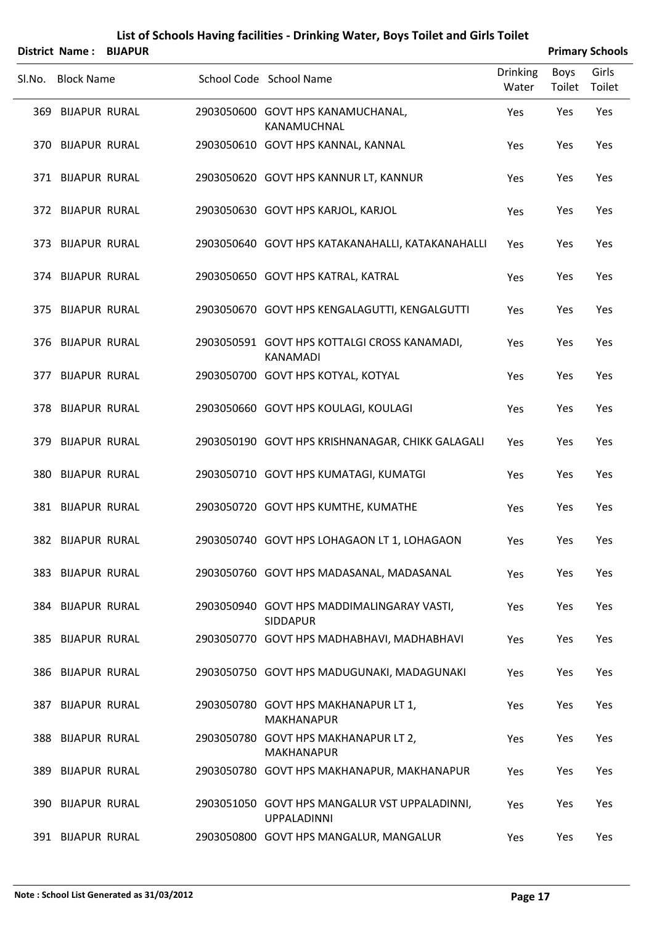|        | <b>District Name:</b> | <b>BIJAPUR</b> | List of Schools Having facilities - Drinking Water, Boys Toilet and Girls Toilet |                          |                | <b>Primary Schools</b> |
|--------|-----------------------|----------------|----------------------------------------------------------------------------------|--------------------------|----------------|------------------------|
| Sl.No. | <b>Block Name</b>     |                | School Code School Name                                                          | <b>Drinking</b><br>Water | Boys<br>Toilet | Girls<br>Toilet        |
|        | 369 BIJAPUR RURAL     |                | 2903050600 GOVT HPS KANAMUCHANAL,<br>KANAMUCHNAL                                 | Yes                      | Yes            | Yes                    |
|        | 370 BIJAPUR RURAL     |                | 2903050610 GOVT HPS KANNAL, KANNAL                                               | Yes                      | Yes            | Yes                    |
|        | 371 BIJAPUR RURAL     |                | 2903050620 GOVT HPS KANNUR LT, KANNUR                                            | Yes                      | Yes            | Yes                    |
|        | 372 BIJAPUR RURAL     |                | 2903050630 GOVT HPS KARJOL, KARJOL                                               | Yes                      | Yes            | Yes                    |
|        | 373 BIJAPUR RURAL     |                | 2903050640 GOVT HPS KATAKANAHALLI, KATAKANAHALLI                                 | Yes                      | Yes            | Yes                    |
|        | 374 BIJAPUR RURAL     |                | 2903050650 GOVT HPS KATRAL, KATRAL                                               | Yes                      | Yes            | Yes                    |
|        | 375 BIJAPUR RURAL     |                | 2903050670 GOVT HPS KENGALAGUTTI, KENGALGUTTI                                    | Yes                      | Yes            | Yes                    |
|        | 376 BIJAPUR RURAL     |                | 2903050591 GOVT HPS KOTTALGI CROSS KANAMADI,<br><b>KANAMADI</b>                  | Yes                      | Yes            | Yes                    |
|        | 377 BIJAPUR RURAL     |                | 2903050700 GOVT HPS KOTYAL, KOTYAL                                               | Yes                      | Yes            | Yes                    |
|        | 378 BIJAPUR RURAL     |                | 2903050660 GOVT HPS KOULAGI, KOULAGI                                             | Yes                      | Yes            | Yes                    |
|        | 379 BIJAPUR RURAL     |                | 2903050190 GOVT HPS KRISHNANAGAR, CHIKK GALAGALI                                 | Yes                      | Yes            | Yes                    |
|        | 380 BIJAPUR RURAL     |                | 2903050710 GOVT HPS KUMATAGI, KUMATGI                                            | Yes                      | Yes            | Yes                    |
|        | 381 BIJAPUR RURAL     |                | 2903050720 GOVT HPS KUMTHE, KUMATHE                                              | Yes                      | Yes            | Yes                    |
|        | 382 BIJAPUR RURAL     |                | 2903050740 GOVT HPS LOHAGAON LT 1, LOHAGAON                                      | Yes                      | Yes            | <b>Yes</b>             |
|        | 383 BIJAPUR RURAL     |                | 2903050760 GOVT HPS MADASANAL, MADASANAL                                         | Yes                      | Yes            | Yes                    |
|        | 384 BIJAPUR RURAL     |                | 2903050940 GOVT HPS MADDIMALINGARAY VASTI,<br><b>SIDDAPUR</b>                    | Yes                      | Yes            | Yes                    |
|        | 385 BIJAPUR RURAL     |                | 2903050770 GOVT HPS MADHABHAVI, MADHABHAVI                                       | Yes                      | Yes            | Yes                    |
|        | 386 BIJAPUR RURAL     |                | 2903050750 GOVT HPS MADUGUNAKI, MADAGUNAKI                                       | Yes                      | Yes            | Yes                    |
|        | 387 BIJAPUR RURAL     |                | 2903050780 GOVT HPS MAKHANAPUR LT 1,<br><b>MAKHANAPUR</b>                        | <b>Yes</b>               | Yes            | Yes                    |
|        | 388 BIJAPUR RURAL     |                | 2903050780 GOVT HPS MAKHANAPUR LT 2,<br><b>MAKHANAPUR</b>                        | Yes                      | Yes            | Yes                    |
|        | 389 BIJAPUR RURAL     |                | 2903050780 GOVT HPS MAKHANAPUR, MAKHANAPUR                                       | <b>Yes</b>               | Yes            | Yes                    |
|        | 390 BIJAPUR RURAL     |                | 2903051050 GOVT HPS MANGALUR VST UPPALADINNI,<br><b>UPPALADINNI</b>              | Yes                      | Yes            | Yes                    |
|        | 391 BIJAPUR RURAL     |                | 2903050800 GOVT HPS MANGALUR, MANGALUR                                           | Yes                      | Yes            | Yes                    |

## **Note : School List Generated as 31/03/2012 Page 17**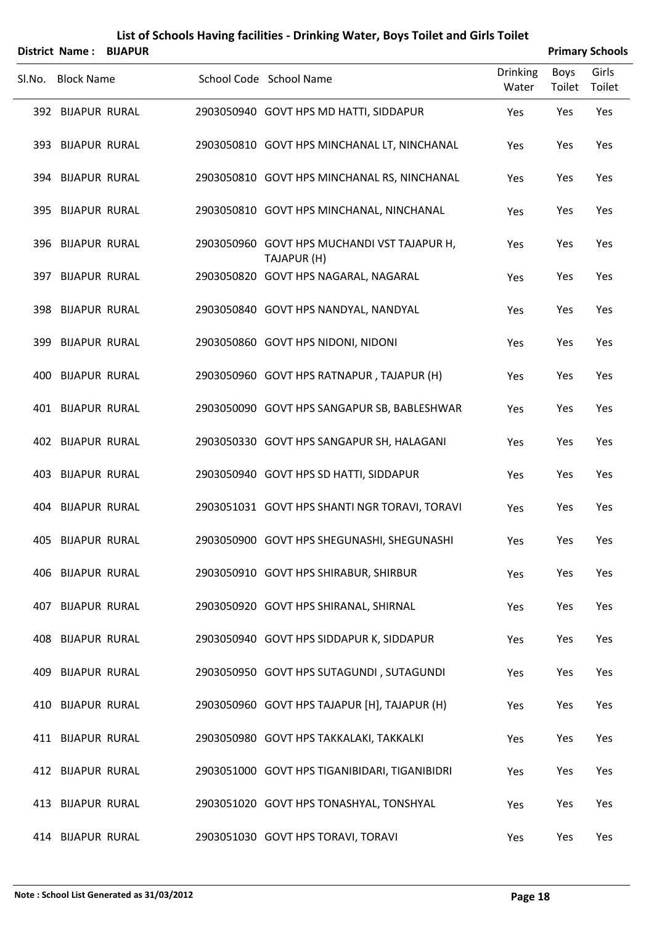|        |                          | District Name: BIJAPUR |                                                            |                          |                | <b>Primary Schools</b> |
|--------|--------------------------|------------------------|------------------------------------------------------------|--------------------------|----------------|------------------------|
| SI.No. | <b>Block Name</b>        |                        | School Code School Name                                    | <b>Drinking</b><br>Water | Boys<br>Toilet | Girls<br>Toilet        |
|        | 392 BIJAPUR RURAL        |                        | 2903050940 GOVT HPS MD HATTI, SIDDAPUR                     | Yes                      | Yes            | Yes                    |
|        | 393 BIJAPUR RURAL        |                        | 2903050810 GOVT HPS MINCHANAL LT, NINCHANAL                | Yes                      | Yes            | Yes                    |
|        | 394 BIJAPUR RURAL        |                        | 2903050810 GOVT HPS MINCHANAL RS, NINCHANAL                | Yes                      | Yes            | Yes                    |
|        | 395 BIJAPUR RURAL        |                        | 2903050810 GOVT HPS MINCHANAL, NINCHANAL                   | Yes                      | Yes            | Yes                    |
|        | 396 BIJAPUR RURAL        |                        | 2903050960 GOVT HPS MUCHANDI VST TAJAPUR H,<br>TAJAPUR (H) | Yes                      | Yes            | Yes                    |
|        | 397 BIJAPUR RURAL        |                        | 2903050820 GOVT HPS NAGARAL, NAGARAL                       | Yes                      | Yes            | Yes                    |
|        | 398 BIJAPUR RURAL        |                        | 2903050840 GOVT HPS NANDYAL, NANDYAL                       | Yes                      | Yes            | Yes                    |
|        | 399 BIJAPUR RURAL        |                        | 2903050860 GOVT HPS NIDONI, NIDONI                         | Yes                      | Yes            | Yes                    |
|        | 400 BIJAPUR RURAL        |                        | 2903050960 GOVT HPS RATNAPUR, TAJAPUR (H)                  | Yes                      | Yes            | Yes                    |
|        | 401 BIJAPUR RURAL        |                        | 2903050090 GOVT HPS SANGAPUR SB, BABLESHWAR                | Yes                      | Yes            | Yes                    |
|        | 402 BIJAPUR RURAL        |                        | 2903050330 GOVT HPS SANGAPUR SH, HALAGANI                  | Yes                      | Yes            | Yes                    |
|        | 403 BIJAPUR RURAL        |                        | 2903050940 GOVT HPS SD HATTI, SIDDAPUR                     | Yes                      | Yes            | Yes                    |
|        | <b>404 BIJAPUR RURAL</b> |                        | 2903051031 GOVT HPS SHANTI NGR TORAVI, TORAVI              | Yes                      | Yes            | Yes                    |
|        | 405 BIJAPUR RURAL        |                        | 2903050900 GOVT HPS SHEGUNASHI, SHEGUNASHI                 | Yes                      | Yes            | Yes                    |
|        | 406 BIJAPUR RURAL        |                        | 2903050910 GOVT HPS SHIRABUR, SHIRBUR                      | Yes                      | Yes            | Yes                    |
|        | <b>407 BIJAPUR RURAL</b> |                        | 2903050920 GOVT HPS SHIRANAL, SHIRNAL                      | Yes                      | Yes            | Yes                    |
|        | 408 BIJAPUR RURAL        |                        | 2903050940 GOVT HPS SIDDAPUR K, SIDDAPUR                   | Yes                      | Yes            | Yes                    |
|        | 409 BIJAPUR RURAL        |                        | 2903050950 GOVT HPS SUTAGUNDI, SUTAGUNDI                   | Yes                      | Yes            | Yes                    |
|        | 410 BIJAPUR RURAL        |                        | 2903050960 GOVT HPS TAJAPUR [H], TAJAPUR (H)               | Yes                      | Yes            | Yes                    |
|        | 411 BIJAPUR RURAL        |                        | 2903050980 GOVT HPS TAKKALAKI, TAKKALKI                    | Yes                      | Yes            | Yes                    |
|        | 412 BIJAPUR RURAL        |                        | 2903051000 GOVT HPS TIGANIBIDARI, TIGANIBIDRI              | Yes                      | Yes            | Yes                    |
|        | 413 BIJAPUR RURAL        |                        | 2903051020 GOVT HPS TONASHYAL, TONSHYAL                    | Yes                      | Yes            | Yes                    |
|        | 414 BIJAPUR RURAL        |                        | 2903051030 GOVT HPS TORAVI, TORAVI                         | Yes                      | Yes            | Yes                    |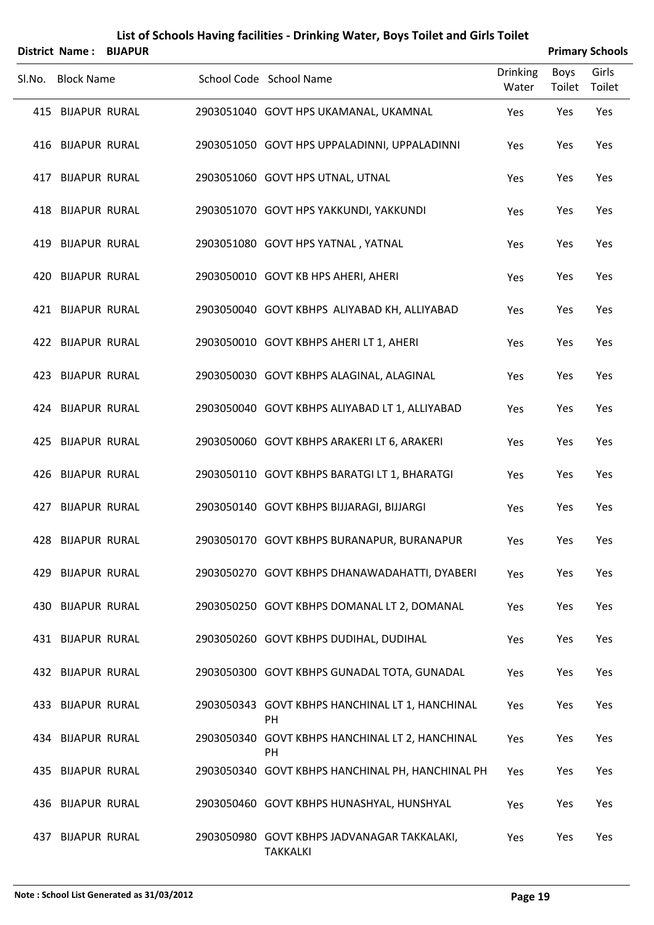|        |                       |                | List of Schools Having facilities - Drinking Water, Boys Toilet and Girls Toilet |                          |                |                        |
|--------|-----------------------|----------------|----------------------------------------------------------------------------------|--------------------------|----------------|------------------------|
|        | <b>District Name:</b> | <b>BIJAPUR</b> |                                                                                  |                          |                | <b>Primary Schools</b> |
| SI.No. | <b>Block Name</b>     |                | School Code School Name                                                          | <b>Drinking</b><br>Water | Boys<br>Toilet | Girls<br>Toilet        |
|        | 415 BIJAPUR RURAL     |                | 2903051040 GOVT HPS UKAMANAL, UKAMNAL                                            | Yes                      | Yes            | Yes                    |
|        | 416 BIJAPUR RURAL     |                | 2903051050 GOVT HPS UPPALADINNI, UPPALADINNI                                     | Yes                      | Yes            | Yes                    |
|        | 417 BIJAPUR RURAL     |                | 2903051060 GOVT HPS UTNAL, UTNAL                                                 | Yes                      | Yes            | Yes                    |
|        | 418 BIJAPUR RURAL     |                | 2903051070 GOVT HPS YAKKUNDI, YAKKUNDI                                           | Yes                      | Yes            | Yes                    |
|        | 419 BIJAPUR RURAL     |                | 2903051080 GOVT HPS YATNAL, YATNAL                                               | Yes                      | Yes            | Yes                    |
|        | 420 BIJAPUR RURAL     |                | 2903050010 GOVT KB HPS AHERI, AHERI                                              | Yes                      | Yes            | Yes                    |
|        | 421 BIJAPUR RURAL     |                | 2903050040 GOVT KBHPS ALIYABAD KH, ALLIYABAD                                     | Yes                      | Yes            | Yes                    |
|        | 422 BIJAPUR RURAL     |                | 2903050010 GOVT KBHPS AHERI LT 1, AHERI                                          | Yes                      | Yes            | Yes                    |
|        | 423 BIJAPUR RURAL     |                | 2903050030 GOVT KBHPS ALAGINAL, ALAGINAL                                         | Yes                      | Yes            | Yes                    |
|        | 424 BIJAPUR RURAL     |                | 2903050040 GOVT KBHPS ALIYABAD LT 1, ALLIYABAD                                   | Yes                      | Yes            | Yes                    |
|        | 425 BIJAPUR RURAL     |                | 2903050060 GOVT KBHPS ARAKERI LT 6, ARAKERI                                      | Yes                      | Yes            | Yes                    |
|        | 426 BIJAPUR RURAL     |                | 2903050110 GOVT KBHPS BARATGI LT 1, BHARATGI                                     | Yes                      | Yes            | Yes                    |
|        | 427 BIJAPUR RURAL     |                | 2903050140 GOVT KBHPS BIJJARAGI, BIJJARGI                                        | Yes                      | Yes            | Yes                    |
|        | 428 BIJAPUR RURAL     |                | 2903050170 GOVT KBHPS BURANAPUR, BURANAPUR                                       | Yes                      | Yes            | Yes                    |
|        | 429 BIJAPUR RURAL     |                | 2903050270 GOVT KBHPS DHANAWADAHATTI, DYABERI                                    | Yes                      | Yes            | Yes                    |
|        | 430 BIJAPUR RURAL     |                | 2903050250 GOVT KBHPS DOMANAL LT 2, DOMANAL                                      | Yes                      | Yes            | Yes                    |
|        | 431 BIJAPUR RURAL     |                | 2903050260 GOVT KBHPS DUDIHAL, DUDIHAL                                           | Yes                      | Yes            | Yes                    |
|        | 432 BIJAPUR RURAL     |                | 2903050300 GOVT KBHPS GUNADAL TOTA, GUNADAL                                      | Yes                      | Yes            | Yes                    |
|        | 433 BIJAPUR RURAL     |                | 2903050343 GOVT KBHPS HANCHINAL LT 1, HANCHINAL<br>PH                            | Yes                      | Yes            | Yes                    |
|        | 434 BIJAPUR RURAL     |                | 2903050340 GOVT KBHPS HANCHINAL LT 2, HANCHINAL<br>PH                            | Yes                      | Yes            | Yes                    |
|        | 435 BIJAPUR RURAL     |                | 2903050340 GOVT KBHPS HANCHINAL PH, HANCHINAL PH                                 | Yes                      | Yes            | Yes                    |
|        | 436 BIJAPUR RURAL     |                | 2903050460 GOVT KBHPS HUNASHYAL, HUNSHYAL                                        | Yes                      | Yes            | Yes                    |
|        | 437 BIJAPUR RURAL     |                | 2903050980 GOVT KBHPS JADVANAGAR TAKKALAKI,<br><b>TAKKALKI</b>                   | Yes                      | Yes            | Yes                    |

## **Note : School List Generated as 31/03/2012 Page 19**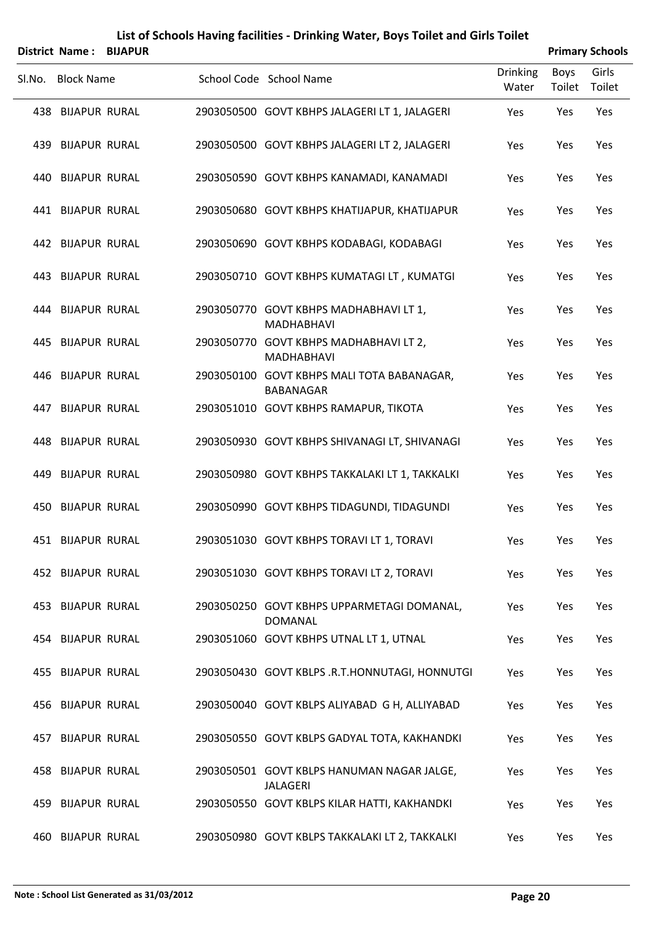|        |                          | District Name: BIJAPUR |                                                                |                          |                | <b>Primary Schools</b> |
|--------|--------------------------|------------------------|----------------------------------------------------------------|--------------------------|----------------|------------------------|
| SI.No. | <b>Block Name</b>        |                        | School Code School Name                                        | <b>Drinking</b><br>Water | Boys<br>Toilet | Girls<br>Toilet        |
|        | 438 BIJAPUR RURAL        |                        | 2903050500 GOVT KBHPS JALAGERI LT 1, JALAGERI                  | Yes                      | Yes            | Yes                    |
| 439    | <b>BIJAPUR RURAL</b>     |                        | 2903050500 GOVT KBHPS JALAGERI LT 2, JALAGERI                  | Yes                      | Yes            | Yes                    |
|        | 440 BIJAPUR RURAL        |                        | 2903050590 GOVT KBHPS KANAMADI, KANAMADI                       | Yes                      | Yes            | Yes                    |
|        | 441 BIJAPUR RURAL        |                        | 2903050680 GOVT KBHPS KHATIJAPUR, KHATIJAPUR                   | Yes                      | Yes            | Yes                    |
|        | 442 BIJAPUR RURAL        |                        | 2903050690 GOVT KBHPS KODABAGI, KODABAGI                       | Yes                      | Yes            | Yes                    |
|        | 443 BIJAPUR RURAL        |                        | 2903050710 GOVT KBHPS KUMATAGI LT, KUMATGI                     | Yes                      | Yes            | Yes                    |
|        | 444 BIJAPUR RURAL        |                        | 2903050770 GOVT KBHPS MADHABHAVI LT 1,<br><b>MADHABHAVI</b>    | Yes                      | Yes            | Yes                    |
|        | 445 BIJAPUR RURAL        |                        | 2903050770 GOVT KBHPS MADHABHAVI LT 2,<br><b>MADHABHAVI</b>    | Yes                      | Yes            | Yes                    |
|        | 446 BIJAPUR RURAL        |                        | 2903050100 GOVT KBHPS MALI TOTA BABANAGAR,<br><b>BABANAGAR</b> | Yes                      | Yes            | Yes                    |
|        | 447 BIJAPUR RURAL        |                        | 2903051010 GOVT KBHPS RAMAPUR, TIKOTA                          | Yes                      | Yes            | Yes                    |
|        | 448 BIJAPUR RURAL        |                        | 2903050930 GOVT KBHPS SHIVANAGI LT, SHIVANAGI                  | Yes                      | Yes            | Yes                    |
| 449    | <b>BIJAPUR RURAL</b>     |                        | 2903050980 GOVT KBHPS TAKKALAKI LT 1, TAKKALKI                 | Yes                      | Yes            | Yes                    |
|        | <b>450 BIJAPUR RURAL</b> |                        | 2903050990 GOVT KBHPS TIDAGUNDI, TIDAGUNDI                     | Yes                      | Yes            | Yes                    |
|        | 451 BIJAPUR RURAL        |                        | 2903051030 GOVT KBHPS TORAVI LT 1, TORAVI                      | Yes                      | Yes            | Yes                    |
|        | 452 BIJAPUR RURAL        |                        | 2903051030 GOVT KBHPS TORAVI LT 2, TORAVI                      | Yes                      | Yes            | Yes                    |
|        | 453 BIJAPUR RURAL        |                        | 2903050250 GOVT KBHPS UPPARMETAGI DOMANAL,<br><b>DOMANAL</b>   | Yes                      | Yes            | Yes                    |
|        | 454 BIJAPUR RURAL        |                        | 2903051060 GOVT KBHPS UTNAL LT 1, UTNAL                        | Yes                      | Yes            | Yes                    |
|        | 455 BIJAPUR RURAL        |                        | 2903050430 GOVT KBLPS .R.T.HONNUTAGI, HONNUTGI                 | Yes                      | Yes            | Yes                    |
|        | 456 BIJAPUR RURAL        |                        | 2903050040 GOVT KBLPS ALIYABAD G H, ALLIYABAD                  | Yes                      | Yes            | Yes                    |
|        | 457 BIJAPUR RURAL        |                        | 2903050550 GOVT KBLPS GADYAL TOTA, KAKHANDKI                   | Yes                      | Yes            | Yes                    |
|        | 458 BIJAPUR RURAL        |                        | 2903050501 GOVT KBLPS HANUMAN NAGAR JALGE,<br><b>JALAGERI</b>  | Yes                      | Yes            | Yes                    |
|        | 459 BIJAPUR RURAL        |                        | 2903050550 GOVT KBLPS KILAR HATTI, KAKHANDKI                   | Yes                      | Yes            | Yes                    |
|        | 460 BIJAPUR RURAL        |                        | 2903050980 GOVT KBLPS TAKKALAKI LT 2, TAKKALKI                 | Yes                      | Yes            | Yes                    |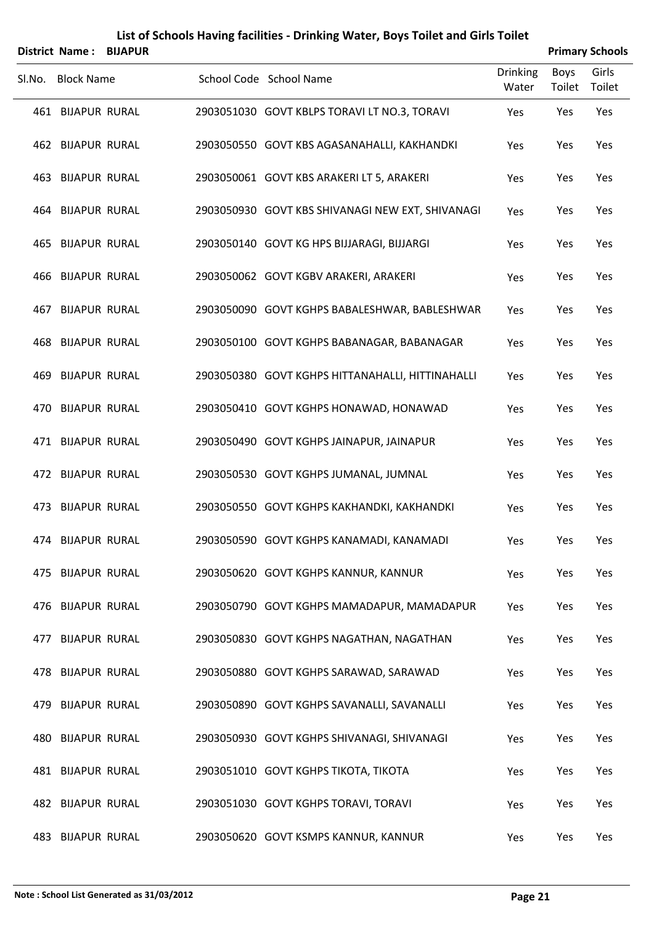|        | District Name: BIJAPUR   |  |                                                  |                          | <b>Primary Schools</b> |                 |
|--------|--------------------------|--|--------------------------------------------------|--------------------------|------------------------|-----------------|
| Sl.No. | <b>Block Name</b>        |  | School Code School Name                          | <b>Drinking</b><br>Water | Boys<br>Toilet         | Girls<br>Toilet |
|        | 461 BIJAPUR RURAL        |  | 2903051030 GOVT KBLPS TORAVI LT NO.3, TORAVI     | Yes                      | Yes                    | Yes             |
|        | <b>462 BIJAPUR RURAL</b> |  | 2903050550 GOVT KBS AGASANAHALLI, KAKHANDKI      | Yes                      | Yes                    | Yes             |
|        | 463 BIJAPUR RURAL        |  | 2903050061 GOVT KBS ARAKERI LT 5, ARAKERI        | Yes                      | Yes                    | Yes             |
|        | 464 BIJAPUR RURAL        |  | 2903050930 GOVT KBS SHIVANAGI NEW EXT, SHIVANAGI | Yes                      | Yes                    | Yes             |
|        | 465 BIJAPUR RURAL        |  | 2903050140 GOVT KG HPS BIJJARAGI, BIJJARGI       | Yes                      | Yes                    | Yes             |
|        | 466 BIJAPUR RURAL        |  | 2903050062 GOVT KGBV ARAKERI, ARAKERI            | Yes                      | Yes                    | Yes             |
|        | 467 BIJAPUR RURAL        |  | 2903050090 GOVT KGHPS BABALESHWAR, BABLESHWAR    | Yes                      | Yes                    | Yes             |
|        | 468 BIJAPUR RURAL        |  | 2903050100 GOVT KGHPS BABANAGAR, BABANAGAR       | Yes                      | Yes                    | Yes             |
|        | 469 BIJAPUR RURAL        |  | 2903050380 GOVT KGHPS HITTANAHALLI, HITTINAHALLI | Yes                      | Yes                    | Yes             |
|        | 470 BIJAPUR RURAL        |  | 2903050410 GOVT KGHPS HONAWAD, HONAWAD           | Yes                      | Yes                    | Yes             |
|        | 471 BIJAPUR RURAL        |  | 2903050490 GOVT KGHPS JAINAPUR, JAINAPUR         | Yes                      | Yes                    | Yes             |
|        | 472 BIJAPUR RURAL        |  | 2903050530 GOVT KGHPS JUMANAL, JUMNAL            | Yes                      | Yes                    | Yes             |
|        | 473 BIJAPUR RURAL        |  | 2903050550 GOVT KGHPS KAKHANDKI, KAKHANDKI       | Yes                      | Yes                    | Yes             |
|        | 474 BIJAPUR RURAL        |  | 2903050590 GOVT KGHPS KANAMADI, KANAMADI         | Yes                      | Yes                    | Yes             |
|        | 475 BIJAPUR RURAL        |  | 2903050620 GOVT KGHPS KANNUR, KANNUR             | Yes                      | Yes                    | Yes             |
|        | 476 BIJAPUR RURAL        |  | 2903050790 GOVT KGHPS MAMADAPUR, MAMADAPUR       | Yes                      | Yes                    | Yes             |
|        | 477 BIJAPUR RURAL        |  | 2903050830 GOVT KGHPS NAGATHAN, NAGATHAN         | Yes                      | Yes                    | Yes             |
|        | 478 BIJAPUR RURAL        |  | 2903050880 GOVT KGHPS SARAWAD, SARAWAD           | Yes                      | Yes                    | Yes             |
|        | 479 BIJAPUR RURAL        |  | 2903050890 GOVT KGHPS SAVANALLI, SAVANALLI       | Yes                      | Yes                    | Yes             |
|        | 480 BIJAPUR RURAL        |  | 2903050930 GOVT KGHPS SHIVANAGI, SHIVANAGI       | Yes                      | Yes                    | Yes             |
|        | 481 BIJAPUR RURAL        |  | 2903051010 GOVT KGHPS TIKOTA, TIKOTA             | Yes                      | Yes                    | Yes             |
|        | 482 BIJAPUR RURAL        |  | 2903051030 GOVT KGHPS TORAVI, TORAVI             | Yes                      | Yes                    | Yes             |
|        |                          |  |                                                  |                          |                        |                 |

483 BIJAPUR RURAL 2903050620 GOVT KSMPS KANNUR, KANNUR XANNUR Yes Yes Yes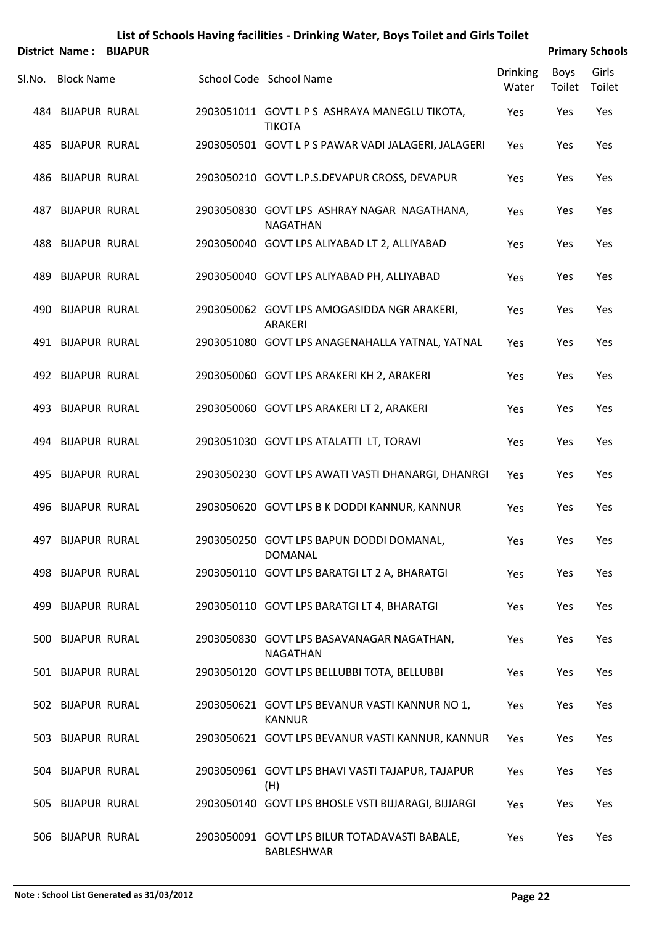|                          | <b>District Name: BIJAPUR</b> |                                                                 |                          |                | <b>Primary Schools</b> |
|--------------------------|-------------------------------|-----------------------------------------------------------------|--------------------------|----------------|------------------------|
| SI.No. Block Name        |                               | School Code School Name                                         | <b>Drinking</b><br>Water | Boys<br>Toilet | Girls<br>Toilet        |
| <b>484 BIJAPUR RURAL</b> |                               | 2903051011 GOVT L P S ASHRAYA MANEGLU TIKOTA,<br><b>TIKOTA</b>  | Yes                      | Yes            | Yes                    |
| 485 BIJAPUR RURAL        |                               | 2903050501 GOVT L P S PAWAR VADI JALAGERI, JALAGERI             | Yes                      | Yes            | Yes                    |
| 486 BIJAPUR RURAL        |                               | 2903050210 GOVT L.P.S.DEVAPUR CROSS, DEVAPUR                    | Yes                      | Yes            | Yes                    |
| <b>487 BIJAPUR RURAL</b> |                               | 2903050830 GOVT LPS ASHRAY NAGAR NAGATHANA,<br><b>NAGATHAN</b>  | Yes                      | Yes            | Yes                    |
| 488 BIJAPUR RURAL        |                               | 2903050040 GOVT LPS ALIYABAD LT 2, ALLIYABAD                    | Yes                      | Yes            | Yes                    |
| 489 BIJAPUR RURAL        |                               | 2903050040 GOVT LPS ALIYABAD PH, ALLIYABAD                      | Yes                      | Yes            | Yes                    |
| 490 BIJAPUR RURAL        |                               | 2903050062 GOVT LPS AMOGASIDDA NGR ARAKERI,<br>ARAKERI          | Yes                      | Yes            | Yes                    |
| 491 BIJAPUR RURAL        |                               | 2903051080 GOVT LPS ANAGENAHALLA YATNAL, YATNAL                 | Yes                      | Yes            | Yes                    |
| 492 BIJAPUR RURAL        |                               | 2903050060 GOVT LPS ARAKERI KH 2, ARAKERI                       | Yes                      | Yes            | Yes                    |
| 493 BIJAPUR RURAL        |                               | 2903050060 GOVT LPS ARAKERI LT 2, ARAKERI                       | Yes                      | Yes            | Yes                    |
| 494 BIJAPUR RURAL        |                               | 2903051030 GOVT LPS ATALATTI LT, TORAVI                         | Yes                      | Yes            | Yes                    |
| 495 BIJAPUR RURAL        |                               | 2903050230 GOVT LPS AWATI VASTI DHANARGI, DHANRGI               | Yes                      | Yes            | Yes                    |
| 496 BIJAPUR RURAL        |                               | 2903050620 GOVT LPS B K DODDI KANNUR, KANNUR                    | Yes                      | Yes            | Yes                    |
| 497 BIJAPUR RURAL        |                               | 2903050250 GOVT LPS BAPUN DODDI DOMANAL,<br><b>DOMANAL</b>      | Yes                      | Yes            | Yes                    |
| 498 BIJAPUR RURAL        |                               | 2903050110 GOVT LPS BARATGI LT 2 A, BHARATGI                    | Yes                      | Yes            | Yes                    |
| 499 BIJAPUR RURAL        |                               | 2903050110 GOVT LPS BARATGI LT 4, BHARATGI                      | Yes                      | Yes            | Yes                    |
| 500 BIJAPUR RURAL        |                               | 2903050830 GOVT LPS BASAVANAGAR NAGATHAN,<br><b>NAGATHAN</b>    | Yes                      | Yes            | Yes                    |
| 501 BIJAPUR RURAL        |                               | 2903050120 GOVT LPS BELLUBBI TOTA, BELLUBBI                     | Yes                      | Yes            | Yes                    |
| 502 BIJAPUR RURAL        |                               | 2903050621 GOVT LPS BEVANUR VASTI KANNUR NO 1,<br><b>KANNUR</b> | Yes                      | Yes            | Yes                    |
| 503 BIJAPUR RURAL        |                               | 2903050621 GOVT LPS BEVANUR VASTI KANNUR, KANNUR                | Yes                      | Yes            | Yes                    |
| 504 BIJAPUR RURAL        |                               | 2903050961 GOVT LPS BHAVI VASTI TAJAPUR, TAJAPUR<br>(H)         | Yes                      | Yes            | Yes                    |
| 505 BIJAPUR RURAL        |                               | 2903050140 GOVT LPS BHOSLE VSTI BIJJARAGI, BIJJARGI             | Yes                      | Yes            | Yes                    |
| 506 BIJAPUR RURAL        |                               | 2903050091 GOVT LPS BILUR TOTADAVASTI BABALE,<br>BABLESHWAR     | Yes                      | Yes            | Yes                    |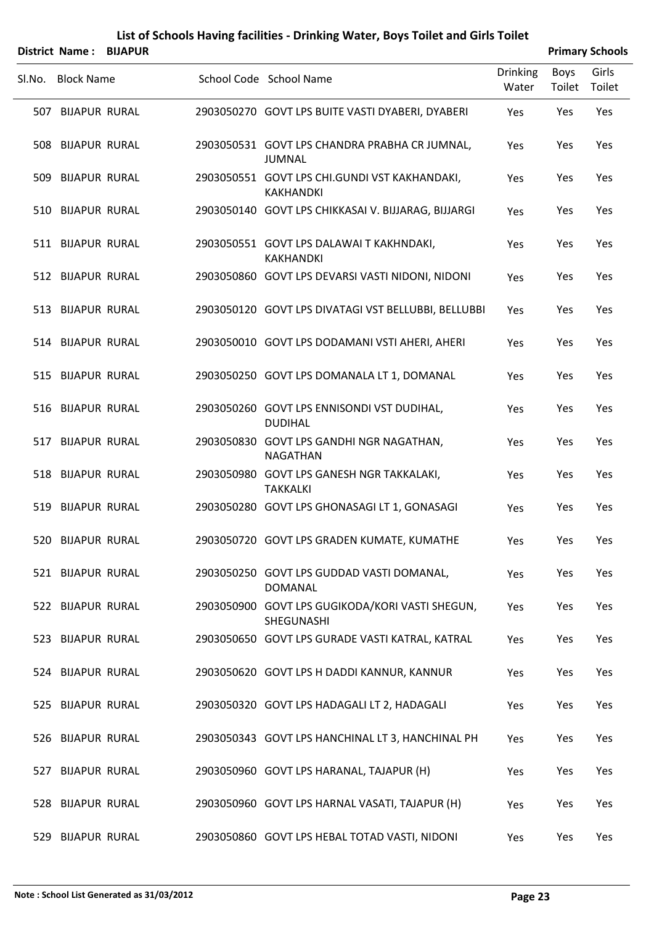|        | District Name:    | <b>BIJAPUR</b> |                                                                   |                          |                | <b>Primary Schools</b> |
|--------|-------------------|----------------|-------------------------------------------------------------------|--------------------------|----------------|------------------------|
| Sl.No. | <b>Block Name</b> |                | School Code School Name                                           | <b>Drinking</b><br>Water | Boys<br>Toilet | Girls<br>Toilet        |
|        | 507 BIJAPUR RURAL |                | 2903050270 GOVT LPS BUITE VASTI DYABERI, DYABERI                  | Yes                      | Yes            | Yes                    |
|        | 508 BIJAPUR RURAL |                | 2903050531 GOVT LPS CHANDRA PRABHA CR JUMNAL,<br><b>JUMNAL</b>    | Yes                      | Yes            | Yes                    |
|        | 509 BIJAPUR RURAL |                | 2903050551 GOVT LPS CHI.GUNDI VST KAKHANDAKI,<br><b>KAKHANDKI</b> | Yes                      | Yes            | Yes                    |
|        | 510 BIJAPUR RURAL |                | 2903050140 GOVT LPS CHIKKASAI V. BIJJARAG, BIJJARGI               | Yes                      | Yes            | Yes                    |
|        | 511 BIJAPUR RURAL |                | 2903050551 GOVT LPS DALAWAI T KAKHNDAKI,<br><b>KAKHANDKI</b>      | Yes                      | Yes            | Yes                    |
|        | 512 BIJAPUR RURAL |                | 2903050860 GOVT LPS DEVARSI VASTI NIDONI, NIDONI                  | Yes                      | Yes            | Yes                    |
|        | 513 BIJAPUR RURAL |                | 2903050120 GOVT LPS DIVATAGI VST BELLUBBI, BELLUBBI               | Yes                      | Yes            | Yes                    |
|        | 514 BIJAPUR RURAL |                | 2903050010 GOVT LPS DODAMANI VSTI AHERI, AHERI                    | Yes                      | Yes            | Yes                    |
|        | 515 BIJAPUR RURAL |                | 2903050250 GOVT LPS DOMANALA LT 1, DOMANAL                        | Yes                      | Yes            | Yes                    |
|        | 516 BIJAPUR RURAL |                | 2903050260 GOVT LPS ENNISONDI VST DUDIHAL,<br><b>DUDIHAL</b>      | Yes                      | Yes            | Yes                    |
|        | 517 BIJAPUR RURAL |                | 2903050830 GOVT LPS GANDHI NGR NAGATHAN,<br><b>NAGATHAN</b>       | Yes                      | Yes            | Yes                    |
|        | 518 BIJAPUR RURAL |                | 2903050980 GOVT LPS GANESH NGR TAKKALAKI,<br><b>TAKKALKI</b>      | Yes                      | Yes            | Yes                    |
|        | 519 BIJAPUR RURAL |                | 2903050280 GOVT LPS GHONASAGI LT 1, GONASAGI                      | Yes                      | Yes            | Yes                    |
|        | 520 BIJAPUR RURAL |                | 2903050720 GOVT LPS GRADEN KUMATE, KUMATHE                        | Yes                      | Yes            | Yes                    |
|        | 521 BIJAPUR RURAL |                | 2903050250 GOVT LPS GUDDAD VASTI DOMANAL,<br><b>DOMANAL</b>       | Yes                      | Yes            | Yes                    |
|        | 522 BIJAPUR RURAL |                | 2903050900 GOVT LPS GUGIKODA/KORI VASTI SHEGUN,<br>SHEGUNASHI     | Yes                      | Yes            | Yes                    |
|        | 523 BIJAPUR RURAL |                | 2903050650 GOVT LPS GURADE VASTI KATRAL, KATRAL                   | Yes                      | Yes            | Yes                    |
|        | 524 BIJAPUR RURAL |                | 2903050620 GOVT LPS H DADDI KANNUR, KANNUR                        | Yes                      | Yes            | Yes                    |
|        | 525 BIJAPUR RURAL |                | 2903050320 GOVT LPS HADAGALI LT 2, HADAGALI                       | Yes                      | Yes            | Yes                    |
|        | 526 BIJAPUR RURAL |                | 2903050343 GOVT LPS HANCHINAL LT 3, HANCHINAL PH                  | Yes                      | Yes            | Yes                    |
|        | 527 BIJAPUR RURAL |                | 2903050960 GOVT LPS HARANAL, TAJAPUR (H)                          | Yes                      | Yes            | Yes                    |
|        | 528 BIJAPUR RURAL |                | 2903050960 GOVT LPS HARNAL VASATI, TAJAPUR (H)                    | Yes                      | Yes            | Yes                    |
|        | 529 BIJAPUR RURAL |                | 2903050860 GOVT LPS HEBAL TOTAD VASTI, NIDONI                     | Yes                      | Yes            | Yes                    |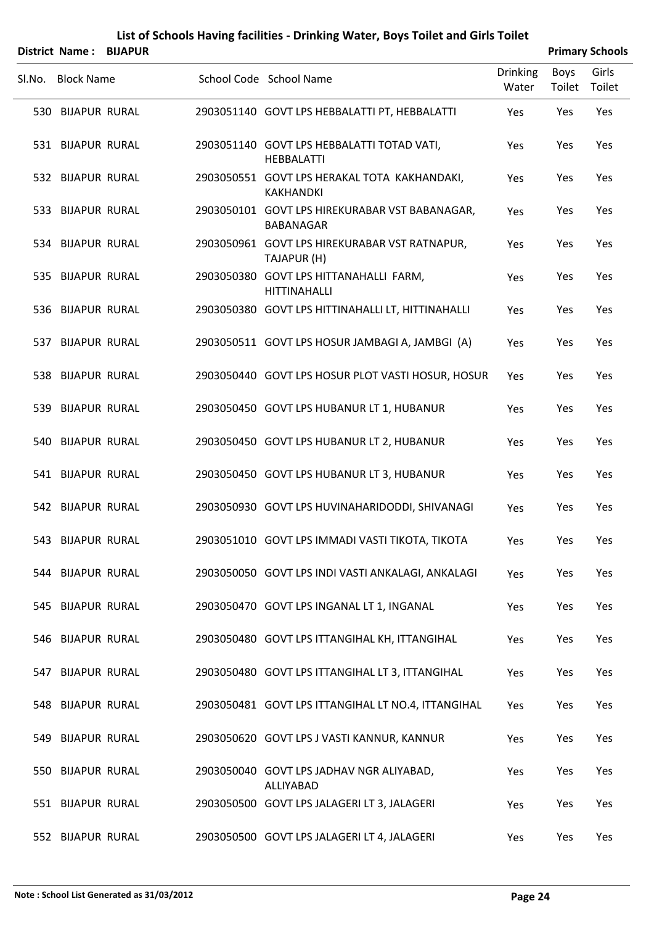|                   | District Name: BIJAPUR |                                                                    |                          |                | <b>Primary Schools</b> |
|-------------------|------------------------|--------------------------------------------------------------------|--------------------------|----------------|------------------------|
| SI.No. Block Name |                        | School Code School Name                                            | <b>Drinking</b><br>Water | Boys<br>Toilet | Girls<br>Toilet        |
| 530 BIJAPUR RURAL |                        | 2903051140 GOVT LPS HEBBALATTI PT, HEBBALATTI                      | Yes                      | Yes            | Yes                    |
| 531 BIJAPUR RURAL |                        | 2903051140 GOVT LPS HEBBALATTI TOTAD VATI,<br><b>HEBBALATTI</b>    | Yes                      | Yes            | Yes                    |
| 532 BIJAPUR RURAL |                        | 2903050551 GOVT LPS HERAKAL TOTA KAKHANDAKI,<br><b>KAKHANDKI</b>   | Yes                      | Yes            | Yes                    |
| 533 BIJAPUR RURAL |                        | 2903050101 GOVT LPS HIREKURABAR VST BABANAGAR,<br><b>BABANAGAR</b> | Yes                      | Yes            | Yes                    |
| 534 BIJAPUR RURAL |                        | 2903050961 GOVT LPS HIREKURABAR VST RATNAPUR,<br>TAJAPUR (H)       | Yes                      | Yes            | Yes                    |
| 535 BIJAPUR RURAL |                        | 2903050380 GOVT LPS HITTANAHALLI FARM,<br><b>HITTINAHALLI</b>      | Yes                      | Yes            | Yes                    |
| 536 BIJAPUR RURAL |                        | 2903050380 GOVT LPS HITTINAHALLI LT, HITTINAHALLI                  | Yes                      | Yes            | Yes                    |
| 537 BIJAPUR RURAL |                        | 2903050511 GOVT LPS HOSUR JAMBAGI A, JAMBGI (A)                    | Yes                      | Yes            | Yes                    |
| 538 BIJAPUR RURAL |                        | 2903050440 GOVT LPS HOSUR PLOT VASTI HOSUR, HOSUR                  | Yes                      | Yes            | Yes                    |
| 539 BIJAPUR RURAL |                        | 2903050450 GOVT LPS HUBANUR LT 1, HUBANUR                          | Yes                      | Yes            | Yes                    |
| 540 BIJAPUR RURAL |                        | 2903050450 GOVT LPS HUBANUR LT 2, HUBANUR                          | Yes                      | Yes            | Yes                    |
| 541 BIJAPUR RURAL |                        | 2903050450 GOVT LPS HUBANUR LT 3, HUBANUR                          | Yes                      | Yes            | Yes                    |
| 542 BIJAPUR RURAL |                        | 2903050930 GOVT LPS HUVINAHARIDODDI, SHIVANAGI                     | Yes                      | Yes            | Yes                    |
| 543 BIJAPUR RURAL |                        | 2903051010 GOVT LPS IMMADI VASTI TIKOTA, TIKOTA                    | Yes                      | Yes            | Yes                    |
| 544 BIJAPUR RURAL |                        | 2903050050 GOVT LPS INDI VASTI ANKALAGI, ANKALAGI                  | Yes                      | Yes            | Yes                    |
| 545 BIJAPUR RURAL |                        | 2903050470 GOVT LPS INGANAL LT 1, INGANAL                          | Yes                      | Yes            | Yes                    |
| 546 BIJAPUR RURAL |                        | 2903050480 GOVT LPS ITTANGIHAL KH, ITTANGIHAL                      | Yes                      | Yes            | Yes                    |
| 547 BIJAPUR RURAL |                        | 2903050480 GOVT LPS ITTANGIHAL LT 3, ITTANGIHAL                    | Yes                      | Yes            | Yes                    |
| 548 BIJAPUR RURAL |                        | 2903050481 GOVT LPS ITTANGIHAL LT NO.4, ITTANGIHAL                 | Yes                      | Yes            | Yes                    |
| 549 BIJAPUR RURAL |                        | 2903050620 GOVT LPS J VASTI KANNUR, KANNUR                         | Yes                      | Yes            | Yes                    |
| 550 BIJAPUR RURAL |                        | 2903050040 GOVT LPS JADHAV NGR ALIYABAD,<br><b>ALLIYABAD</b>       | Yes                      | Yes            | Yes                    |
| 551 BIJAPUR RURAL |                        | 2903050500 GOVT LPS JALAGERI LT 3, JALAGERI                        | Yes                      | Yes            | Yes                    |
| 552 BIJAPUR RURAL |                        | 2903050500 GOVT LPS JALAGERI LT 4, JALAGERI                        | Yes                      | Yes            | Yes                    |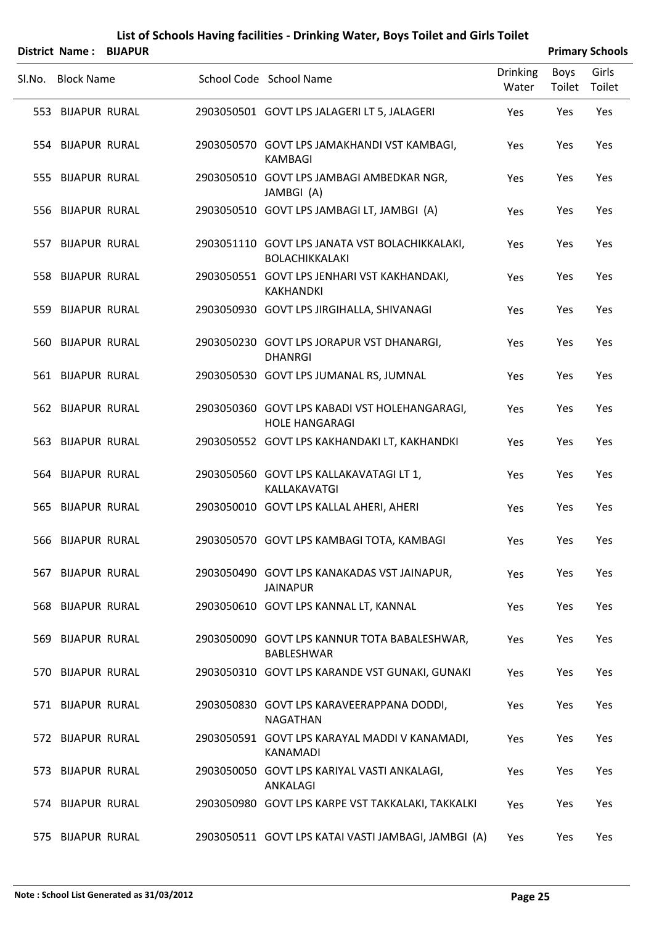|        |                   | District Name: BIJAPUR |                                                                         |                          |                | <b>Primary Schools</b> |
|--------|-------------------|------------------------|-------------------------------------------------------------------------|--------------------------|----------------|------------------------|
| Sl.No. | <b>Block Name</b> |                        | School Code School Name                                                 | <b>Drinking</b><br>Water | Boys<br>Toilet | Girls<br>Toilet        |
|        | 553 BIJAPUR RURAL |                        | 2903050501 GOVT LPS JALAGERI LT 5, JALAGERI                             | Yes                      | Yes            | Yes                    |
|        | 554 BIJAPUR RURAL |                        | 2903050570 GOVT LPS JAMAKHANDI VST KAMBAGI,<br><b>KAMBAGI</b>           | Yes                      | Yes            | Yes                    |
|        | 555 BIJAPUR RURAL |                        | 2903050510 GOVT LPS JAMBAGI AMBEDKAR NGR,<br>JAMBGI (A)                 | Yes                      | Yes            | Yes                    |
|        | 556 BIJAPUR RURAL |                        | 2903050510 GOVT LPS JAMBAGI LT, JAMBGI (A)                              | Yes                      | Yes            | Yes                    |
|        | 557 BIJAPUR RURAL |                        | 2903051110 GOVT LPS JANATA VST BOLACHIKKALAKI,<br><b>BOLACHIKKALAKI</b> | Yes                      | Yes            | Yes                    |
|        | 558 BIJAPUR RURAL |                        | 2903050551 GOVT LPS JENHARI VST KAKHANDAKI,<br>KAKHANDKI                | Yes                      | Yes            | Yes                    |
|        | 559 BIJAPUR RURAL |                        | 2903050930 GOVT LPS JIRGIHALLA, SHIVANAGI                               | Yes                      | Yes            | Yes                    |
|        | 560 BIJAPUR RURAL |                        | 2903050230 GOVT LPS JORAPUR VST DHANARGI,<br><b>DHANRGI</b>             | Yes                      | Yes            | Yes                    |
|        | 561 BIJAPUR RURAL |                        | 2903050530 GOVT LPS JUMANAL RS, JUMNAL                                  | Yes                      | Yes            | Yes                    |
|        | 562 BIJAPUR RURAL |                        | 2903050360 GOVT LPS KABADI VST HOLEHANGARAGI,<br><b>HOLE HANGARAGI</b>  | Yes                      | Yes            | Yes                    |
|        | 563 BIJAPUR RURAL |                        | 2903050552 GOVT LPS KAKHANDAKI LT, KAKHANDKI                            | Yes                      | Yes            | Yes                    |
|        | 564 BIJAPUR RURAL |                        | 2903050560 GOVT LPS KALLAKAVATAGI LT 1,<br>KALLAKAVATGI                 | Yes                      | Yes            | Yes                    |
|        | 565 BIJAPUR RURAL |                        | 2903050010 GOVT LPS KALLAL AHERI, AHERI                                 | Yes                      | Yes            | Yes                    |
|        | 566 BIJAPUR RURAL |                        | 2903050570 GOVT LPS KAMBAGI TOTA, KAMBAGI                               | Yes                      | Yes            | Yes                    |
|        | 567 BIJAPUR RURAL |                        | 2903050490 GOVT LPS KANAKADAS VST JAINAPUR,<br><b>JAINAPUR</b>          | Yes                      | Yes            | Yes                    |
|        | 568 BIJAPUR RURAL |                        | 2903050610 GOVT LPS KANNAL LT, KANNAL                                   | Yes                      | Yes            | Yes                    |
|        | 569 BIJAPUR RURAL |                        | 2903050090 GOVT LPS KANNUR TOTA BABALESHWAR,<br><b>BABLESHWAR</b>       | Yes                      | Yes            | Yes                    |
|        | 570 BIJAPUR RURAL |                        | 2903050310 GOVT LPS KARANDE VST GUNAKI, GUNAKI                          | Yes                      | Yes            | Yes                    |
|        | 571 BIJAPUR RURAL |                        | 2903050830 GOVT LPS KARAVEERAPPANA DODDI,<br><b>NAGATHAN</b>            | Yes                      | Yes            | Yes                    |
|        | 572 BIJAPUR RURAL |                        | 2903050591 GOVT LPS KARAYAL MADDI V KANAMADI,<br>KANAMADI               | Yes                      | Yes            | Yes                    |
|        | 573 BIJAPUR RURAL |                        | 2903050050 GOVT LPS KARIYAL VASTI ANKALAGI,<br>ANKALAGI                 | Yes                      | Yes            | Yes                    |
|        | 574 BIJAPUR RURAL |                        | 2903050980 GOVT LPS KARPE VST TAKKALAKI, TAKKALKI                       | Yes                      | Yes            | Yes                    |
|        | 575 BIJAPUR RURAL |                        | 2903050511 GOVT LPS KATAI VASTI JAMBAGI, JAMBGI (A)                     | Yes                      | Yes            | Yes                    |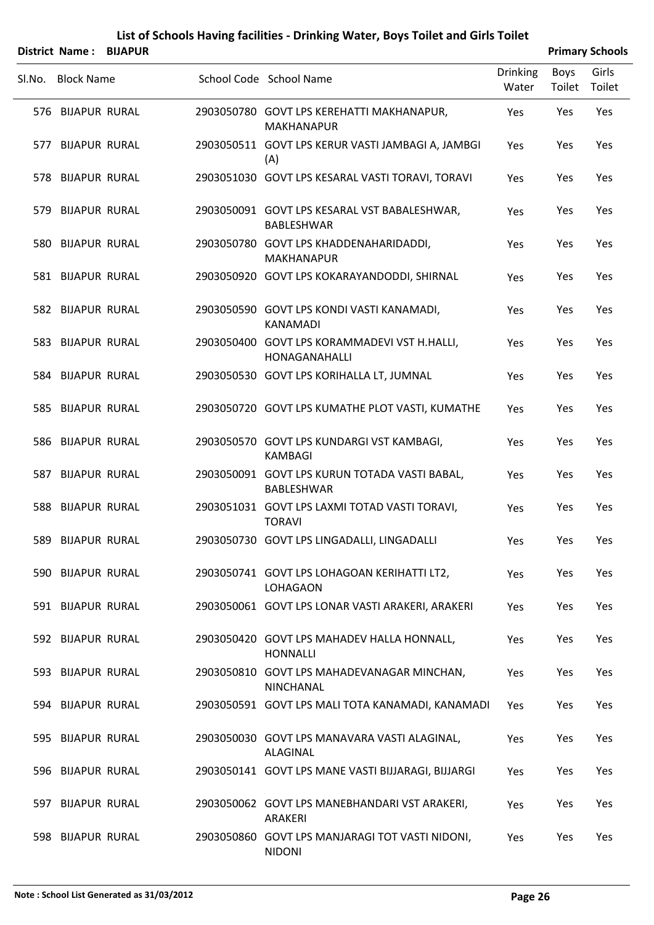|        | District Name: BIJAPUR |  |                                                                  |                          |                | <b>Primary Schools</b> |
|--------|------------------------|--|------------------------------------------------------------------|--------------------------|----------------|------------------------|
| Sl.No. | <b>Block Name</b>      |  | School Code School Name                                          | <b>Drinking</b><br>Water | Boys<br>Toilet | Girls<br>Toilet        |
|        | 576 BIJAPUR RURAL      |  | 2903050780 GOVT LPS KEREHATTI MAKHANAPUR,<br><b>MAKHANAPUR</b>   | Yes                      | Yes            | Yes                    |
|        | 577 BIJAPUR RURAL      |  | 2903050511 GOVT LPS KERUR VASTI JAMBAGI A, JAMBGI<br>(A)         | Yes                      | Yes            | Yes                    |
|        | 578 BIJAPUR RURAL      |  | 2903051030 GOVT LPS KESARAL VASTI TORAVI, TORAVI                 | Yes                      | Yes            | Yes                    |
|        | 579 BIJAPUR RURAL      |  | 2903050091 GOVT LPS KESARAL VST BABALESHWAR,<br>BABLESHWAR       | Yes                      | Yes            | Yes                    |
|        | 580 BIJAPUR RURAL      |  | 2903050780 GOVT LPS KHADDENAHARIDADDI,<br><b>MAKHANAPUR</b>      | Yes                      | Yes            | Yes                    |
|        | 581 BIJAPUR RURAL      |  | 2903050920 GOVT LPS KOKARAYANDODDI, SHIRNAL                      | Yes                      | Yes            | Yes                    |
|        | 582 BIJAPUR RURAL      |  | 2903050590 GOVT LPS KONDI VASTI KANAMADI,<br><b>KANAMADI</b>     | Yes                      | Yes            | Yes                    |
|        | 583 BIJAPUR RURAL      |  | 2903050400 GOVT LPS KORAMMADEVI VST H.HALLI,<br>HONAGANAHALLI    | Yes                      | Yes            | Yes                    |
|        | 584 BIJAPUR RURAL      |  | 2903050530 GOVT LPS KORIHALLA LT, JUMNAL                         | Yes                      | Yes            | Yes                    |
|        | 585 BIJAPUR RURAL      |  | 2903050720 GOVT LPS KUMATHE PLOT VASTI, KUMATHE                  | Yes                      | Yes            | Yes                    |
|        | 586 BIJAPUR RURAL      |  | 2903050570 GOVT LPS KUNDARGI VST KAMBAGI,<br><b>KAMBAGI</b>      | Yes                      | Yes            | Yes                    |
|        | 587 BIJAPUR RURAL      |  | 2903050091 GOVT LPS KURUN TOTADA VASTI BABAL,<br>BABLESHWAR      | Yes                      | Yes            | Yes                    |
| 588    | <b>BIJAPUR RURAL</b>   |  | 2903051031 GOVT LPS LAXMI TOTAD VASTI TORAVI,<br><b>TORAVI</b>   | Yes                      | Yes            | Yes                    |
|        | 589 BIJAPUR RURAL      |  | 2903050730 GOVT LPS LINGADALLI, LINGADALLI                       | Yes                      | Yes            | Yes                    |
|        | 590 BIJAPUR RURAL      |  | 2903050741 GOVT LPS LOHAGOAN KERIHATTI LT2,<br><b>LOHAGAON</b>   | Yes                      | Yes            | Yes                    |
|        | 591 BIJAPUR RURAL      |  | 2903050061 GOVT LPS LONAR VASTI ARAKERI, ARAKERI                 | Yes                      | Yes            | Yes                    |
|        | 592 BIJAPUR RURAL      |  | 2903050420 GOVT LPS MAHADEV HALLA HONNALL,<br><b>HONNALLI</b>    | Yes                      | Yes            | Yes                    |
|        | 593 BIJAPUR RURAL      |  | 2903050810 GOVT LPS MAHADEVANAGAR MINCHAN,<br><b>NINCHANAL</b>   | Yes                      | Yes            | Yes                    |
|        | 594 BIJAPUR RURAL      |  | 2903050591 GOVT LPS MALI TOTA KANAMADI, KANAMADI                 | Yes                      | Yes            | Yes                    |
|        | 595 BIJAPUR RURAL      |  | 2903050030 GOVT LPS MANAVARA VASTI ALAGINAL,<br>ALAGINAL         | Yes                      | Yes            | Yes                    |
|        | 596 BIJAPUR RURAL      |  | 2903050141 GOVT LPS MANE VASTI BIJJARAGI, BIJJARGI               | Yes                      | Yes            | Yes                    |
|        | 597 BIJAPUR RURAL      |  | 2903050062 GOVT LPS MANEBHANDARI VST ARAKERI,<br>ARAKERI         | Yes                      | Yes            | Yes                    |
|        | 598 BIJAPUR RURAL      |  | 2903050860 GOVT LPS MANJARAGI TOT VASTI NIDONI,<br><b>NIDONI</b> | Yes                      | Yes            | Yes                    |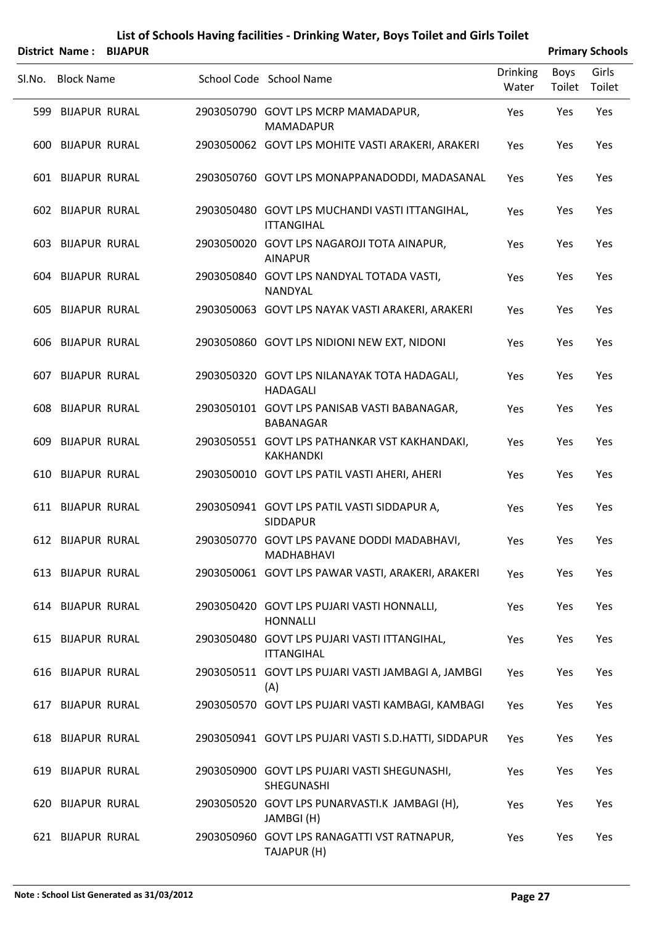|        |                      | District Name: BIJAPUR |                                                                     |                          |                | <b>Primary Schools</b> |
|--------|----------------------|------------------------|---------------------------------------------------------------------|--------------------------|----------------|------------------------|
| Sl.No. | <b>Block Name</b>    |                        | School Code School Name                                             | <b>Drinking</b><br>Water | Boys<br>Toilet | Girls<br>Toilet        |
|        | 599 BIJAPUR RURAL    |                        | 2903050790 GOVT LPS MCRP MAMADAPUR,<br><b>MAMADAPUR</b>             | Yes                      | Yes            | Yes                    |
|        | 600 BIJAPUR RURAL    |                        | 2903050062 GOVT LPS MOHITE VASTI ARAKERI, ARAKERI                   | Yes                      | Yes            | Yes                    |
|        | 601 BIJAPUR RURAL    |                        | 2903050760 GOVT LPS MONAPPANADODDI, MADASANAL                       | <b>Yes</b>               | Yes            | Yes                    |
|        | 602 BIJAPUR RURAL    |                        | 2903050480 GOVT LPS MUCHANDI VASTI ITTANGIHAL,<br><b>ITTANGIHAL</b> | Yes                      | Yes            | Yes                    |
|        | 603 BIJAPUR RURAL    |                        | 2903050020 GOVT LPS NAGAROJI TOTA AINAPUR,<br><b>AINAPUR</b>        | Yes                      | Yes            | Yes                    |
|        | 604 BIJAPUR RURAL    |                        | 2903050840 GOVT LPS NANDYAL TOTADA VASTI,<br><b>NANDYAL</b>         | Yes                      | Yes            | Yes                    |
|        | 605 BIJAPUR RURAL    |                        | 2903050063 GOVT LPS NAYAK VASTI ARAKERI, ARAKERI                    | Yes                      | Yes            | Yes                    |
|        | 606 BIJAPUR RURAL    |                        | 2903050860 GOVT LPS NIDIONI NEW EXT, NIDONI                         | Yes                      | Yes            | Yes                    |
|        | 607 BIJAPUR RURAL    |                        | 2903050320 GOVT LPS NILANAYAK TOTA HADAGALI,<br><b>HADAGALI</b>     | Yes                      | Yes            | Yes                    |
|        | 608 BIJAPUR RURAL    |                        | 2903050101 GOVT LPS PANISAB VASTI BABANAGAR,<br>BABANAGAR           | Yes                      | Yes            | Yes                    |
| 609    | <b>BIJAPUR RURAL</b> |                        | 2903050551 GOVT LPS PATHANKAR VST KAKHANDAKI,<br><b>KAKHANDKI</b>   | Yes                      | Yes            | Yes                    |
|        | 610 BIJAPUR RURAL    |                        | 2903050010 GOVT LPS PATIL VASTI AHERI, AHERI                        | Yes                      | Yes            | Yes                    |
|        | 611 BIJAPUR RURAL    |                        | 2903050941 GOVT LPS PATIL VASTI SIDDAPUR A,<br><b>SIDDAPUR</b>      | Yes                      | Yes            | Yes                    |
|        | 612 BIJAPUR RURAL    |                        | 2903050770 GOVT LPS PAVANE DODDI MADABHAVI,<br><b>MADHABHAVI</b>    | Yes                      | Yes            | Yes                    |
|        | 613 BIJAPUR RURAL    |                        | 2903050061 GOVT LPS PAWAR VASTI, ARAKERI, ARAKERI                   | Yes                      | Yes            | Yes                    |
|        | 614 BIJAPUR RURAL    |                        | 2903050420 GOVT LPS PUJARI VASTI HONNALLI,<br><b>HONNALLI</b>       | Yes                      | Yes            | Yes                    |
|        | 615 BIJAPUR RURAL    |                        | 2903050480 GOVT LPS PUJARI VASTI ITTANGIHAL,<br><b>ITTANGIHAL</b>   | Yes                      | Yes            | Yes                    |
|        | 616 BIJAPUR RURAL    |                        | 2903050511 GOVT LPS PUJARI VASTI JAMBAGI A, JAMBGI<br>(A)           | <b>Yes</b>               | Yes            | Yes                    |
|        | 617 BIJAPUR RURAL    |                        | 2903050570 GOVT LPS PUJARI VASTI KAMBAGI, KAMBAGI                   | Yes                      | Yes            | Yes                    |
|        | 618 BIJAPUR RURAL    |                        | 2903050941 GOVT LPS PUJARI VASTI S.D. HATTI, SIDDAPUR               | <b>Yes</b>               | Yes            | Yes                    |
|        | 619 BIJAPUR RURAL    |                        | 2903050900 GOVT LPS PUJARI VASTI SHEGUNASHI,<br>SHEGUNASHI          | Yes                      | Yes            | Yes                    |
|        | 620 BIJAPUR RURAL    |                        | 2903050520 GOVT LPS PUNARVASTI.K JAMBAGI (H),<br>JAMBGI (H)         | Yes                      | Yes            | Yes                    |
|        | 621 BIJAPUR RURAL    |                        | 2903050960 GOVT LPS RANAGATTI VST RATNAPUR,<br>TAJAPUR (H)          | Yes                      | Yes            | Yes                    |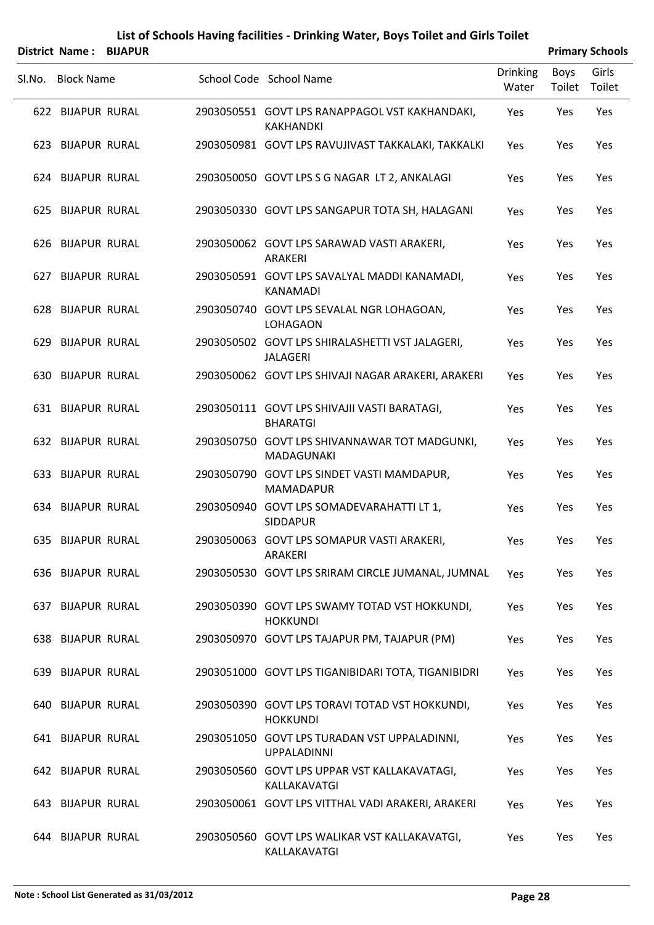|        |                      | District Name: BIJAPUR |                                                                    |                          |                | <b>Primary Schools</b> |
|--------|----------------------|------------------------|--------------------------------------------------------------------|--------------------------|----------------|------------------------|
| SI.No. | <b>Block Name</b>    |                        | School Code School Name                                            | <b>Drinking</b><br>Water | Boys<br>Toilet | Girls<br>Toilet        |
|        | 622 BIJAPUR RURAL    |                        | 2903050551 GOVT LPS RANAPPAGOL VST KAKHANDAKI,<br><b>KAKHANDKI</b> | Yes                      | Yes            | Yes                    |
| 623    | <b>BIJAPUR RURAL</b> |                        | 2903050981 GOVT LPS RAVUJIVAST TAKKALAKI, TAKKALKI                 | Yes                      | Yes            | Yes                    |
|        | 624 BIJAPUR RURAL    |                        | 2903050050 GOVT LPS S G NAGAR LT 2, ANKALAGI                       | Yes                      | Yes            | Yes                    |
|        | 625 BIJAPUR RURAL    |                        | 2903050330 GOVT LPS SANGAPUR TOTA SH, HALAGANI                     | Yes                      | Yes            | Yes                    |
|        | 626 BIJAPUR RURAL    |                        | 2903050062 GOVT LPS SARAWAD VASTI ARAKERI,<br>ARAKERI              | Yes                      | Yes            | Yes                    |
|        | 627 BIJAPUR RURAL    |                        | 2903050591 GOVT LPS SAVALYAL MADDI KANAMADI,<br><b>KANAMADI</b>    | Yes                      | Yes            | Yes                    |
|        | 628 BIJAPUR RURAL    |                        | 2903050740 GOVT LPS SEVALAL NGR LOHAGOAN,<br><b>LOHAGAON</b>       | Yes                      | Yes            | Yes                    |
|        | 629 BIJAPUR RURAL    |                        | 2903050502 GOVT LPS SHIRALASHETTI VST JALAGERI,<br><b>JALAGERI</b> | Yes                      | Yes            | Yes                    |
|        | 630 BIJAPUR RURAL    |                        | 2903050062 GOVT LPS SHIVAJI NAGAR ARAKERI, ARAKERI                 | Yes                      | Yes            | Yes                    |
|        | 631 BIJAPUR RURAL    |                        | 2903050111 GOVT LPS SHIVAJII VASTI BARATAGI,<br><b>BHARATGI</b>    | Yes                      | Yes            | Yes                    |
|        | 632 BIJAPUR RURAL    |                        | 2903050750 GOVT LPS SHIVANNAWAR TOT MADGUNKI,<br>MADAGUNAKI        | Yes                      | Yes            | Yes                    |
| 633    | <b>BIJAPUR RURAL</b> |                        | 2903050790 GOVT LPS SINDET VASTI MAMDAPUR,<br><b>MAMADAPUR</b>     | Yes                      | Yes            | Yes                    |
|        | 634 BIJAPUR RURAL    |                        | 2903050940 GOVT LPS SOMADEVARAHATTI LT 1,<br>SIDDAPUR              | Yes                      | Yes            | Yes                    |
|        | 635 BIJAPUR RURAL    |                        | 2903050063 GOVT LPS SOMAPUR VASTI ARAKERI,<br><b>ARAKERI</b>       | Yes                      | Yes            | Yes                    |
|        | 636 BIJAPUR RURAL    |                        | 2903050530 GOVT LPS SRIRAM CIRCLE JUMANAL, JUMNAL                  | Yes                      | Yes            | Yes                    |
|        | 637 BIJAPUR RURAL    |                        | 2903050390 GOVT LPS SWAMY TOTAD VST HOKKUNDI,<br><b>HOKKUNDI</b>   | Yes                      | Yes            | Yes                    |
|        | 638 BIJAPUR RURAL    |                        | 2903050970 GOVT LPS TAJAPUR PM, TAJAPUR (PM)                       | Yes                      | Yes            | Yes                    |
|        | 639 BIJAPUR RURAL    |                        | 2903051000 GOVT LPS TIGANIBIDARI TOTA, TIGANIBIDRI                 | Yes                      | Yes            | Yes                    |
|        | 640 BIJAPUR RURAL    |                        | 2903050390 GOVT LPS TORAVI TOTAD VST HOKKUNDI,<br><b>HOKKUNDI</b>  | Yes                      | Yes            | Yes                    |
|        | 641 BIJAPUR RURAL    |                        | 2903051050 GOVT LPS TURADAN VST UPPALADINNI,<br><b>UPPALADINNI</b> | Yes                      | Yes            | Yes                    |
|        | 642 BIJAPUR RURAL    |                        | 2903050560 GOVT LPS UPPAR VST KALLAKAVATAGI,<br>KALLAKAVATGI       | Yes                      | Yes            | Yes                    |
|        | 643 BIJAPUR RURAL    |                        | 2903050061 GOVT LPS VITTHAL VADI ARAKERI, ARAKERI                  | Yes                      | Yes            | Yes                    |
|        | 644 BIJAPUR RURAL    |                        | 2903050560 GOVT LPS WALIKAR VST KALLAKAVATGI,<br>KALLAKAVATGI      | Yes                      | Yes            | Yes                    |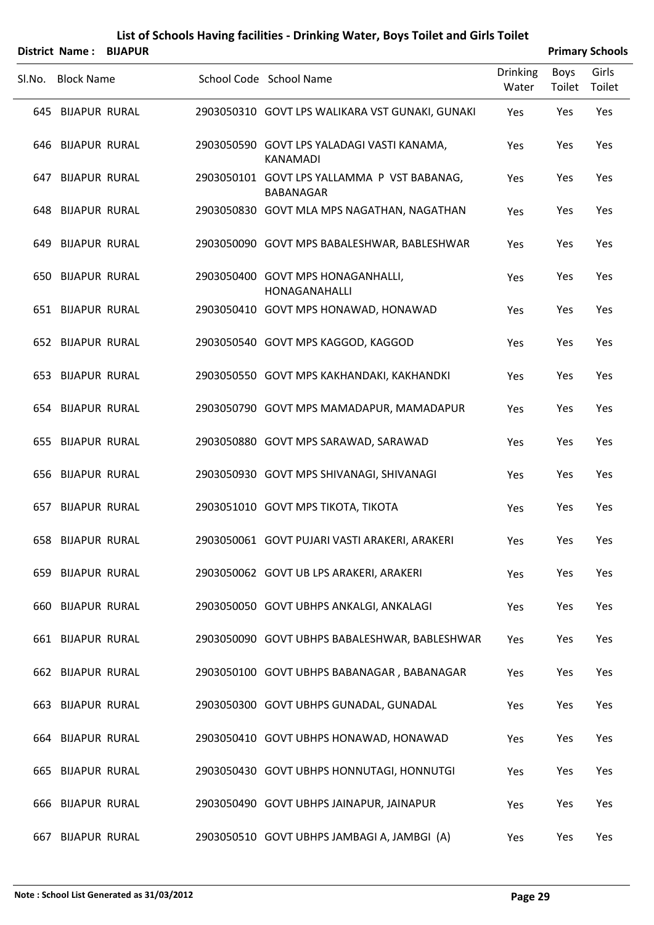|        |                          | District Name: BIJAPUR |                                                               |                          |                | <b>Primary Schools</b> |
|--------|--------------------------|------------------------|---------------------------------------------------------------|--------------------------|----------------|------------------------|
| Sl.No. | <b>Block Name</b>        |                        | School Code School Name                                       | <b>Drinking</b><br>Water | Boys<br>Toilet | Girls<br>Toilet        |
|        | 645 BIJAPUR RURAL        |                        | 2903050310 GOVT LPS WALIKARA VST GUNAKI, GUNAKI               | Yes                      | Yes            | Yes                    |
|        | 646 BIJAPUR RURAL        |                        | 2903050590 GOVT LPS YALADAGI VASTI KANAMA,<br><b>KANAMADI</b> | Yes                      | Yes            | Yes                    |
|        | 647 BIJAPUR RURAL        |                        | 2903050101 GOVT LPS YALLAMMA P VST BABANAG,<br>BABANAGAR      | Yes                      | Yes            | Yes                    |
|        | <b>648 BIJAPUR RURAL</b> |                        | 2903050830 GOVT MLA MPS NAGATHAN, NAGATHAN                    | Yes                      | Yes            | Yes                    |
|        | 649 BIJAPUR RURAL        |                        | 2903050090 GOVT MPS BABALESHWAR, BABLESHWAR                   | Yes                      | Yes            | Yes                    |
|        | 650 BIJAPUR RURAL        |                        | 2903050400 GOVT MPS HONAGANHALLI,<br>HONAGANAHALLI            | Yes                      | Yes            | Yes                    |
|        | 651 BIJAPUR RURAL        |                        | 2903050410 GOVT MPS HONAWAD, HONAWAD                          | Yes                      | Yes            | Yes                    |
|        | 652 BIJAPUR RURAL        |                        | 2903050540 GOVT MPS KAGGOD, KAGGOD                            | Yes                      | Yes            | Yes                    |
|        | 653 BIJAPUR RURAL        |                        | 2903050550 GOVT MPS KAKHANDAKI, KAKHANDKI                     | Yes                      | Yes            | Yes                    |
|        | 654 BIJAPUR RURAL        |                        | 2903050790 GOVT MPS MAMADAPUR, MAMADAPUR                      | Yes                      | Yes            | Yes                    |
|        | 655 BIJAPUR RURAL        |                        | 2903050880 GOVT MPS SARAWAD, SARAWAD                          | Yes                      | Yes            | Yes                    |
|        | 656 BIJAPUR RURAL        |                        | 2903050930 GOVT MPS SHIVANAGI, SHIVANAGI                      | Yes                      | Yes            | Yes                    |
|        | 657 BIJAPUR RURAL        |                        | 2903051010 GOVT MPS TIKOTA, TIKOTA                            | Yes                      | Yes            | Yes                    |
|        | 658 BIJAPUR RURAL        |                        | 2903050061 GOVT PUJARI VASTI ARAKERI, ARAKERI                 | Yes                      | Yes            | Yes                    |
|        | 659 BIJAPUR RURAL        |                        | 2903050062 GOVT UB LPS ARAKERI, ARAKERI                       | Yes                      | Yes            | Yes                    |
|        | 660 BIJAPUR RURAL        |                        | 2903050050 GOVT UBHPS ANKALGI, ANKALAGI                       | Yes                      | Yes            | Yes                    |
|        | 661 BIJAPUR RURAL        |                        | 2903050090 GOVT UBHPS BABALESHWAR, BABLESHWAR                 | Yes                      | Yes            | Yes                    |
|        | <b>662 BIJAPUR RURAL</b> |                        | 2903050100 GOVT UBHPS BABANAGAR, BABANAGAR                    | Yes                      | Yes            | Yes                    |
|        | 663 BIJAPUR RURAL        |                        | 2903050300 GOVT UBHPS GUNADAL, GUNADAL                        | Yes                      | Yes            | Yes                    |
|        | 664 BIJAPUR RURAL        |                        | 2903050410 GOVT UBHPS HONAWAD, HONAWAD                        | Yes                      | Yes            | Yes                    |
|        | 665 BIJAPUR RURAL        |                        | 2903050430 GOVT UBHPS HONNUTAGI, HONNUTGI                     | Yes                      | Yes            | Yes                    |
|        | 666 BIJAPUR RURAL        |                        | 2903050490 GOVT UBHPS JAINAPUR, JAINAPUR                      | Yes                      | Yes            | Yes                    |
|        | 667 BIJAPUR RURAL        |                        | 2903050510 GOVT UBHPS JAMBAGI A, JAMBGI (A)                   | Yes                      | Yes            | Yes                    |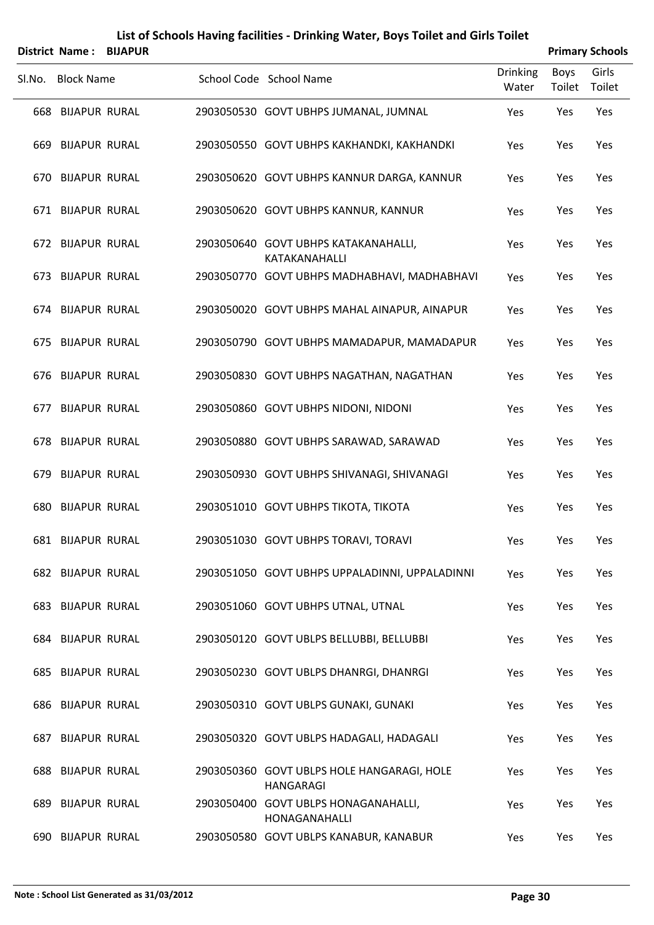|        |                          | District Name: BIJAPUR |                                                                |                          |                | <b>Primary Schools</b> |
|--------|--------------------------|------------------------|----------------------------------------------------------------|--------------------------|----------------|------------------------|
| SI.No. | <b>Block Name</b>        |                        | School Code School Name                                        | <b>Drinking</b><br>Water | Boys<br>Toilet | Girls<br>Toilet        |
|        | <b>668 BIJAPUR RURAL</b> |                        | 2903050530 GOVT UBHPS JUMANAL, JUMNAL                          | Yes                      | Yes            | Yes                    |
| 669    | <b>BIJAPUR RURAL</b>     |                        | 2903050550 GOVT UBHPS KAKHANDKI, KAKHANDKI                     | Yes                      | Yes            | Yes                    |
|        | 670 BIJAPUR RURAL        |                        | 2903050620 GOVT UBHPS KANNUR DARGA, KANNUR                     | Yes                      | Yes            | Yes                    |
|        | 671 BIJAPUR RURAL        |                        | 2903050620 GOVT UBHPS KANNUR, KANNUR                           | Yes                      | Yes            | Yes                    |
|        | 672 BIJAPUR RURAL        |                        | 2903050640 GOVT UBHPS KATAKANAHALLI,<br>KATAKANAHALLI          | Yes                      | Yes            | Yes                    |
| 673    | <b>BIJAPUR RURAL</b>     |                        | 2903050770 GOVT UBHPS MADHABHAVI, MADHABHAVI                   | Yes                      | Yes            | Yes                    |
|        | 674 BIJAPUR RURAL        |                        | 2903050020 GOVT UBHPS MAHAL AINAPUR, AINAPUR                   | Yes                      | Yes            | Yes                    |
| 675    | <b>BIJAPUR RURAL</b>     |                        | 2903050790 GOVT UBHPS MAMADAPUR, MAMADAPUR                     | Yes                      | Yes            | Yes                    |
|        | 676 BIJAPUR RURAL        |                        | 2903050830 GOVT UBHPS NAGATHAN, NAGATHAN                       | Yes                      | Yes            | Yes                    |
| 677    | <b>BIJAPUR RURAL</b>     |                        | 2903050860 GOVT UBHPS NIDONI, NIDONI                           | Yes                      | Yes            | Yes                    |
|        | 678 BIJAPUR RURAL        |                        | 2903050880 GOVT UBHPS SARAWAD, SARAWAD                         | Yes                      | Yes            | Yes                    |
| 679    | <b>BIJAPUR RURAL</b>     |                        | 2903050930 GOVT UBHPS SHIVANAGI, SHIVANAGI                     | Yes                      | Yes            | Yes                    |
|        | 680 BIJAPUR RURAL        |                        | 2903051010 GOVT UBHPS TIKOTA, TIKOTA                           | Yes                      | Yes            | Yes                    |
|        | 681 BIJAPUR RURAL        |                        | 2903051030 GOVT UBHPS TORAVI, TORAVI                           | Yes                      | Yes            | Yes                    |
|        | <b>682 BIJAPUR RURAL</b> |                        | 2903051050 GOVT UBHPS UPPALADINNI, UPPALADINNI                 | Yes                      | Yes            | Yes                    |
|        | <b>683 BIJAPUR RURAL</b> |                        | 2903051060 GOVT UBHPS UTNAL, UTNAL                             | Yes                      | Yes            | Yes                    |
|        | 684 BIJAPUR RURAL        |                        | 2903050120 GOVT UBLPS BELLUBBI, BELLUBBI                       | Yes                      | Yes            | Yes                    |
|        | <b>685 BIJAPUR RURAL</b> |                        | 2903050230 GOVT UBLPS DHANRGI, DHANRGI                         | Yes                      | Yes            | Yes                    |
|        | 686 BIJAPUR RURAL        |                        | 2903050310 GOVT UBLPS GUNAKI, GUNAKI                           | Yes                      | Yes            | Yes                    |
|        | <b>687 BIJAPUR RURAL</b> |                        | 2903050320 GOVT UBLPS HADAGALI, HADAGALI                       | Yes                      | Yes            | Yes                    |
|        | <b>688 BIJAPUR RURAL</b> |                        | 2903050360 GOVT UBLPS HOLE HANGARAGI, HOLE<br><b>HANGARAGI</b> | Yes                      | Yes            | Yes                    |
|        | 689 BIJAPUR RURAL        |                        | 2903050400 GOVT UBLPS HONAGANAHALLI,<br>HONAGANAHALLI          | Yes                      | Yes            | Yes                    |
|        | 690 BIJAPUR RURAL        |                        | 2903050580 GOVT UBLPS KANABUR, KANABUR                         | Yes                      | Yes            | Yes                    |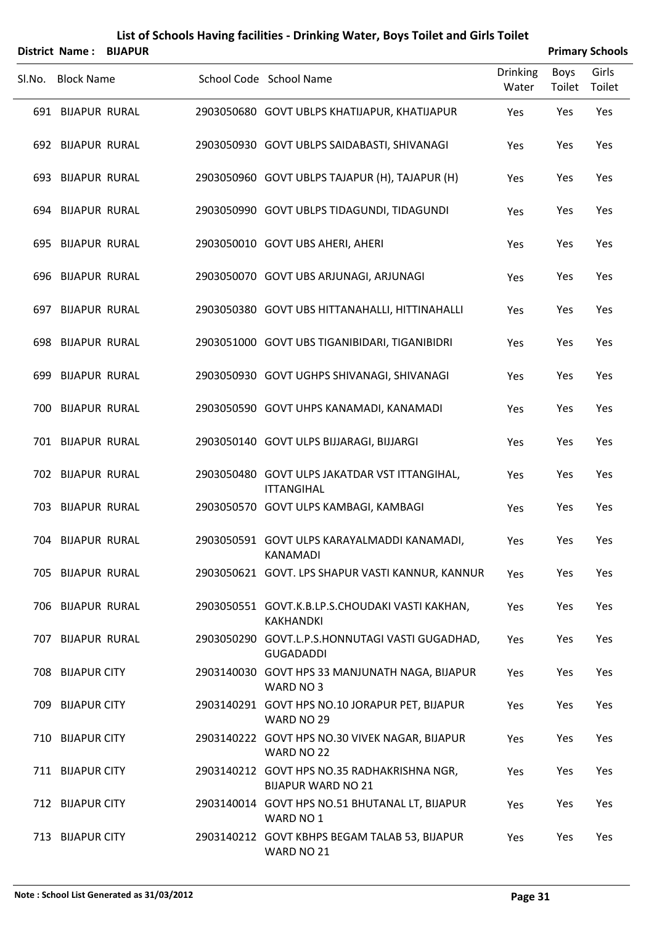|                             | List of Schools Having facilities - Drinking Water, Boys Toilet and Girls Toilet |                        |
|-----------------------------|----------------------------------------------------------------------------------|------------------------|
| $Dietrit$ $Name$ $RIIADIIR$ |                                                                                  | <b>Primary Schools</b> |

|        | DISTRICT MATTIE: DIJAPUR |  |                                                                          |                          |                | <b>Primary Scribbis</b> |
|--------|--------------------------|--|--------------------------------------------------------------------------|--------------------------|----------------|-------------------------|
| SI.No. | <b>Block Name</b>        |  | School Code School Name                                                  | <b>Drinking</b><br>Water | Boys<br>Toilet | Girls<br>Toilet         |
|        | 691 BIJAPUR RURAL        |  | 2903050680 GOVT UBLPS KHATIJAPUR, KHATIJAPUR                             | Yes                      | Yes            | Yes                     |
|        | 692 BIJAPUR RURAL        |  | 2903050930 GOVT UBLPS SAIDABASTI, SHIVANAGI                              | Yes                      | Yes            | Yes                     |
|        | 693 BIJAPUR RURAL        |  | 2903050960 GOVT UBLPS TAJAPUR (H), TAJAPUR (H)                           | Yes                      | Yes            | Yes                     |
|        | 694 BIJAPUR RURAL        |  | 2903050990 GOVT UBLPS TIDAGUNDI, TIDAGUNDI                               | Yes                      | Yes            | Yes                     |
|        | 695 BIJAPUR RURAL        |  | 2903050010 GOVT UBS AHERI, AHERI                                         | Yes                      | Yes            | Yes                     |
|        | 696 BIJAPUR RURAL        |  | 2903050070 GOVT UBS ARJUNAGI, ARJUNAGI                                   | Yes                      | Yes            | Yes                     |
|        | 697 BIJAPUR RURAL        |  | 2903050380 GOVT UBS HITTANAHALLI, HITTINAHALLI                           | Yes                      | Yes            | Yes                     |
|        | 698 BIJAPUR RURAL        |  | 2903051000 GOVT UBS TIGANIBIDARI, TIGANIBIDRI                            | Yes                      | Yes            | Yes                     |
|        | 699 BIJAPUR RURAL        |  | 2903050930 GOVT UGHPS SHIVANAGI, SHIVANAGI                               | Yes                      | Yes            | Yes                     |
|        | 700 BIJAPUR RURAL        |  | 2903050590 GOVT UHPS KANAMADI, KANAMADI                                  | Yes                      | Yes            | Yes                     |
|        | 701 BIJAPUR RURAL        |  | 2903050140 GOVT ULPS BIJJARAGI, BIJJARGI                                 | Yes                      | Yes            | Yes                     |
|        | 702 BIJAPUR RURAL        |  | 2903050480 GOVT ULPS JAKATDAR VST ITTANGIHAL,<br><b>ITTANGIHAL</b>       | Yes                      | Yes            | Yes                     |
|        | 703 BIJAPUR RURAL        |  | 2903050570 GOVT ULPS KAMBAGI, KAMBAGI                                    | Yes                      | Yes            | Yes                     |
|        | 704 BIJAPUR RURAL        |  | 2903050591 GOVT ULPS KARAYALMADDI KANAMADI,<br><b>KANAMADI</b>           | Yes                      | Yes            | Yes                     |
|        | 705 BIJAPUR RURAL        |  | 2903050621 GOVT. LPS SHAPUR VASTI KANNUR, KANNUR                         | Yes                      | Yes            | Yes                     |
|        | 706 BIJAPUR RURAL        |  | 2903050551 GOVT.K.B.LP.S.CHOUDAKI VASTI KAKHAN,<br>KAKHANDKI             | Yes                      | Yes            | Yes                     |
|        | 707 BIJAPUR RURAL        |  | 2903050290 GOVT.L.P.S.HONNUTAGI VASTI GUGADHAD,<br><b>GUGADADDI</b>      | Yes                      | Yes            | Yes                     |
|        | 708 BIJAPUR CITY         |  | 2903140030 GOVT HPS 33 MANJUNATH NAGA, BIJAPUR<br>WARD NO 3              | Yes                      | Yes            | Yes                     |
|        | 709 BIJAPUR CITY         |  | 2903140291 GOVT HPS NO.10 JORAPUR PET, BIJAPUR<br>WARD NO 29             | <b>Yes</b>               | Yes            | Yes                     |
|        | 710 BIJAPUR CITY         |  | 2903140222 GOVT HPS NO.30 VIVEK NAGAR, BIJAPUR<br>WARD NO 22             | Yes                      | Yes            | Yes                     |
|        | 711 BIJAPUR CITY         |  | 2903140212 GOVT HPS NO.35 RADHAKRISHNA NGR,<br><b>BIJAPUR WARD NO 21</b> | Yes                      | Yes            | Yes                     |
|        | 712 BIJAPUR CITY         |  | 2903140014 GOVT HPS NO.51 BHUTANAL LT, BIJAPUR<br>WARD NO 1              | Yes                      | Yes            | Yes                     |
|        | 713 BIJAPUR CITY         |  | 2903140212 GOVT KBHPS BEGAM TALAB 53, BIJAPUR<br>WARD NO 21              | Yes                      | Yes            | Yes                     |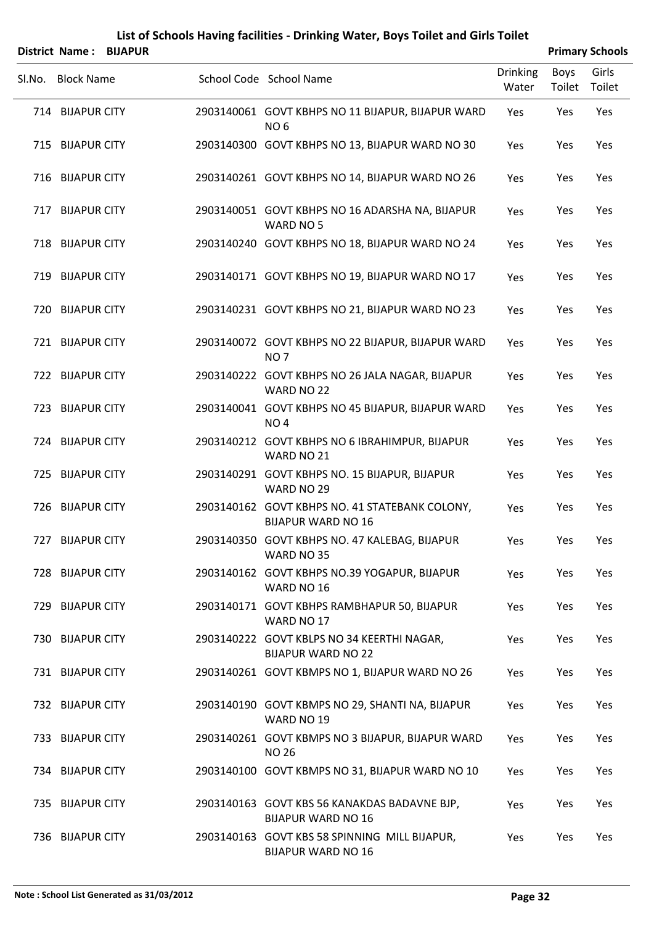|        |                     | District Name: BIJAPUR |                                                                             |                          |                | <b>Primary Schools</b> |
|--------|---------------------|------------------------|-----------------------------------------------------------------------------|--------------------------|----------------|------------------------|
| Sl.No. | <b>Block Name</b>   |                        | School Code School Name                                                     | <b>Drinking</b><br>Water | Boys<br>Toilet | Girls<br>Toilet        |
|        | 714 BIJAPUR CITY    |                        | 2903140061 GOVT KBHPS NO 11 BIJAPUR, BIJAPUR WARD<br>NO <sub>6</sub>        | Yes                      | Yes            | Yes                    |
|        | 715 BIJAPUR CITY    |                        | 2903140300 GOVT KBHPS NO 13, BIJAPUR WARD NO 30                             | Yes                      | Yes            | Yes                    |
|        | 716 BIJAPUR CITY    |                        | 2903140261 GOVT KBHPS NO 14, BIJAPUR WARD NO 26                             | Yes                      | Yes            | Yes                    |
| 717    | <b>BIJAPUR CITY</b> |                        | 2903140051 GOVT KBHPS NO 16 ADARSHA NA, BIJAPUR<br>WARD NO 5                | Yes                      | Yes            | Yes                    |
|        | 718 BIJAPUR CITY    |                        | 2903140240 GOVT KBHPS NO 18, BIJAPUR WARD NO 24                             | Yes                      | Yes            | Yes                    |
|        | 719 BIJAPUR CITY    |                        | 2903140171 GOVT KBHPS NO 19, BIJAPUR WARD NO 17                             | Yes                      | Yes            | Yes                    |
|        | 720 BIJAPUR CITY    |                        | 2903140231 GOVT KBHPS NO 21, BIJAPUR WARD NO 23                             | Yes                      | Yes            | Yes                    |
|        | 721 BIJAPUR CITY    |                        | 2903140072 GOVT KBHPS NO 22 BIJAPUR, BIJAPUR WARD<br><b>NO7</b>             | Yes                      | Yes            | Yes                    |
|        | 722 BIJAPUR CITY    |                        | 2903140222 GOVT KBHPS NO 26 JALA NAGAR, BIJAPUR<br>WARD NO 22               | Yes                      | Yes            | Yes                    |
|        | 723 BIJAPUR CITY    |                        | 2903140041 GOVT KBHPS NO 45 BIJAPUR, BIJAPUR WARD<br>NO <sub>4</sub>        | Yes                      | Yes            | Yes                    |
|        | 724 BIJAPUR CITY    |                        | 2903140212 GOVT KBHPS NO 6 IBRAHIMPUR, BIJAPUR<br>WARD NO 21                | Yes                      | Yes            | Yes                    |
|        | 725 BIJAPUR CITY    |                        | 2903140291 GOVT KBHPS NO. 15 BIJAPUR, BIJAPUR<br>WARD NO 29                 | Yes                      | Yes            | Yes                    |
|        | 726 BIJAPUR CITY    |                        | 2903140162 GOVT KBHPS NO. 41 STATEBANK COLONY,<br><b>BIJAPUR WARD NO 16</b> | Yes                      | Yes            | Yes                    |
|        | 727 BIJAPUR CITY    |                        | 2903140350 GOVT KBHPS NO. 47 KALEBAG, BIJAPUR<br>WARD NO 35                 | Yes                      | Yes            | Yes                    |
|        | 728 BIJAPUR CITY    |                        | 2903140162 GOVT KBHPS NO.39 YOGAPUR, BIJAPUR<br>WARD NO 16                  | Yes                      | Yes            | Yes                    |
|        | 729 BIJAPUR CITY    |                        | 2903140171 GOVT KBHPS RAMBHAPUR 50, BIJAPUR<br>WARD NO 17                   | Yes                      | Yes            | Yes                    |
|        | 730 BIJAPUR CITY    |                        | 2903140222 GOVT KBLPS NO 34 KEERTHI NAGAR,<br><b>BIJAPUR WARD NO 22</b>     | Yes                      | Yes            | Yes                    |
|        | 731 BIJAPUR CITY    |                        | 2903140261 GOVT KBMPS NO 1, BIJAPUR WARD NO 26                              | Yes                      | Yes            | Yes                    |
|        | 732 BIJAPUR CITY    |                        | 2903140190 GOVT KBMPS NO 29, SHANTI NA, BIJAPUR<br>WARD NO 19               | Yes                      | Yes            | Yes                    |
|        | 733 BIJAPUR CITY    |                        | 2903140261 GOVT KBMPS NO 3 BIJAPUR, BIJAPUR WARD<br><b>NO 26</b>            | Yes                      | Yes            | Yes                    |
|        | 734 BIJAPUR CITY    |                        | 2903140100 GOVT KBMPS NO 31, BIJAPUR WARD NO 10                             | Yes                      | Yes            | Yes                    |
|        | 735 BIJAPUR CITY    |                        | 2903140163 GOVT KBS 56 KANAKDAS BADAVNE BJP,<br><b>BIJAPUR WARD NO 16</b>   | Yes                      | Yes            | Yes                    |
|        | 736 BIJAPUR CITY    |                        | 2903140163 GOVT KBS 58 SPINNING MILL BIJAPUR,<br><b>BIJAPUR WARD NO 16</b>  | Yes                      | Yes            | Yes                    |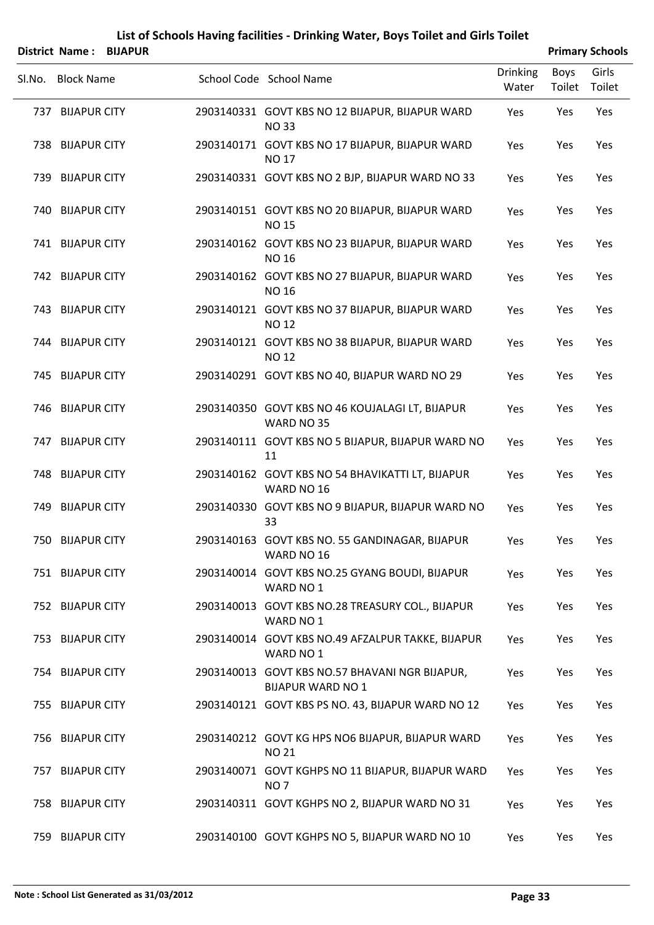| <b>District Name:</b> | <b>BIJAPUR</b> |
|-----------------------|----------------|
|                       |                |

| <b>Primary Schools</b> |
|------------------------|
|                        |

|        |                   | District Name: BIJAPUR |                                                                            |                          |                | <b>Primary Schools</b> |
|--------|-------------------|------------------------|----------------------------------------------------------------------------|--------------------------|----------------|------------------------|
| SI.No. | <b>Block Name</b> |                        | School Code School Name                                                    | <b>Drinking</b><br>Water | Boys<br>Toilet | Girls<br>Toilet        |
|        | 737 BIJAPUR CITY  |                        | 2903140331 GOVT KBS NO 12 BIJAPUR, BIJAPUR WARD<br><b>NO33</b>             | Yes                      | Yes            | Yes                    |
|        | 738 BIJAPUR CITY  |                        | 2903140171 GOVT KBS NO 17 BIJAPUR, BIJAPUR WARD<br><b>NO 17</b>            | Yes                      | Yes            | Yes                    |
|        | 739 BIJAPUR CITY  |                        | 2903140331 GOVT KBS NO 2 BJP, BIJAPUR WARD NO 33                           | Yes                      | Yes            | Yes                    |
|        | 740 BIJAPUR CITY  |                        | 2903140151 GOVT KBS NO 20 BIJAPUR, BIJAPUR WARD<br><b>NO15</b>             | Yes                      | Yes            | Yes                    |
|        | 741 BIJAPUR CITY  |                        | 2903140162 GOVT KBS NO 23 BIJAPUR, BIJAPUR WARD<br><b>NO 16</b>            | Yes                      | Yes            | Yes                    |
|        | 742 BIJAPUR CITY  |                        | 2903140162 GOVT KBS NO 27 BIJAPUR, BIJAPUR WARD<br><b>NO 16</b>            | Yes                      | Yes            | Yes                    |
|        | 743 BIJAPUR CITY  |                        | 2903140121 GOVT KBS NO 37 BIJAPUR, BIJAPUR WARD<br><b>NO12</b>             | Yes                      | Yes            | Yes                    |
|        | 744 BIJAPUR CITY  |                        | 2903140121 GOVT KBS NO 38 BIJAPUR, BIJAPUR WARD<br><b>NO12</b>             | Yes                      | Yes            | Yes                    |
|        | 745 BIJAPUR CITY  |                        | 2903140291 GOVT KBS NO 40, BIJAPUR WARD NO 29                              | Yes                      | Yes            | Yes                    |
|        | 746 BIJAPUR CITY  |                        | 2903140350 GOVT KBS NO 46 KOUJALAGI LT, BIJAPUR<br>WARD NO 35              | Yes                      | Yes            | Yes                    |
|        | 747 BIJAPUR CITY  |                        | 2903140111 GOVT KBS NO 5 BIJAPUR, BIJAPUR WARD NO<br>11                    | Yes                      | Yes            | Yes                    |
|        | 748 BIJAPUR CITY  |                        | 2903140162 GOVT KBS NO 54 BHAVIKATTI LT, BIJAPUR<br>WARD NO 16             | Yes                      | Yes            | Yes                    |
|        | 749 BIJAPUR CITY  |                        | 2903140330 GOVT KBS NO 9 BIJAPUR, BIJAPUR WARD NO<br>33                    | Yes                      | Yes            | Yes                    |
|        | 750 BIJAPUR CITY  |                        | 2903140163 GOVT KBS NO. 55 GANDINAGAR, BIJAPUR<br>WARD NO 16               | Yes                      | Yes            | Yes                    |
|        | 751 BIJAPUR CITY  |                        | 2903140014 GOVT KBS NO.25 GYANG BOUDI, BIJAPUR<br>WARD NO 1                | Yes                      | Yes            | Yes                    |
|        | 752 BIJAPUR CITY  |                        | 2903140013 GOVT KBS NO.28 TREASURY COL., BIJAPUR<br>WARD NO 1              | Yes                      | Yes            | Yes                    |
|        | 753 BIJAPUR CITY  |                        | 2903140014 GOVT KBS NO.49 AFZALPUR TAKKE, BIJAPUR<br>WARD NO 1             | Yes                      | Yes            | Yes                    |
|        | 754 BIJAPUR CITY  |                        | 2903140013 GOVT KBS NO.57 BHAVANI NGR BIJAPUR,<br><b>BIJAPUR WARD NO 1</b> | Yes                      | Yes            | Yes                    |
|        | 755 BIJAPUR CITY  |                        | 2903140121 GOVT KBS PS NO. 43, BIJAPUR WARD NO 12                          | Yes                      | Yes            | Yes                    |
|        | 756 BIJAPUR CITY  |                        | 2903140212 GOVT KG HPS NO6 BIJAPUR, BIJAPUR WARD<br><b>NO 21</b>           | Yes                      | Yes            | Yes                    |
|        | 757 BIJAPUR CITY  |                        | 2903140071 GOVT KGHPS NO 11 BIJAPUR, BIJAPUR WARD<br>NO <sub>7</sub>       | Yes                      | Yes            | Yes                    |
|        | 758 BIJAPUR CITY  |                        | 2903140311 GOVT KGHPS NO 2, BIJAPUR WARD NO 31                             | Yes                      | Yes            | Yes                    |
|        | 759 BIJAPUR CITY  |                        | 2903140100 GOVT KGHPS NO 5, BIJAPUR WARD NO 10                             | Yes                      | Yes            | Yes                    |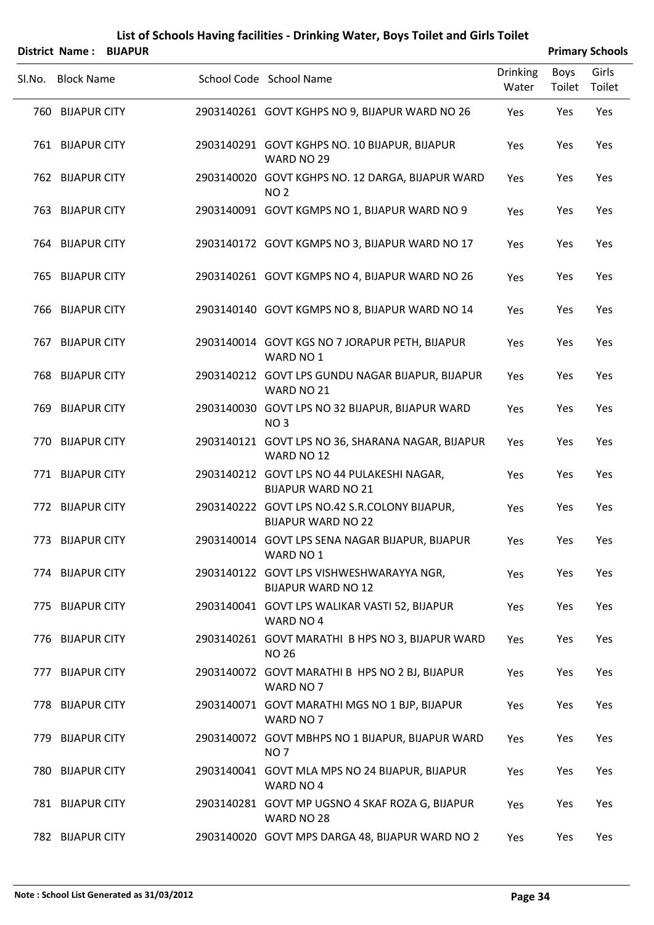|        |                         | District Name: BIJAPUR |                                                                            |                          |                | <b>Primary Schools</b> |
|--------|-------------------------|------------------------|----------------------------------------------------------------------------|--------------------------|----------------|------------------------|
| SI.No. | <b>Block Name</b>       |                        | School Code School Name                                                    | <b>Drinking</b><br>Water | Boys<br>Toilet | Girls<br>Toilet        |
|        | 760 BIJAPUR CITY        |                        | 2903140261 GOVT KGHPS NO 9, BIJAPUR WARD NO 26                             | Yes                      | Yes            | Yes                    |
|        | 761 BIJAPUR CITY        |                        | 2903140291 GOVT KGHPS NO. 10 BIJAPUR, BIJAPUR<br>WARD NO 29                | Yes                      | Yes            | Yes                    |
|        | 762 BIJAPUR CITY        |                        | 2903140020 GOVT KGHPS NO. 12 DARGA, BIJAPUR WARD<br>NO <sub>2</sub>        | Yes                      | Yes            | Yes                    |
|        | 763 BIJAPUR CITY        |                        | 2903140091 GOVT KGMPS NO 1, BIJAPUR WARD NO 9                              | Yes                      | Yes            | Yes                    |
|        | 764 BIJAPUR CITY        |                        | 2903140172 GOVT KGMPS NO 3, BIJAPUR WARD NO 17                             | Yes                      | Yes            | Yes                    |
|        | 765 BIJAPUR CITY        |                        | 2903140261 GOVT KGMPS NO 4, BIJAPUR WARD NO 26                             | Yes                      | Yes            | Yes                    |
|        | 766 BIJAPUR CITY        |                        | 2903140140 GOVT KGMPS NO 8, BIJAPUR WARD NO 14                             | Yes                      | Yes            | Yes                    |
|        | 767 BIJAPUR CITY        |                        | 2903140014 GOVT KGS NO 7 JORAPUR PETH, BIJAPUR<br>WARD NO 1                | Yes                      | Yes            | Yes                    |
|        | <b>768 BIJAPUR CITY</b> |                        | 2903140212 GOVT LPS GUNDU NAGAR BIJAPUR, BIJAPUR<br>WARD NO 21             | Yes                      | Yes            | Yes                    |
|        | 769 BIJAPUR CITY        |                        | 2903140030 GOVT LPS NO 32 BIJAPUR, BIJAPUR WARD<br>NO <sub>3</sub>         | Yes                      | Yes            | Yes                    |
|        | 770 BIJAPUR CITY        |                        | 2903140121 GOVT LPS NO 36, SHARANA NAGAR, BIJAPUR<br>WARD NO 12            | Yes                      | Yes            | Yes                    |
|        | 771 BIJAPUR CITY        |                        | 2903140212 GOVT LPS NO 44 PULAKESHI NAGAR,<br><b>BIJAPUR WARD NO 21</b>    | Yes                      | Yes            | Yes                    |
|        | 772 BIJAPUR CITY        |                        | 2903140222 GOVT LPS NO.42 S.R.COLONY BIJAPUR,<br><b>BIJAPUR WARD NO 22</b> | Yes                      | Yes            | Yes                    |
|        | 773 BIJAPUR CITY        |                        | 2903140014 GOVT LPS SENA NAGAR BIJAPUR, BIJAPUR<br>WARD NO 1               | Yes                      | Yes            | Yes                    |
|        | 774 BIJAPUR CITY        |                        | 2903140122 GOVT LPS VISHWESHWARAYYA NGR,<br><b>BIJAPUR WARD NO 12</b>      | Yes                      | Yes            | Yes                    |
|        | 775 BIJAPUR CITY        |                        | 2903140041 GOVT LPS WALIKAR VASTI 52, BIJAPUR<br>WARD NO 4                 | Yes                      | Yes            | Yes                    |
|        | 776 BIJAPUR CITY        |                        | 2903140261 GOVT MARATHI B HPS NO 3, BIJAPUR WARD<br><b>NO 26</b>           | Yes                      | Yes            | Yes                    |
|        | 777 BIJAPUR CITY        |                        | 2903140072 GOVT MARATHI B HPS NO 2 BJ, BIJAPUR<br>WARD NO 7                | Yes                      | Yes            | Yes                    |
|        | 778 BIJAPUR CITY        |                        | 2903140071 GOVT MARATHI MGS NO 1 BJP, BIJAPUR<br>WARD NO 7                 | Yes                      | Yes            | Yes                    |
|        | 779 BIJAPUR CITY        |                        | 2903140072 GOVT MBHPS NO 1 BIJAPUR, BIJAPUR WARD<br>NO <sub>7</sub>        | Yes                      | Yes            | Yes                    |
|        | 780 BIJAPUR CITY        |                        | 2903140041 GOVT MLA MPS NO 24 BIJAPUR, BIJAPUR<br>WARD NO 4                | Yes                      | Yes            | Yes                    |
|        | 781 BIJAPUR CITY        |                        | 2903140281 GOVT MP UGSNO 4 SKAF ROZA G, BIJAPUR<br>WARD NO 28              | Yes                      | Yes            | Yes                    |
|        | 782 BIJAPUR CITY        |                        | 2903140020 GOVT MPS DARGA 48, BIJAPUR WARD NO 2                            | Yes                      | Yes            | Yes                    |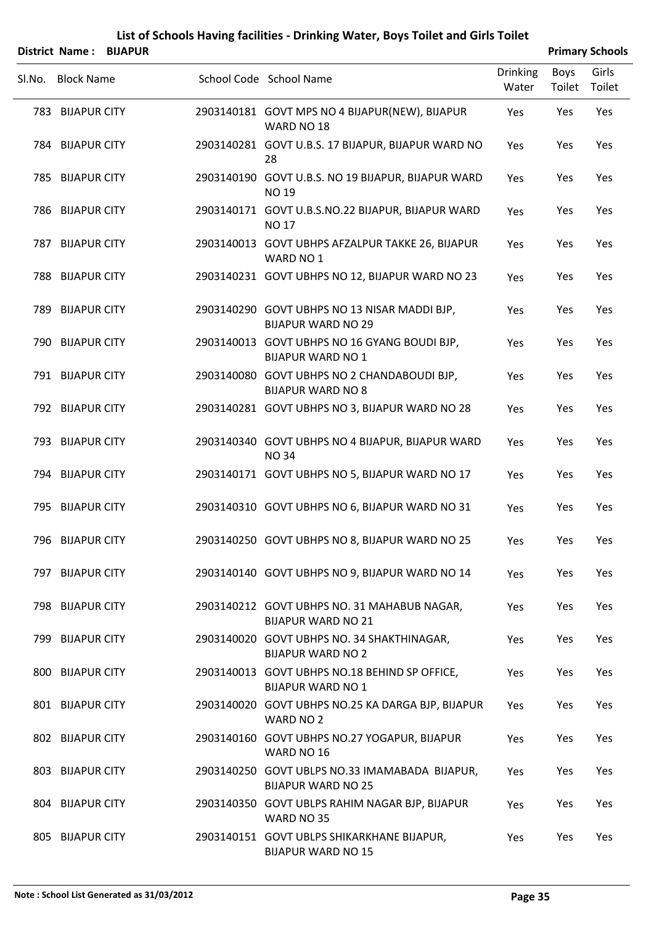|                   | District Name: BIJAPUR |                                                                             |                          |                | <b>Primary Schools</b> |
|-------------------|------------------------|-----------------------------------------------------------------------------|--------------------------|----------------|------------------------|
| Sl.No. Block Name |                        | School Code School Name                                                     | <b>Drinking</b><br>Water | Boys<br>Toilet | Girls<br>Toilet        |
| 783 BIJAPUR CITY  |                        | 2903140181 GOVT MPS NO 4 BIJAPUR(NEW), BIJAPUR<br>WARD NO 18                | Yes                      | Yes            | Yes                    |
| 784 BIJAPUR CITY  |                        | 2903140281 GOVT U.B.S. 17 BIJAPUR, BIJAPUR WARD NO<br>28                    | Yes                      | Yes            | Yes                    |
| 785 BIJAPUR CITY  |                        | 2903140190 GOVT U.B.S. NO 19 BIJAPUR, BIJAPUR WARD<br><b>NO 19</b>          | Yes                      | Yes            | Yes                    |
| 786 BIJAPUR CITY  |                        | 2903140171 GOVT U.B.S.NO.22 BIJAPUR, BIJAPUR WARD<br><b>NO 17</b>           | Yes                      | Yes            | Yes                    |
| 787 BIJAPUR CITY  |                        | 2903140013 GOVT UBHPS AFZALPUR TAKKE 26, BIJAPUR<br>WARD NO 1               | Yes                      | Yes            | Yes                    |
| 788 BIJAPUR CITY  |                        | 2903140231 GOVT UBHPS NO 12, BIJAPUR WARD NO 23                             | Yes                      | Yes            | Yes                    |
| 789 BIJAPUR CITY  |                        | 2903140290 GOVT UBHPS NO 13 NISAR MADDI BJP,<br><b>BIJAPUR WARD NO 29</b>   | Yes                      | Yes            | Yes                    |
| 790 BIJAPUR CITY  |                        | 2903140013 GOVT UBHPS NO 16 GYANG BOUDI BJP,<br><b>BIJAPUR WARD NO 1</b>    | Yes                      | Yes            | Yes                    |
| 791 BIJAPUR CITY  |                        | 2903140080 GOVT UBHPS NO 2 CHANDABOUDI BJP,<br><b>BIJAPUR WARD NO 8</b>     | Yes                      | Yes            | Yes                    |
| 792 BIJAPUR CITY  |                        | 2903140281 GOVT UBHPS NO 3, BIJAPUR WARD NO 28                              | Yes                      | Yes            | Yes                    |
| 793 BIJAPUR CITY  |                        | 2903140340 GOVT UBHPS NO 4 BIJAPUR, BIJAPUR WARD<br><b>NO34</b>             | Yes                      | Yes            | Yes                    |
| 794 BIJAPUR CITY  |                        | 2903140171 GOVT UBHPS NO 5, BIJAPUR WARD NO 17                              | Yes                      | Yes            | Yes                    |
| 795 BIJAPUR CITY  |                        | 2903140310 GOVT UBHPS NO 6, BIJAPUR WARD NO 31                              | Yes                      | Yes            | Yes                    |
| 796 BIJAPUR CITY  |                        | 2903140250 GOVT UBHPS NO 8, BIJAPUR WARD NO 25                              | Yes                      | Yes            | Yes                    |
| 797 BIJAPUR CITY  |                        | 2903140140 GOVT UBHPS NO 9, BIJAPUR WARD NO 14                              | Yes                      | Yes            | Yes                    |
| 798 BIJAPUR CITY  |                        | 2903140212 GOVT UBHPS NO. 31 MAHABUB NAGAR,<br><b>BIJAPUR WARD NO 21</b>    | Yes                      | Yes            | Yes                    |
| 799 BIJAPUR CITY  |                        | 2903140020 GOVT UBHPS NO. 34 SHAKTHINAGAR,<br><b>BIJAPUR WARD NO 2</b>      | Yes                      | Yes            | Yes                    |
| 800 BIJAPUR CITY  |                        | 2903140013 GOVT UBHPS NO.18 BEHIND SP OFFICE,<br><b>BIJAPUR WARD NO 1</b>   | Yes                      | Yes            | Yes                    |
| 801 BIJAPUR CITY  |                        | 2903140020 GOVT UBHPS NO.25 KA DARGA BJP, BIJAPUR<br>WARD NO 2              | Yes                      | Yes            | Yes                    |
| 802 BIJAPUR CITY  |                        | 2903140160 GOVT UBHPS NO.27 YOGAPUR, BIJAPUR<br>WARD NO 16                  | Yes                      | Yes            | Yes                    |
| 803 BIJAPUR CITY  |                        | 2903140250 GOVT UBLPS NO.33 IMAMABADA BIJAPUR,<br><b>BIJAPUR WARD NO 25</b> | Yes                      | Yes            | Yes                    |
| 804 BIJAPUR CITY  |                        | 2903140350 GOVT UBLPS RAHIM NAGAR BJP, BIJAPUR<br>WARD NO 35                | <b>Yes</b>               | Yes            | Yes                    |
| 805 BIJAPUR CITY  |                        | 2903140151 GOVT UBLPS SHIKARKHANE BIJAPUR,<br><b>BIJAPUR WARD NO 15</b>     | Yes                      | Yes            | Yes                    |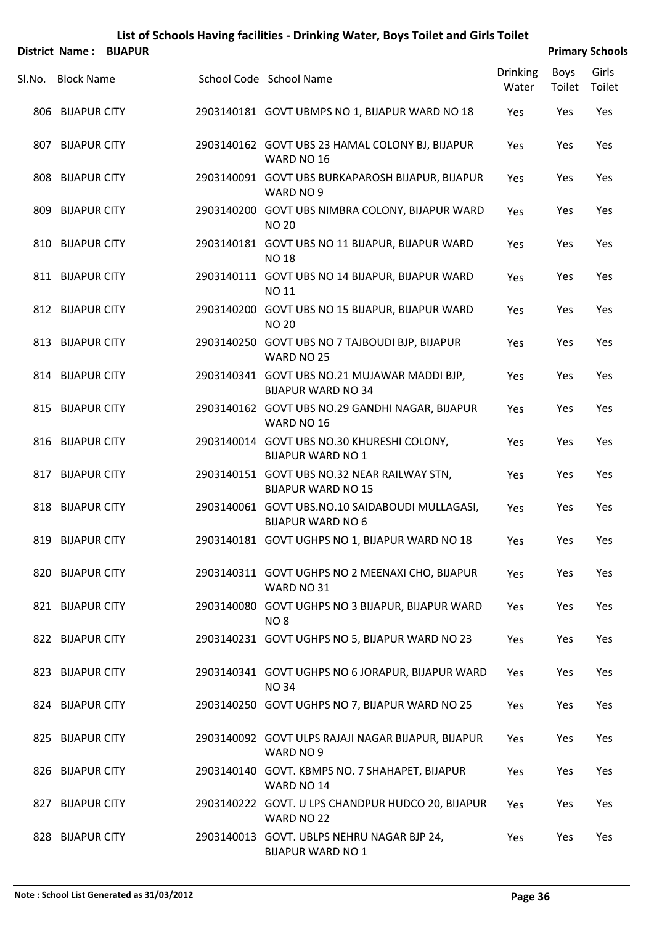|        |                   | District Name: BIJAPUR |                                                                             |                          |                | <b>Primary Schools</b> |
|--------|-------------------|------------------------|-----------------------------------------------------------------------------|--------------------------|----------------|------------------------|
| Sl.No. | <b>Block Name</b> |                        | School Code School Name                                                     | <b>Drinking</b><br>Water | Boys<br>Toilet | Girls<br>Toilet        |
|        | 806 BIJAPUR CITY  |                        | 2903140181 GOVT UBMPS NO 1, BIJAPUR WARD NO 18                              | Yes                      | Yes            | Yes                    |
|        | 807 BIJAPUR CITY  |                        | 2903140162 GOVT UBS 23 HAMAL COLONY BJ, BIJAPUR<br>WARD NO 16               | Yes                      | Yes            | Yes                    |
|        | 808 BIJAPUR CITY  |                        | 2903140091 GOVT UBS BURKAPAROSH BIJAPUR, BIJAPUR<br>WARD NO 9               | Yes                      | Yes            | Yes                    |
|        | 809 BIJAPUR CITY  |                        | 2903140200 GOVT UBS NIMBRA COLONY, BIJAPUR WARD<br><b>NO 20</b>             | Yes                      | Yes            | Yes                    |
|        | 810 BIJAPUR CITY  |                        | 2903140181 GOVT UBS NO 11 BIJAPUR, BIJAPUR WARD<br><b>NO 18</b>             | Yes                      | Yes            | Yes                    |
|        | 811 BIJAPUR CITY  |                        | 2903140111 GOVT UBS NO 14 BIJAPUR, BIJAPUR WARD<br><b>NO11</b>              | Yes                      | Yes            | Yes                    |
|        | 812 BIJAPUR CITY  |                        | 2903140200 GOVT UBS NO 15 BIJAPUR, BIJAPUR WARD<br><b>NO 20</b>             | Yes                      | Yes            | Yes                    |
|        | 813 BIJAPUR CITY  |                        | 2903140250 GOVT UBS NO 7 TAJBOUDI BJP, BIJAPUR<br>WARD NO 25                | Yes                      | Yes            | Yes                    |
|        | 814 BIJAPUR CITY  |                        | 2903140341 GOVT UBS NO.21 MUJAWAR MADDI BJP,<br><b>BIJAPUR WARD NO 34</b>   | Yes                      | Yes            | Yes                    |
|        | 815 BIJAPUR CITY  |                        | 2903140162 GOVT UBS NO.29 GANDHI NAGAR, BIJAPUR<br>WARD NO 16               | Yes                      | Yes            | Yes                    |
|        | 816 BIJAPUR CITY  |                        | 2903140014 GOVT UBS NO.30 KHURESHI COLONY,<br><b>BIJAPUR WARD NO 1</b>      | Yes                      | Yes            | Yes                    |
|        | 817 BIJAPUR CITY  |                        | 2903140151 GOVT UBS NO.32 NEAR RAILWAY STN,<br><b>BIJAPUR WARD NO 15</b>    | Yes                      | Yes            | Yes                    |
|        | 818 BIJAPUR CITY  |                        | 2903140061 GOVT UBS.NO.10 SAIDABOUDI MULLAGASI,<br><b>BIJAPUR WARD NO 6</b> | Yes                      | Yes            | Yes                    |
|        | 819 BIJAPUR CITY  |                        | 2903140181 GOVT UGHPS NO 1, BIJAPUR WARD NO 18                              | Yes                      | Yes            | Yes                    |
|        | 820 BIJAPUR CITY  |                        | 2903140311 GOVT UGHPS NO 2 MEENAXI CHO, BIJAPUR<br>WARD NO 31               | Yes                      | Yes            | Yes                    |
|        | 821 BIJAPUR CITY  |                        | 2903140080 GOVT UGHPS NO 3 BIJAPUR, BIJAPUR WARD<br>NO <sub>8</sub>         | Yes                      | Yes            | Yes                    |
|        | 822 BIJAPUR CITY  |                        | 2903140231 GOVT UGHPS NO 5, BIJAPUR WARD NO 23                              | Yes                      | Yes            | Yes                    |
|        | 823 BIJAPUR CITY  |                        | 2903140341 GOVT UGHPS NO 6 JORAPUR, BIJAPUR WARD<br><b>NO 34</b>            | Yes                      | Yes            | Yes                    |
|        | 824 BIJAPUR CITY  |                        | 2903140250 GOVT UGHPS NO 7, BIJAPUR WARD NO 25                              | Yes                      | Yes            | Yes                    |
|        | 825 BIJAPUR CITY  |                        | 2903140092 GOVT ULPS RAJAJI NAGAR BIJAPUR, BIJAPUR<br>WARD NO 9             | Yes                      | Yes            | Yes                    |
|        | 826 BIJAPUR CITY  |                        | 2903140140 GOVT. KBMPS NO. 7 SHAHAPET, BIJAPUR<br>WARD NO 14                | Yes                      | Yes            | Yes                    |
|        | 827 BIJAPUR CITY  |                        | 2903140222 GOVT. U LPS CHANDPUR HUDCO 20, BIJAPUR<br>WARD NO 22             | Yes                      | Yes            | Yes                    |
|        | 828 BIJAPUR CITY  |                        | 2903140013 GOVT. UBLPS NEHRU NAGAR BJP 24,<br><b>BIJAPUR WARD NO 1</b>      | Yes                      | Yes            | Yes                    |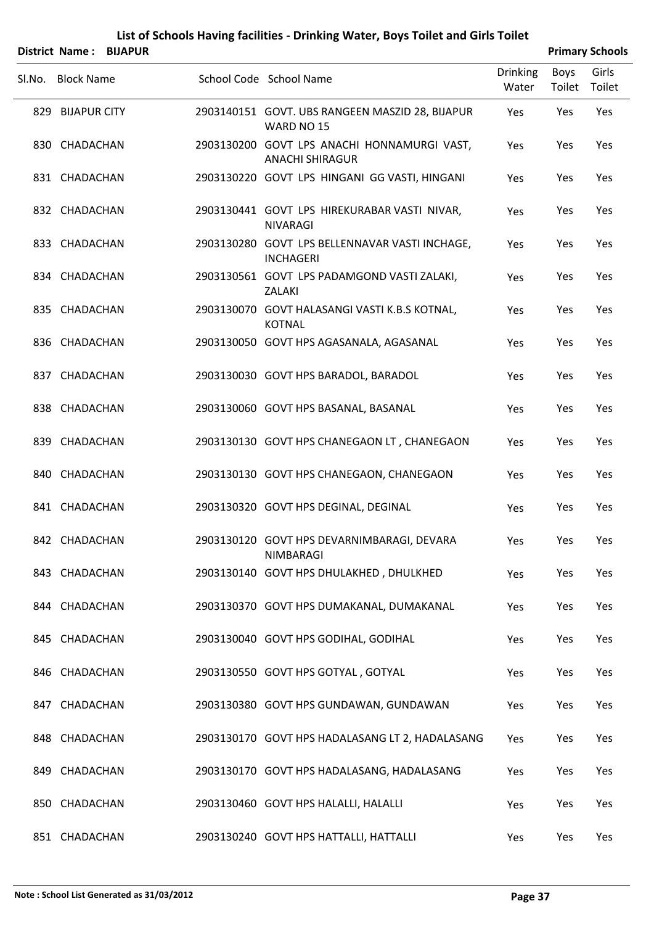|        |                   | <b>District Name: BIJAPUR</b> |                                                                       |                          |                | <b>Primary Schools</b> |
|--------|-------------------|-------------------------------|-----------------------------------------------------------------------|--------------------------|----------------|------------------------|
| Sl.No. | <b>Block Name</b> |                               | School Code School Name                                               | <b>Drinking</b><br>Water | Boys<br>Toilet | Girls<br>Toilet        |
|        | 829 BIJAPUR CITY  |                               | 2903140151 GOVT. UBS RANGEEN MASZID 28, BIJAPUR<br>WARD NO 15         | Yes                      | Yes            | Yes                    |
|        | 830 CHADACHAN     |                               | 2903130200 GOVT LPS ANACHI HONNAMURGI VAST,<br><b>ANACHI SHIRAGUR</b> | Yes                      | Yes            | Yes                    |
|        | 831 CHADACHAN     |                               | 2903130220 GOVT LPS HINGANI GG VASTI, HINGANI                         | Yes                      | Yes            | Yes                    |
|        | 832 CHADACHAN     |                               | 2903130441 GOVT LPS HIREKURABAR VASTI NIVAR,<br><b>NIVARAGI</b>       | Yes                      | Yes            | Yes                    |
|        | 833 CHADACHAN     |                               | 2903130280 GOVT LPS BELLENNAVAR VASTI INCHAGE,<br><b>INCHAGERI</b>    | Yes                      | Yes            | Yes                    |
|        | 834 CHADACHAN     |                               | 2903130561 GOVT LPS PADAMGOND VASTI ZALAKI,<br>ZALAKI                 | Yes                      | Yes            | Yes                    |
|        | 835 CHADACHAN     |                               | 2903130070 GOVT HALASANGI VASTI K.B.S KOTNAL,<br><b>KOTNAL</b>        | Yes                      | Yes            | Yes                    |
|        | 836 CHADACHAN     |                               | 2903130050 GOVT HPS AGASANALA, AGASANAL                               | Yes                      | Yes            | Yes                    |
|        | 837 CHADACHAN     |                               | 2903130030 GOVT HPS BARADOL, BARADOL                                  | Yes                      | Yes            | Yes                    |
|        | 838 CHADACHAN     |                               | 2903130060 GOVT HPS BASANAL, BASANAL                                  | Yes                      | Yes            | Yes                    |
|        | 839 CHADACHAN     |                               | 2903130130 GOVT HPS CHANEGAON LT, CHANEGAON                           | Yes                      | Yes            | Yes                    |
|        | 840 CHADACHAN     |                               | 2903130130 GOVT HPS CHANEGAON, CHANEGAON                              | Yes                      | Yes            | Yes                    |
|        | 841 CHADACHAN     |                               | 2903130320 GOVT HPS DEGINAL, DEGINAL                                  | Yes                      | Yes            | Yes                    |
|        | 842 CHADACHAN     |                               | 2903130120 GOVT HPS DEVARNIMBARAGI, DEVARA<br>NIMBARAGI               | Yes                      | Yes            | Yes                    |
|        | 843 CHADACHAN     |                               | 2903130140 GOVT HPS DHULAKHED, DHULKHED                               | Yes                      | Yes            | Yes                    |
|        | 844 CHADACHAN     |                               | 2903130370 GOVT HPS DUMAKANAL, DUMAKANAL                              | Yes                      | Yes            | Yes                    |
|        | 845 CHADACHAN     |                               | 2903130040 GOVT HPS GODIHAL, GODIHAL                                  | Yes                      | Yes            | Yes                    |
|        | 846 CHADACHAN     |                               | 2903130550 GOVT HPS GOTYAL, GOTYAL                                    | Yes                      | Yes            | Yes                    |
|        | 847 CHADACHAN     |                               | 2903130380 GOVT HPS GUNDAWAN, GUNDAWAN                                | Yes                      | Yes            | Yes                    |
|        | 848 CHADACHAN     |                               | 2903130170 GOVT HPS HADALASANG LT 2, HADALASANG                       | Yes                      | Yes            | Yes                    |
|        | 849 CHADACHAN     |                               | 2903130170 GOVT HPS HADALASANG, HADALASANG                            | Yes                      | Yes            | Yes                    |
|        | 850 CHADACHAN     |                               | 2903130460 GOVT HPS HALALLI, HALALLI                                  | Yes                      | Yes            | Yes                    |
|        | 851 CHADACHAN     |                               | 2903130240 GOVT HPS HATTALLI, HATTALLI                                | Yes                      | Yes            | Yes                    |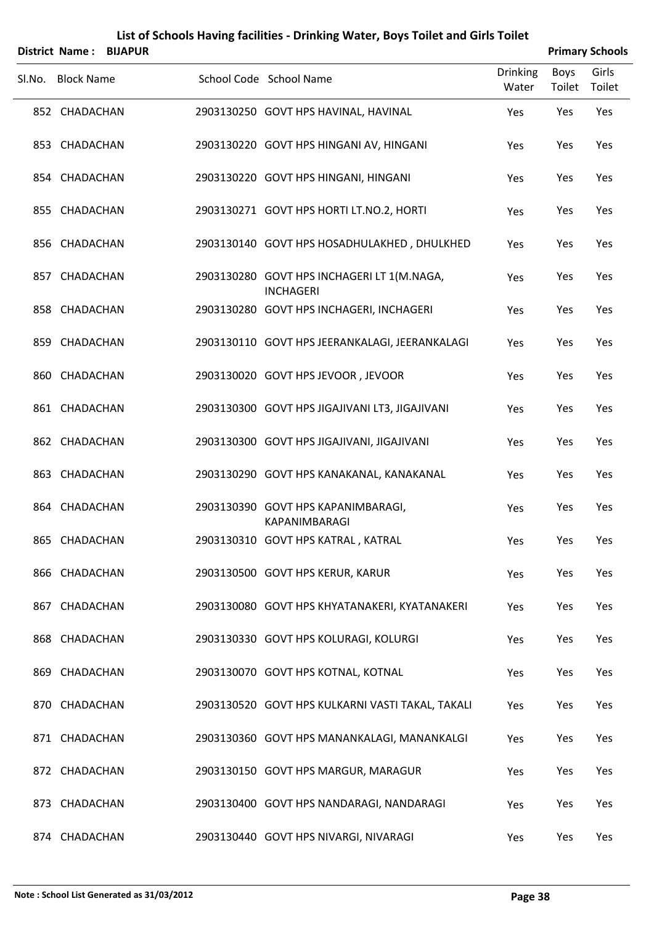|        |                   | District Name: BIJAPUR |                                                                |                          |                | <b>Primary Schools</b> |
|--------|-------------------|------------------------|----------------------------------------------------------------|--------------------------|----------------|------------------------|
| Sl.No. | <b>Block Name</b> |                        | School Code School Name                                        | <b>Drinking</b><br>Water | Boys<br>Toilet | Girls<br>Toilet        |
|        | 852 CHADACHAN     |                        | 2903130250 GOVT HPS HAVINAL, HAVINAL                           | Yes                      | Yes            | Yes                    |
|        | 853 CHADACHAN     |                        | 2903130220 GOVT HPS HINGANI AV, HINGANI                        | Yes                      | Yes            | Yes                    |
|        | 854 CHADACHAN     |                        | 2903130220 GOVT HPS HINGANI, HINGANI                           | Yes                      | Yes            | Yes                    |
|        | 855 CHADACHAN     |                        | 2903130271 GOVT HPS HORTI LT.NO.2, HORTI                       | Yes                      | Yes            | Yes                    |
|        | 856 CHADACHAN     |                        | 2903130140 GOVT HPS HOSADHULAKHED, DHULKHED                    | Yes                      | Yes            | Yes                    |
|        | 857 CHADACHAN     |                        | 2903130280 GOVT HPS INCHAGERI LT 1(M.NAGA,<br><b>INCHAGERI</b> | Yes                      | Yes            | Yes                    |
|        | 858 CHADACHAN     |                        | 2903130280 GOVT HPS INCHAGERI, INCHAGERI                       | Yes                      | Yes            | Yes                    |
|        | 859 CHADACHAN     |                        | 2903130110 GOVT HPS JEERANKALAGI, JEERANKALAGI                 | Yes                      | Yes            | Yes                    |
|        | 860 CHADACHAN     |                        | 2903130020 GOVT HPS JEVOOR, JEVOOR                             | Yes                      | Yes            | Yes                    |
|        | 861 CHADACHAN     |                        | 2903130300 GOVT HPS JIGAJIVANI LT3, JIGAJIVANI                 | Yes                      | Yes            | Yes                    |
|        | 862 CHADACHAN     |                        | 2903130300 GOVT HPS JIGAJIVANI, JIGAJIVANI                     | Yes                      | Yes            | Yes                    |
|        | 863 CHADACHAN     |                        | 2903130290 GOVT HPS KANAKANAL, KANAKANAL                       | Yes                      | Yes            | Yes                    |
|        | 864 CHADACHAN     |                        | 2903130390 GOVT HPS KAPANIMBARAGI,<br>KAPANIMBARAGI            | Yes                      | Yes            | Yes                    |
|        | 865 CHADACHAN     |                        | 2903130310 GOVT HPS KATRAL, KATRAL                             | Yes                      | Yes            | Yes                    |
|        | 866 CHADACHAN     |                        | 2903130500 GOVT HPS KERUR, KARUR                               | Yes                      | Yes            | Yes                    |
|        | 867 CHADACHAN     |                        | 2903130080 GOVT HPS KHYATANAKERI, KYATANAKERI                  | Yes                      | Yes            | Yes                    |
|        | 868 CHADACHAN     |                        | 2903130330 GOVT HPS KOLURAGI, KOLURGI                          | Yes                      | Yes            | Yes                    |
|        | 869 CHADACHAN     |                        | 2903130070 GOVT HPS KOTNAL, KOTNAL                             | Yes                      | Yes            | Yes                    |
|        | 870 CHADACHAN     |                        | 2903130520 GOVT HPS KULKARNI VASTI TAKAL, TAKALI               | Yes                      | Yes            | Yes                    |
|        | 871 CHADACHAN     |                        | 2903130360 GOVT HPS MANANKALAGI, MANANKALGI                    | Yes                      | Yes            | Yes                    |
|        | 872 CHADACHAN     |                        | 2903130150 GOVT HPS MARGUR, MARAGUR                            | Yes                      | Yes            | Yes                    |
|        | 873 CHADACHAN     |                        | 2903130400 GOVT HPS NANDARAGI, NANDARAGI                       | Yes                      | Yes            | Yes                    |
|        | 874 CHADACHAN     |                        | 2903130440 GOVT HPS NIVARGI, NIVARAGI                          | Yes                      | Yes            | Yes                    |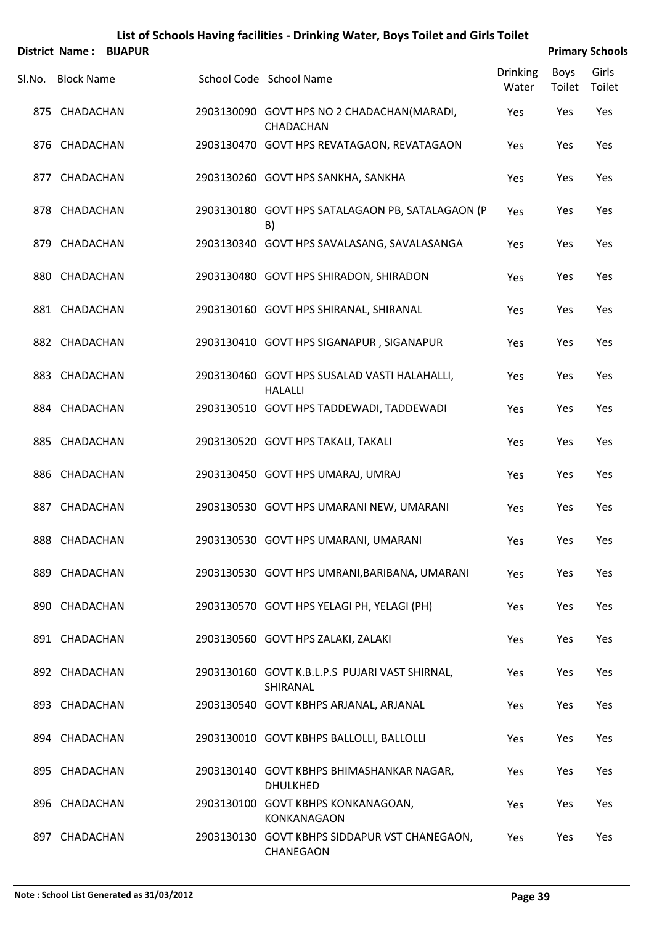|        | <b>District Name:</b> | <b>BIJAPUR</b> |                                                                |                          |                       | <b>Primary Schools</b> |
|--------|-----------------------|----------------|----------------------------------------------------------------|--------------------------|-----------------------|------------------------|
| SI.No. | <b>Block Name</b>     |                | School Code School Name                                        | <b>Drinking</b><br>Water | <b>Boys</b><br>Toilet | Girls<br>Toilet        |
|        | 875 CHADACHAN         |                | 2903130090 GOVT HPS NO 2 CHADACHAN(MARADI,<br>CHADACHAN        | Yes                      | Yes                   | Yes                    |
|        | 876 CHADACHAN         |                | 2903130470 GOVT HPS REVATAGAON, REVATAGAON                     | Yes                      | Yes                   | Yes                    |
|        | 877 CHADACHAN         |                | 2903130260 GOVT HPS SANKHA, SANKHA                             | Yes                      | Yes                   | Yes                    |
|        | 878 CHADACHAN         |                | 2903130180 GOVT HPS SATALAGAON PB, SATALAGAON (P<br>B)         | Yes                      | Yes                   | Yes                    |
|        | 879 CHADACHAN         |                | 2903130340 GOVT HPS SAVALASANG, SAVALASANGA                    | Yes                      | Yes                   | Yes                    |
|        | 880 CHADACHAN         |                | 2903130480 GOVT HPS SHIRADON, SHIRADON                         | Yes                      | Yes                   | Yes                    |
|        | 881 CHADACHAN         |                | 2903130160 GOVT HPS SHIRANAL, SHIRANAL                         | Yes                      | Yes                   | Yes                    |
|        | 882 CHADACHAN         |                | 2903130410 GOVT HPS SIGANAPUR, SIGANAPUR                       | Yes                      | Yes                   | Yes                    |
|        | 883 CHADACHAN         |                | 2903130460 GOVT HPS SUSALAD VASTI HALAHALLI,<br><b>HALALLI</b> | Yes                      | Yes                   | Yes                    |
|        | 884 CHADACHAN         |                | 2903130510 GOVT HPS TADDEWADI, TADDEWADI                       | Yes                      | Yes                   | Yes                    |
|        | 885 CHADACHAN         |                | 2903130520 GOVT HPS TAKALI, TAKALI                             | Yes                      | Yes                   | Yes                    |
|        | 886 CHADACHAN         |                | 2903130450 GOVT HPS UMARAJ, UMRAJ                              | Yes                      | Yes                   | Yes                    |
|        | 887 CHADACHAN         |                | 2903130530 GOVT HPS UMARANI NEW, UMARANI                       | Yes                      | Yes                   | Yes                    |
|        | 888 CHADACHAN         |                | 2903130530 GOVT HPS UMARANI, UMARANI                           | Yes                      | Yes                   | Yes                    |
|        | 889 CHADACHAN         |                | 2903130530 GOVT HPS UMRANI, BARIBANA, UMARANI                  | Yes                      | Yes                   | Yes                    |
|        | 890 CHADACHAN         |                | 2903130570 GOVT HPS YELAGI PH, YELAGI (PH)                     | Yes                      | Yes                   | Yes                    |
|        | 891 CHADACHAN         |                | 2903130560 GOVT HPS ZALAKI, ZALAKI                             | Yes                      | Yes                   | Yes                    |
|        | 892 CHADACHAN         |                | 2903130160 GOVT K.B.L.P.S PUJARI VAST SHIRNAL,<br>SHIRANAL     | Yes                      | Yes                   | Yes                    |
|        | 893 CHADACHAN         |                | 2903130540 GOVT KBHPS ARJANAL, ARJANAL                         | Yes                      | Yes                   | Yes                    |
|        | 894 CHADACHAN         |                | 2903130010 GOVT KBHPS BALLOLLI, BALLOLLI                       | Yes                      | Yes                   | Yes                    |
|        | 895 CHADACHAN         |                | 2903130140 GOVT KBHPS BHIMASHANKAR NAGAR,<br><b>DHULKHED</b>   | Yes                      | Yes                   | Yes                    |
|        | 896 CHADACHAN         |                | 2903130100 GOVT KBHPS KONKANAGOAN,<br>KONKANAGAON              | Yes                      | Yes                   | Yes                    |
|        | 897 CHADACHAN         |                | 2903130130 GOVT KBHPS SIDDAPUR VST CHANEGAON,<br>CHANEGAON     | Yes                      | Yes                   | Yes                    |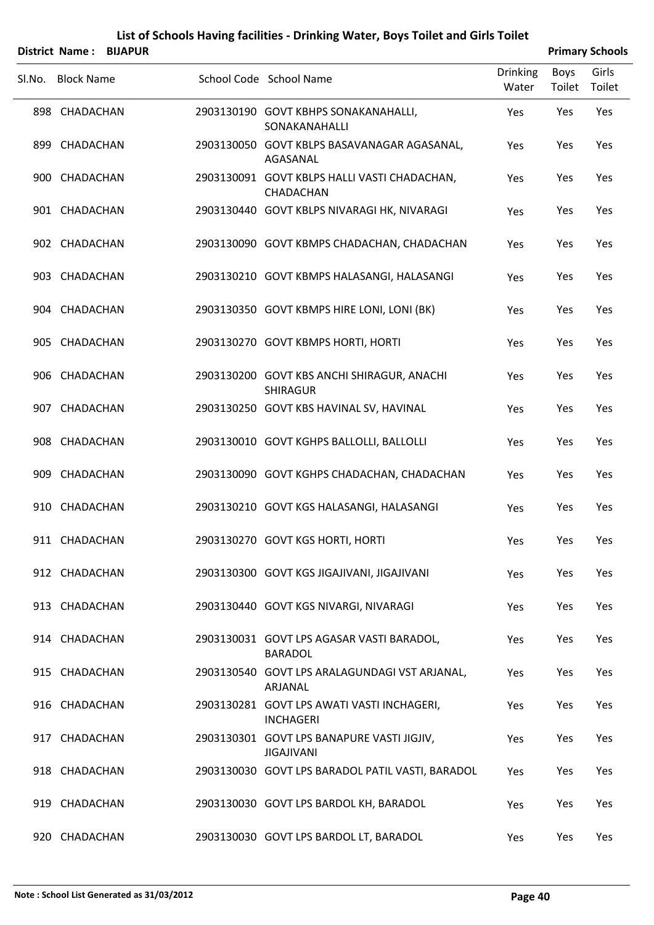|        | District Name:    | <b>BIJAPUR</b> |                                                                 |                          |                | <b>Primary Schools</b> |
|--------|-------------------|----------------|-----------------------------------------------------------------|--------------------------|----------------|------------------------|
| SI.No. | <b>Block Name</b> |                | School Code School Name                                         | <b>Drinking</b><br>Water | Boys<br>Toilet | Girls<br>Toilet        |
|        | 898 CHADACHAN     |                | 2903130190 GOVT KBHPS SONAKANAHALLI,<br>SONAKANAHALLI           | Yes                      | Yes            | Yes                    |
|        | 899 CHADACHAN     |                | 2903130050 GOVT KBLPS BASAVANAGAR AGASANAL,<br>AGASANAL         | Yes                      | Yes            | Yes                    |
|        | 900 CHADACHAN     |                | 2903130091 GOVT KBLPS HALLI VASTI CHADACHAN,<br>CHADACHAN       | Yes                      | Yes            | Yes                    |
|        | 901 CHADACHAN     |                | 2903130440 GOVT KBLPS NIVARAGI HK, NIVARAGI                     | Yes                      | Yes            | Yes                    |
|        | 902 CHADACHAN     |                | 2903130090 GOVT KBMPS CHADACHAN, CHADACHAN                      | Yes                      | Yes            | Yes                    |
|        | 903 CHADACHAN     |                | 2903130210 GOVT KBMPS HALASANGI, HALASANGI                      | Yes                      | Yes            | Yes                    |
|        | 904 CHADACHAN     |                | 2903130350 GOVT KBMPS HIRE LONI, LONI (BK)                      | Yes                      | Yes            | Yes                    |
|        | 905 CHADACHAN     |                | 2903130270 GOVT KBMPS HORTI, HORTI                              | Yes                      | Yes            | Yes                    |
|        | 906 CHADACHAN     |                | 2903130200 GOVT KBS ANCHI SHIRAGUR, ANACHI<br><b>SHIRAGUR</b>   | Yes                      | Yes            | Yes                    |
|        | 907 CHADACHAN     |                | 2903130250 GOVT KBS HAVINAL SV, HAVINAL                         | Yes                      | Yes            | Yes                    |
|        | 908 CHADACHAN     |                | 2903130010 GOVT KGHPS BALLOLLI, BALLOLLI                        | Yes                      | Yes            | Yes                    |
|        | 909 CHADACHAN     |                | 2903130090 GOVT KGHPS CHADACHAN, CHADACHAN                      | Yes                      | Yes            | Yes                    |
|        | 910 CHADACHAN     |                | 2903130210 GOVT KGS HALASANGI, HALASANGI                        | Yes                      | Yes            | Yes                    |
|        | 911 CHADACHAN     |                | 2903130270 GOVT KGS HORTI, HORTI                                | Yes                      | Yes            | Yes                    |
|        | 912 CHADACHAN     |                | 2903130300 GOVT KGS JIGAJIVANI, JIGAJIVANI                      | Yes                      | Yes            | Yes                    |
|        | 913 CHADACHAN     |                | 2903130440 GOVT KGS NIVARGI, NIVARAGI                           | Yes                      | Yes            | Yes                    |
|        | 914 CHADACHAN     |                | 2903130031 GOVT LPS AGASAR VASTI BARADOL,<br><b>BARADOL</b>     | Yes                      | Yes            | Yes                    |
|        | 915 CHADACHAN     |                | 2903130540 GOVT LPS ARALAGUNDAGI VST ARJANAL,<br>ARJANAL        | Yes                      | Yes            | Yes                    |
|        | 916 CHADACHAN     |                | 2903130281 GOVT LPS AWATI VASTI INCHAGERI,<br><b>INCHAGERI</b>  | Yes                      | Yes            | Yes                    |
|        | 917 CHADACHAN     |                | 2903130301 GOVT LPS BANAPURE VASTI JIGJIV,<br><b>JIGAJIVANI</b> | Yes                      | Yes            | Yes                    |
|        | 918 CHADACHAN     |                | 2903130030 GOVT LPS BARADOL PATIL VASTI, BARADOL                | Yes                      | Yes            | Yes                    |
|        | 919 CHADACHAN     |                | 2903130030 GOVT LPS BARDOL KH, BARADOL                          | <b>Yes</b>               | Yes            | Yes                    |
|        | 920 CHADACHAN     |                | 2903130030 GOVT LPS BARDOL LT, BARADOL                          | Yes                      | Yes            | Yes                    |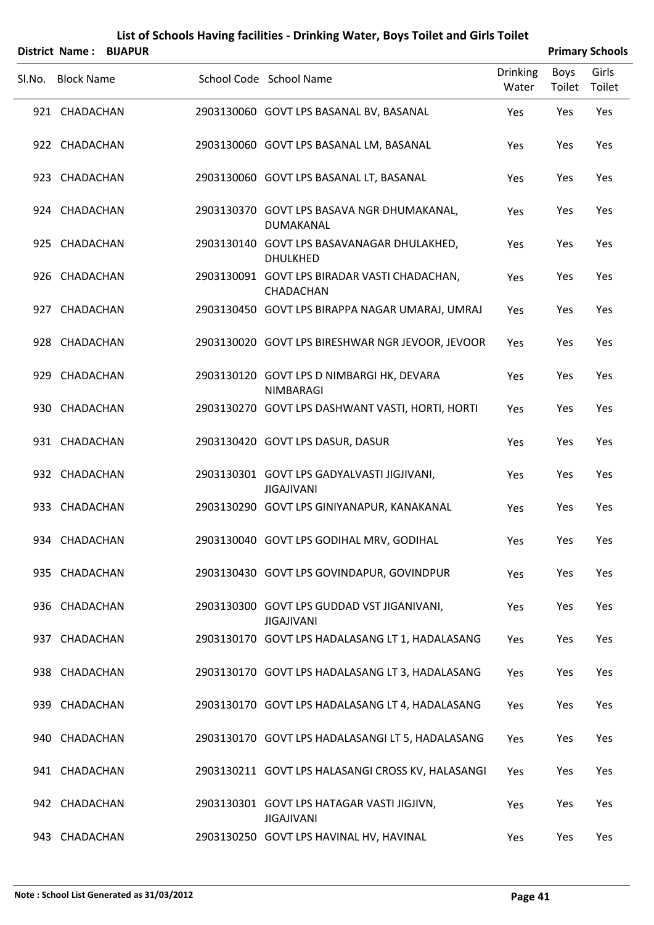| District Name: BIJAPUR |                                                                  |                          |                | <b>Primary Schools</b> |
|------------------------|------------------------------------------------------------------|--------------------------|----------------|------------------------|
| SI.No. Block Name      | School Code School Name                                          | <b>Drinking</b><br>Water | Boys<br>Toilet | Girls<br>Toilet        |
| 921 CHADACHAN          | 2903130060 GOVT LPS BASANAL BV, BASANAL                          | Yes                      | Yes            | Yes                    |
| 922 CHADACHAN          | 2903130060 GOVT LPS BASANAL LM, BASANAL                          | Yes                      | Yes            | Yes                    |
| 923 CHADACHAN          | 2903130060 GOVT LPS BASANAL LT, BASANAL                          | Yes                      | Yes            | Yes                    |
| 924 CHADACHAN          | 2903130370 GOVT LPS BASAVA NGR DHUMAKANAL,<br>DUMAKANAL          | Yes                      | Yes            | Yes                    |
| 925 CHADACHAN          | 2903130140 GOVT LPS BASAVANAGAR DHULAKHED,<br><b>DHULKHED</b>    | Yes                      | Yes            | Yes                    |
| 926 CHADACHAN          | 2903130091 GOVT LPS BIRADAR VASTI CHADACHAN,<br><b>CHADACHAN</b> | Yes                      | Yes            | Yes                    |
| 927 CHADACHAN          | 2903130450 GOVT LPS BIRAPPA NAGAR UMARAJ, UMRAJ                  | Yes                      | Yes            | Yes                    |
| 928 CHADACHAN          | 2903130020 GOVT LPS BIRESHWAR NGR JEVOOR, JEVOOR                 | Yes                      | Yes            | Yes                    |
| 929 CHADACHAN          | 2903130120 GOVT LPS D NIMBARGI HK, DEVARA<br><b>NIMBARAGI</b>    | Yes                      | Yes            | Yes                    |
| 930 CHADACHAN          | 2903130270 GOVT LPS DASHWANT VASTI, HORTI, HORTI                 | Yes                      | Yes            | Yes                    |
| 931 CHADACHAN          | 2903130420 GOVT LPS DASUR, DASUR                                 | Yes                      | Yes            | Yes                    |
| 932 CHADACHAN          | 2903130301 GOVT LPS GADYALVASTI JIGJIVANI,<br><b>JIGAJIVANI</b>  | Yes                      | Yes            | Yes                    |
| 933 CHADACHAN          | 2903130290 GOVT LPS GINIYANAPUR, KANAKANAL                       | Yes                      | Yes            | Yes                    |
| 934 CHADACHAN          | 2903130040 GOVT LPS GODIHAL MRV, GODIHAL                         | Yes                      | Yes            | Yes                    |
| 935 CHADACHAN          | 2903130430 GOVT LPS GOVINDAPUR, GOVINDPUR                        | Yes                      | Yes            | Yes                    |
| 936 CHADACHAN          | 2903130300 GOVT LPS GUDDAD VST JIGANIVANI,<br><b>JIGAJIVANI</b>  | Yes                      | Yes            | Yes                    |
| 937 CHADACHAN          | 2903130170 GOVT LPS HADALASANG LT 1, HADALASANG                  | Yes                      | Yes            | Yes                    |
| 938 CHADACHAN          | 2903130170 GOVT LPS HADALASANG LT 3, HADALASANG                  | Yes                      | Yes            | Yes                    |
| 939 CHADACHAN          | 2903130170 GOVT LPS HADALASANG LT 4, HADALASANG                  | Yes                      | Yes            | Yes                    |
| 940 CHADACHAN          | 2903130170 GOVT LPS HADALASANGI LT 5, HADALASANG                 | Yes                      | Yes            | Yes                    |
| 941 CHADACHAN          | 2903130211 GOVT LPS HALASANGI CROSS KV, HALASANGI                | Yes                      | Yes            | Yes                    |
| 942 CHADACHAN          | 2903130301 GOVT LPS HATAGAR VASTI JIGJIVN,<br><b>JIGAJIVANI</b>  | Yes                      | Yes            | Yes                    |
| 943 CHADACHAN          | 2903130250 GOVT LPS HAVINAL HV, HAVINAL                          | Yes                      | Yes            | Yes                    |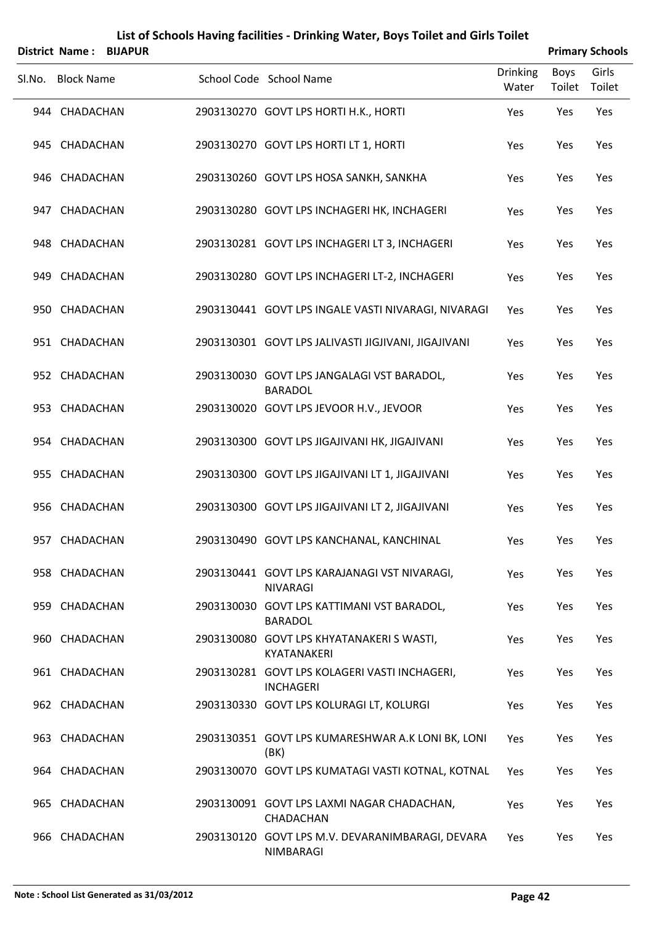| List of Schools Having facilities - Drinking Water, Boys Toilet and Girls Toilet<br><b>Primary Schools</b><br><b>District Name:</b><br><b>BIJAPUR</b> |                   |  |  |                                                                   |                          |                       |                 |
|-------------------------------------------------------------------------------------------------------------------------------------------------------|-------------------|--|--|-------------------------------------------------------------------|--------------------------|-----------------------|-----------------|
|                                                                                                                                                       | Sl.No. Block Name |  |  | School Code School Name                                           | <b>Drinking</b><br>Water | <b>Boys</b><br>Toilet | Girls<br>Toilet |
|                                                                                                                                                       | 944 CHADACHAN     |  |  | 2903130270 GOVT LPS HORTI H.K., HORTI                             | Yes                      | Yes                   | Yes             |
|                                                                                                                                                       | 945 CHADACHAN     |  |  | 2903130270 GOVT LPS HORTI LT 1, HORTI                             | Yes                      | Yes                   | Yes             |
|                                                                                                                                                       | 946 CHADACHAN     |  |  | 2903130260 GOVT LPS HOSA SANKH, SANKHA                            | Yes                      | Yes                   | Yes             |
|                                                                                                                                                       | 947 CHADACHAN     |  |  | 2903130280 GOVT LPS INCHAGERI HK, INCHAGERI                       | Yes                      | Yes                   | Yes             |
|                                                                                                                                                       | 948 CHADACHAN     |  |  | 2903130281 GOVT LPS INCHAGERI LT 3, INCHAGERI                     | Yes                      | Yes                   | Yes             |
|                                                                                                                                                       | 949 CHADACHAN     |  |  | 2903130280 GOVT LPS INCHAGERI LT-2, INCHAGERI                     | Yes                      | Yes                   | Yes             |
|                                                                                                                                                       | 950 CHADACHAN     |  |  | 2903130441 GOVT LPS INGALE VASTI NIVARAGI, NIVARAGI               | Yes                      | Yes                   | Yes             |
|                                                                                                                                                       | 951 CHADACHAN     |  |  | 2903130301 GOVT LPS JALIVASTI JIGJIVANI, JIGAJIVANI               | Yes                      | Yes                   | Yes             |
|                                                                                                                                                       | 952 CHADACHAN     |  |  | 2903130030 GOVT LPS JANGALAGI VST BARADOL,<br><b>BARADOL</b>      | Yes                      | Yes                   | Yes             |
|                                                                                                                                                       | 953 CHADACHAN     |  |  | 2903130020 GOVT LPS JEVOOR H.V., JEVOOR                           | Yes                      | Yes                   | Yes             |
|                                                                                                                                                       | 954 CHADACHAN     |  |  | 2903130300 GOVT LPS JIGAJIVANI HK, JIGAJIVANI                     | Yes                      | Yes                   | Yes             |
|                                                                                                                                                       | 955 CHADACHAN     |  |  | 2903130300 GOVT LPS JIGAJIVANI LT 1, JIGAJIVANI                   | Yes                      | Yes                   | Yes             |
|                                                                                                                                                       | 956 CHADACHAN     |  |  | 2903130300 GOVT LPS JIGAJIVANI LT 2, JIGAJIVANI                   | Yes                      | Yes                   | Yes             |
|                                                                                                                                                       | 957 CHADACHAN     |  |  | 2903130490 GOVT LPS KANCHANAL, KANCHINAL                          | Yes                      | Yes                   | Yes             |
|                                                                                                                                                       | 958 CHADACHAN     |  |  | 2903130441 GOVT LPS KARAJANAGI VST NIVARAGI,<br><b>NIVARAGI</b>   | <b>Yes</b>               | Yes                   | Yes             |
|                                                                                                                                                       | 959 CHADACHAN     |  |  | 2903130030 GOVT LPS KATTIMANI VST BARADOL,<br><b>BARADOL</b>      | Yes                      | Yes                   | Yes             |
|                                                                                                                                                       | 960 CHADACHAN     |  |  | 2903130080 GOVT LPS KHYATANAKERIS WASTI,<br>KYATANAKERI           | <b>Yes</b>               | Yes                   | Yes             |
|                                                                                                                                                       | 961 CHADACHAN     |  |  | 2903130281 GOVT LPS KOLAGERI VASTI INCHAGERI,<br><b>INCHAGERI</b> | Yes                      | Yes                   | Yes             |
|                                                                                                                                                       | 962 CHADACHAN     |  |  | 2903130330 GOVT LPS KOLURAGI LT, KOLURGI                          | <b>Yes</b>               | Yes                   | Yes             |
|                                                                                                                                                       | 963 CHADACHAN     |  |  | 2903130351 GOVT LPS KUMARESHWAR A.K LONI BK, LONI<br>(BK)         | Yes                      | Yes                   | Yes             |
|                                                                                                                                                       | 964 CHADACHAN     |  |  | 2903130070 GOVT LPS KUMATAGI VASTI KOTNAL, KOTNAL                 | Yes                      | Yes                   | <b>Yes</b>      |
|                                                                                                                                                       | 965 CHADACHAN     |  |  | 2903130091 GOVT LPS LAXMI NAGAR CHADACHAN,<br>CHADACHAN           | Yes                      | Yes                   | Yes             |
|                                                                                                                                                       | 966 CHADACHAN     |  |  | 2903130120 GOVT LPS M.V. DEVARANIMBARAGI, DEVARA<br>NIMBARAGI     | Yes                      | Yes                   | Yes             |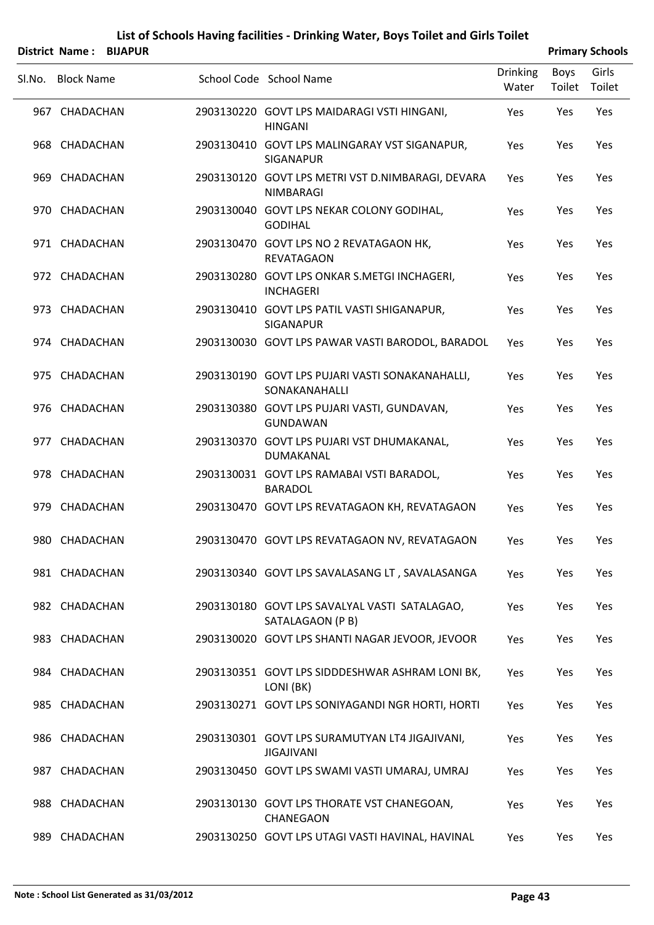|        |                   | District Name: BIJAPUR |                                                                       |                          |                | <b>Primary Schools</b> |
|--------|-------------------|------------------------|-----------------------------------------------------------------------|--------------------------|----------------|------------------------|
| Sl.No. | <b>Block Name</b> |                        | School Code School Name                                               | <b>Drinking</b><br>Water | Boys<br>Toilet | Girls<br>Toilet        |
|        | 967 CHADACHAN     |                        | 2903130220 GOVT LPS MAIDARAGI VSTI HINGANI,<br><b>HINGANI</b>         | Yes                      | Yes            | Yes                    |
|        | 968 CHADACHAN     |                        | 2903130410 GOVT LPS MALINGARAY VST SIGANAPUR,<br>SIGANAPUR            | Yes                      | Yes            | Yes                    |
|        | 969 CHADACHAN     |                        | 2903130120 GOVT LPS METRI VST D.NIMBARAGI, DEVARA<br><b>NIMBARAGI</b> | Yes                      | Yes            | Yes                    |
|        | 970 CHADACHAN     |                        | 2903130040 GOVT LPS NEKAR COLONY GODIHAL,<br><b>GODIHAL</b>           | Yes                      | Yes            | Yes                    |
|        | 971 CHADACHAN     |                        | 2903130470 GOVT LPS NO 2 REVATAGAON HK,<br><b>REVATAGAON</b>          | Yes                      | Yes            | Yes                    |
|        | 972 CHADACHAN     |                        | 2903130280 GOVT LPS ONKAR S.METGI INCHAGERI,<br><b>INCHAGERI</b>      | Yes                      | Yes            | Yes                    |
|        | 973 CHADACHAN     |                        | 2903130410 GOVT LPS PATIL VASTI SHIGANAPUR,<br><b>SIGANAPUR</b>       | Yes                      | Yes            | Yes                    |
|        | 974 CHADACHAN     |                        | 2903130030 GOVT LPS PAWAR VASTI BARODOL, BARADOL                      | Yes                      | Yes            | Yes                    |
|        | 975 CHADACHAN     |                        | 2903130190 GOVT LPS PUJARI VASTI SONAKANAHALLI,<br>SONAKANAHALLI      | Yes                      | Yes            | Yes                    |
|        | 976 CHADACHAN     |                        | 2903130380 GOVT LPS PUJARI VASTI, GUNDAVAN,<br><b>GUNDAWAN</b>        | Yes                      | Yes            | Yes                    |
|        | 977 CHADACHAN     |                        | 2903130370 GOVT LPS PUJARI VST DHUMAKANAL,<br>DUMAKANAL               | Yes                      | Yes            | Yes                    |
|        | 978 CHADACHAN     |                        | 2903130031 GOVT LPS RAMABAI VSTI BARADOL,<br><b>BARADOL</b>           | Yes                      | Yes            | Yes                    |
|        | 979 CHADACHAN     |                        | 2903130470 GOVT LPS REVATAGAON KH, REVATAGAON                         | Yes                      | Yes            | Yes                    |
|        | 980 CHADACHAN     |                        | 2903130470 GOVT LPS REVATAGAON NV, REVATAGAON                         | Yes                      | Yes            | Yes                    |
|        | 981 CHADACHAN     |                        | 2903130340 GOVT LPS SAVALASANG LT, SAVALASANGA                        | Yes                      | Yes            | Yes                    |
|        | 982 CHADACHAN     |                        | 2903130180 GOVT LPS SAVALYAL VASTI SATALAGAO,<br>SATALAGAON (P B)     | Yes                      | Yes            | Yes                    |
|        | 983 CHADACHAN     |                        | 2903130020 GOVT LPS SHANTI NAGAR JEVOOR, JEVOOR                       | Yes                      | Yes            | Yes                    |
|        | 984 CHADACHAN     |                        | 2903130351 GOVT LPS SIDDDESHWAR ASHRAM LONI BK,<br>LONI (BK)          | Yes                      | Yes            | Yes                    |
|        | 985 CHADACHAN     |                        | 2903130271 GOVT LPS SONIYAGANDI NGR HORTI, HORTI                      | Yes                      | Yes            | Yes                    |
|        | 986 CHADACHAN     |                        | 2903130301 GOVT LPS SURAMUTYAN LT4 JIGAJIVANI,<br><b>JIGAJIVANI</b>   | Yes                      | Yes            | Yes                    |
|        | 987 CHADACHAN     |                        | 2903130450 GOVT LPS SWAMI VASTI UMARAJ, UMRAJ                         | Yes                      | Yes            | Yes                    |
|        | 988 CHADACHAN     |                        | 2903130130 GOVT LPS THORATE VST CHANEGOAN,<br><b>CHANEGAON</b>        | Yes                      | Yes            | Yes                    |
|        | 989 CHADACHAN     |                        | 2903130250 GOVT LPS UTAGI VASTI HAVINAL, HAVINAL                      | Yes                      | Yes            | Yes                    |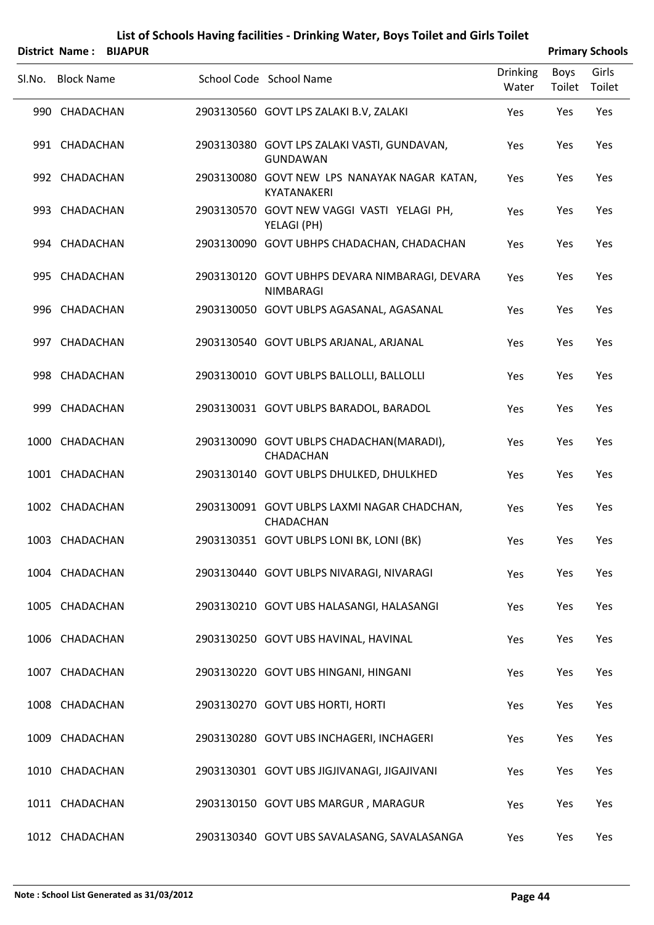|        | District Name: BIJAPUR |                                                                    |                          |                | <b>Primary Schools</b> |
|--------|------------------------|--------------------------------------------------------------------|--------------------------|----------------|------------------------|
| SI.No. | <b>Block Name</b>      | School Code School Name                                            | <b>Drinking</b><br>Water | Boys<br>Toilet | Girls<br>Toilet        |
|        | 990 CHADACHAN          | 2903130560 GOVT LPS ZALAKI B.V, ZALAKI                             | Yes                      | Yes            | Yes                    |
|        | 991 CHADACHAN          | 2903130380 GOVT LPS ZALAKI VASTI, GUNDAVAN,<br><b>GUNDAWAN</b>     | Yes                      | Yes            | Yes                    |
|        | 992 CHADACHAN          | 2903130080 GOVT NEW LPS NANAYAK NAGAR KATAN,<br>KYATANAKERI        | Yes                      | Yes            | Yes                    |
|        | 993 CHADACHAN          | 2903130570 GOVT NEW VAGGI VASTI YELAGI PH,<br>YELAGI (PH)          | Yes                      | Yes            | Yes                    |
|        | 994 CHADACHAN          | 2903130090 GOVT UBHPS CHADACHAN, CHADACHAN                         | Yes                      | Yes            | Yes                    |
|        | 995 CHADACHAN          | 2903130120 GOVT UBHPS DEVARA NIMBARAGI, DEVARA<br><b>NIMBARAGI</b> | Yes                      | Yes            | Yes                    |
|        | 996 CHADACHAN          | 2903130050 GOVT UBLPS AGASANAL, AGASANAL                           | Yes                      | Yes            | Yes                    |
|        | 997 CHADACHAN          | 2903130540 GOVT UBLPS ARJANAL, ARJANAL                             | Yes                      | Yes            | Yes                    |
|        | 998 CHADACHAN          | 2903130010 GOVT UBLPS BALLOLLI, BALLOLLI                           | Yes                      | Yes            | Yes                    |
|        | 999 CHADACHAN          | 2903130031 GOVT UBLPS BARADOL, BARADOL                             | Yes                      | Yes            | Yes                    |
|        | 1000 CHADACHAN         | 2903130090 GOVT UBLPS CHADACHAN(MARADI),<br>CHADACHAN              | Yes                      | Yes            | Yes                    |
|        | 1001 CHADACHAN         | 2903130140 GOVT UBLPS DHULKED, DHULKHED                            | Yes                      | Yes            | Yes                    |
|        | 1002 CHADACHAN         | 2903130091 GOVT UBLPS LAXMI NAGAR CHADCHAN,<br>CHADACHAN           | Yes                      | Yes            | Yes                    |
|        | 1003 CHADACHAN         | 2903130351 GOVT UBLPS LONI BK, LONI (BK)                           | Yes                      | Yes            | Yes                    |
|        | 1004 CHADACHAN         | 2903130440 GOVT UBLPS NIVARAGI, NIVARAGI                           | Yes                      | Yes            | Yes                    |
|        | 1005 CHADACHAN         | 2903130210 GOVT UBS HALASANGI, HALASANGI                           | Yes                      | Yes            | Yes                    |
|        | 1006 CHADACHAN         | 2903130250 GOVT UBS HAVINAL, HAVINAL                               | Yes                      | Yes            | Yes                    |
|        | 1007 CHADACHAN         | 2903130220 GOVT UBS HINGANI, HINGANI                               | Yes                      | Yes            | Yes                    |
|        | 1008 CHADACHAN         | 2903130270 GOVT UBS HORTI, HORTI                                   | Yes                      | Yes            | Yes                    |
|        | 1009 CHADACHAN         | 2903130280 GOVT UBS INCHAGERI, INCHAGERI                           | Yes                      | Yes            | Yes                    |
|        | 1010 CHADACHAN         | 2903130301 GOVT UBS JIGJIVANAGI, JIGAJIVANI                        | Yes                      | Yes            | Yes                    |
|        | 1011 CHADACHAN         | 2903130150 GOVT UBS MARGUR, MARAGUR                                | Yes                      | Yes            | Yes                    |
|        | 1012 CHADACHAN         | 2903130340 GOVT UBS SAVALASANG, SAVALASANGA                        | Yes                      | Yes            | Yes                    |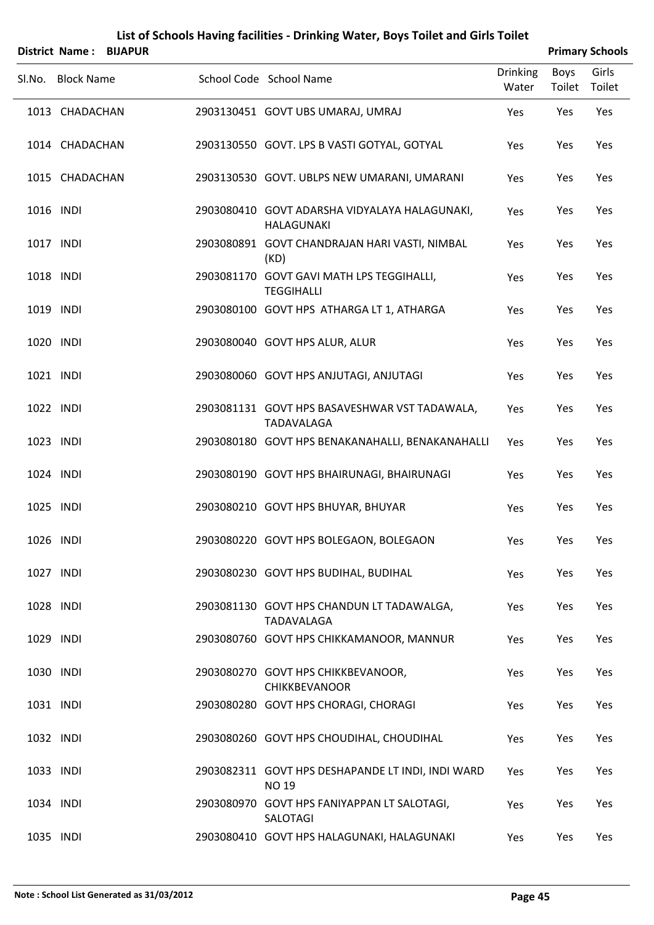|        | District Name: BIJAPUR |                                                                    |                          |                | <b>Primary Schools</b> |
|--------|------------------------|--------------------------------------------------------------------|--------------------------|----------------|------------------------|
| Sl.No. | <b>Block Name</b>      | School Code School Name                                            | <b>Drinking</b><br>Water | Boys<br>Toilet | Girls<br>Toilet        |
|        | 1013 CHADACHAN         | 2903130451 GOVT UBS UMARAJ, UMRAJ                                  | Yes                      | Yes            | Yes                    |
|        | 1014 CHADACHAN         | 2903130550 GOVT. LPS B VASTI GOTYAL, GOTYAL                        | Yes                      | Yes            | Yes                    |
|        | 1015 CHADACHAN         | 2903130530 GOVT. UBLPS NEW UMARANI, UMARANI                        | Yes                      | Yes            | Yes                    |
|        | 1016 INDI              | 2903080410 GOVT ADARSHA VIDYALAYA HALAGUNAKI,<br><b>HALAGUNAKI</b> | Yes                      | Yes            | Yes                    |
|        | 1017 INDI              | 2903080891 GOVT CHANDRAJAN HARI VASTI, NIMBAL<br>(KD)              | Yes                      | Yes            | Yes                    |
|        | 1018 INDI              | 2903081170 GOVT GAVI MATH LPS TEGGIHALLI,<br><b>TEGGIHALLI</b>     | Yes                      | Yes            | Yes                    |
|        | 1019 INDI              | 2903080100 GOVT HPS ATHARGA LT 1, ATHARGA                          | Yes                      | Yes            | Yes                    |
|        | 1020 INDI              | 2903080040 GOVT HPS ALUR, ALUR                                     | Yes                      | Yes            | Yes                    |
|        | 1021 INDI              | 2903080060 GOVT HPS ANJUTAGI, ANJUTAGI                             | Yes                      | Yes            | Yes                    |
|        | 1022 INDI              | 2903081131 GOVT HPS BASAVESHWAR VST TADAWALA,<br>TADAVALAGA        | Yes                      | Yes            | Yes                    |
|        | 1023 INDI              | 2903080180 GOVT HPS BENAKANAHALLI, BENAKANAHALLI                   | Yes                      | Yes            | Yes                    |
|        | 1024 INDI              | 2903080190 GOVT HPS BHAIRUNAGI, BHAIRUNAGI                         | Yes                      | Yes            | Yes                    |
|        | 1025 INDI              | 2903080210 GOVT HPS BHUYAR, BHUYAR                                 | Yes                      | Yes            | Yes                    |
|        | 1026 INDI              | 2903080220 GOVT HPS BOLEGAON, BOLEGAON                             | Yes                      | Yes            | Yes                    |
|        | 1027 INDI              | 2903080230 GOVT HPS BUDIHAL, BUDIHAL                               | Yes                      | Yes            | Yes                    |
|        | 1028 INDI              | 2903081130 GOVT HPS CHANDUN LT TADAWALGA,<br>TADAVALAGA            | Yes                      | Yes            | Yes                    |
|        | 1029 INDI              | 2903080760 GOVT HPS CHIKKAMANOOR, MANNUR                           | Yes                      | Yes            | Yes                    |
|        | 1030 INDI              | 2903080270 GOVT HPS CHIKKBEVANOOR,<br><b>CHIKKBEVANOOR</b>         | Yes                      | Yes            | Yes                    |
|        | 1031 INDI              | 2903080280 GOVT HPS CHORAGI, CHORAGI                               | Yes                      | Yes            | Yes                    |
|        | 1032 INDI              | 2903080260 GOVT HPS CHOUDIHAL, CHOUDIHAL                           | Yes                      | Yes            | Yes                    |
|        | 1033 INDI              | 2903082311 GOVT HPS DESHAPANDE LT INDI, INDI WARD<br><b>NO 19</b>  | Yes                      | Yes            | Yes                    |
|        | 1034 INDI              | 2903080970 GOVT HPS FANIYAPPAN LT SALOTAGI,<br>SALOTAGI            | Yes                      | Yes            | Yes                    |
|        | 1035 INDI              | 2903080410 GOVT HPS HALAGUNAKI, HALAGUNAKI                         | Yes                      | Yes            | Yes                    |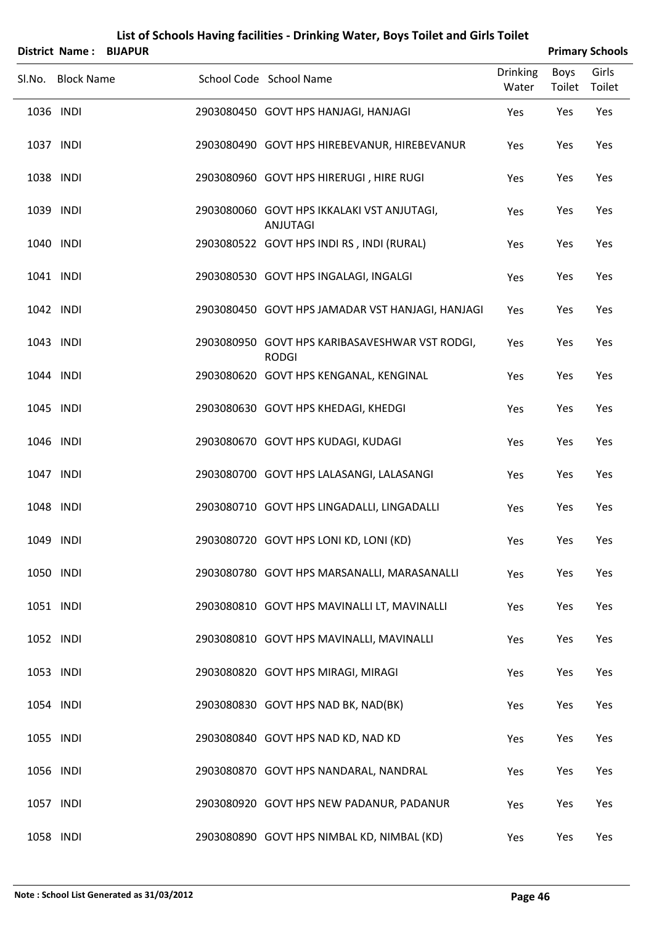|           | District Name:    | <b>BIJAPUR</b> |                                                                |                          |                | <b>Primary Schools</b> |
|-----------|-------------------|----------------|----------------------------------------------------------------|--------------------------|----------------|------------------------|
|           | Sl.No. Block Name |                | School Code School Name                                        | <b>Drinking</b><br>Water | Boys<br>Toilet | Girls<br>Toilet        |
| 1036 INDI |                   |                | 2903080450 GOVT HPS HANJAGI, HANJAGI                           | Yes                      | Yes            | Yes                    |
| 1037 INDI |                   |                | 2903080490 GOVT HPS HIREBEVANUR, HIREBEVANUR                   | Yes                      | Yes            | Yes                    |
| 1038 INDI |                   |                | 2903080960 GOVT HPS HIRERUGI, HIRE RUGI                        | Yes                      | Yes            | Yes                    |
| 1039 INDI |                   |                | 2903080060 GOVT HPS IKKALAKI VST ANJUTAGI,<br><b>ANJUTAGI</b>  | Yes                      | Yes            | Yes                    |
| 1040 INDI |                   |                | 2903080522 GOVT HPS INDI RS, INDI (RURAL)                      | Yes                      | Yes            | Yes                    |
| 1041 INDI |                   |                | 2903080530 GOVT HPS INGALAGI, INGALGI                          | Yes                      | Yes            | Yes                    |
| 1042 INDI |                   |                | 2903080450 GOVT HPS JAMADAR VST HANJAGI, HANJAGI               | Yes                      | Yes            | Yes                    |
| 1043 INDI |                   |                | 2903080950 GOVT HPS KARIBASAVESHWAR VST RODGI,<br><b>RODGI</b> | Yes                      | Yes            | Yes                    |
| 1044 INDI |                   |                | 2903080620 GOVT HPS KENGANAL, KENGINAL                         | Yes                      | Yes            | Yes                    |
| 1045 INDI |                   |                | 2903080630 GOVT HPS KHEDAGI, KHEDGI                            | Yes                      | Yes            | Yes                    |
| 1046 INDI |                   |                | 2903080670 GOVT HPS KUDAGI, KUDAGI                             | Yes                      | Yes            | Yes                    |
| 1047 INDI |                   |                | 2903080700 GOVT HPS LALASANGI, LALASANGI                       | Yes                      | Yes            | Yes                    |
| 1048 INDI |                   |                | 2903080710 GOVT HPS LINGADALLI, LINGADALLI                     | Yes                      | Yes            | Yes                    |
| 1049 INDI |                   |                | 2903080720 GOVT HPS LONI KD, LONI (KD)                         | Yes                      | Yes            | Yes                    |
| 1050 INDI |                   |                | 2903080780 GOVT HPS MARSANALLI, MARASANALLI                    | Yes                      | Yes            | Yes                    |
| 1051 INDI |                   |                | 2903080810 GOVT HPS MAVINALLI LT, MAVINALLI                    | Yes                      | Yes            | Yes                    |
| 1052 INDI |                   |                | 2903080810 GOVT HPS MAVINALLI, MAVINALLI                       | Yes                      | Yes            | Yes                    |
| 1053 INDI |                   |                | 2903080820 GOVT HPS MIRAGI, MIRAGI                             | Yes                      | Yes            | Yes                    |
| 1054 INDI |                   |                | 2903080830 GOVT HPS NAD BK, NAD(BK)                            | Yes                      | Yes            | Yes                    |
| 1055 INDI |                   |                | 2903080840 GOVT HPS NAD KD, NAD KD                             | Yes                      | Yes            | Yes                    |
| 1056 INDI |                   |                | 2903080870 GOVT HPS NANDARAL, NANDRAL                          | Yes                      | Yes            | Yes                    |
| 1057 INDI |                   |                | 2903080920 GOVT HPS NEW PADANUR, PADANUR                       | Yes                      | Yes            | Yes                    |
| 1058 INDI |                   |                | 2903080890 GOVT HPS NIMBAL KD, NIMBAL (KD)                     | Yes                      | Yes            | Yes                    |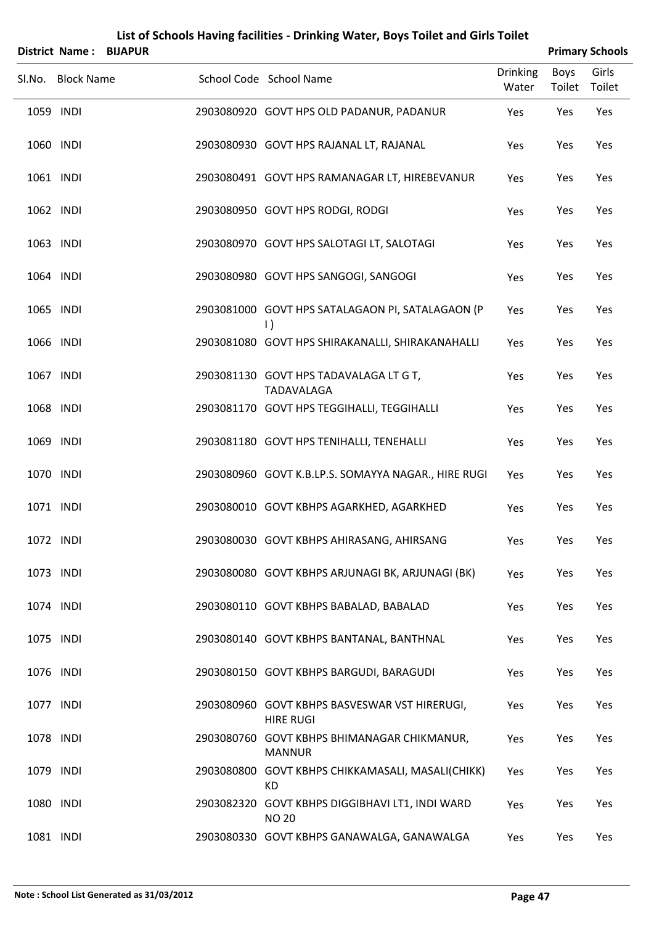|           | <b>District Name:</b> | <b>BIJAPUR</b> |                                                                   |                          |                       | <b>Primary Schools</b> |
|-----------|-----------------------|----------------|-------------------------------------------------------------------|--------------------------|-----------------------|------------------------|
| Sl.No.    | <b>Block Name</b>     |                | School Code School Name                                           | <b>Drinking</b><br>Water | <b>Boys</b><br>Toilet | Girls<br>Toilet        |
| 1059 INDI |                       |                | 2903080920 GOVT HPS OLD PADANUR, PADANUR                          | Yes                      | Yes                   | Yes                    |
| 1060 INDI |                       |                | 2903080930 GOVT HPS RAJANAL LT, RAJANAL                           | Yes                      | Yes                   | Yes                    |
| 1061 INDI |                       |                | 2903080491 GOVT HPS RAMANAGAR LT, HIREBEVANUR                     | Yes                      | Yes                   | Yes                    |
| 1062 INDI |                       |                | 2903080950 GOVT HPS RODGI, RODGI                                  | Yes                      | Yes                   | Yes                    |
| 1063 INDI |                       |                | 2903080970 GOVT HPS SALOTAGI LT, SALOTAGI                         | Yes                      | Yes                   | Yes                    |
| 1064 INDI |                       |                | 2903080980 GOVT HPS SANGOGI, SANGOGI                              | Yes                      | Yes                   | Yes                    |
| 1065 INDI |                       |                | 2903081000 GOVT HPS SATALAGAON PI, SATALAGAON (P<br>$\vert$ )     | Yes                      | Yes                   | Yes                    |
| 1066 INDI |                       |                | 2903081080 GOVT HPS SHIRAKANALLI, SHIRAKANAHALLI                  | Yes                      | Yes                   | Yes                    |
| 1067 INDI |                       |                | 2903081130 GOVT HPS TADAVALAGA LT G T,<br><b>TADAVALAGA</b>       | Yes                      | Yes                   | Yes                    |
| 1068 INDI |                       |                | 2903081170 GOVT HPS TEGGIHALLI, TEGGIHALLI                        | Yes                      | Yes                   | Yes                    |
| 1069 INDI |                       |                | 2903081180 GOVT HPS TENIHALLI, TENEHALLI                          | Yes                      | Yes                   | Yes                    |
| 1070 INDI |                       |                | 2903080960 GOVT K.B.LP.S. SOMAYYA NAGAR., HIRE RUGI               | Yes                      | Yes                   | Yes                    |
| 1071 INDI |                       |                | 2903080010 GOVT KBHPS AGARKHED, AGARKHED                          | Yes                      | Yes                   | Yes                    |
| 1072 INDI |                       |                | 2903080030 GOVT KBHPS AHIRASANG, AHIRSANG                         | Yes                      | Yes                   | Yes                    |
| 1073 INDI |                       |                | 2903080080 GOVT KBHPS ARJUNAGI BK, ARJUNAGI (BK)                  | Yes                      | Yes                   | Yes                    |
| 1074 INDI |                       |                | 2903080110 GOVT KBHPS BABALAD, BABALAD                            | Yes                      | Yes                   | Yes                    |
| 1075 INDI |                       |                | 2903080140 GOVT KBHPS BANTANAL, BANTHNAL                          | Yes                      | Yes                   | Yes                    |
| 1076 INDI |                       |                | 2903080150 GOVT KBHPS BARGUDI, BARAGUDI                           | Yes                      | Yes                   | Yes                    |
| 1077 INDI |                       |                | 2903080960 GOVT KBHPS BASVESWAR VST HIRERUGI,<br><b>HIRE RUGI</b> | Yes                      | Yes                   | Yes                    |
| 1078 INDI |                       |                | 2903080760 GOVT KBHPS BHIMANAGAR CHIKMANUR,<br><b>MANNUR</b>      | Yes                      | Yes                   | Yes                    |
| 1079 INDI |                       |                | 2903080800 GOVT KBHPS CHIKKAMASALI, MASALI(CHIKK)<br>KD           | Yes                      | Yes                   | Yes                    |
| 1080 INDI |                       |                | 2903082320 GOVT KBHPS DIGGIBHAVI LT1, INDI WARD<br><b>NO 20</b>   | Yes                      | Yes                   | Yes                    |
| 1081 INDI |                       |                | 2903080330 GOVT KBHPS GANAWALGA, GANAWALGA                        | Yes                      | Yes                   | Yes                    |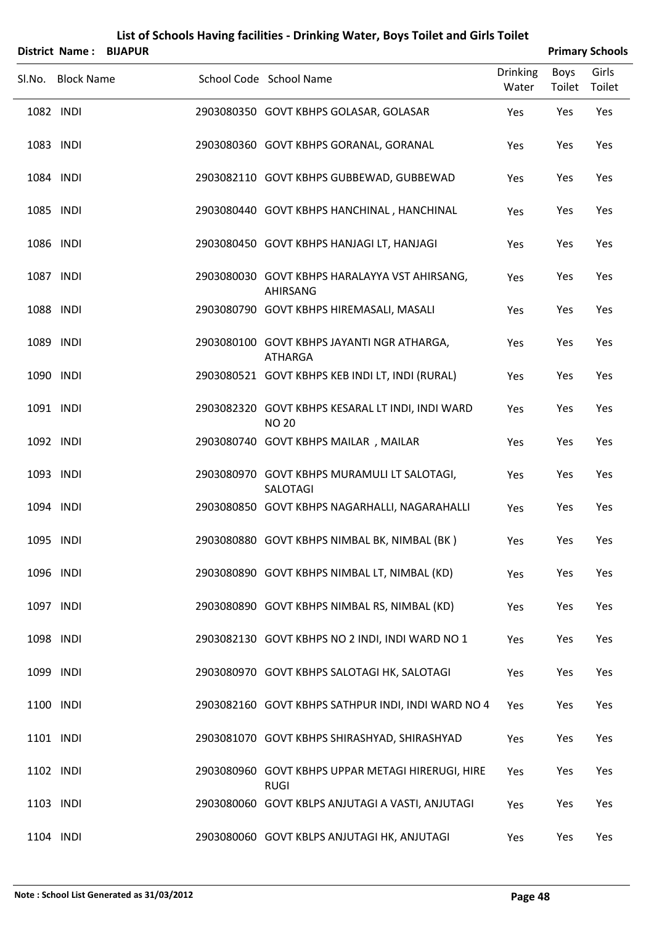| List of Schools Having facilities - Drinking Water, Boys Toilet and Girls Toilet |  |
|----------------------------------------------------------------------------------|--|
|----------------------------------------------------------------------------------|--|

|           | <b>District Name:</b> | <b>BIJAPUR</b> |                                                                  |                          |                | <b>Primary Schools</b> |
|-----------|-----------------------|----------------|------------------------------------------------------------------|--------------------------|----------------|------------------------|
|           | Sl.No. Block Name     |                | School Code School Name                                          | <b>Drinking</b><br>Water | Boys<br>Toilet | Girls<br>Toilet        |
| 1082 INDI |                       |                | 2903080350 GOVT KBHPS GOLASAR, GOLASAR                           | Yes                      | Yes            | Yes                    |
| 1083 INDI |                       |                | 2903080360 GOVT KBHPS GORANAL, GORANAL                           | Yes                      | Yes            | Yes                    |
| 1084 INDI |                       |                | 2903082110 GOVT KBHPS GUBBEWAD, GUBBEWAD                         | Yes                      | Yes            | Yes                    |
| 1085 INDI |                       |                | 2903080440 GOVT KBHPS HANCHINAL, HANCHINAL                       | Yes                      | Yes            | Yes                    |
| 1086 INDI |                       |                | 2903080450 GOVT KBHPS HANJAGI LT, HANJAGI                        | Yes                      | Yes            | Yes                    |
| 1087 INDI |                       |                | 2903080030 GOVT KBHPS HARALAYYA VST AHIRSANG,<br><b>AHIRSANG</b> | Yes                      | Yes            | Yes                    |
| 1088 INDI |                       |                | 2903080790 GOVT KBHPS HIREMASALI, MASALI                         | Yes                      | Yes            | Yes                    |
| 1089 INDI |                       |                | 2903080100 GOVT KBHPS JAYANTI NGR ATHARGA,<br><b>ATHARGA</b>     | Yes                      | Yes            | Yes                    |
| 1090 INDI |                       |                | 2903080521 GOVT KBHPS KEB INDI LT, INDI (RURAL)                  | Yes                      | Yes            | Yes                    |
| 1091 INDI |                       |                | 2903082320 GOVT KBHPS KESARAL LT INDI, INDI WARD<br><b>NO 20</b> | Yes                      | Yes            | Yes                    |
| 1092 INDI |                       |                | 2903080740 GOVT KBHPS MAILAR, MAILAR                             | Yes                      | Yes            | Yes                    |
| 1093 INDI |                       |                | 2903080970 GOVT KBHPS MURAMULI LT SALOTAGI,<br>SALOTAGI          | Yes                      | Yes            | Yes                    |
| 1094 INDI |                       |                | 2903080850 GOVT KBHPS NAGARHALLI, NAGARAHALLI                    | Yes                      | Yes            | Yes                    |
| 1095 INDI |                       |                | 2903080880 GOVT KBHPS NIMBAL BK, NIMBAL (BK)                     | Yes                      | Yes            | Yes                    |
| 1096 INDI |                       |                | 2903080890 GOVT KBHPS NIMBAL LT, NIMBAL (KD)                     | Yes                      | Yes            | Yes                    |
| 1097 INDI |                       |                | 2903080890 GOVT KBHPS NIMBAL RS, NIMBAL (KD)                     | Yes                      | Yes            | Yes                    |
| 1098 INDI |                       |                | 2903082130 GOVT KBHPS NO 2 INDI, INDI WARD NO 1                  | Yes                      | Yes            | Yes                    |
| 1099 INDI |                       |                | 2903080970 GOVT KBHPS SALOTAGI HK, SALOTAGI                      | Yes                      | Yes            | Yes                    |
| 1100 INDI |                       |                | 2903082160 GOVT KBHPS SATHPUR INDI, INDI WARD NO 4               | Yes                      | Yes            | Yes                    |
| 1101 INDI |                       |                | 2903081070 GOVT KBHPS SHIRASHYAD, SHIRASHYAD                     | Yes                      | Yes            | Yes                    |
| 1102 INDI |                       |                | 2903080960 GOVT KBHPS UPPAR METAGI HIRERUGI, HIRE<br><b>RUGI</b> | Yes                      | Yes            | Yes                    |
| 1103 INDI |                       |                | 2903080060 GOVT KBLPS ANJUTAGI A VASTI, ANJUTAGI                 | Yes                      | Yes            | Yes                    |
| 1104 INDI |                       |                | 2903080060 GOVT KBLPS ANJUTAGI HK, ANJUTAGI                      | Yes                      | Yes            | Yes                    |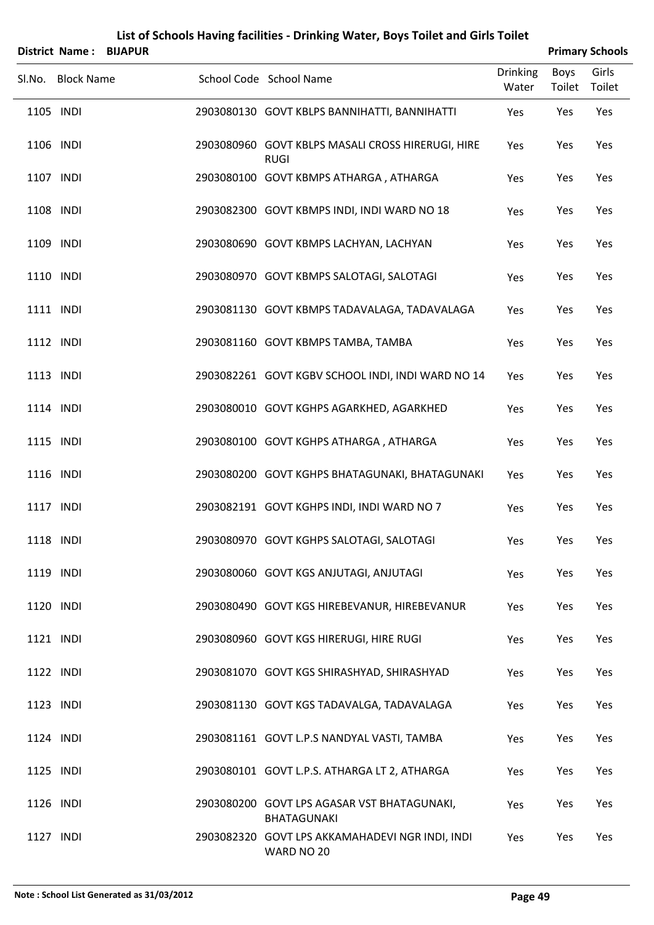|           | List of Schools Having facilities - Drinking Water, Boys Toilet and Girls Toilet |                |                                                                  |                          |                       |                        |  |  |  |
|-----------|----------------------------------------------------------------------------------|----------------|------------------------------------------------------------------|--------------------------|-----------------------|------------------------|--|--|--|
|           | <b>District Name:</b>                                                            | <b>BIJAPUR</b> |                                                                  |                          |                       | <b>Primary Schools</b> |  |  |  |
| Sl.No.    | <b>Block Name</b>                                                                |                | School Code School Name                                          | <b>Drinking</b><br>Water | <b>Boys</b><br>Toilet | Girls<br>Toilet        |  |  |  |
| 1105 INDI |                                                                                  |                | 2903080130 GOVT KBLPS BANNIHATTI, BANNIHATTI                     | Yes                      | Yes                   | Yes                    |  |  |  |
| 1106 INDI |                                                                                  |                | 2903080960 GOVT KBLPS MASALI CROSS HIRERUGI, HIRE<br><b>RUGI</b> | Yes                      | Yes                   | Yes                    |  |  |  |
| 1107 INDI |                                                                                  |                | 2903080100 GOVT KBMPS ATHARGA, ATHARGA                           | Yes                      | Yes                   | Yes                    |  |  |  |
| 1108 INDI |                                                                                  |                | 2903082300 GOVT KBMPS INDI, INDI WARD NO 18                      | Yes                      | Yes                   | Yes                    |  |  |  |
| 1109 INDI |                                                                                  |                | 2903080690 GOVT KBMPS LACHYAN, LACHYAN                           | Yes                      | Yes                   | Yes                    |  |  |  |
| 1110 INDI |                                                                                  |                | 2903080970 GOVT KBMPS SALOTAGI, SALOTAGI                         | Yes                      | Yes                   | Yes                    |  |  |  |
| 1111 INDI |                                                                                  |                | 2903081130 GOVT KBMPS TADAVALAGA, TADAVALAGA                     | Yes                      | Yes                   | Yes                    |  |  |  |
| 1112 INDI |                                                                                  |                | 2903081160 GOVT KBMPS TAMBA, TAMBA                               | Yes                      | Yes                   | Yes                    |  |  |  |
| 1113 INDI |                                                                                  |                | 2903082261 GOVT KGBV SCHOOL INDI, INDI WARD NO 14                | Yes                      | Yes                   | Yes                    |  |  |  |
| 1114 INDI |                                                                                  |                | 2903080010 GOVT KGHPS AGARKHED, AGARKHED                         | Yes                      | Yes                   | Yes                    |  |  |  |
| 1115 INDI |                                                                                  |                | 2903080100 GOVT KGHPS ATHARGA, ATHARGA                           | Yes                      | Yes                   | Yes                    |  |  |  |
| 1116 INDI |                                                                                  |                | 2903080200 GOVT KGHPS BHATAGUNAKI, BHATAGUNAKI                   | Yes                      | Yes                   | Yes                    |  |  |  |
| 1117 INDI |                                                                                  |                | 2903082191 GOVT KGHPS INDI, INDI WARD NO 7                       | Yes                      | Yes                   | Yes                    |  |  |  |
| 1118 INDI |                                                                                  |                | 2903080970 GOVT KGHPS SALOTAGI, SALOTAGI                         | Yes                      | Yes                   | Yes                    |  |  |  |
| 1119 INDI |                                                                                  |                | 2903080060 GOVT KGS ANJUTAGI, ANJUTAGI                           | Yes                      | Yes                   | Yes                    |  |  |  |
| 1120 INDI |                                                                                  |                | 2903080490 GOVT KGS HIREBEVANUR, HIREBEVANUR                     | Yes                      | Yes                   | Yes                    |  |  |  |
| 1121 INDI |                                                                                  |                | 2903080960 GOVT KGS HIRERUGI, HIRE RUGI                          | Yes                      | Yes                   | Yes                    |  |  |  |
| 1122 INDI |                                                                                  |                | 2903081070 GOVT KGS SHIRASHYAD, SHIRASHYAD                       | Yes                      | Yes                   | Yes                    |  |  |  |
| 1123 INDI |                                                                                  |                | 2903081130 GOVT KGS TADAVALGA, TADAVALAGA                        | Yes                      | Yes                   | Yes                    |  |  |  |
| 1124 INDI |                                                                                  |                | 2903081161 GOVT L.P.S NANDYAL VASTI, TAMBA                       | Yes                      | Yes                   | Yes                    |  |  |  |
| 1125 INDI |                                                                                  |                | 2903080101 GOVT L.P.S. ATHARGA LT 2, ATHARGA                     | Yes                      | Yes                   | Yes                    |  |  |  |
| 1126 INDI |                                                                                  |                | 2903080200 GOVT LPS AGASAR VST BHATAGUNAKI,<br>BHATAGUNAKI       | Yes                      | Yes                   | Yes                    |  |  |  |
| 1127 INDI |                                                                                  |                | 2903082320 GOVT LPS AKKAMAHADEVI NGR INDI, INDI<br>WARD NO 20    | Yes                      | Yes                   | Yes                    |  |  |  |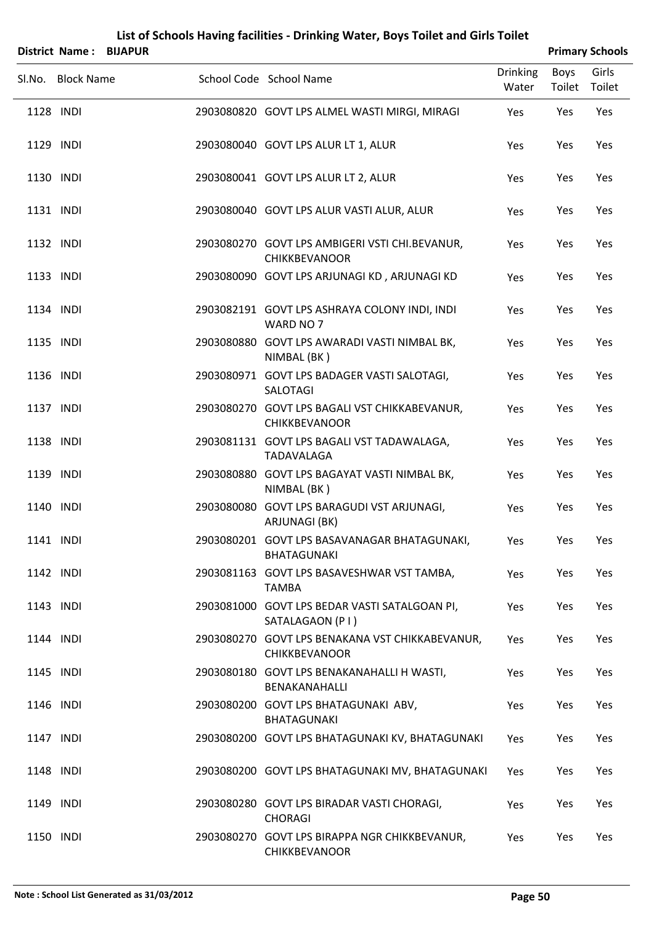| District Name: BIJAPUR |                                                                         |                          |                | <b>Primary Schools</b> |
|------------------------|-------------------------------------------------------------------------|--------------------------|----------------|------------------------|
| Sl.No. Block Name      | School Code School Name                                                 | <b>Drinking</b><br>Water | Boys<br>Toilet | Girls<br>Toilet        |
| 1128 INDI              | 2903080820 GOVT LPS ALMEL WASTI MIRGI, MIRAGI                           | Yes                      | Yes            | Yes                    |
| 1129 INDI              | 2903080040 GOVT LPS ALUR LT 1, ALUR                                     | Yes                      | Yes            | Yes                    |
| 1130 INDI              | 2903080041 GOVT LPS ALUR LT 2, ALUR                                     | Yes                      | Yes            | Yes                    |
| 1131 INDI              | 2903080040 GOVT LPS ALUR VASTI ALUR, ALUR                               | Yes                      | Yes            | Yes                    |
| 1132 INDI              | 2903080270 GOVT LPS AMBIGERI VSTI CHI.BEVANUR,<br><b>CHIKKBEVANOOR</b>  | Yes                      | Yes            | Yes                    |
| 1133 INDI              | 2903080090 GOVT LPS ARJUNAGI KD, ARJUNAGI KD                            | Yes                      | Yes            | Yes                    |
| 1134 INDI              | 2903082191 GOVT LPS ASHRAYA COLONY INDI, INDI<br>WARD NO 7              | Yes                      | Yes            | Yes                    |
| 1135 INDI              | 2903080880 GOVT LPS AWARADI VASTI NIMBAL BK,<br>NIMBAL (BK)             | Yes                      | Yes            | Yes                    |
| 1136 INDI              | 2903080971 GOVT LPS BADAGER VASTI SALOTAGI,<br>SALOTAGI                 | Yes                      | Yes            | Yes                    |
| 1137 INDI              | 2903080270 GOVT LPS BAGALI VST CHIKKABEVANUR,<br><b>CHIKKBEVANOOR</b>   | Yes                      | Yes            | Yes                    |
| 1138 INDI              | 2903081131 GOVT LPS BAGALI VST TADAWALAGA,<br><b>TADAVALAGA</b>         | Yes                      | Yes            | Yes                    |
| 1139 INDI              | 2903080880 GOVT LPS BAGAYAT VASTI NIMBAL BK,<br>NIMBAL (BK)             | Yes                      | Yes            | Yes                    |
| 1140 INDI              | 2903080080 GOVT LPS BARAGUDI VST ARJUNAGI,<br>ARJUNAGI (BK)             | Yes                      | Yes            | Yes                    |
| 1141 INDI              | 2903080201 GOVT LPS BASAVANAGAR BHATAGUNAKI,<br>BHATAGUNAKI             | Yes                      | Yes            | Yes                    |
| 1142 INDI              | 2903081163 GOVT LPS BASAVESHWAR VST TAMBA,<br><b>TAMBA</b>              | Yes                      | Yes            | Yes                    |
| 1143 INDI              | 2903081000 GOVT LPS BEDAR VASTI SATALGOAN PI,<br>SATALAGAON (PI)        | Yes                      | Yes            | Yes                    |
| 1144 INDI              | 2903080270 GOVT LPS BENAKANA VST CHIKKABEVANUR,<br><b>CHIKKBEVANOOR</b> | Yes                      | Yes            | Yes                    |
| 1145 INDI              | 2903080180 GOVT LPS BENAKANAHALLI H WASTI,<br>BENAKANAHALLI             | <b>Yes</b>               | Yes            | Yes                    |
| 1146 INDI              | 2903080200 GOVT LPS BHATAGUNAKI ABV,<br>BHATAGUNAKI                     | Yes                      | Yes            | Yes                    |
| 1147 INDI              | 2903080200 GOVT LPS BHATAGUNAKI KV, BHATAGUNAKI                         | Yes                      | Yes            | Yes                    |
| 1148 INDI              | 2903080200 GOVT LPS BHATAGUNAKI MV, BHATAGUNAKI                         | Yes                      | Yes            | Yes                    |
| 1149 INDI              | 2903080280 GOVT LPS BIRADAR VASTI CHORAGI,<br><b>CHORAGI</b>            | Yes                      | Yes            | Yes                    |
| 1150 INDI              | 2903080270 GOVT LPS BIRAPPA NGR CHIKKBEVANUR,<br><b>CHIKKBEVANOOR</b>   | Yes                      | Yes            | Yes                    |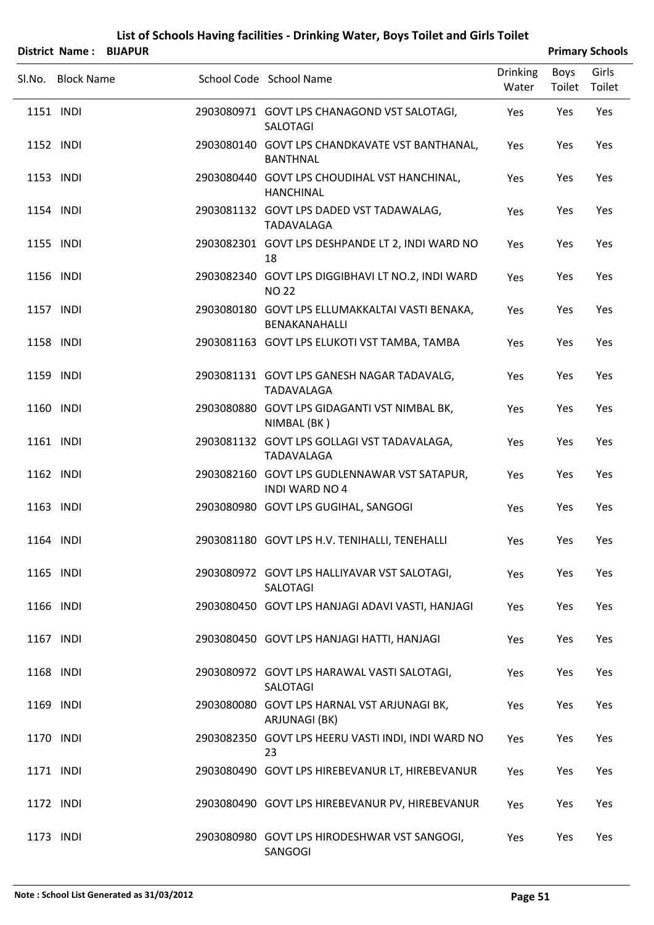|           | District Name: BIJAPUR |                                                                         |                          |                              | <b>Primary Schools</b> |
|-----------|------------------------|-------------------------------------------------------------------------|--------------------------|------------------------------|------------------------|
|           | Sl.No. Block Name      | School Code School Name                                                 | <b>Drinking</b><br>Water | <b>Boys</b><br>Toilet Toilet | Girls                  |
| 1151 INDI |                        | 2903080971 GOVT LPS CHANAGOND VST SALOTAGI,<br>SALOTAGI                 | Yes                      | Yes                          | Yes                    |
| 1152 INDI |                        | 2903080140 GOVT LPS CHANDKAVATE VST BANTHANAL,<br><b>BANTHNAL</b>       | Yes                      | Yes                          | Yes                    |
| 1153 INDI |                        | 2903080440 GOVT LPS CHOUDIHAL VST HANCHINAL,<br><b>HANCHINAL</b>        | Yes                      | Yes                          | Yes                    |
| 1154 INDI |                        | 2903081132 GOVT LPS DADED VST TADAWALAG,<br>TADAVALAGA                  | Yes                      | Yes                          | Yes                    |
| 1155 INDI |                        | 2903082301 GOVT LPS DESHPANDE LT 2, INDI WARD NO<br>18                  | Yes                      | Yes                          | Yes                    |
| 1156 INDI |                        | 2903082340 GOVT LPS DIGGIBHAVI LT NO.2, INDI WARD<br><b>NO 22</b>       | Yes                      | Yes                          | Yes                    |
| 1157 INDI |                        | 2903080180 GOVT LPS ELLUMAKKALTAI VASTI BENAKA,<br><b>BENAKANAHALLI</b> | Yes                      | Yes                          | Yes                    |
| 1158 INDI |                        | 2903081163 GOVT LPS ELUKOTI VST TAMBA, TAMBA                            | Yes                      | Yes                          | Yes                    |
| 1159 INDI |                        | 2903081131 GOVT LPS GANESH NAGAR TADAVALG,<br>TADAVALAGA                | Yes                      | Yes                          | Yes                    |
| 1160 INDI |                        | 2903080880 GOVT LPS GIDAGANTI VST NIMBAL BK,<br>NIMBAL (BK)             | Yes                      | Yes                          | Yes                    |
| 1161 INDI |                        | 2903081132 GOVT LPS GOLLAGI VST TADAVALAGA,<br><b>TADAVALAGA</b>        | Yes                      | Yes                          | Yes                    |
| 1162 INDI |                        | 2903082160 GOVT LPS GUDLENNAWAR VST SATAPUR,<br><b>INDI WARD NO 4</b>   | Yes                      | Yes                          | Yes                    |
| 1163 INDI |                        | 2903080980 GOVT LPS GUGIHAL, SANGOGI                                    | Yes                      | Yes                          | Yes                    |
| 1164 INDI |                        | 2903081180 GOVT LPS H.V. TENIHALLI, TENEHALLI                           | Yes                      | Yes                          | Yes                    |
| 1165 INDI |                        | 2903080972 GOVT LPS HALLIYAVAR VST SALOTAGI,<br>SALOTAGI                | Yes                      | Yes                          | Yes                    |
| 1166 INDI |                        | 2903080450 GOVT LPS HANJAGI ADAVI VASTI, HANJAGI                        | Yes                      | Yes                          | Yes                    |
| 1167 INDI |                        | 2903080450 GOVT LPS HANJAGI HATTI, HANJAGI                              | Yes                      | Yes                          | Yes                    |
| 1168 INDI |                        | 2903080972 GOVT LPS HARAWAL VASTI SALOTAGI,<br>SALOTAGI                 | Yes                      | Yes                          | Yes                    |
| 1169 INDI |                        | 2903080080 GOVT LPS HARNAL VST ARJUNAGI BK,<br>ARJUNAGI (BK)            | Yes                      | Yes                          | Yes                    |
| 1170 INDI |                        | 2903082350 GOVT LPS HEERU VASTI INDI, INDI WARD NO<br>23                | Yes                      | Yes                          | Yes                    |
| 1171 INDI |                        | 2903080490 GOVT LPS HIREBEVANUR LT, HIREBEVANUR                         | Yes                      | Yes                          | Yes                    |
| 1172 INDI |                        | 2903080490 GOVT LPS HIREBEVANUR PV, HIREBEVANUR                         | Yes                      | Yes                          | Yes                    |
| 1173 INDI |                        | 2903080980 GOVT LPS HIRODESHWAR VST SANGOGI,<br>SANGOGI                 | Yes                      | Yes                          | Yes                    |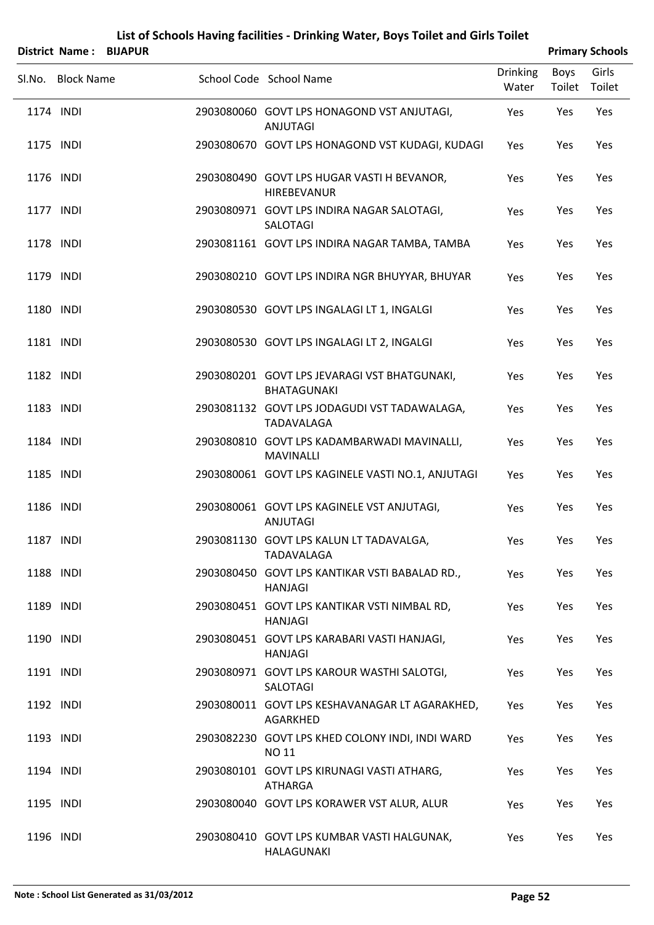|           | District Name:    | <b>BIJAPUR</b> |                                                                    |                          |                | <b>Primary Schools</b> |
|-----------|-------------------|----------------|--------------------------------------------------------------------|--------------------------|----------------|------------------------|
|           | Sl.No. Block Name |                | School Code School Name                                            | <b>Drinking</b><br>Water | Boys<br>Toilet | Girls<br>Toilet        |
| 1174 INDI |                   |                | 2903080060 GOVT LPS HONAGOND VST ANJUTAGI,<br><b>ANJUTAGI</b>      | Yes                      | Yes            | Yes                    |
| 1175 INDI |                   |                | 2903080670 GOVT LPS HONAGOND VST KUDAGI, KUDAGI                    | Yes                      | Yes            | Yes                    |
| 1176 INDI |                   |                | 2903080490 GOVT LPS HUGAR VASTI H BEVANOR,<br><b>HIREBEVANUR</b>   | Yes                      | Yes            | Yes                    |
| 1177 INDI |                   |                | 2903080971 GOVT LPS INDIRA NAGAR SALOTAGI,<br>SALOTAGI             | Yes                      | Yes            | Yes                    |
| 1178 INDI |                   |                | 2903081161 GOVT LPS INDIRA NAGAR TAMBA, TAMBA                      | Yes                      | Yes            | Yes                    |
| 1179 INDI |                   |                | 2903080210 GOVT LPS INDIRA NGR BHUYYAR, BHUYAR                     | Yes                      | Yes            | Yes                    |
| 1180 INDI |                   |                | 2903080530 GOVT LPS INGALAGI LT 1, INGALGI                         | Yes                      | Yes            | Yes                    |
| 1181 INDI |                   |                | 2903080530 GOVT LPS INGALAGI LT 2, INGALGI                         | Yes                      | Yes            | Yes                    |
| 1182 INDI |                   |                | 2903080201 GOVT LPS JEVARAGI VST BHATGUNAKI,<br><b>BHATAGUNAKI</b> | Yes                      | Yes            | Yes                    |
| 1183 INDI |                   |                | 2903081132 GOVT LPS JODAGUDI VST TADAWALAGA,<br><b>TADAVALAGA</b>  | Yes                      | Yes            | Yes                    |
| 1184 INDI |                   |                | 2903080810 GOVT LPS KADAMBARWADI MAVINALLI,<br><b>MAVINALLI</b>    | Yes                      | Yes            | Yes                    |
| 1185 INDI |                   |                | 2903080061 GOVT LPS KAGINELE VASTI NO.1, ANJUTAGI                  | Yes                      | Yes            | Yes                    |
| 1186 INDI |                   |                | 2903080061 GOVT LPS KAGINELE VST ANJUTAGI,<br>ANJUTAGI             | Yes                      | Yes            | Yes                    |
| 1187 INDI |                   |                | 2903081130 GOVT LPS KALUN LT TADAVALGA,<br><b>TADAVALAGA</b>       | Yes                      | Yes            | Yes                    |
| 1188 INDI |                   |                | 2903080450 GOVT LPS KANTIKAR VSTI BABALAD RD.,<br>HANJAGI          | Yes                      | Yes            | Yes                    |
| 1189 INDI |                   |                | 2903080451 GOVT LPS KANTIKAR VSTI NIMBAL RD,<br><b>HANJAGI</b>     | Yes                      | Yes            | Yes                    |
| 1190 INDI |                   |                | 2903080451 GOVT LPS KARABARI VASTI HANJAGI,<br>HANJAGI             | Yes                      | Yes            | Yes                    |
| 1191 INDI |                   |                | 2903080971 GOVT LPS KAROUR WASTHI SALOTGI,<br>SALOTAGI             | Yes                      | Yes            | Yes                    |
| 1192 INDI |                   |                | 2903080011 GOVT LPS KESHAVANAGAR LT AGARAKHED,<br>AGARKHED         | Yes                      | Yes            | Yes                    |
| 1193 INDI |                   |                | 2903082230 GOVT LPS KHED COLONY INDI, INDI WARD<br><b>NO 11</b>    | Yes                      | Yes            | Yes                    |
| 1194 INDI |                   |                | 2903080101 GOVT LPS KIRUNAGI VASTI ATHARG,<br>ATHARGA              | Yes                      | Yes            | Yes                    |
| 1195 INDI |                   |                | 2903080040 GOVT LPS KORAWER VST ALUR, ALUR                         | Yes                      | Yes            | Yes                    |
| 1196 INDI |                   |                | 2903080410 GOVT LPS KUMBAR VASTI HALGUNAK,<br>HALAGUNAKI           | Yes                      | Yes            | Yes                    |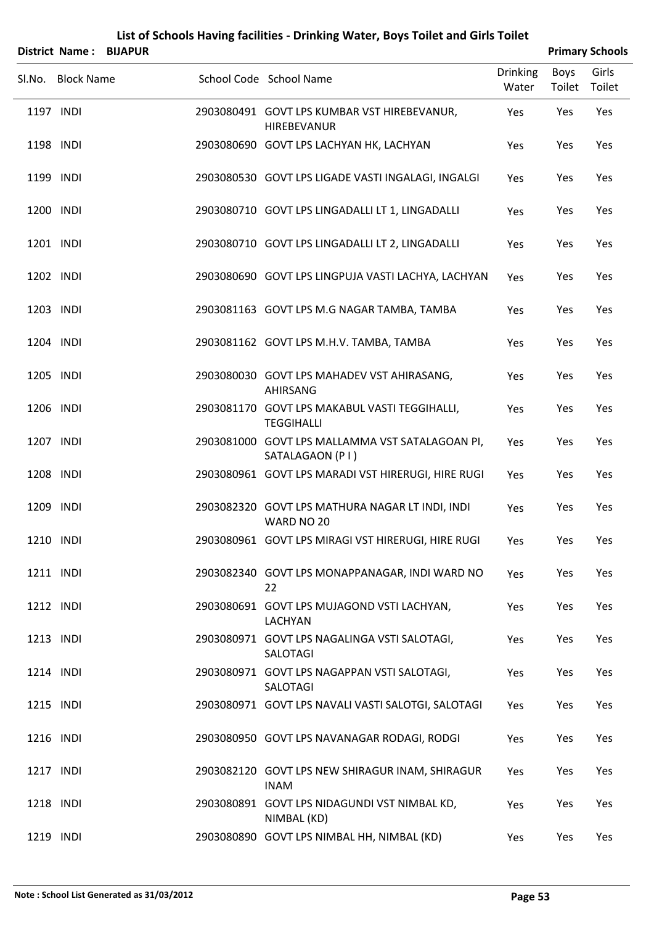|           |                   | <b>District Name: BIJAPUR</b> |                                                                    |                          |                       | <b>Primary Schools</b> |
|-----------|-------------------|-------------------------------|--------------------------------------------------------------------|--------------------------|-----------------------|------------------------|
|           | Sl.No. Block Name |                               | School Code School Name                                            | <b>Drinking</b><br>Water | <b>Boys</b><br>Toilet | Girls<br>Toilet        |
| 1197 INDI |                   |                               | 2903080491 GOVT LPS KUMBAR VST HIREBEVANUR,<br><b>HIREBEVANUR</b>  | Yes                      | Yes                   | Yes                    |
| 1198 INDI |                   |                               | 2903080690 GOVT LPS LACHYAN HK, LACHYAN                            | Yes                      | Yes                   | Yes                    |
| 1199 INDI |                   |                               | 2903080530 GOVT LPS LIGADE VASTI INGALAGI, INGALGI                 | Yes                      | Yes                   | Yes                    |
| 1200 INDI |                   |                               | 2903080710 GOVT LPS LINGADALLI LT 1, LINGADALLI                    | Yes                      | Yes                   | Yes                    |
| 1201 INDI |                   |                               | 2903080710 GOVT LPS LINGADALLI LT 2, LINGADALLI                    | Yes                      | Yes                   | Yes                    |
| 1202 INDI |                   |                               | 2903080690 GOVT LPS LINGPUJA VASTI LACHYA, LACHYAN                 | Yes                      | Yes                   | Yes                    |
| 1203 INDI |                   |                               | 2903081163 GOVT LPS M.G NAGAR TAMBA, TAMBA                         | Yes                      | Yes                   | Yes                    |
| 1204 INDI |                   |                               | 2903081162 GOVT LPS M.H.V. TAMBA, TAMBA                            | Yes                      | Yes                   | Yes                    |
| 1205 INDI |                   |                               | 2903080030 GOVT LPS MAHADEV VST AHIRASANG,<br>AHIRSANG             | Yes                      | Yes                   | Yes                    |
| 1206 INDI |                   |                               | 2903081170 GOVT LPS MAKABUL VASTI TEGGIHALLI,<br><b>TEGGIHALLI</b> | Yes                      | Yes                   | Yes                    |
| 1207 INDI |                   |                               | 2903081000 GOVT LPS MALLAMMA VST SATALAGOAN PI,<br>SATALAGAON (PI) | Yes                      | Yes                   | Yes                    |
| 1208 INDI |                   |                               | 2903080961 GOVT LPS MARADI VST HIRERUGI, HIRE RUGI                 | Yes                      | Yes                   | Yes                    |
| 1209 INDI |                   |                               | 2903082320 GOVT LPS MATHURA NAGAR LT INDI, INDI<br>WARD NO 20      | Yes                      | Yes                   | Yes                    |
| 1210 INDI |                   |                               | 2903080961 GOVT LPS MIRAGI VST HIRERUGI, HIRE RUGI                 | Yes                      | Yes                   | Yes                    |
| 1211 INDI |                   |                               | 2903082340 GOVT LPS MONAPPANAGAR, INDI WARD NO<br>22               | Yes                      | Yes                   | Yes                    |
| 1212 INDI |                   |                               | 2903080691 GOVT LPS MUJAGOND VSTI LACHYAN,<br><b>LACHYAN</b>       | Yes                      | Yes                   | Yes                    |
| 1213 INDI |                   |                               | 2903080971 GOVT LPS NAGALINGA VSTI SALOTAGI,<br>SALOTAGI           | Yes                      | Yes                   | Yes                    |
| 1214 INDI |                   |                               | 2903080971 GOVT LPS NAGAPPAN VSTI SALOTAGI,<br>SALOTAGI            | Yes                      | Yes                   | Yes                    |
| 1215 INDI |                   |                               | 2903080971 GOVT LPS NAVALI VASTI SALOTGI, SALOTAGI                 | Yes                      | Yes                   | Yes                    |
| 1216 INDI |                   |                               | 2903080950 GOVT LPS NAVANAGAR RODAGI, RODGI                        | Yes                      | Yes                   | Yes                    |
| 1217 INDI |                   |                               | 2903082120 GOVT LPS NEW SHIRAGUR INAM, SHIRAGUR<br><b>INAM</b>     | Yes                      | Yes                   | Yes                    |
| 1218 INDI |                   |                               | 2903080891 GOVT LPS NIDAGUNDI VST NIMBAL KD,<br>NIMBAL (KD)        | Yes                      | Yes                   | Yes                    |
| 1219 INDI |                   |                               | 2903080890 GOVT LPS NIMBAL HH, NIMBAL (KD)                         | Yes                      | Yes                   | Yes                    |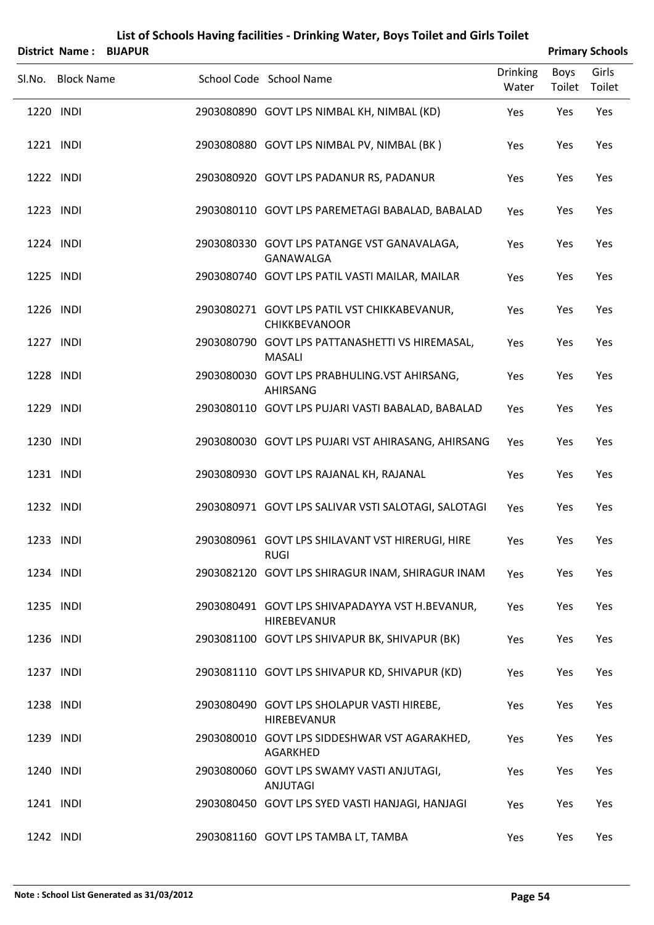|           | District Name: BIJAPUR |                                                                      |                          |                | <b>Primary Schools</b> |
|-----------|------------------------|----------------------------------------------------------------------|--------------------------|----------------|------------------------|
|           | Sl.No. Block Name      | School Code School Name                                              | <b>Drinking</b><br>Water | Boys<br>Toilet | Girls<br>Toilet        |
|           | 1220 INDI              | 2903080890 GOVT LPS NIMBAL KH, NIMBAL (KD)                           | Yes                      | Yes            | Yes                    |
| 1221 INDI |                        | 2903080880 GOVT LPS NIMBAL PV, NIMBAL (BK)                           | Yes                      | Yes            | Yes                    |
| 1222 INDI |                        | 2903080920 GOVT LPS PADANUR RS, PADANUR                              | Yes                      | Yes            | Yes                    |
| 1223 INDI |                        | 2903080110 GOVT LPS PAREMETAGI BABALAD, BABALAD                      | Yes                      | Yes            | Yes                    |
| 1224 INDI |                        | 2903080330 GOVT LPS PATANGE VST GANAVALAGA,<br>GANAWALGA             | Yes                      | Yes            | Yes                    |
| 1225 INDI |                        | 2903080740 GOVT LPS PATIL VASTI MAILAR, MAILAR                       | Yes                      | Yes            | Yes                    |
| 1226 INDI |                        | 2903080271 GOVT LPS PATIL VST CHIKKABEVANUR,<br><b>CHIKKBEVANOOR</b> | Yes                      | Yes            | Yes                    |
| 1227 INDI |                        | 2903080790 GOVT LPS PATTANASHETTI VS HIREMASAL,<br><b>MASALI</b>     | Yes                      | Yes            | Yes                    |
| 1228 INDI |                        | 2903080030 GOVT LPS PRABHULING.VST AHIRSANG,<br>AHIRSANG             | Yes                      | Yes            | Yes                    |
| 1229 INDI |                        | 2903080110 GOVT LPS PUJARI VASTI BABALAD, BABALAD                    | Yes                      | Yes            | Yes                    |
| 1230 INDI |                        | 2903080030 GOVT LPS PUJARI VST AHIRASANG, AHIRSANG                   | Yes                      | Yes            | Yes                    |
| 1231 INDI |                        | 2903080930 GOVT LPS RAJANAL KH, RAJANAL                              | Yes                      | Yes            | Yes                    |
| 1232 INDI |                        | 2903080971 GOVT LPS SALIVAR VSTI SALOTAGI, SALOTAGI                  | Yes                      | Yes            | Yes                    |
|           | 1233 INDI              | 2903080961 GOVT LPS SHILAVANT VST HIRERUGI, HIRE<br><b>RUGI</b>      | Yes                      | Yes            | Yes                    |
|           | 1234 INDI              | 2903082120 GOVT LPS SHIRAGUR INAM, SHIRAGUR INAM                     | Yes                      | Yes            | Yes                    |
|           | 1235 INDI              | 2903080491 GOVT LPS SHIVAPADAYYA VST H.BEVANUR,<br>HIREBEVANUR       | Yes                      | Yes            | Yes                    |
|           | 1236 INDI              | 2903081100 GOVT LPS SHIVAPUR BK, SHIVAPUR (BK)                       | Yes                      | Yes            | Yes                    |
|           | 1237 INDI              | 2903081110 GOVT LPS SHIVAPUR KD, SHIVAPUR (KD)                       | Yes                      | Yes            | Yes                    |
|           | 1238 INDI              | 2903080490 GOVT LPS SHOLAPUR VASTI HIREBE,<br>HIREBEVANUR            | Yes                      | Yes            | Yes                    |
|           | 1239 INDI              | 2903080010 GOVT LPS SIDDESHWAR VST AGARAKHED,<br>AGARKHED            | Yes                      | Yes            | Yes                    |
|           | 1240 INDI              | 2903080060 GOVT LPS SWAMY VASTI ANJUTAGI,<br>ANJUTAGI                | Yes                      | Yes            | Yes                    |
|           | 1241 INDI              | 2903080450 GOVT LPS SYED VASTI HANJAGI, HANJAGI                      | Yes                      | Yes            | Yes                    |
|           | 1242 INDI              | 2903081160 GOVT LPS TAMBA LT, TAMBA                                  | Yes                      | Yes            | Yes                    |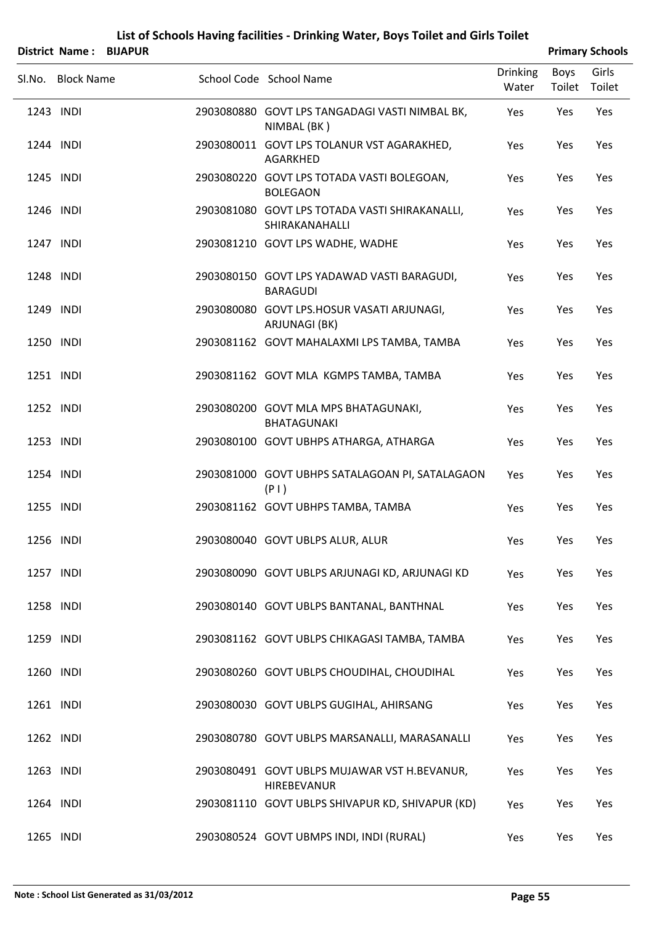|           | District Name: BIJAPUR |                                                                  |                          |                       | <b>Primary Schools</b> |
|-----------|------------------------|------------------------------------------------------------------|--------------------------|-----------------------|------------------------|
|           | Sl.No. Block Name      | School Code School Name                                          | <b>Drinking</b><br>Water | <b>Boys</b><br>Toilet | Girls<br>Toilet        |
| 1243 INDI |                        | 2903080880 GOVT LPS TANGADAGI VASTI NIMBAL BK,<br>NIMBAL (BK)    | Yes                      | Yes                   | Yes                    |
| 1244 INDI |                        | 2903080011 GOVT LPS TOLANUR VST AGARAKHED,<br>AGARKHED           | Yes                      | Yes                   | Yes                    |
| 1245 INDI |                        | 2903080220 GOVT LPS TOTADA VASTI BOLEGOAN,<br><b>BOLEGAON</b>    | Yes                      | Yes                   | Yes                    |
| 1246 INDI |                        | 2903081080 GOVT LPS TOTADA VASTI SHIRAKANALLI,<br>SHIRAKANAHALLI | Yes                      | Yes                   | Yes                    |
| 1247 INDI |                        | 2903081210 GOVT LPS WADHE, WADHE                                 | Yes                      | Yes                   | Yes                    |
| 1248 INDI |                        | 2903080150 GOVT LPS YADAWAD VASTI BARAGUDI,<br><b>BARAGUDI</b>   | Yes                      | Yes                   | Yes                    |
| 1249 INDI |                        | 2903080080 GOVT LPS.HOSUR VASATI ARJUNAGI,<br>ARJUNAGI (BK)      | Yes                      | Yes                   | Yes                    |
| 1250 INDI |                        | 2903081162 GOVT MAHALAXMI LPS TAMBA, TAMBA                       | Yes                      | Yes                   | Yes                    |
| 1251 INDI |                        | 2903081162 GOVT MLA KGMPS TAMBA, TAMBA                           | Yes                      | Yes                   | Yes                    |
| 1252 INDI |                        | 2903080200 GOVT MLA MPS BHATAGUNAKI,<br>BHATAGUNAKI              | Yes                      | Yes                   | Yes                    |
| 1253 INDI |                        | 2903080100 GOVT UBHPS ATHARGA, ATHARGA                           | Yes                      | Yes                   | Yes                    |
| 1254 INDI |                        | 2903081000 GOVT UBHPS SATALAGOAN PI, SATALAGAON<br>(P )          | Yes                      | Yes                   | Yes                    |
| 1255 INDI |                        | 2903081162 GOVT UBHPS TAMBA, TAMBA                               | Yes                      | Yes                   | Yes                    |
| 1256 INDI |                        | 2903080040 GOVT UBLPS ALUR, ALUR                                 | Yes                      | Yes                   | Yes                    |
| 1257 INDI |                        | 2903080090 GOVT UBLPS ARJUNAGI KD, ARJUNAGI KD                   | Yes                      | Yes                   | Yes                    |
| 1258 INDI |                        | 2903080140 GOVT UBLPS BANTANAL, BANTHNAL                         | Yes                      | Yes                   | Yes                    |
| 1259 INDI |                        | 2903081162 GOVT UBLPS CHIKAGASI TAMBA, TAMBA                     | Yes                      | Yes                   | Yes                    |
| 1260 INDI |                        | 2903080260 GOVT UBLPS CHOUDIHAL, CHOUDIHAL                       | Yes                      | Yes                   | Yes                    |
| 1261 INDI |                        | 2903080030 GOVT UBLPS GUGIHAL, AHIRSANG                          | Yes                      | Yes                   | Yes                    |
| 1262 INDI |                        | 2903080780 GOVT UBLPS MARSANALLI, MARASANALLI                    | Yes                      | Yes                   | Yes                    |
| 1263 INDI |                        | 2903080491 GOVT UBLPS MUJAWAR VST H.BEVANUR,<br>HIREBEVANUR      | Yes                      | Yes                   | Yes                    |
| 1264 INDI |                        | 2903081110 GOVT UBLPS SHIVAPUR KD, SHIVAPUR (KD)                 | Yes                      | Yes                   | Yes                    |
| 1265 INDI |                        | 2903080524 GOVT UBMPS INDI, INDI (RURAL)                         | Yes                      | Yes                   | Yes                    |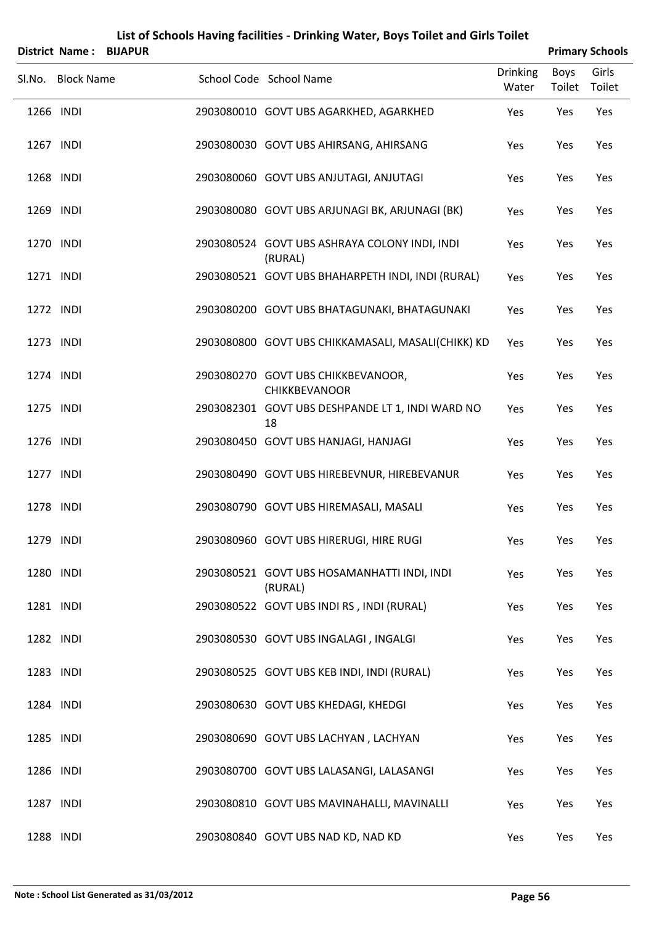| List of Schools Having facilities - Drinking Water, Boys Toilet and Girls Toilet |  |
|----------------------------------------------------------------------------------|--|
|----------------------------------------------------------------------------------|--|

|           | District Name: BIJAPUR |                                                            |                          |                | <b>Primary Schools</b> |
|-----------|------------------------|------------------------------------------------------------|--------------------------|----------------|------------------------|
|           | Sl.No. Block Name      | School Code School Name                                    | <b>Drinking</b><br>Water | Boys<br>Toilet | Girls<br>Toilet        |
| 1266 INDI |                        | 2903080010 GOVT UBS AGARKHED, AGARKHED                     | Yes                      | Yes            | Yes                    |
| 1267 INDI |                        | 2903080030 GOVT UBS AHIRSANG, AHIRSANG                     | Yes                      | Yes            | Yes                    |
| 1268 INDI |                        | 2903080060 GOVT UBS ANJUTAGI, ANJUTAGI                     | Yes                      | Yes            | Yes                    |
| 1269 INDI |                        | 2903080080 GOVT UBS ARJUNAGI BK, ARJUNAGI (BK)             | Yes                      | Yes            | Yes                    |
| 1270 INDI |                        | 2903080524 GOVT UBS ASHRAYA COLONY INDI, INDI<br>(RURAL)   | Yes                      | Yes            | Yes                    |
| 1271 INDI |                        | 2903080521 GOVT UBS BHAHARPETH INDI, INDI (RURAL)          | Yes                      | Yes            | Yes                    |
| 1272 INDI |                        | 2903080200 GOVT UBS BHATAGUNAKI, BHATAGUNAKI               | Yes                      | Yes            | Yes                    |
| 1273 INDI |                        | 2903080800 GOVT UBS CHIKKAMASALI, MASALI(CHIKK) KD         | Yes                      | Yes            | Yes                    |
| 1274 INDI |                        | 2903080270 GOVT UBS CHIKKBEVANOOR,<br><b>CHIKKBEVANOOR</b> | Yes                      | Yes            | Yes                    |
| 1275 INDI |                        | 2903082301 GOVT UBS DESHPANDE LT 1, INDI WARD NO<br>18     | Yes                      | Yes            | Yes                    |
| 1276 INDI |                        | 2903080450 GOVT UBS HANJAGI, HANJAGI                       | Yes                      | Yes            | Yes                    |
| 1277 INDI |                        | 2903080490 GOVT UBS HIREBEVNUR, HIREBEVANUR                | Yes                      | Yes            | Yes                    |
| 1278 INDI |                        | 2903080790 GOVT UBS HIREMASALI, MASALI                     | Yes                      | Yes            | Yes                    |
| 1279 INDI |                        | 2903080960 GOVT UBS HIRERUGI, HIRE RUGI                    | Yes                      | Yes            | Yes                    |
| 1280 INDI |                        | 2903080521 GOVT UBS HOSAMANHATTI INDI, INDI<br>(RURAL)     | Yes                      | Yes            | Yes                    |
| 1281 INDI |                        | 2903080522 GOVT UBS INDI RS, INDI (RURAL)                  | Yes                      | Yes            | Yes                    |
| 1282 INDI |                        | 2903080530 GOVT UBS INGALAGI, INGALGI                      | Yes                      | Yes            | Yes                    |
| 1283 INDI |                        | 2903080525 GOVT UBS KEB INDI, INDI (RURAL)                 | Yes                      | Yes            | Yes                    |
| 1284 INDI |                        | 2903080630 GOVT UBS KHEDAGI, KHEDGI                        | Yes                      | Yes            | Yes                    |
| 1285 INDI |                        | 2903080690 GOVT UBS LACHYAN, LACHYAN                       | Yes                      | Yes            | Yes                    |
| 1286 INDI |                        | 2903080700 GOVT UBS LALASANGI, LALASANGI                   | Yes                      | Yes            | Yes                    |
| 1287 INDI |                        | 2903080810 GOVT UBS MAVINAHALLI, MAVINALLI                 | Yes                      | Yes            | Yes                    |
| 1288 INDI |                        | 2903080840 GOVT UBS NAD KD, NAD KD                         | Yes                      | Yes            | Yes                    |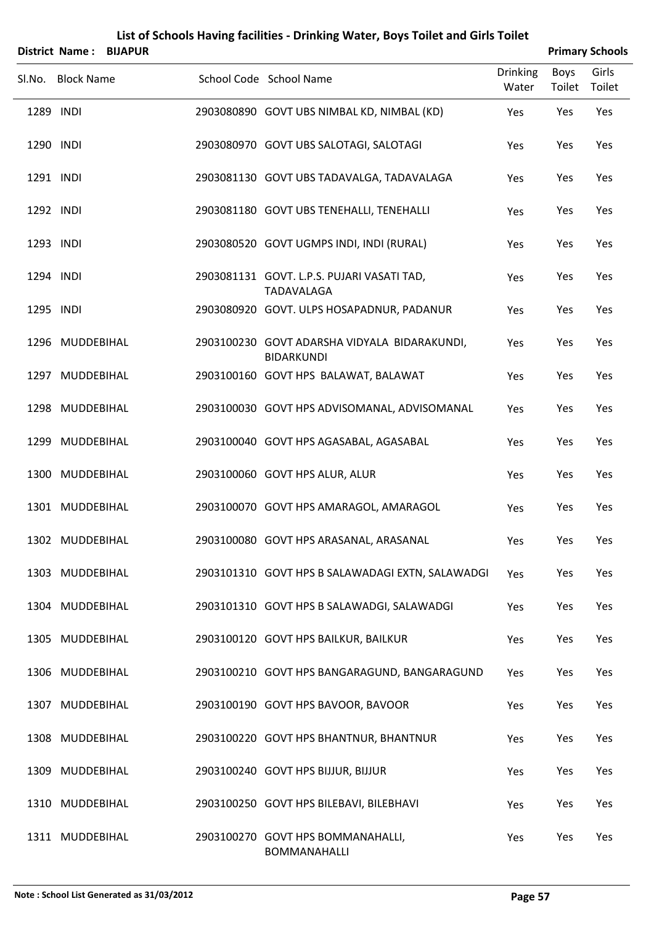|           | District Name: BIJAPUR |  |                                                                   |                          | <b>Primary Schools</b> |                 |
|-----------|------------------------|--|-------------------------------------------------------------------|--------------------------|------------------------|-----------------|
|           | Sl.No. Block Name      |  | School Code School Name                                           | <b>Drinking</b><br>Water | Boys<br>Toilet         | Girls<br>Toilet |
| 1289 INDI |                        |  | 2903080890 GOVT UBS NIMBAL KD, NIMBAL (KD)                        | Yes                      | Yes                    | Yes             |
| 1290 INDI |                        |  | 2903080970 GOVT UBS SALOTAGI, SALOTAGI                            | Yes                      | Yes                    | Yes             |
| 1291 INDI |                        |  | 2903081130 GOVT UBS TADAVALGA, TADAVALAGA                         | Yes                      | Yes                    | Yes             |
| 1292 INDI |                        |  | 2903081180 GOVT UBS TENEHALLI, TENEHALLI                          | Yes                      | Yes                    | Yes             |
| 1293 INDI |                        |  | 2903080520 GOVT UGMPS INDI, INDI (RURAL)                          | Yes                      | Yes                    | Yes             |
| 1294 INDI |                        |  | 2903081131 GOVT. L.P.S. PUJARI VASATI TAD,<br>TADAVALAGA          | Yes                      | Yes                    | Yes             |
| 1295 INDI |                        |  | 2903080920 GOVT. ULPS HOSAPADNUR, PADANUR                         | Yes                      | Yes                    | Yes             |
|           | 1296 MUDDEBIHAL        |  | 2903100230 GOVT ADARSHA VIDYALA BIDARAKUNDI,<br><b>BIDARKUNDI</b> | Yes                      | Yes                    | Yes             |
|           | 1297 MUDDEBIHAL        |  | 2903100160 GOVT HPS BALAWAT, BALAWAT                              | Yes                      | Yes                    | Yes             |
|           | 1298 MUDDEBIHAL        |  | 2903100030 GOVT HPS ADVISOMANAL, ADVISOMANAL                      | Yes                      | Yes                    | Yes             |
|           | 1299 MUDDEBIHAL        |  | 2903100040 GOVT HPS AGASABAL, AGASABAL                            | Yes                      | Yes                    | Yes             |
|           | 1300 MUDDEBIHAL        |  | 2903100060 GOVT HPS ALUR, ALUR                                    | Yes                      | Yes                    | Yes             |
|           | 1301 MUDDEBIHAL        |  | 2903100070 GOVT HPS AMARAGOL, AMARAGOL                            | Yes                      | Yes                    | Yes             |
|           | 1302 MUDDEBIHAL        |  | 2903100080 GOVT HPS ARASANAL, ARASANAL                            | Yes                      | Yes                    | Yes             |
|           | 1303 MUDDEBIHAL        |  | 2903101310 GOVT HPS B SALAWADAGI EXTN, SALAWADGI                  | Yes                      | Yes                    | Yes             |
|           | 1304 MUDDEBIHAL        |  | 2903101310 GOVT HPS B SALAWADGI, SALAWADGI                        | Yes                      | Yes                    | Yes             |
|           | 1305 MUDDEBIHAL        |  | 2903100120 GOVT HPS BAILKUR, BAILKUR                              | Yes                      | Yes                    | Yes             |
|           | 1306 MUDDEBIHAL        |  | 2903100210 GOVT HPS BANGARAGUND, BANGARAGUND                      | Yes                      | Yes                    | Yes             |
|           | 1307 MUDDEBIHAL        |  | 2903100190 GOVT HPS BAVOOR, BAVOOR                                | Yes                      | Yes                    | Yes             |
|           | 1308 MUDDEBIHAL        |  | 2903100220 GOVT HPS BHANTNUR, BHANTNUR                            | Yes                      | Yes                    | Yes             |
|           | 1309 MUDDEBIHAL        |  | 2903100240 GOVT HPS BIJJUR, BIJJUR                                | Yes                      | Yes                    | Yes             |
|           | 1310 MUDDEBIHAL        |  | 2903100250 GOVT HPS BILEBAVI, BILEBHAVI                           | Yes                      | Yes                    | Yes             |
|           | 1311 MUDDEBIHAL        |  | 2903100270 GOVT HPS BOMMANAHALLI,<br>BOMMANAHALLI                 | Yes                      | Yes                    | Yes             |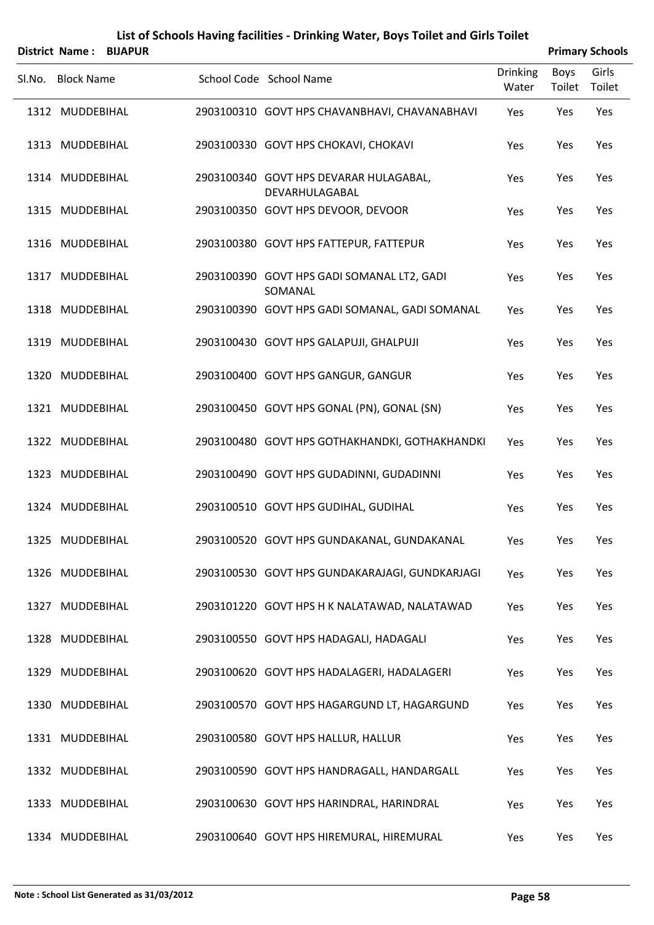|        | District Name: BIJAPUR |                                                          |                          |                | <b>Primary Schools</b> |
|--------|------------------------|----------------------------------------------------------|--------------------------|----------------|------------------------|
| Sl.No. | <b>Block Name</b>      | School Code School Name                                  | <b>Drinking</b><br>Water | Boys<br>Toilet | Girls<br>Toilet        |
|        | 1312 MUDDEBIHAL        | 2903100310 GOVT HPS CHAVANBHAVI, CHAVANABHAVI            | Yes                      | Yes            | Yes                    |
|        | 1313 MUDDEBIHAL        | 2903100330 GOVT HPS CHOKAVI, CHOKAVI                     | Yes                      | Yes            | Yes                    |
|        | 1314 MUDDEBIHAL        | 2903100340 GOVT HPS DEVARAR HULAGABAL,<br>DEVARHULAGABAL | Yes                      | Yes            | Yes                    |
|        | 1315 MUDDEBIHAL        | 2903100350 GOVT HPS DEVOOR, DEVOOR                       | Yes                      | Yes            | Yes                    |
|        | 1316 MUDDEBIHAL        | 2903100380 GOVT HPS FATTEPUR, FATTEPUR                   | Yes                      | Yes            | Yes                    |
|        | 1317 MUDDEBIHAL        | 2903100390 GOVT HPS GADI SOMANAL LT2, GADI<br>SOMANAL    | Yes                      | Yes            | Yes                    |
|        | 1318 MUDDEBIHAL        | 2903100390 GOVT HPS GADI SOMANAL, GADI SOMANAL           | Yes                      | Yes            | Yes                    |
|        | 1319 MUDDEBIHAL        | 2903100430 GOVT HPS GALAPUJI, GHALPUJI                   | Yes                      | Yes            | Yes                    |
|        | 1320 MUDDEBIHAL        | 2903100400 GOVT HPS GANGUR, GANGUR                       | Yes                      | Yes            | Yes                    |
|        | 1321 MUDDEBIHAL        | 2903100450 GOVT HPS GONAL (PN), GONAL (SN)               | Yes                      | Yes            | Yes                    |
|        | 1322 MUDDEBIHAL        | 2903100480 GOVT HPS GOTHAKHANDKI, GOTHAKHANDKI           | Yes                      | Yes            | Yes                    |
|        | 1323 MUDDEBIHAL        | 2903100490 GOVT HPS GUDADINNI, GUDADINNI                 | Yes                      | Yes            | Yes                    |
|        | 1324 MUDDEBIHAL        | 2903100510 GOVT HPS GUDIHAL, GUDIHAL                     | Yes                      | Yes            | Yes                    |
|        | 1325 MUDDEBIHAL        | 2903100520 GOVT HPS GUNDAKANAL, GUNDAKANAL               | Yes                      | Yes            | Yes                    |
|        | 1326 MUDDEBIHAL        | 2903100530 GOVT HPS GUNDAKARAJAGI, GUNDKARJAGI           | Yes                      | Yes            | Yes                    |
|        | 1327 MUDDEBIHAL        | 2903101220 GOVT HPS H K NALATAWAD, NALATAWAD             | Yes                      | Yes            | Yes                    |
|        | 1328 MUDDEBIHAL        | 2903100550 GOVT HPS HADAGALI, HADAGALI                   | Yes                      | Yes            | Yes                    |
|        | 1329 MUDDEBIHAL        | 2903100620 GOVT HPS HADALAGERI, HADALAGERI               | Yes                      | Yes            | Yes                    |
|        | 1330 MUDDEBIHAL        | 2903100570 GOVT HPS HAGARGUND LT, HAGARGUND              | Yes                      | Yes            | Yes                    |
|        | 1331 MUDDEBIHAL        | 2903100580 GOVT HPS HALLUR, HALLUR                       | Yes                      | Yes            | Yes                    |
|        | 1332 MUDDEBIHAL        | 2903100590 GOVT HPS HANDRAGALL, HANDARGALL               | Yes                      | Yes            | Yes                    |
|        | 1333 MUDDEBIHAL        | 2903100630 GOVT HPS HARINDRAL, HARINDRAL                 | Yes                      | Yes            | Yes                    |
|        | 1334 MUDDEBIHAL        | 2903100640 GOVT HPS HIREMURAL, HIREMURAL                 | Yes                      | Yes            | Yes                    |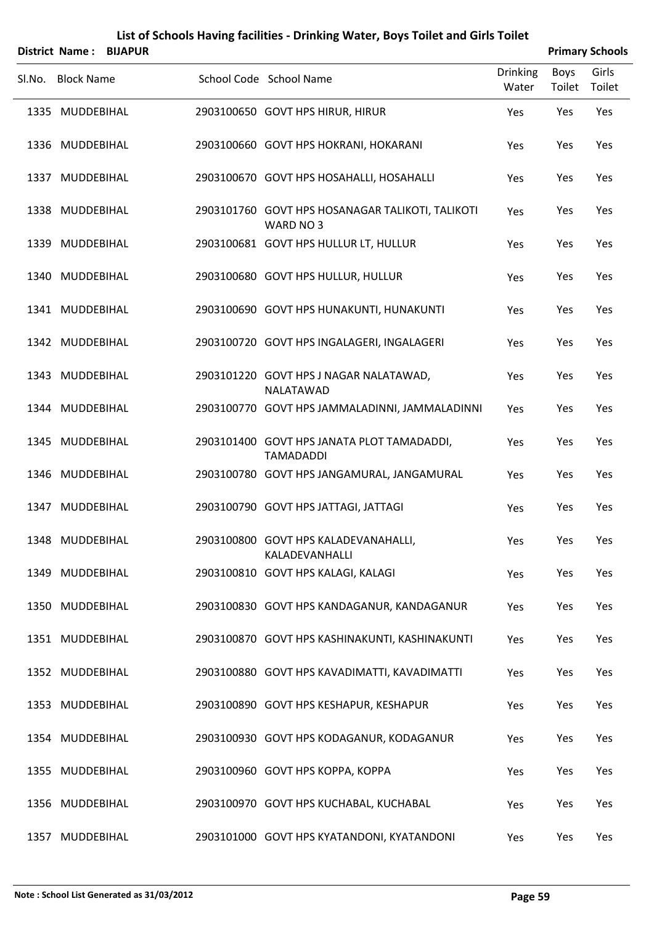|        |                   | <b>District Name: BIJAPUR</b> |                                                                |                          |                       | <b>Primary Schools</b> |
|--------|-------------------|-------------------------------|----------------------------------------------------------------|--------------------------|-----------------------|------------------------|
| SI.No. | <b>Block Name</b> |                               | School Code School Name                                        | <b>Drinking</b><br>Water | <b>Boys</b><br>Toilet | Girls<br>Toilet        |
|        | 1335 MUDDEBIHAL   |                               | 2903100650 GOVT HPS HIRUR, HIRUR                               | Yes                      | Yes                   | Yes                    |
|        | 1336 MUDDEBIHAL   |                               | 2903100660 GOVT HPS HOKRANI, HOKARANI                          | Yes                      | Yes                   | Yes                    |
|        | 1337 MUDDEBIHAL   |                               | 2903100670 GOVT HPS HOSAHALLI, HOSAHALLI                       | Yes                      | Yes                   | Yes                    |
|        | 1338 MUDDEBIHAL   |                               | 2903101760 GOVT HPS HOSANAGAR TALIKOTI, TALIKOTI<br>WARD NO 3  | Yes                      | Yes                   | Yes                    |
|        | 1339 MUDDEBIHAL   |                               | 2903100681 GOVT HPS HULLUR LT, HULLUR                          | Yes                      | Yes                   | Yes                    |
|        | 1340 MUDDEBIHAL   |                               | 2903100680 GOVT HPS HULLUR, HULLUR                             | Yes                      | Yes                   | Yes                    |
|        | 1341 MUDDEBIHAL   |                               | 2903100690 GOVT HPS HUNAKUNTI, HUNAKUNTI                       | Yes                      | Yes                   | Yes                    |
|        | 1342 MUDDEBIHAL   |                               | 2903100720 GOVT HPS INGALAGERI, INGALAGERI                     | Yes                      | Yes                   | Yes                    |
|        | 1343 MUDDEBIHAL   |                               | 2903101220 GOVT HPS J NAGAR NALATAWAD,<br><b>NALATAWAD</b>     | Yes                      | Yes                   | Yes                    |
|        | 1344 MUDDEBIHAL   |                               | 2903100770 GOVT HPS JAMMALADINNI, JAMMALADINNI                 | Yes                      | Yes                   | Yes                    |
|        | 1345 MUDDEBIHAL   |                               | 2903101400 GOVT HPS JANATA PLOT TAMADADDI,<br><b>TAMADADDI</b> | Yes                      | Yes                   | Yes                    |
|        | 1346 MUDDEBIHAL   |                               | 2903100780 GOVT HPS JANGAMURAL, JANGAMURAL                     | Yes                      | Yes                   | Yes                    |
|        | 1347 MUDDEBIHAL   |                               | 2903100790 GOVT HPS JATTAGI, JATTAGI                           | Yes                      | Yes                   | Yes                    |
|        | 1348 MUDDEBIHAL   |                               | 2903100800 GOVT HPS KALADEVANAHALLI,<br>KALADEVANHALLI         | Yes                      | Yes                   | Yes                    |
|        | 1349 MUDDEBIHAL   |                               | 2903100810 GOVT HPS KALAGI, KALAGI                             | Yes                      | Yes                   | Yes                    |
|        | 1350 MUDDEBIHAL   |                               | 2903100830 GOVT HPS KANDAGANUR, KANDAGANUR                     | Yes                      | Yes                   | Yes                    |
|        | 1351 MUDDEBIHAL   |                               | 2903100870 GOVT HPS KASHINAKUNTI, KASHINAKUNTI                 | Yes                      | Yes                   | Yes                    |
|        | 1352 MUDDEBIHAL   |                               | 2903100880 GOVT HPS KAVADIMATTI, KAVADIMATTI                   | Yes                      | Yes                   | Yes                    |
|        | 1353 MUDDEBIHAL   |                               | 2903100890 GOVT HPS KESHAPUR, KESHAPUR                         | Yes                      | Yes                   | Yes                    |
|        | 1354 MUDDEBIHAL   |                               | 2903100930 GOVT HPS KODAGANUR, KODAGANUR                       | Yes                      | Yes                   | Yes                    |
|        | 1355 MUDDEBIHAL   |                               | 2903100960 GOVT HPS KOPPA, KOPPA                               | Yes                      | Yes                   | Yes                    |
|        | 1356 MUDDEBIHAL   |                               | 2903100970 GOVT HPS KUCHABAL, KUCHABAL                         | Yes                      | Yes                   | Yes                    |
| 1357   | MUDDEBIHAL        |                               | 2903101000 GOVT HPS KYATANDONI, KYATANDONI                     | Yes                      | Yes                   | Yes                    |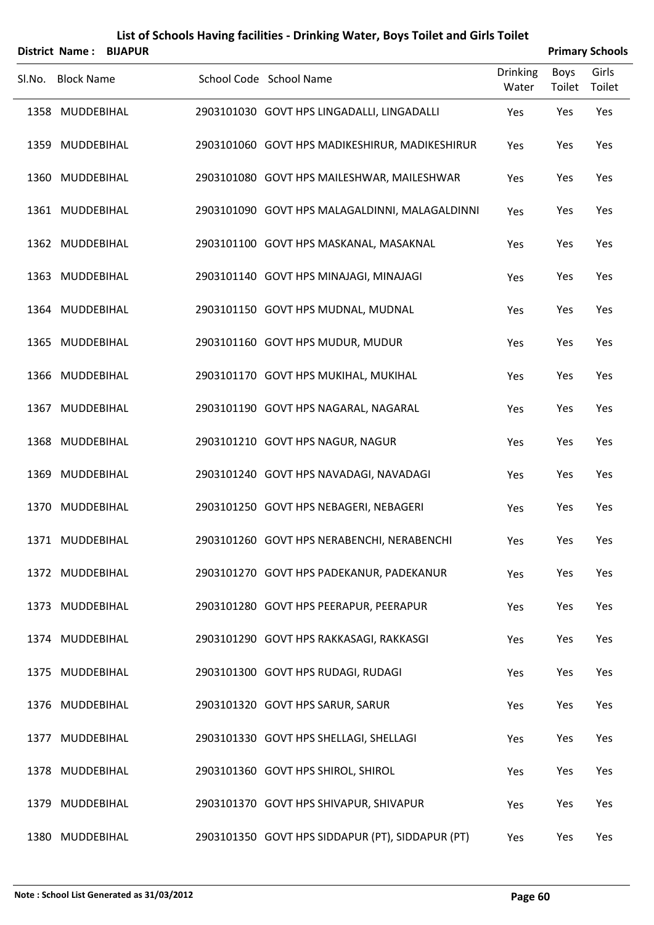|        | District Name: BIJAPUR |                         |                                                  |                          |                | <b>Primary Schools</b> |
|--------|------------------------|-------------------------|--------------------------------------------------|--------------------------|----------------|------------------------|
| Sl.No. | <b>Block Name</b>      | School Code School Name |                                                  | <b>Drinking</b><br>Water | Boys<br>Toilet | Girls<br>Toilet        |
|        | 1358 MUDDEBIHAL        |                         | 2903101030 GOVT HPS LINGADALLI, LINGADALLI       | Yes                      | Yes            | Yes                    |
|        | 1359 MUDDEBIHAL        |                         | 2903101060 GOVT HPS MADIKESHIRUR, MADIKESHIRUR   | Yes                      | Yes            | Yes                    |
|        | 1360 MUDDEBIHAL        |                         | 2903101080 GOVT HPS MAILESHWAR, MAILESHWAR       | Yes                      | Yes            | Yes                    |
|        | 1361 MUDDEBIHAL        |                         | 2903101090 GOVT HPS MALAGALDINNI, MALAGALDINNI   | Yes                      | Yes            | Yes                    |
|        | 1362 MUDDEBIHAL        |                         | 2903101100 GOVT HPS MASKANAL, MASAKNAL           | Yes                      | Yes            | Yes                    |
|        | 1363 MUDDEBIHAL        |                         | 2903101140 GOVT HPS MINAJAGI, MINAJAGI           | Yes                      | Yes            | Yes                    |
|        | 1364 MUDDEBIHAL        |                         | 2903101150 GOVT HPS MUDNAL, MUDNAL               | Yes                      | Yes            | Yes                    |
|        | 1365 MUDDEBIHAL        |                         | 2903101160 GOVT HPS MUDUR, MUDUR                 | Yes                      | Yes            | Yes                    |
|        | 1366 MUDDEBIHAL        |                         | 2903101170 GOVT HPS MUKIHAL, MUKIHAL             | Yes                      | Yes            | Yes                    |
|        | 1367 MUDDEBIHAL        |                         | 2903101190 GOVT HPS NAGARAL, NAGARAL             | Yes                      | Yes            | Yes                    |
|        | 1368 MUDDEBIHAL        |                         | 2903101210 GOVT HPS NAGUR, NAGUR                 | Yes                      | Yes            | Yes                    |
|        | 1369 MUDDEBIHAL        |                         | 2903101240 GOVT HPS NAVADAGI, NAVADAGI           | Yes                      | Yes            | Yes                    |
|        | 1370 MUDDEBIHAL        |                         | 2903101250 GOVT HPS NEBAGERI, NEBAGERI           | Yes                      | Yes            | Yes                    |
|        | 1371 MUDDEBIHAL        |                         | 2903101260 GOVT HPS NERABENCHI, NERABENCHI       | Yes                      | Yes            | Yes                    |
|        | 1372 MUDDEBIHAL        |                         | 2903101270 GOVT HPS PADEKANUR, PADEKANUR         | Yes                      | Yes            | Yes                    |
|        | 1373 MUDDEBIHAL        |                         | 2903101280 GOVT HPS PEERAPUR, PEERAPUR           | Yes                      | Yes            | Yes                    |
|        | 1374 MUDDEBIHAL        |                         | 2903101290 GOVT HPS RAKKASAGI, RAKKASGI          | Yes                      | Yes            | Yes                    |
|        | 1375 MUDDEBIHAL        |                         | 2903101300 GOVT HPS RUDAGI, RUDAGI               | Yes                      | Yes            | Yes                    |
|        | 1376 MUDDEBIHAL        |                         | 2903101320 GOVT HPS SARUR, SARUR                 | Yes                      | Yes            | Yes                    |
|        | 1377 MUDDEBIHAL        |                         | 2903101330 GOVT HPS SHELLAGI, SHELLAGI           | Yes                      | Yes            | Yes                    |
|        | 1378 MUDDEBIHAL        |                         | 2903101360 GOVT HPS SHIROL, SHIROL               | Yes                      | Yes            | Yes                    |
|        | 1379 MUDDEBIHAL        |                         | 2903101370 GOVT HPS SHIVAPUR, SHIVAPUR           | Yes                      | Yes            | Yes                    |
|        | 1380 MUDDEBIHAL        |                         | 2903101350 GOVT HPS SIDDAPUR (PT), SIDDAPUR (PT) | Yes                      | Yes            | Yes                    |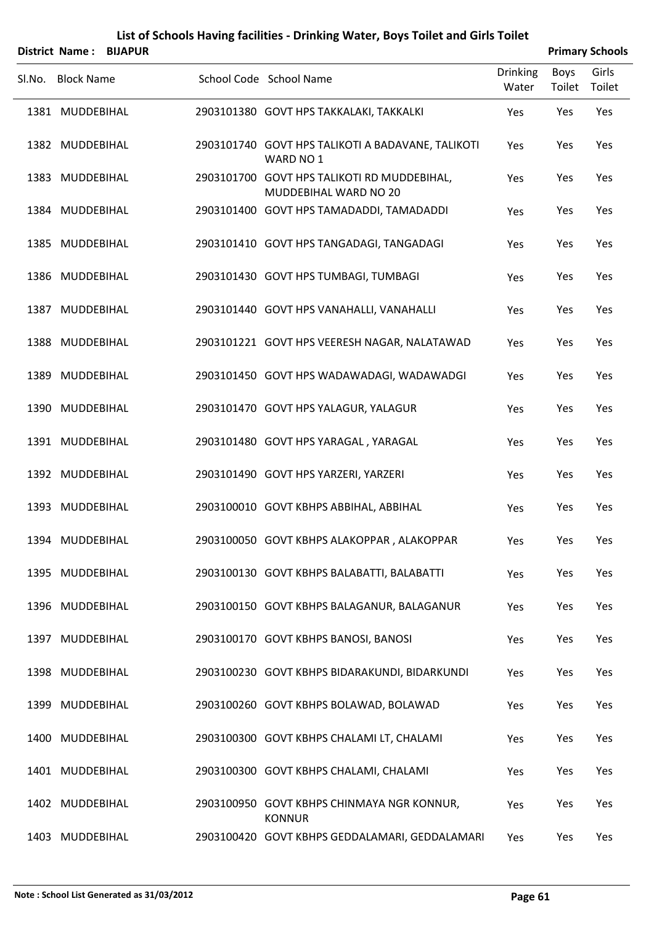|        |                   | District Name: BIJAPUR |                                                                             |                          |                | <b>Primary Schools</b> |
|--------|-------------------|------------------------|-----------------------------------------------------------------------------|--------------------------|----------------|------------------------|
| Sl.No. | <b>Block Name</b> |                        | School Code School Name                                                     | <b>Drinking</b><br>Water | Boys<br>Toilet | Girls<br>Toilet        |
|        | 1381 MUDDEBIHAL   |                        | 2903101380 GOVT HPS TAKKALAKI, TAKKALKI                                     | Yes                      | Yes            | Yes                    |
|        | 1382 MUDDEBIHAL   |                        | 2903101740 GOVT HPS TALIKOTI A BADAVANE, TALIKOTI<br>WARD NO 1              | Yes                      | Yes            | Yes                    |
|        | 1383 MUDDEBIHAL   |                        | 2903101700 GOVT HPS TALIKOTI RD MUDDEBIHAL,<br><b>MUDDEBIHAL WARD NO 20</b> | Yes                      | Yes            | Yes                    |
|        | 1384 MUDDEBIHAL   |                        | 2903101400 GOVT HPS TAMADADDI, TAMADADDI                                    | Yes                      | Yes            | Yes                    |
|        | 1385 MUDDEBIHAL   |                        | 2903101410 GOVT HPS TANGADAGI, TANGADAGI                                    | Yes                      | Yes            | Yes                    |
|        | 1386 MUDDEBIHAL   |                        | 2903101430 GOVT HPS TUMBAGI, TUMBAGI                                        | Yes                      | Yes            | Yes                    |
|        | 1387 MUDDEBIHAL   |                        | 2903101440 GOVT HPS VANAHALLI, VANAHALLI                                    | Yes                      | Yes            | Yes                    |
|        | 1388 MUDDEBIHAL   |                        | 2903101221 GOVT HPS VEERESH NAGAR, NALATAWAD                                | Yes                      | Yes            | Yes                    |
|        | 1389 MUDDEBIHAL   |                        | 2903101450 GOVT HPS WADAWADAGI, WADAWADGI                                   | Yes                      | Yes            | Yes                    |
|        | 1390 MUDDEBIHAL   |                        | 2903101470 GOVT HPS YALAGUR, YALAGUR                                        | Yes                      | Yes            | Yes                    |
|        | 1391 MUDDEBIHAL   |                        | 2903101480 GOVT HPS YARAGAL, YARAGAL                                        | Yes                      | Yes            | Yes                    |
|        | 1392 MUDDEBIHAL   |                        | 2903101490 GOVT HPS YARZERI, YARZERI                                        | Yes                      | Yes            | Yes                    |
|        | 1393 MUDDEBIHAL   |                        | 2903100010 GOVT KBHPS ABBIHAL, ABBIHAL                                      | Yes                      | Yes            | Yes                    |
|        | 1394 MUDDEBIHAL   |                        | 2903100050 GOVT KBHPS ALAKOPPAR, ALAKOPPAR                                  | Yes                      | Yes            | Yes                    |
|        | 1395 MUDDEBIHAL   |                        | 2903100130 GOVT KBHPS BALABATTI, BALABATTI                                  | Yes                      | Yes            | Yes                    |
|        | 1396 MUDDEBIHAL   |                        | 2903100150 GOVT KBHPS BALAGANUR, BALAGANUR                                  | Yes                      | Yes            | Yes                    |
|        | 1397 MUDDEBIHAL   |                        | 2903100170 GOVT KBHPS BANOSI, BANOSI                                        | Yes                      | Yes            | Yes                    |
|        | 1398 MUDDEBIHAL   |                        | 2903100230 GOVT KBHPS BIDARAKUNDI, BIDARKUNDI                               | Yes                      | Yes            | Yes                    |
|        | 1399 MUDDEBIHAL   |                        | 2903100260 GOVT KBHPS BOLAWAD, BOLAWAD                                      | Yes                      | Yes            | Yes                    |
|        | 1400 MUDDEBIHAL   |                        | 2903100300 GOVT KBHPS CHALAMI LT, CHALAMI                                   | Yes                      | Yes            | Yes                    |
|        | 1401 MUDDEBIHAL   |                        | 2903100300 GOVT KBHPS CHALAMI, CHALAMI                                      | Yes                      | Yes            | Yes                    |
|        | 1402 MUDDEBIHAL   |                        | 2903100950 GOVT KBHPS CHINMAYA NGR KONNUR,<br><b>KONNUR</b>                 | Yes                      | Yes            | Yes                    |
|        | 1403 MUDDEBIHAL   |                        | 2903100420 GOVT KBHPS GEDDALAMARI, GEDDALAMARI                              | Yes                      | Yes            | Yes                    |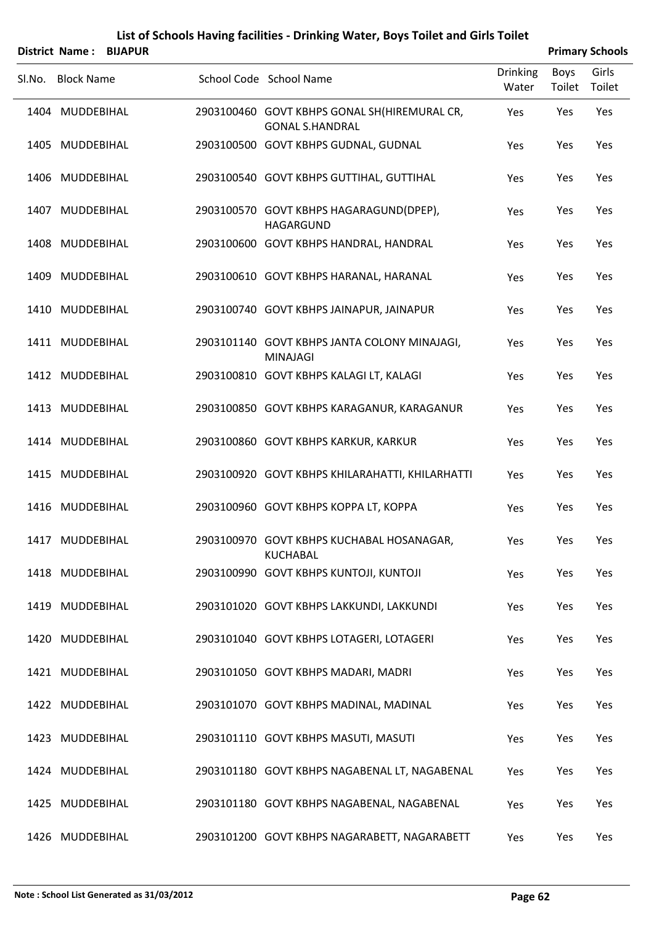|        | <b>District Name:</b> | <b>BIJAPUR</b> |                                                                        |                          |                | <b>Primary Schools</b> |
|--------|-----------------------|----------------|------------------------------------------------------------------------|--------------------------|----------------|------------------------|
| SI.No. | <b>Block Name</b>     |                | School Code School Name                                                | <b>Drinking</b><br>Water | Boys<br>Toilet | Girls<br>Toilet        |
|        | 1404 MUDDEBIHAL       |                | 2903100460 GOVT KBHPS GONAL SH(HIREMURAL CR,<br><b>GONAL S.HANDRAL</b> | Yes                      | Yes            | Yes                    |
|        | 1405 MUDDEBIHAL       |                | 2903100500 GOVT KBHPS GUDNAL, GUDNAL                                   | Yes                      | Yes            | Yes                    |
|        | 1406 MUDDEBIHAL       |                | 2903100540 GOVT KBHPS GUTTIHAL, GUTTIHAL                               | Yes                      | Yes            | Yes                    |
|        | 1407 MUDDEBIHAL       |                | 2903100570 GOVT KBHPS HAGARAGUND(DPEP),<br><b>HAGARGUND</b>            | Yes                      | Yes            | Yes                    |
|        | 1408 MUDDEBIHAL       |                | 2903100600 GOVT KBHPS HANDRAL, HANDRAL                                 | Yes                      | Yes            | Yes                    |
|        | 1409 MUDDEBIHAL       |                | 2903100610 GOVT KBHPS HARANAL, HARANAL                                 | Yes                      | Yes            | Yes                    |
|        | 1410 MUDDEBIHAL       |                | 2903100740 GOVT KBHPS JAINAPUR, JAINAPUR                               | Yes                      | Yes            | Yes                    |
|        | 1411 MUDDEBIHAL       |                | 2903101140 GOVT KBHPS JANTA COLONY MINAJAGI,<br><b>MINAJAGI</b>        | Yes                      | Yes            | Yes                    |
|        | 1412 MUDDEBIHAL       |                | 2903100810 GOVT KBHPS KALAGI LT, KALAGI                                | Yes                      | Yes            | Yes                    |
|        | 1413 MUDDEBIHAL       |                | 2903100850 GOVT KBHPS KARAGANUR, KARAGANUR                             | Yes                      | Yes            | Yes                    |
|        | 1414 MUDDEBIHAL       |                | 2903100860 GOVT KBHPS KARKUR, KARKUR                                   | Yes                      | Yes            | Yes                    |
|        | 1415 MUDDEBIHAL       |                | 2903100920 GOVT KBHPS KHILARAHATTI, KHILARHATTI                        | Yes                      | Yes            | Yes                    |
|        | 1416 MUDDEBIHAL       |                | 2903100960 GOVT KBHPS KOPPA LT, KOPPA                                  | Yes                      | Yes            | Yes                    |
|        | 1417 MUDDEBIHAL       |                | 2903100970 GOVT KBHPS KUCHABAL HOSANAGAR,<br><b>KUCHABAL</b>           | Yes                      | Yes            | Yes                    |
|        | 1418 MUDDEBIHAL       |                | 2903100990 GOVT KBHPS KUNTOJI, KUNTOJI                                 | Yes                      | Yes            | Yes                    |
|        | 1419 MUDDEBIHAL       |                | 2903101020 GOVT KBHPS LAKKUNDI, LAKKUNDI                               | Yes                      | Yes            | Yes                    |
|        | 1420 MUDDEBIHAL       |                | 2903101040 GOVT KBHPS LOTAGERI, LOTAGERI                               | Yes                      | Yes            | Yes                    |
|        | 1421 MUDDEBIHAL       |                | 2903101050 GOVT KBHPS MADARI, MADRI                                    | Yes                      | Yes            | Yes                    |
|        | 1422 MUDDEBIHAL       |                | 2903101070 GOVT KBHPS MADINAL, MADINAL                                 | Yes                      | Yes            | Yes                    |
|        | 1423 MUDDEBIHAL       |                | 2903101110 GOVT KBHPS MASUTI, MASUTI                                   | Yes                      | Yes            | Yes                    |
|        | 1424 MUDDEBIHAL       |                | 2903101180 GOVT KBHPS NAGABENAL LT, NAGABENAL                          | Yes                      | Yes            | Yes                    |
|        | 1425 MUDDEBIHAL       |                | 2903101180 GOVT KBHPS NAGABENAL, NAGABENAL                             | Yes                      | Yes            | Yes                    |
|        | 1426 MUDDEBIHAL       |                | 2903101200 GOVT KBHPS NAGARABETT, NAGARABETT                           | Yes                      | Yes            | Yes                    |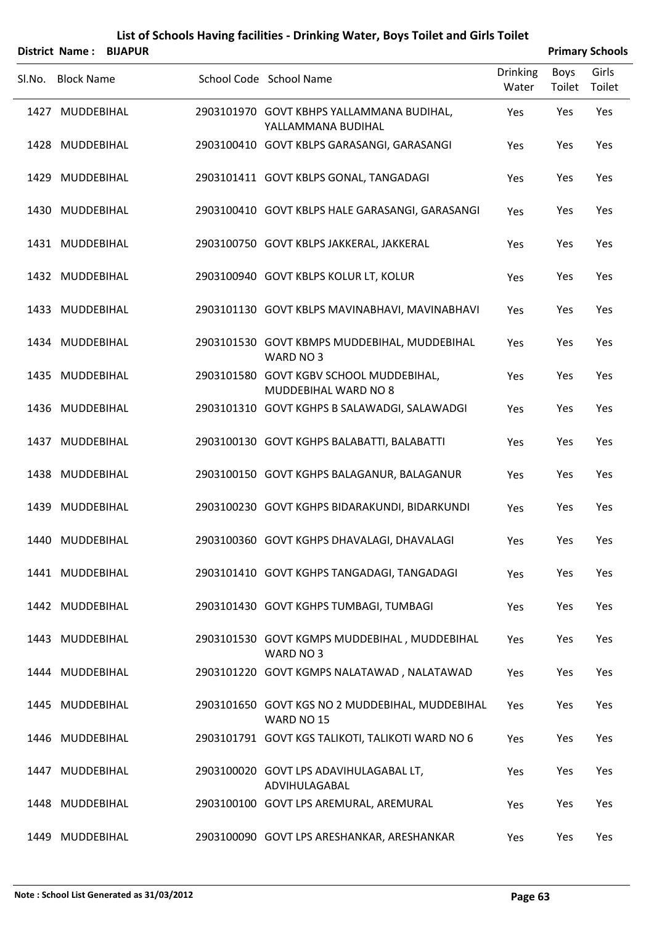|        | District Name:    | <b>BIJAPUR</b> |                                                                        |                          |                | <b>Primary Schools</b> |
|--------|-------------------|----------------|------------------------------------------------------------------------|--------------------------|----------------|------------------------|
| Sl.No. | <b>Block Name</b> |                | School Code School Name                                                | <b>Drinking</b><br>Water | Boys<br>Toilet | Girls<br>Toilet        |
|        | 1427 MUDDEBIHAL   |                | 2903101970 GOVT KBHPS YALLAMMANA BUDIHAL,<br>YALLAMMANA BUDIHAL        | Yes                      | Yes            | Yes                    |
|        | 1428 MUDDEBIHAL   |                | 2903100410 GOVT KBLPS GARASANGI, GARASANGI                             | Yes                      | Yes            | Yes                    |
|        | 1429 MUDDEBIHAL   |                | 2903101411 GOVT KBLPS GONAL, TANGADAGI                                 | Yes                      | Yes            | Yes                    |
|        | 1430 MUDDEBIHAL   |                | 2903100410 GOVT KBLPS HALE GARASANGI, GARASANGI                        | Yes                      | Yes            | Yes                    |
|        | 1431 MUDDEBIHAL   |                | 2903100750 GOVT KBLPS JAKKERAL, JAKKERAL                               | Yes                      | Yes            | Yes                    |
|        | 1432 MUDDEBIHAL   |                | 2903100940 GOVT KBLPS KOLUR LT, KOLUR                                  | Yes                      | Yes            | Yes                    |
|        | 1433 MUDDEBIHAL   |                | 2903101130 GOVT KBLPS MAVINABHAVI, MAVINABHAVI                         | Yes                      | Yes            | Yes                    |
|        | 1434 MUDDEBIHAL   |                | 2903101530 GOVT KBMPS MUDDEBIHAL, MUDDEBIHAL<br>WARD NO 3              | Yes                      | Yes            | Yes                    |
|        | 1435 MUDDEBIHAL   |                | 2903101580 GOVT KGBV SCHOOL MUDDEBIHAL,<br><b>MUDDEBIHAL WARD NO 8</b> | Yes                      | Yes            | Yes                    |
|        | 1436 MUDDEBIHAL   |                | 2903101310 GOVT KGHPS B SALAWADGI, SALAWADGI                           | Yes                      | Yes            | Yes                    |
|        | 1437 MUDDEBIHAL   |                | 2903100130 GOVT KGHPS BALABATTI, BALABATTI                             | Yes                      | Yes            | Yes                    |
|        | 1438 MUDDEBIHAL   |                | 2903100150 GOVT KGHPS BALAGANUR, BALAGANUR                             | Yes                      | Yes            | Yes                    |
|        | 1439 MUDDEBIHAL   |                | 2903100230 GOVT KGHPS BIDARAKUNDI, BIDARKUNDI                          | Yes                      | Yes            | Yes                    |
|        | 1440 MUDDEBIHAL   |                | 2903100360 GOVT KGHPS DHAVALAGI, DHAVALAGI                             | Yes                      | Yes            | Yes                    |
|        | 1441 MUDDEBIHAL   |                | 2903101410 GOVT KGHPS TANGADAGI, TANGADAGI                             | Yes                      | Yes            | Yes                    |
|        | 1442 MUDDEBIHAL   |                | 2903101430 GOVT KGHPS TUMBAGI, TUMBAGI                                 | Yes                      | Yes            | Yes                    |
|        | 1443 MUDDEBIHAL   |                | 2903101530 GOVT KGMPS MUDDEBIHAL, MUDDEBIHAL<br>WARD NO 3              | Yes                      | Yes            | Yes                    |
|        | 1444 MUDDEBIHAL   |                | 2903101220 GOVT KGMPS NALATAWAD, NALATAWAD                             | Yes                      | Yes            | Yes                    |
|        | 1445 MUDDEBIHAL   |                | 2903101650 GOVT KGS NO 2 MUDDEBIHAL, MUDDEBIHAL<br>WARD NO 15          | Yes                      | Yes            | Yes                    |
|        | 1446 MUDDEBIHAL   |                | 2903101791 GOVT KGS TALIKOTI, TALIKOTI WARD NO 6                       | Yes                      | Yes            | Yes                    |
|        | 1447 MUDDEBIHAL   |                | 2903100020 GOVT LPS ADAVIHULAGABAL LT,<br>ADVIHULAGABAL                | Yes                      | Yes            | Yes                    |
|        | 1448 MUDDEBIHAL   |                | 2903100100 GOVT LPS AREMURAL, AREMURAL                                 | Yes                      | Yes            | Yes                    |
|        | 1449 MUDDEBIHAL   |                | 2903100090 GOVT LPS ARESHANKAR, ARESHANKAR                             | Yes                      | Yes            | Yes                    |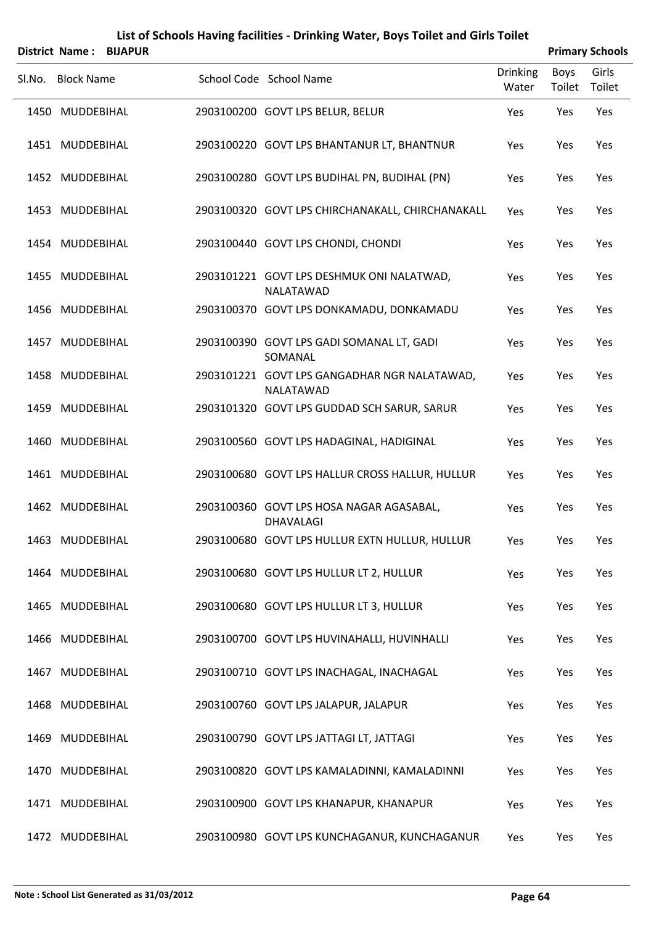| District Name: BIJAPUR |  |                                                              |                          |                | <b>Primary Schools</b> |
|------------------------|--|--------------------------------------------------------------|--------------------------|----------------|------------------------|
| Sl.No. Block Name      |  | School Code School Name                                      | <b>Drinking</b><br>Water | Boys<br>Toilet | Girls<br>Toilet        |
| 1450 MUDDEBIHAL        |  | 2903100200 GOVT LPS BELUR, BELUR                             | Yes                      | Yes            | Yes                    |
| 1451 MUDDEBIHAL        |  | 2903100220 GOVT LPS BHANTANUR LT, BHANTNUR                   | Yes                      | Yes            | Yes                    |
| 1452 MUDDEBIHAL        |  | 2903100280 GOVT LPS BUDIHAL PN, BUDIHAL (PN)                 | Yes                      | Yes            | Yes                    |
| 1453 MUDDEBIHAL        |  | 2903100320 GOVT LPS CHIRCHANAKALL, CHIRCHANAKALL             | Yes                      | Yes            | Yes                    |
| 1454 MUDDEBIHAL        |  | 2903100440 GOVT LPS CHONDI, CHONDI                           | Yes                      | Yes            | Yes                    |
| 1455 MUDDEBIHAL        |  | 2903101221 GOVT LPS DESHMUK ONI NALATWAD,<br>NALATAWAD       | Yes                      | Yes            | Yes                    |
| 1456 MUDDEBIHAL        |  | 2903100370 GOVT LPS DONKAMADU, DONKAMADU                     | Yes                      | Yes            | Yes                    |
| 1457 MUDDEBIHAL        |  | 2903100390 GOVT LPS GADI SOMANAL LT, GADI<br>SOMANAL         | Yes                      | Yes            | Yes                    |
| 1458 MUDDEBIHAL        |  | 2903101221 GOVT LPS GANGADHAR NGR NALATAWAD,<br>NALATAWAD    | Yes                      | Yes            | Yes                    |
| 1459 MUDDEBIHAL        |  | 2903101320 GOVT LPS GUDDAD SCH SARUR, SARUR                  | Yes                      | Yes            | Yes                    |
| 1460 MUDDEBIHAL        |  | 2903100560 GOVT LPS HADAGINAL, HADIGINAL                     | Yes                      | Yes            | Yes                    |
| 1461 MUDDEBIHAL        |  | 2903100680 GOVT LPS HALLUR CROSS HALLUR, HULLUR              | Yes                      | Yes            | Yes                    |
| 1462 MUDDEBIHAL        |  | 2903100360 GOVT LPS HOSA NAGAR AGASABAL,<br><b>DHAVALAGI</b> | Yes                      | Yes            | Yes                    |
| 1463 MUDDEBIHAL        |  | 2903100680 GOVT LPS HULLUR EXTN HULLUR, HULLUR               | Yes                      | Yes            | Yes                    |
| 1464 MUDDEBIHAL        |  | 2903100680 GOVT LPS HULLUR LT 2, HULLUR                      | Yes                      | Yes            | Yes                    |
| 1465 MUDDEBIHAL        |  | 2903100680 GOVT LPS HULLUR LT 3, HULLUR                      | Yes                      | Yes            | Yes                    |
| 1466 MUDDEBIHAL        |  | 2903100700 GOVT LPS HUVINAHALLI, HUVINHALLI                  | Yes                      | Yes            | Yes                    |
| 1467 MUDDEBIHAL        |  | 2903100710 GOVT LPS INACHAGAL, INACHAGAL                     | Yes                      | Yes            | Yes                    |
| 1468 MUDDEBIHAL        |  | 2903100760 GOVT LPS JALAPUR, JALAPUR                         | Yes                      | Yes            | Yes                    |
| 1469 MUDDEBIHAL        |  | 2903100790 GOVT LPS JATTAGI LT, JATTAGI                      | Yes                      | Yes            | Yes                    |
| 1470 MUDDEBIHAL        |  | 2903100820 GOVT LPS KAMALADINNI, KAMALADINNI                 | Yes                      | Yes            | Yes                    |
| 1471 MUDDEBIHAL        |  | 2903100900 GOVT LPS KHANAPUR, KHANAPUR                       | Yes                      | Yes            | Yes                    |
| 1472 MUDDEBIHAL        |  | 2903100980 GOVT LPS KUNCHAGANUR, KUNCHAGANUR                 | Yes                      | Yes            | Yes                    |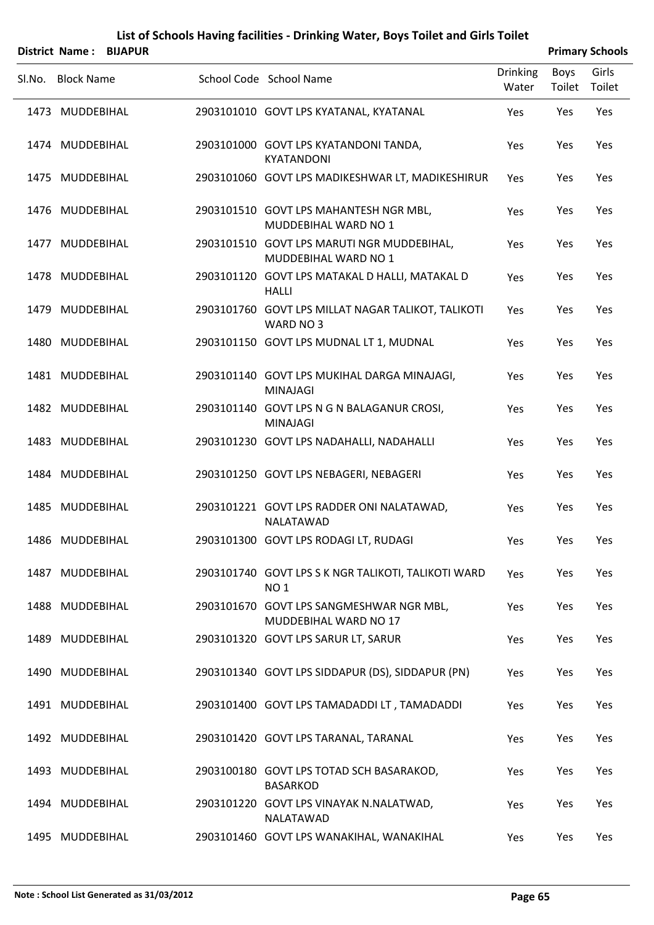|        |                   | District Name: BIJAPUR |                                                                    |                          |                | <b>Primary Schools</b> |
|--------|-------------------|------------------------|--------------------------------------------------------------------|--------------------------|----------------|------------------------|
| SI.No. | <b>Block Name</b> |                        | School Code School Name                                            | <b>Drinking</b><br>Water | Boys<br>Toilet | Girls<br>Toilet        |
|        | 1473 MUDDEBIHAL   |                        | 2903101010 GOVT LPS KYATANAL, KYATANAL                             | Yes                      | Yes            | Yes                    |
|        | 1474 MUDDEBIHAL   |                        | 2903101000 GOVT LPS KYATANDONI TANDA,<br>KYATANDONI                | Yes                      | Yes            | Yes                    |
|        | 1475 MUDDEBIHAL   |                        | 2903101060 GOVT LPS MADIKESHWAR LT, MADIKESHIRUR                   | Yes                      | Yes            | Yes                    |
|        | 1476 MUDDEBIHAL   |                        | 2903101510 GOVT LPS MAHANTESH NGR MBL,<br>MUDDEBIHAL WARD NO 1     | Yes                      | Yes            | Yes                    |
|        | 1477 MUDDEBIHAL   |                        | 2903101510 GOVT LPS MARUTI NGR MUDDEBIHAL,<br>MUDDEBIHAL WARD NO 1 | Yes                      | Yes            | Yes                    |
|        | 1478 MUDDEBIHAL   |                        | 2903101120 GOVT LPS MATAKAL D HALLI, MATAKAL D<br><b>HALLI</b>     | Yes                      | Yes            | Yes                    |
|        | 1479 MUDDEBIHAL   |                        | 2903101760 GOVT LPS MILLAT NAGAR TALIKOT, TALIKOTI<br>WARD NO 3    | Yes                      | Yes            | Yes                    |
|        | 1480 MUDDEBIHAL   |                        | 2903101150 GOVT LPS MUDNAL LT 1, MUDNAL                            | Yes                      | Yes            | Yes                    |
|        | 1481 MUDDEBIHAL   |                        | 2903101140 GOVT LPS MUKIHAL DARGA MINAJAGI,<br><b>MINAJAGI</b>     | Yes                      | Yes            | Yes                    |
|        | 1482 MUDDEBIHAL   |                        | 2903101140 GOVT LPS N G N BALAGANUR CROSI,<br><b>MINAJAGI</b>      | Yes                      | Yes            | Yes                    |
|        | 1483 MUDDEBIHAL   |                        | 2903101230 GOVT LPS NADAHALLI, NADAHALLI                           | Yes                      | Yes            | Yes                    |
|        | 1484 MUDDEBIHAL   |                        | 2903101250 GOVT LPS NEBAGERI, NEBAGERI                             | Yes                      | Yes            | Yes                    |
|        | 1485 MUDDEBIHAL   |                        | 2903101221 GOVT LPS RADDER ONI NALATAWAD,<br>NALATAWAD             | Yes                      | Yes            | Yes                    |
|        | 1486 MUDDEBIHAL   |                        | 2903101300 GOVT LPS RODAGI LT, RUDAGI                              | Yes                      | Yes            | Yes                    |
|        | 1487 MUDDEBIHAL   |                        | 2903101740 GOVT LPS S K NGR TALIKOTI, TALIKOTI WARD<br><b>NO1</b>  | Yes                      | Yes            | Yes                    |
|        | 1488 MUDDEBIHAL   |                        | 2903101670 GOVT LPS SANGMESHWAR NGR MBL,<br>MUDDEBIHAL WARD NO 17  | Yes                      | Yes            | Yes                    |
|        | 1489 MUDDEBIHAL   |                        | 2903101320 GOVT LPS SARUR LT, SARUR                                | Yes                      | Yes            | Yes                    |
|        | 1490 MUDDEBIHAL   |                        | 2903101340 GOVT LPS SIDDAPUR (DS), SIDDAPUR (PN)                   | Yes                      | Yes            | Yes                    |
|        | 1491 MUDDEBIHAL   |                        | 2903101400 GOVT LPS TAMADADDI LT, TAMADADDI                        | Yes                      | Yes            | Yes                    |
|        | 1492 MUDDEBIHAL   |                        | 2903101420 GOVT LPS TARANAL, TARANAL                               | Yes                      | Yes            | Yes                    |
|        | 1493 MUDDEBIHAL   |                        | 2903100180 GOVT LPS TOTAD SCH BASARAKOD,<br><b>BASARKOD</b>        | Yes                      | Yes            | Yes                    |
|        | 1494 MUDDEBIHAL   |                        | 2903101220 GOVT LPS VINAYAK N.NALATWAD,<br>NALATAWAD               | Yes                      | Yes            | Yes                    |
|        | 1495 MUDDEBIHAL   |                        | 2903101460 GOVT LPS WANAKIHAL, WANAKIHAL                           | Yes                      | Yes            | Yes                    |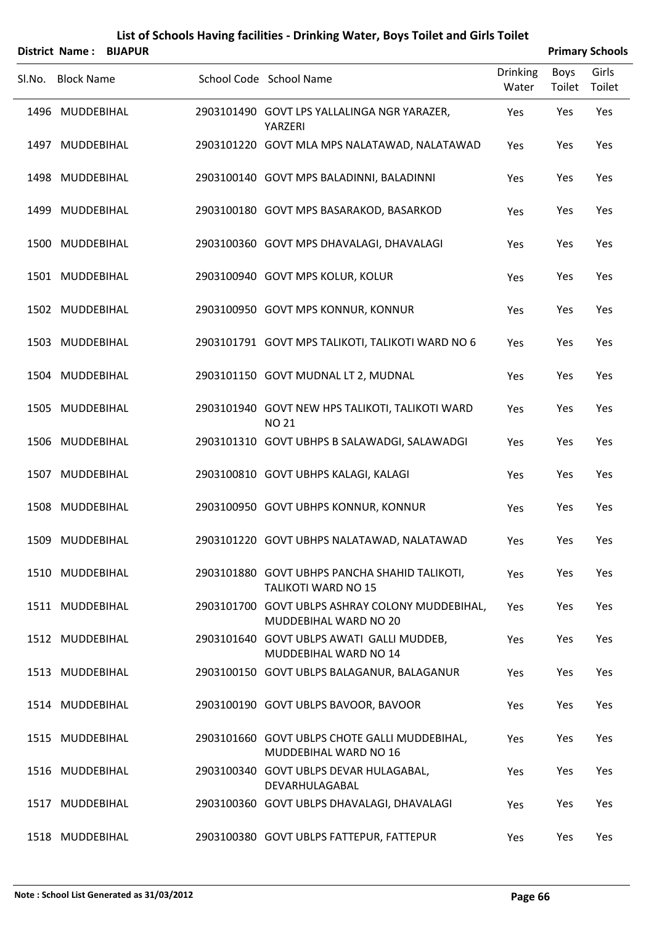|        | <b>District Name:</b> | <b>BIJAPUR</b> |                                                                             |                          |                | <b>Primary Schools</b> |
|--------|-----------------------|----------------|-----------------------------------------------------------------------------|--------------------------|----------------|------------------------|
| Sl.No. | <b>Block Name</b>     |                | School Code School Name                                                     | <b>Drinking</b><br>Water | Boys<br>Toilet | Girls<br>Toilet        |
|        | 1496 MUDDEBIHAL       |                | 2903101490 GOVT LPS YALLALINGA NGR YARAZER,<br>YARZERI                      | Yes                      | Yes            | Yes                    |
|        | 1497 MUDDEBIHAL       |                | 2903101220 GOVT MLA MPS NALATAWAD, NALATAWAD                                | Yes                      | Yes            | Yes                    |
|        | 1498 MUDDEBIHAL       |                | 2903100140 GOVT MPS BALADINNI, BALADINNI                                    | Yes                      | Yes            | Yes                    |
|        | 1499 MUDDEBIHAL       |                | 2903100180 GOVT MPS BASARAKOD, BASARKOD                                     | Yes                      | Yes            | Yes                    |
|        | 1500 MUDDEBIHAL       |                | 2903100360 GOVT MPS DHAVALAGI, DHAVALAGI                                    | Yes                      | Yes            | Yes                    |
|        | 1501 MUDDEBIHAL       |                | 2903100940 GOVT MPS KOLUR, KOLUR                                            | Yes                      | Yes            | Yes                    |
|        | 1502 MUDDEBIHAL       |                | 2903100950 GOVT MPS KONNUR, KONNUR                                          | Yes                      | Yes            | Yes                    |
|        | 1503 MUDDEBIHAL       |                | 2903101791 GOVT MPS TALIKOTI, TALIKOTI WARD NO 6                            | Yes                      | Yes            | Yes                    |
|        | 1504 MUDDEBIHAL       |                | 2903101150 GOVT MUDNAL LT 2, MUDNAL                                         | Yes                      | Yes            | Yes                    |
|        | 1505 MUDDEBIHAL       |                | 2903101940 GOVT NEW HPS TALIKOTI, TALIKOTI WARD<br><b>NO 21</b>             | Yes                      | Yes            | Yes                    |
|        | 1506 MUDDEBIHAL       |                | 2903101310 GOVT UBHPS B SALAWADGI, SALAWADGI                                | Yes                      | Yes            | Yes                    |
|        | 1507 MUDDEBIHAL       |                | 2903100810 GOVT UBHPS KALAGI, KALAGI                                        | Yes                      | Yes            | Yes                    |
|        | 1508 MUDDEBIHAL       |                | 2903100950 GOVT UBHPS KONNUR, KONNUR                                        | Yes                      | Yes            | Yes                    |
|        | 1509 MUDDEBIHAL       |                | 2903101220 GOVT UBHPS NALATAWAD, NALATAWAD                                  | Yes                      | Yes            | Yes                    |
|        | 1510 MUDDEBIHAL       |                | 2903101880 GOVT UBHPS PANCHA SHAHID TALIKOTI,<br><b>TALIKOTI WARD NO 15</b> | Yes                      | Yes            | Yes                    |
|        | 1511 MUDDEBIHAL       |                | 2903101700 GOVT UBLPS ASHRAY COLONY MUDDEBIHAL,<br>MUDDEBIHAL WARD NO 20    | Yes                      | Yes            | Yes                    |
|        | 1512 MUDDEBIHAL       |                | 2903101640 GOVT UBLPS AWATI GALLI MUDDEB,<br>MUDDEBIHAL WARD NO 14          | Yes                      | Yes            | Yes                    |
|        | 1513 MUDDEBIHAL       |                | 2903100150 GOVT UBLPS BALAGANUR, BALAGANUR                                  | Yes                      | Yes            | Yes                    |
|        | 1514 MUDDEBIHAL       |                | 2903100190 GOVT UBLPS BAVOOR, BAVOOR                                        | Yes                      | Yes            | Yes                    |
|        | 1515 MUDDEBIHAL       |                | 2903101660 GOVT UBLPS CHOTE GALLI MUDDEBIHAL,<br>MUDDEBIHAL WARD NO 16      | Yes                      | Yes            | Yes                    |
|        | 1516 MUDDEBIHAL       |                | 2903100340 GOVT UBLPS DEVAR HULAGABAL,<br>DEVARHULAGABAL                    | Yes                      | Yes            | Yes                    |
|        | 1517 MUDDEBIHAL       |                | 2903100360 GOVT UBLPS DHAVALAGI, DHAVALAGI                                  | Yes                      | Yes            | Yes                    |
|        | 1518 MUDDEBIHAL       |                | 2903100380 GOVT UBLPS FATTEPUR, FATTEPUR                                    | Yes                      | Yes            | Yes                    |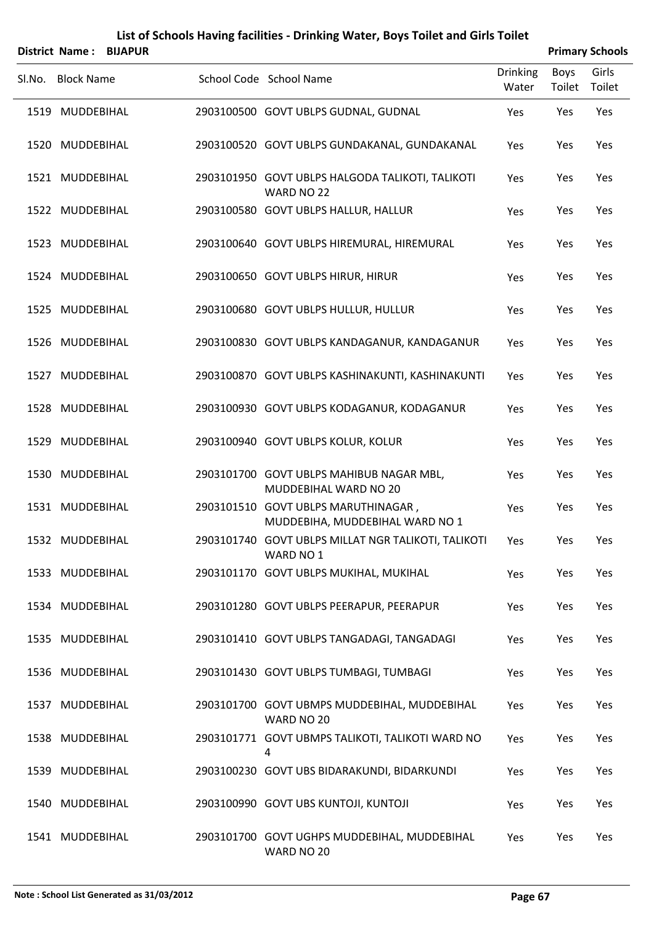| <b>District Name:</b> | <b>BIJAPUR</b> | List of Schools Having facilities - Drinking Water, Boys Toilet and Girls Toilet |                          |                       | <b>Primary Schools</b> |
|-----------------------|----------------|----------------------------------------------------------------------------------|--------------------------|-----------------------|------------------------|
| Sl.No. Block Name     |                | School Code School Name                                                          | <b>Drinking</b><br>Water | <b>Boys</b><br>Toilet | Girls<br>Toilet        |
| 1519 MUDDEBIHAL       |                | 2903100500 GOVT UBLPS GUDNAL, GUDNAL                                             | Yes                      | Yes                   | Yes                    |
| 1520 MUDDEBIHAL       |                | 2903100520 GOVT UBLPS GUNDAKANAL, GUNDAKANAL                                     | Yes                      | Yes                   | Yes                    |
| 1521 MUDDEBIHAL       |                | 2903101950 GOVT UBLPS HALGODA TALIKOTI, TALIKOTI<br>WARD NO 22                   | Yes                      | Yes                   | Yes                    |
| 1522 MUDDEBIHAL       |                | 2903100580 GOVT UBLPS HALLUR, HALLUR                                             | Yes                      | Yes                   | Yes                    |
| 1523 MUDDEBIHAL       |                | 2903100640 GOVT UBLPS HIREMURAL, HIREMURAL                                       | Yes                      | Yes                   | Yes                    |
| 1524 MUDDEBIHAL       |                | 2903100650 GOVT UBLPS HIRUR, HIRUR                                               | Yes                      | Yes                   | Yes                    |
| 1525 MUDDEBIHAL       |                | 2903100680 GOVT UBLPS HULLUR, HULLUR                                             | Yes                      | Yes                   | Yes                    |
| 1526 MUDDEBIHAL       |                | 2903100830 GOVT UBLPS KANDAGANUR, KANDAGANUR                                     | Yes                      | Yes                   | Yes                    |
| 1527 MUDDEBIHAL       |                | 2903100870 GOVT UBLPS KASHINAKUNTI, KASHINAKUNTI                                 | Yes                      | Yes                   | Yes                    |
| 1528 MUDDEBIHAL       |                | 2903100930 GOVT UBLPS KODAGANUR, KODAGANUR                                       | Yes                      | Yes                   | Yes                    |
| 1529 MUDDEBIHAL       |                | 2903100940 GOVT UBLPS KOLUR, KOLUR                                               | Yes                      | Yes                   | Yes                    |
| 1530 MUDDEBIHAL       |                | 2903101700 GOVT UBLPS MAHIBUB NAGAR MBL,<br>MUDDEBIHAL WARD NO 20                | Yes                      | Yes                   | Yes                    |
| 1531 MUDDEBIHAL       |                | 2903101510 GOVT UBLPS MARUTHINAGAR,<br>MUDDEBIHA, MUDDEBIHAL WARD NO 1           | Yes                      | Yes                   | Yes                    |
| 1532 MUDDEBIHAL       |                | 2903101740 GOVT UBLPS MILLAT NGR TALIKOTI, TALIKOTI<br>WARD NO 1                 | Yes                      | Yes                   | Yes                    |
| 1533 MUDDEBIHAL       |                | 2903101170 GOVT UBLPS MUKIHAL, MUKIHAL                                           | Yes                      | Yes                   | Yes                    |
| 1534 MUDDEBIHAL       |                | 2903101280 GOVT UBLPS PEERAPUR, PEERAPUR                                         | Yes                      | Yes                   | Yes                    |
| 1535 MUDDEBIHAL       |                | 2903101410 GOVT UBLPS TANGADAGI, TANGADAGI                                       | Yes                      | Yes                   | Yes                    |
| 1536 MUDDEBIHAL       |                | 2903101430 GOVT UBLPS TUMBAGI, TUMBAGI                                           | Yes                      | Yes                   | Yes                    |
| 1537 MUDDEBIHAL       |                | 2903101700 GOVT UBMPS MUDDEBIHAL, MUDDEBIHAL<br>WARD NO 20                       | Yes                      | Yes                   | Yes                    |
| 1538 MUDDEBIHAL       |                | 2903101771 GOVT UBMPS TALIKOTI, TALIKOTI WARD NO<br>4                            | Yes                      | Yes                   | Yes                    |
| 1539 MUDDEBIHAL       |                | 2903100230 GOVT UBS BIDARAKUNDI, BIDARKUNDI                                      | Yes                      | Yes                   | Yes                    |
| 1540 MUDDEBIHAL       |                | 2903100990 GOVT UBS KUNTOJI, KUNTOJI                                             | Yes                      | Yes                   | Yes                    |
| 1541 MUDDEBIHAL       |                | 2903101700 GOVT UGHPS MUDDEBIHAL, MUDDEBIHAL<br>WARD NO 20                       | Yes                      | Yes                   | Yes                    |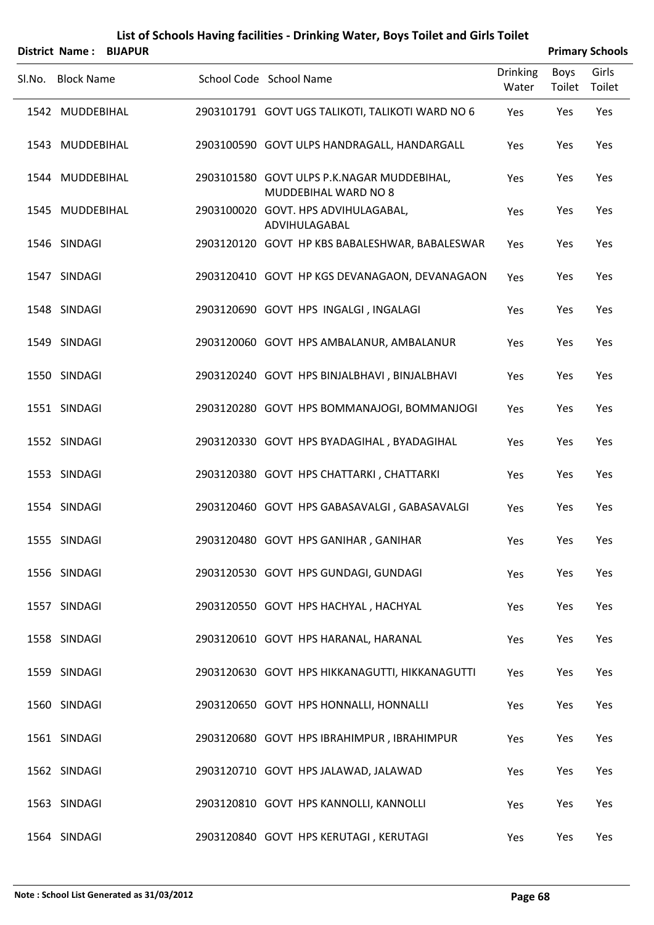|        | <b>District Name:</b> | <b>BIJAPUR</b> |                                                                           |                          |                | <b>Primary Schools</b> |
|--------|-----------------------|----------------|---------------------------------------------------------------------------|--------------------------|----------------|------------------------|
| SI.No. | <b>Block Name</b>     |                | School Code School Name                                                   | <b>Drinking</b><br>Water | Boys<br>Toilet | Girls<br>Toilet        |
|        | 1542 MUDDEBIHAL       |                | 2903101791 GOVT UGS TALIKOTI, TALIKOTI WARD NO 6                          | Yes                      | Yes            | Yes                    |
|        | 1543 MUDDEBIHAL       |                | 2903100590 GOVT ULPS HANDRAGALL, HANDARGALL                               | Yes                      | Yes            | Yes                    |
|        | 1544 MUDDEBIHAL       |                | 2903101580 GOVT ULPS P.K.NAGAR MUDDEBIHAL,<br><b>MUDDEBIHAL WARD NO 8</b> | Yes                      | Yes            | Yes                    |
|        | 1545 MUDDEBIHAL       |                | 2903100020 GOVT. HPS ADVIHULAGABAL,<br>ADVIHULAGABAL                      | Yes                      | Yes            | Yes                    |
|        | 1546 SINDAGI          |                | 2903120120 GOVT HP KBS BABALESHWAR, BABALESWAR                            | Yes                      | Yes            | Yes                    |
|        | 1547 SINDAGI          |                | 2903120410 GOVT HP KGS DEVANAGAON, DEVANAGAON                             | Yes                      | Yes            | Yes                    |
|        | 1548 SINDAGI          |                | 2903120690 GOVT HPS INGALGI, INGALAGI                                     | Yes                      | Yes            | Yes                    |
|        | 1549 SINDAGI          |                | 2903120060 GOVT HPS AMBALANUR, AMBALANUR                                  | Yes                      | Yes            | Yes                    |
|        | 1550 SINDAGI          |                | 2903120240 GOVT HPS BINJALBHAVI, BINJALBHAVI                              | Yes                      | Yes            | Yes                    |
|        | 1551 SINDAGI          |                | 2903120280 GOVT HPS BOMMANAJOGI, BOMMANJOGI                               | Yes                      | Yes            | Yes                    |
|        | 1552 SINDAGI          |                | 2903120330 GOVT HPS BYADAGIHAL, BYADAGIHAL                                | Yes                      | Yes            | Yes                    |
|        | 1553 SINDAGI          |                | 2903120380 GOVT HPS CHATTARKI, CHATTARKI                                  | Yes                      | Yes            | Yes                    |
|        | 1554 SINDAGI          |                | 2903120460 GOVT HPS GABASAVALGI, GABASAVALGI                              | Yes                      | Yes            | Yes                    |
|        | 1555 SINDAGI          |                | 2903120480 GOVT HPS GANIHAR, GANIHAR                                      | Yes                      | Yes            | Yes                    |
|        | 1556 SINDAGI          |                | 2903120530 GOVT HPS GUNDAGI, GUNDAGI                                      | Yes                      | Yes            | Yes                    |
|        | 1557 SINDAGI          |                | 2903120550 GOVT HPS HACHYAL, HACHYAL                                      | Yes                      | Yes            | Yes                    |
|        | 1558 SINDAGI          |                | 2903120610 GOVT HPS HARANAL, HARANAL                                      | Yes                      | Yes            | Yes                    |
|        | 1559 SINDAGI          |                | 2903120630 GOVT HPS HIKKANAGUTTI, HIKKANAGUTTI                            | Yes                      | Yes            | Yes                    |
|        | 1560 SINDAGI          |                | 2903120650 GOVT HPS HONNALLI, HONNALLI                                    | Yes                      | Yes            | Yes                    |
|        | 1561 SINDAGI          |                | 2903120680 GOVT HPS IBRAHIMPUR, IBRAHIMPUR                                | Yes                      | Yes            | Yes                    |
|        | 1562 SINDAGI          |                | 2903120710 GOVT HPS JALAWAD, JALAWAD                                      | Yes                      | Yes            | Yes                    |
|        | 1563 SINDAGI          |                | 2903120810 GOVT HPS KANNOLLI, KANNOLLI                                    | Yes                      | Yes            | Yes                    |
|        | 1564 SINDAGI          |                | 2903120840 GOVT HPS KERUTAGI, KERUTAGI                                    | Yes                      | Yes            | Yes                    |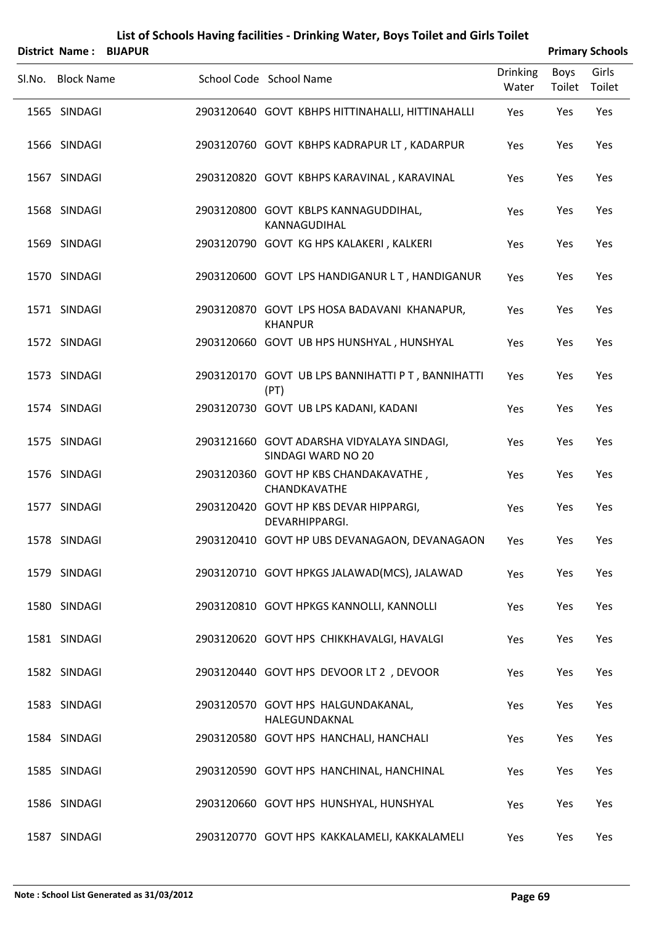|                   | District Name: BIJAPUR |                                                                  |                          |                       | <b>Primary Schools</b> |
|-------------------|------------------------|------------------------------------------------------------------|--------------------------|-----------------------|------------------------|
| Sl.No. Block Name |                        | School Code School Name                                          | <b>Drinking</b><br>Water | <b>Boys</b><br>Toilet | Girls<br>Toilet        |
| 1565 SINDAGI      |                        | 2903120640 GOVT KBHPS HITTINAHALLI, HITTINAHALLI                 | Yes                      | Yes                   | Yes                    |
| 1566 SINDAGI      |                        | 2903120760 GOVT KBHPS KADRAPUR LT, KADARPUR                      | Yes                      | Yes                   | Yes                    |
| 1567 SINDAGI      |                        | 2903120820 GOVT KBHPS KARAVINAL, KARAVINAL                       | Yes                      | Yes                   | Yes                    |
| 1568 SINDAGI      |                        | 2903120800 GOVT KBLPS KANNAGUDDIHAL,<br>KANNAGUDIHAL             | Yes                      | Yes                   | Yes                    |
| 1569 SINDAGI      |                        | 2903120790 GOVT KG HPS KALAKERI, KALKERI                         | Yes                      | Yes                   | Yes                    |
| 1570 SINDAGI      |                        | 2903120600 GOVT LPS HANDIGANUR L T, HANDIGANUR                   | Yes                      | Yes                   | Yes                    |
| 1571 SINDAGI      |                        | 2903120870 GOVT LPS HOSA BADAVANI KHANAPUR,<br><b>KHANPUR</b>    | Yes                      | Yes                   | Yes                    |
| 1572 SINDAGI      |                        | 2903120660 GOVT UB HPS HUNSHYAL, HUNSHYAL                        | Yes                      | Yes                   | Yes                    |
| 1573 SINDAGI      |                        | 2903120170 GOVT UB LPS BANNIHATTI P T, BANNIHATTI<br>(PT)        | Yes                      | Yes                   | Yes                    |
| 1574 SINDAGI      |                        | 2903120730 GOVT UB LPS KADANI, KADANI                            | Yes                      | Yes                   | Yes                    |
| 1575 SINDAGI      |                        | 2903121660 GOVT ADARSHA VIDYALAYA SINDAGI,<br>SINDAGI WARD NO 20 | Yes                      | Yes                   | Yes                    |
| 1576 SINDAGI      |                        | 2903120360 GOVT HP KBS CHANDAKAVATHE,<br>CHANDKAVATHE            | Yes                      | Yes                   | Yes                    |
| 1577 SINDAGI      |                        | 2903120420 GOVT HP KBS DEVAR HIPPARGI,<br>DEVARHIPPARGI.         | Yes                      | Yes                   | Yes                    |
| 1578 SINDAGI      |                        | 2903120410 GOVT HP UBS DEVANAGAON, DEVANAGAON                    | Yes                      | Yes                   | Yes                    |
| 1579 SINDAGI      |                        | 2903120710 GOVT HPKGS JALAWAD(MCS), JALAWAD                      | Yes                      | Yes                   | Yes                    |
| 1580 SINDAGI      |                        | 2903120810 GOVT HPKGS KANNOLLI, KANNOLLI                         | Yes                      | Yes                   | Yes                    |
| 1581 SINDAGI      |                        | 2903120620 GOVT HPS CHIKKHAVALGI, HAVALGI                        | Yes                      | Yes                   | Yes                    |

| 1583 | SINDAGI      | 2903120570 GOVT HPS HALGUNDAKANAL,<br>HALEGUNDAKNAL | Yes | Yes | Yes |
|------|--------------|-----------------------------------------------------|-----|-----|-----|
| 1584 | SINDAGI      | 2903120580 GOVT HPS HANCHALI, HANCHALI              | Yes | Yes | Yes |
|      | 1585 SINDAGI | 2903120590 GOVT HPS HANCHINAL, HANCHINAL            | Yes | Yes | Yes |
|      | 1586 SINDAGI | 2903120660 GOVT HPS HUNSHYAL, HUNSHYAL              | Yes | Yes | Yes |
| 1587 | SINDAGI      | 2903120770 GOVT HPS KAKKALAMELI, KAKKALAMELI        | Yes | Yes | Yes |

1582 SINDAGI 2903120440 GOVT HPS DEVOOR LT 2 , DEVOOR Yes Yes Yes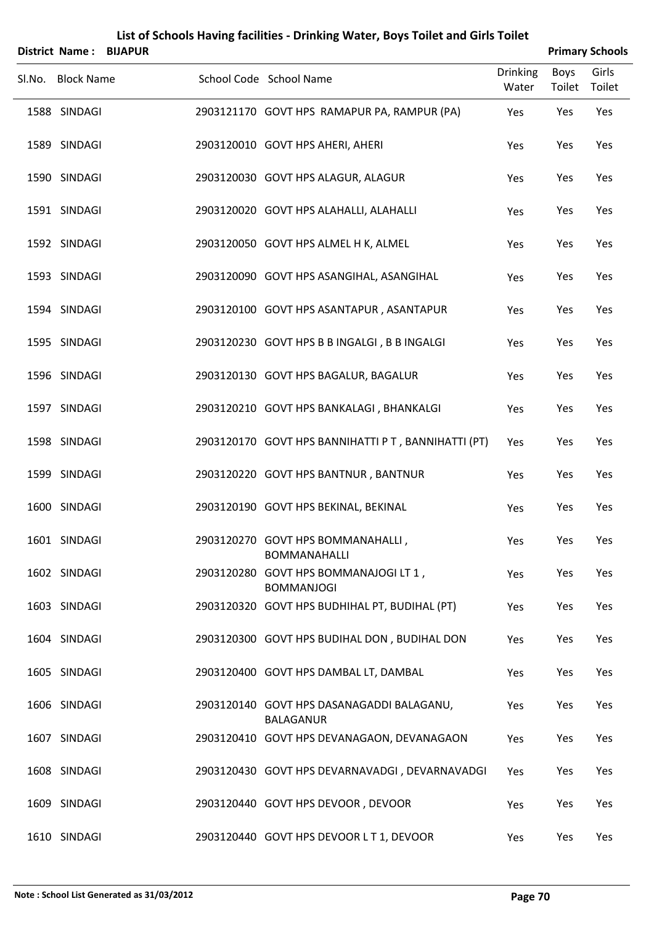|        | <b>District Name: BIJAPUR</b> |  |                                                               |                          |                | <b>Primary Schools</b> |
|--------|-------------------------------|--|---------------------------------------------------------------|--------------------------|----------------|------------------------|
| SI.No. | <b>Block Name</b>             |  | School Code School Name                                       | <b>Drinking</b><br>Water | Boys<br>Toilet | Girls<br>Toilet        |
|        | 1588 SINDAGI                  |  | 2903121170 GOVT HPS RAMAPUR PA, RAMPUR (PA)                   | Yes                      | Yes            | Yes                    |
|        | 1589 SINDAGI                  |  | 2903120010 GOVT HPS AHERI, AHERI                              | Yes                      | Yes            | Yes                    |
|        | 1590 SINDAGI                  |  | 2903120030 GOVT HPS ALAGUR, ALAGUR                            | Yes                      | Yes            | Yes                    |
|        | 1591 SINDAGI                  |  | 2903120020 GOVT HPS ALAHALLI, ALAHALLI                        | Yes                      | Yes            | Yes                    |
|        | 1592 SINDAGI                  |  | 2903120050 GOVT HPS ALMEL H K, ALMEL                          | Yes                      | Yes            | Yes                    |
|        | 1593 SINDAGI                  |  | 2903120090 GOVT HPS ASANGIHAL, ASANGIHAL                      | Yes                      | Yes            | Yes                    |
|        | 1594 SINDAGI                  |  | 2903120100 GOVT HPS ASANTAPUR, ASANTAPUR                      | Yes                      | Yes            | Yes                    |
|        | 1595 SINDAGI                  |  | 2903120230 GOVT HPS B B INGALGI, B B INGALGI                  | Yes                      | Yes            | Yes                    |
|        | 1596 SINDAGI                  |  | 2903120130 GOVT HPS BAGALUR, BAGALUR                          | Yes                      | Yes            | Yes                    |
|        | 1597 SINDAGI                  |  | 2903120210 GOVT HPS BANKALAGI, BHANKALGI                      | Yes                      | Yes            | Yes                    |
|        | 1598 SINDAGI                  |  | 2903120170 GOVT HPS BANNIHATTI P T, BANNIHATTI (PT)           | Yes                      | Yes            | Yes                    |
|        | 1599 SINDAGI                  |  | 2903120220 GOVT HPS BANTNUR, BANTNUR                          | Yes                      | Yes            | Yes                    |
|        | 1600 SINDAGI                  |  | 2903120190 GOVT HPS BEKINAL, BEKINAL                          | Yes                      | Yes            | Yes                    |
|        | 1601 SINDAGI                  |  | 2903120270 GOVT HPS BOMMANAHALLI,<br><b>BOMMANAHALLI</b>      | Yes                      | Yes            | Yes                    |
|        | 1602 SINDAGI                  |  | 2903120280 GOVT HPS BOMMANAJOGILT 1,<br><b>BOMMANJOGI</b>     | Yes                      | Yes            | Yes                    |
|        | 1603 SINDAGI                  |  | 2903120320 GOVT HPS BUDHIHAL PT, BUDIHAL (PT)                 | Yes                      | Yes            | Yes                    |
|        | 1604 SINDAGI                  |  | 2903120300 GOVT HPS BUDIHAL DON, BUDIHAL DON                  | Yes                      | Yes            | Yes                    |
|        | 1605 SINDAGI                  |  | 2903120400 GOVT HPS DAMBAL LT, DAMBAL                         | Yes                      | Yes            | Yes                    |
|        | 1606 SINDAGI                  |  | 2903120140 GOVT HPS DASANAGADDI BALAGANU,<br><b>BALAGANUR</b> | Yes                      | Yes            | Yes                    |
|        | 1607 SINDAGI                  |  | 2903120410 GOVT HPS DEVANAGAON, DEVANAGAON                    | Yes                      | Yes            | Yes                    |
|        | 1608 SINDAGI                  |  | 2903120430 GOVT HPS DEVARNAVADGI, DEVARNAVADGI                | Yes                      | Yes            | Yes                    |
|        | 1609 SINDAGI                  |  | 2903120440 GOVT HPS DEVOOR, DEVOOR                            | Yes                      | Yes            | Yes                    |
|        | 1610 SINDAGI                  |  | 2903120440 GOVT HPS DEVOOR LT 1, DEVOOR                       | Yes                      | Yes            | Yes                    |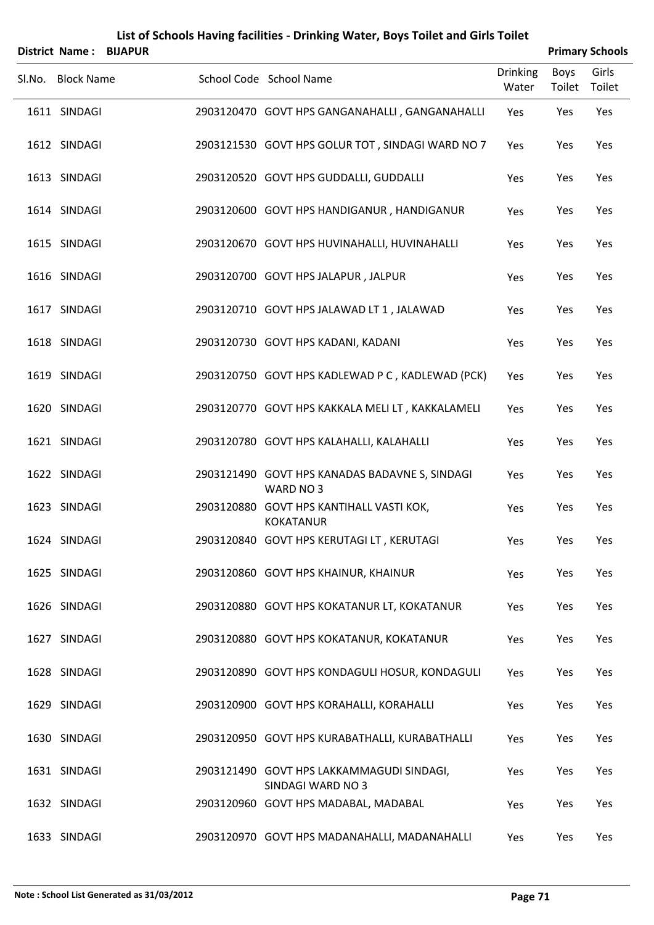|        | <b>District Name:</b> | <b>BIJAPUR</b> |                                                                |                          |                       | <b>Primary Schools</b> |
|--------|-----------------------|----------------|----------------------------------------------------------------|--------------------------|-----------------------|------------------------|
| Sl.No. | <b>Block Name</b>     |                | School Code School Name                                        | <b>Drinking</b><br>Water | Boys<br>Toilet Toilet | Girls                  |
|        | 1611 SINDAGI          |                | 2903120470 GOVT HPS GANGANAHALLI, GANGANAHALLI                 | Yes                      | Yes                   | Yes                    |
|        | 1612 SINDAGI          |                | 2903121530 GOVT HPS GOLUR TOT, SINDAGI WARD NO 7               | Yes                      | Yes                   | Yes                    |
|        | 1613 SINDAGI          |                | 2903120520 GOVT HPS GUDDALLI, GUDDALLI                         | Yes                      | Yes                   | Yes                    |
|        | 1614 SINDAGI          |                | 2903120600 GOVT HPS HANDIGANUR, HANDIGANUR                     | Yes                      | Yes                   | Yes                    |
|        | 1615 SINDAGI          |                | 2903120670 GOVT HPS HUVINAHALLI, HUVINAHALLI                   | Yes                      | Yes                   | Yes                    |
|        | 1616 SINDAGI          |                | 2903120700 GOVT HPS JALAPUR, JALPUR                            | Yes                      | Yes                   | Yes                    |
|        | 1617 SINDAGI          |                | 2903120710 GOVT HPS JALAWAD LT 1, JALAWAD                      | Yes                      | Yes                   | Yes                    |
|        | 1618 SINDAGI          |                | 2903120730 GOVT HPS KADANI, KADANI                             | Yes                      | Yes                   | Yes                    |
|        | 1619 SINDAGI          |                | 2903120750 GOVT HPS KADLEWAD P C, KADLEWAD (PCK)               | Yes                      | Yes                   | Yes                    |
|        | 1620 SINDAGI          |                | 2903120770 GOVT HPS KAKKALA MELI LT, KAKKALAMELI               | Yes                      | Yes                   | Yes                    |
|        | 1621 SINDAGI          |                | 2903120780 GOVT HPS KALAHALLI, KALAHALLI                       | Yes                      | Yes                   | Yes                    |
|        | 1622 SINDAGI          |                | 2903121490 GOVT HPS KANADAS BADAVNE S, SINDAGI<br>WARD NO 3    | Yes                      | Yes                   | Yes                    |
|        | 1623 SINDAGI          |                | 2903120880 GOVT HPS KANTIHALL VASTI KOK,<br><b>KOKATANUR</b>   | Yes                      | Yes                   | Yes                    |
|        | 1624 SINDAGI          |                | 2903120840 GOVT HPS KERUTAGI LT, KERUTAGI                      | Yes                      | Yes                   | Yes                    |
|        | 1625 SINDAGI          |                | 2903120860 GOVT HPS KHAINUR, KHAINUR                           | Yes                      | Yes                   | Yes                    |
|        | 1626 SINDAGI          |                | 2903120880 GOVT HPS KOKATANUR LT, KOKATANUR                    | Yes                      | Yes                   | Yes                    |
|        | 1627 SINDAGI          |                | 2903120880 GOVT HPS KOKATANUR, KOKATANUR                       | Yes                      | Yes                   | Yes                    |
|        | 1628 SINDAGI          |                | 2903120890 GOVT HPS KONDAGULI HOSUR, KONDAGULI                 | Yes                      | Yes                   | Yes                    |
|        | 1629 SINDAGI          |                | 2903120900 GOVT HPS KORAHALLI, KORAHALLI                       | Yes                      | Yes                   | Yes                    |
|        | 1630 SINDAGI          |                | 2903120950 GOVT HPS KURABATHALLI, KURABATHALLI                 | Yes                      | Yes                   | Yes                    |
|        | 1631 SINDAGI          |                | 2903121490 GOVT HPS LAKKAMMAGUDI SINDAGI,<br>SINDAGI WARD NO 3 | Yes                      | Yes                   | Yes                    |
|        | 1632 SINDAGI          |                | 2903120960 GOVT HPS MADABAL, MADABAL                           | Yes                      | Yes                   | Yes                    |
|        | 1633 SINDAGI          |                | 2903120970 GOVT HPS MADANAHALLI, MADANAHALLI                   | Yes                      | Yes                   | Yes                    |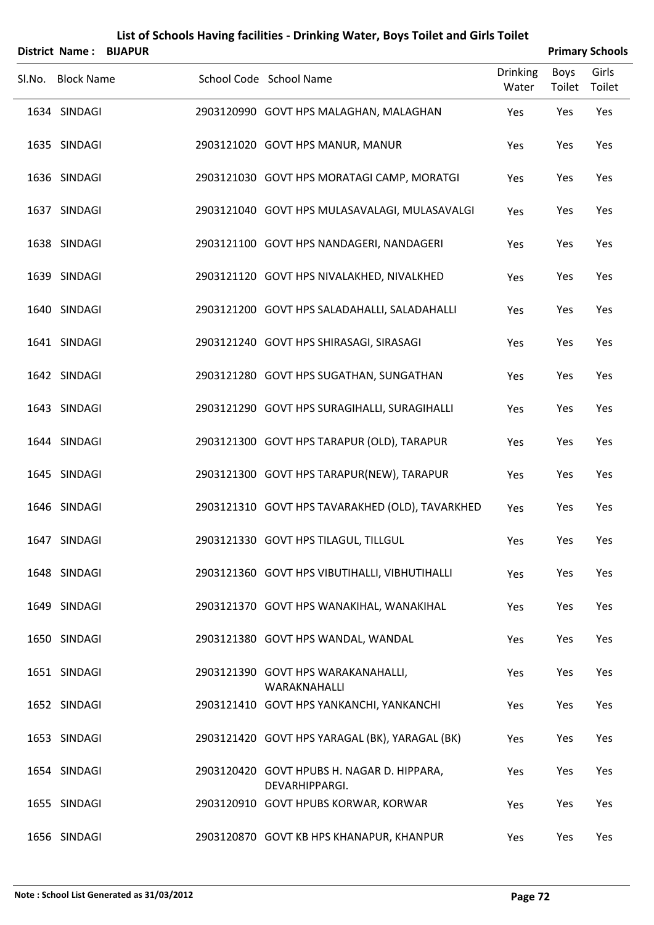|        | District Name:    | <b>BIJAPUR</b> |                                                              |                          |                | <b>Primary Schools</b> |
|--------|-------------------|----------------|--------------------------------------------------------------|--------------------------|----------------|------------------------|
| Sl.No. | <b>Block Name</b> |                | School Code School Name                                      | <b>Drinking</b><br>Water | Boys<br>Toilet | Girls<br>Toilet        |
|        | 1634 SINDAGI      |                | 2903120990 GOVT HPS MALAGHAN, MALAGHAN                       | Yes                      | Yes            | Yes                    |
|        | 1635 SINDAGI      |                | 2903121020 GOVT HPS MANUR, MANUR                             | Yes                      | Yes            | Yes                    |
|        | 1636 SINDAGI      |                | 2903121030 GOVT HPS MORATAGI CAMP, MORATGI                   | Yes                      | Yes            | Yes                    |
|        | 1637 SINDAGI      |                | 2903121040 GOVT HPS MULASAVALAGI, MULASAVALGI                | Yes                      | Yes            | Yes                    |
|        | 1638 SINDAGI      |                | 2903121100 GOVT HPS NANDAGERI, NANDAGERI                     | Yes                      | Yes            | Yes                    |
|        | 1639 SINDAGI      |                | 2903121120 GOVT HPS NIVALAKHED, NIVALKHED                    | Yes                      | Yes            | Yes                    |
|        | 1640 SINDAGI      |                | 2903121200 GOVT HPS SALADAHALLI, SALADAHALLI                 | Yes                      | Yes            | Yes                    |
|        | 1641 SINDAGI      |                | 2903121240 GOVT HPS SHIRASAGI, SIRASAGI                      | Yes                      | Yes            | Yes                    |
|        | 1642 SINDAGI      |                | 2903121280 GOVT HPS SUGATHAN, SUNGATHAN                      | Yes                      | Yes            | Yes                    |
|        | 1643 SINDAGI      |                | 2903121290 GOVT HPS SURAGIHALLI, SURAGIHALLI                 | Yes                      | Yes            | Yes                    |
|        | 1644 SINDAGI      |                | 2903121300 GOVT HPS TARAPUR (OLD), TARAPUR                   | Yes                      | Yes            | Yes                    |
|        | 1645 SINDAGI      |                | 2903121300 GOVT HPS TARAPUR(NEW), TARAPUR                    | Yes                      | Yes            | Yes                    |
|        | 1646 SINDAGI      |                | 2903121310 GOVT HPS TAVARAKHED (OLD), TAVARKHED              | Yes                      | Yes            | Yes                    |
|        | 1647 SINDAGI      |                | 2903121330 GOVT HPS TILAGUL, TILLGUL                         | Yes                      | Yes            | Yes                    |
|        | 1648 SINDAGI      |                | 2903121360 GOVT HPS VIBUTIHALLI, VIBHUTIHALLI                | Yes                      | Yes            | Yes                    |
|        | 1649 SINDAGI      |                | 2903121370 GOVT HPS WANAKIHAL, WANAKIHAL                     | Yes                      | Yes            | Yes                    |
|        | 1650 SINDAGI      |                | 2903121380 GOVT HPS WANDAL, WANDAL                           | Yes                      | Yes            | Yes                    |
|        | 1651 SINDAGI      |                | 2903121390 GOVT HPS WARAKANAHALLI,<br>WARAKNAHALLI           | Yes                      | Yes            | Yes                    |
|        | 1652 SINDAGI      |                | 2903121410 GOVT HPS YANKANCHI, YANKANCHI                     | Yes                      | Yes            | Yes                    |
|        | 1653 SINDAGI      |                | 2903121420 GOVT HPS YARAGAL (BK), YARAGAL (BK)               | Yes                      | Yes            | Yes                    |
|        | 1654 SINDAGI      |                | 2903120420 GOVT HPUBS H. NAGAR D. HIPPARA,<br>DEVARHIPPARGI. | Yes                      | Yes            | Yes                    |
|        | 1655 SINDAGI      |                | 2903120910 GOVT HPUBS KORWAR, KORWAR                         | Yes                      | Yes            | Yes                    |
|        | 1656 SINDAGI      |                | 2903120870 GOVT KB HPS KHANAPUR, KHANPUR                     | Yes                      | Yes            | Yes                    |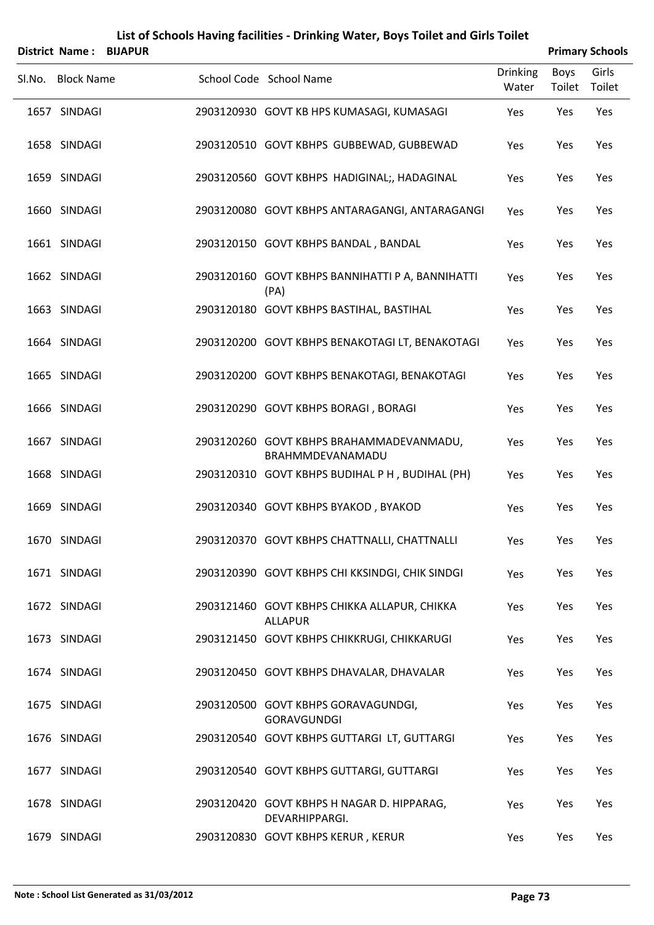|        |                   | District Name: BIJAPUR |                                                                |                          |                | <b>Primary Schools</b> |
|--------|-------------------|------------------------|----------------------------------------------------------------|--------------------------|----------------|------------------------|
| Sl.No. | <b>Block Name</b> |                        | School Code School Name                                        | <b>Drinking</b><br>Water | Boys<br>Toilet | Girls<br>Toilet        |
|        | 1657 SINDAGI      |                        | 2903120930 GOVT KB HPS KUMASAGI, KUMASAGI                      | Yes                      | Yes            | Yes                    |
|        | 1658 SINDAGI      |                        | 2903120510 GOVT KBHPS GUBBEWAD, GUBBEWAD                       | Yes                      | Yes            | Yes                    |
|        | 1659 SINDAGI      |                        | 2903120560 GOVT KBHPS HADIGINAL;, HADAGINAL                    | Yes                      | Yes            | Yes                    |
|        | 1660 SINDAGI      |                        | 2903120080 GOVT KBHPS ANTARAGANGI, ANTARAGANGI                 | Yes                      | Yes            | Yes                    |
|        | 1661 SINDAGI      |                        | 2903120150 GOVT KBHPS BANDAL, BANDAL                           | Yes                      | Yes            | Yes                    |
|        | 1662 SINDAGI      |                        | 2903120160 GOVT KBHPS BANNIHATTI P A, BANNIHATTI<br>(PA)       | Yes                      | Yes            | Yes                    |
|        | 1663 SINDAGI      |                        | 2903120180 GOVT KBHPS BASTIHAL, BASTIHAL                       | Yes                      | Yes            | Yes                    |
|        | 1664 SINDAGI      |                        | 2903120200 GOVT KBHPS BENAKOTAGI LT, BENAKOTAGI                | Yes                      | Yes            | Yes                    |
|        | 1665 SINDAGI      |                        | 2903120200 GOVT KBHPS BENAKOTAGI, BENAKOTAGI                   | Yes                      | Yes            | Yes                    |
|        | 1666 SINDAGI      |                        | 2903120290 GOVT KBHPS BORAGI, BORAGI                           | Yes                      | Yes            | Yes                    |
|        | 1667 SINDAGI      |                        | 2903120260 GOVT KBHPS BRAHAMMADEVANMADU,<br>BRAHMMDEVANAMADU   | Yes                      | Yes            | Yes                    |
|        | 1668 SINDAGI      |                        | 2903120310 GOVT KBHPS BUDIHAL P H, BUDIHAL (PH)                | Yes                      | Yes            | Yes                    |
|        | 1669 SINDAGI      |                        | 2903120340 GOVT KBHPS BYAKOD, BYAKOD                           | Yes                      | Yes            | Yes                    |
|        | 1670 SINDAGI      |                        | 2903120370 GOVT KBHPS CHATTNALLI, CHATTNALLI                   | Yes                      | Yes            | Yes                    |
|        | 1671 SINDAGI      |                        | 2903120390 GOVT KBHPS CHI KKSINDGI, CHIK SINDGI                | Yes                      | Yes            | Yes                    |
|        | 1672 SINDAGI      |                        | 2903121460 GOVT KBHPS CHIKKA ALLAPUR, CHIKKA<br><b>ALLAPUR</b> | Yes                      | Yes            | Yes                    |
|        | 1673 SINDAGI      |                        | 2903121450 GOVT KBHPS CHIKKRUGI, CHIKKARUGI                    | Yes                      | Yes            | Yes                    |
|        | 1674 SINDAGI      |                        | 2903120450 GOVT KBHPS DHAVALAR, DHAVALAR                       | Yes                      | Yes            | Yes                    |
|        | 1675 SINDAGI      |                        | 2903120500 GOVT KBHPS GORAVAGUNDGI,<br><b>GORAVGUNDGI</b>      | Yes                      | Yes            | Yes                    |
|        | 1676 SINDAGI      |                        | 2903120540 GOVT KBHPS GUTTARGI LT, GUTTARGI                    | Yes                      | Yes            | Yes                    |
|        | 1677 SINDAGI      |                        | 2903120540 GOVT KBHPS GUTTARGI, GUTTARGI                       | Yes                      | Yes            | Yes                    |
|        | 1678 SINDAGI      |                        | 2903120420 GOVT KBHPS H NAGAR D. HIPPARAG,<br>DEVARHIPPARGI.   | Yes                      | Yes            | Yes                    |
|        | 1679 SINDAGI      |                        | 2903120830 GOVT KBHPS KERUR, KERUR                             | Yes                      | Yes            | Yes                    |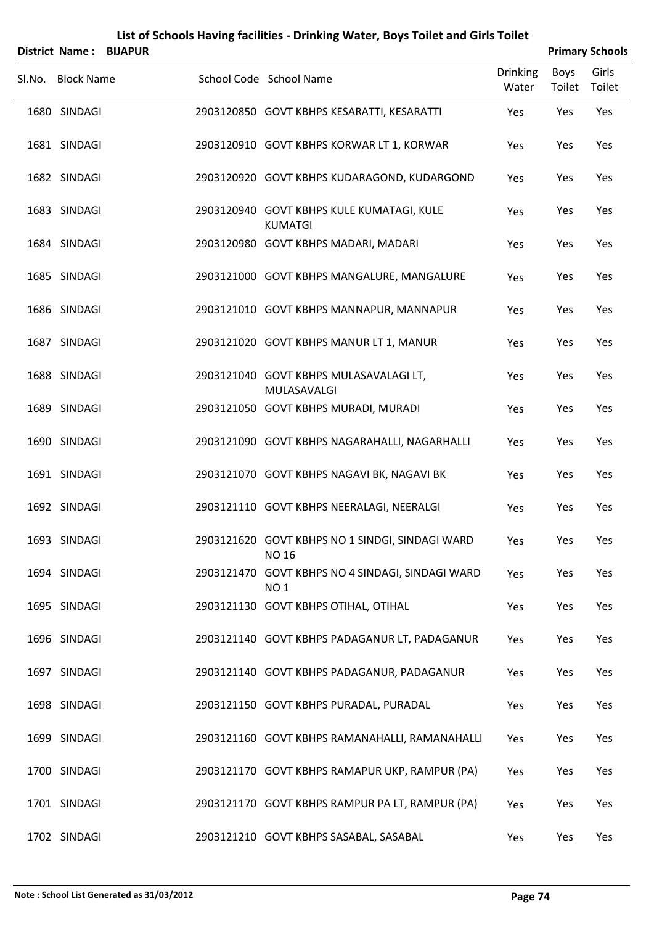| District Name:    | <b>BIJAPUR</b> |                                                                 |                          |                | <b>Primary Schools</b> |
|-------------------|----------------|-----------------------------------------------------------------|--------------------------|----------------|------------------------|
| Sl.No. Block Name |                | School Code School Name                                         | <b>Drinking</b><br>Water | Boys<br>Toilet | Girls<br>Toilet        |
| 1680 SINDAGI      |                | 2903120850 GOVT KBHPS KESARATTI, KESARATTI                      | Yes                      | Yes            | Yes                    |
| 1681 SINDAGI      |                | 2903120910 GOVT KBHPS KORWAR LT 1, KORWAR                       | Yes                      | Yes            | Yes                    |
| 1682 SINDAGI      |                | 2903120920 GOVT KBHPS KUDARAGOND, KUDARGOND                     | Yes                      | Yes            | Yes                    |
| 1683 SINDAGI      |                | 2903120940 GOVT KBHPS KULE KUMATAGI, KULE<br><b>KUMATGI</b>     | Yes                      | Yes            | Yes                    |
| 1684 SINDAGI      |                | 2903120980 GOVT KBHPS MADARI, MADARI                            | Yes                      | Yes            | Yes                    |
| 1685 SINDAGI      |                | 2903121000 GOVT KBHPS MANGALURE, MANGALURE                      | Yes                      | Yes            | Yes                    |
| 1686 SINDAGI      |                | 2903121010 GOVT KBHPS MANNAPUR, MANNAPUR                        | Yes                      | Yes            | Yes                    |
| 1687 SINDAGI      |                | 2903121020 GOVT KBHPS MANUR LT 1, MANUR                         | Yes                      | Yes            | Yes                    |
| 1688 SINDAGI      |                | 2903121040 GOVT KBHPS MULASAVALAGI LT,<br>MULASAVALGI           | Yes                      | Yes            | Yes                    |
| 1689 SINDAGI      |                | 2903121050 GOVT KBHPS MURADI, MURADI                            | Yes                      | Yes            | Yes                    |
| 1690 SINDAGI      |                | 2903121090 GOVT KBHPS NAGARAHALLI, NAGARHALLI                   | Yes                      | Yes            | Yes                    |
| 1691 SINDAGI      |                | 2903121070 GOVT KBHPS NAGAVI BK, NAGAVI BK                      | Yes                      | Yes            | Yes                    |
| 1692 SINDAGI      |                | 2903121110 GOVT KBHPS NEERALAGI, NEERALGI                       | Yes                      | Yes            | Yes                    |
| 1693 SINDAGI      |                | 2903121620 GOVT KBHPS NO 1 SINDGI, SINDAGI WARD<br><b>NO 16</b> | Yes                      | Yes            | Yes                    |
| 1694 SINDAGI      |                | 2903121470 GOVT KBHPS NO 4 SINDAGI, SINDAGI WARD<br><b>NO1</b>  | Yes                      | Yes            | Yes                    |
| 1695 SINDAGI      |                | 2903121130 GOVT KBHPS OTIHAL, OTIHAL                            | Yes                      | Yes            | Yes                    |
| 1696 SINDAGI      |                | 2903121140 GOVT KBHPS PADAGANUR LT, PADAGANUR                   | Yes                      | Yes            | Yes                    |
| 1697 SINDAGI      |                | 2903121140 GOVT KBHPS PADAGANUR, PADAGANUR                      | Yes                      | Yes            | Yes                    |
| 1698 SINDAGI      |                | 2903121150 GOVT KBHPS PURADAL, PURADAL                          | Yes                      | Yes            | Yes                    |
| 1699 SINDAGI      |                | 2903121160 GOVT KBHPS RAMANAHALLI, RAMANAHALLI                  | Yes                      | Yes            | Yes                    |
| 1700 SINDAGI      |                | 2903121170 GOVT KBHPS RAMAPUR UKP, RAMPUR (PA)                  | Yes                      | Yes            | Yes                    |
| 1701 SINDAGI      |                | 2903121170 GOVT KBHPS RAMPUR PA LT, RAMPUR (PA)                 | Yes                      | Yes            | Yes                    |
| 1702 SINDAGI      |                | 2903121210 GOVT KBHPS SASABAL, SASABAL                          | Yes                      | Yes            | Yes                    |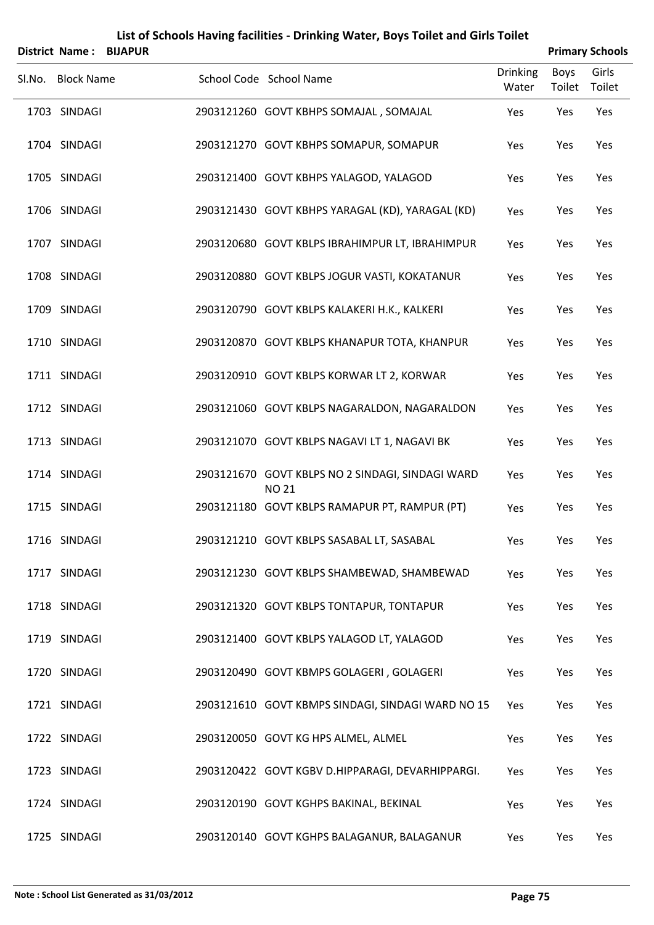| District Name:    | <b>BIJAPUR</b> |                                                                  |                          |                | <b>Primary Schools</b> |
|-------------------|----------------|------------------------------------------------------------------|--------------------------|----------------|------------------------|
| Sl.No. Block Name |                | School Code School Name                                          | <b>Drinking</b><br>Water | Boys<br>Toilet | Girls<br>Toilet        |
| 1703 SINDAGI      |                | 2903121260 GOVT KBHPS SOMAJAL, SOMAJAL                           | Yes                      | Yes            | Yes                    |
| 1704 SINDAGI      |                | 2903121270 GOVT KBHPS SOMAPUR, SOMAPUR                           | Yes                      | Yes            | Yes                    |
| 1705 SINDAGI      |                | 2903121400 GOVT KBHPS YALAGOD, YALAGOD                           | Yes                      | Yes            | Yes                    |
| 1706 SINDAGI      |                | 2903121430 GOVT KBHPS YARAGAL (KD), YARAGAL (KD)                 | Yes                      | Yes            | Yes                    |
| 1707 SINDAGI      |                | 2903120680 GOVT KBLPS IBRAHIMPUR LT, IBRAHIMPUR                  | Yes                      | Yes            | Yes                    |
| 1708 SINDAGI      |                | 2903120880 GOVT KBLPS JOGUR VASTI, KOKATANUR                     | Yes                      | Yes            | Yes                    |
| 1709 SINDAGI      |                | 2903120790 GOVT KBLPS KALAKERI H.K., KALKERI                     | Yes                      | Yes            | Yes                    |
| 1710 SINDAGI      |                | 2903120870 GOVT KBLPS KHANAPUR TOTA, KHANPUR                     | Yes                      | Yes            | Yes                    |
| 1711 SINDAGI      |                | 2903120910 GOVT KBLPS KORWAR LT 2, KORWAR                        | Yes                      | Yes            | Yes                    |
| 1712 SINDAGI      |                | 2903121060 GOVT KBLPS NAGARALDON, NAGARALDON                     | Yes                      | Yes            | Yes                    |
| 1713 SINDAGI      |                | 2903121070 GOVT KBLPS NAGAVI LT 1, NAGAVI BK                     | Yes                      | Yes            | Yes                    |
| 1714 SINDAGI      |                | 2903121670 GOVT KBLPS NO 2 SINDAGI, SINDAGI WARD<br><b>NO 21</b> | Yes                      | Yes            | Yes                    |
| 1715 SINDAGI      |                | 2903121180 GOVT KBLPS RAMAPUR PT, RAMPUR (PT)                    | Yes                      | Yes            | Yes                    |
| 1716 SINDAGI      |                | 2903121210 GOVT KBLPS SASABAL LT, SASABAL                        | Yes                      | Yes            | Yes                    |
| 1717 SINDAGI      |                | 2903121230 GOVT KBLPS SHAMBEWAD, SHAMBEWAD                       | Yes                      | Yes            | Yes                    |
| 1718 SINDAGI      |                | 2903121320 GOVT KBLPS TONTAPUR, TONTAPUR                         | Yes                      | Yes            | Yes                    |
| 1719 SINDAGI      |                | 2903121400 GOVT KBLPS YALAGOD LT, YALAGOD                        | Yes                      | Yes            | Yes                    |
| 1720 SINDAGI      |                | 2903120490 GOVT KBMPS GOLAGERI, GOLAGERI                         | Yes                      | Yes            | Yes                    |
| 1721 SINDAGI      |                | 2903121610 GOVT KBMPS SINDAGI, SINDAGI WARD NO 15                | Yes                      | Yes            | Yes                    |
| 1722 SINDAGI      |                | 2903120050 GOVT KG HPS ALMEL, ALMEL                              | Yes                      | Yes            | Yes                    |
| 1723 SINDAGI      |                | 2903120422 GOVT KGBV D.HIPPARAGI, DEVARHIPPARGI.                 | Yes                      | Yes            | Yes                    |
| 1724 SINDAGI      |                | 2903120190 GOVT KGHPS BAKINAL, BEKINAL                           | Yes                      | Yes            | Yes                    |
| 1725 SINDAGI      |                | 2903120140 GOVT KGHPS BALAGANUR, BALAGANUR                       | Yes                      | Yes            | Yes                    |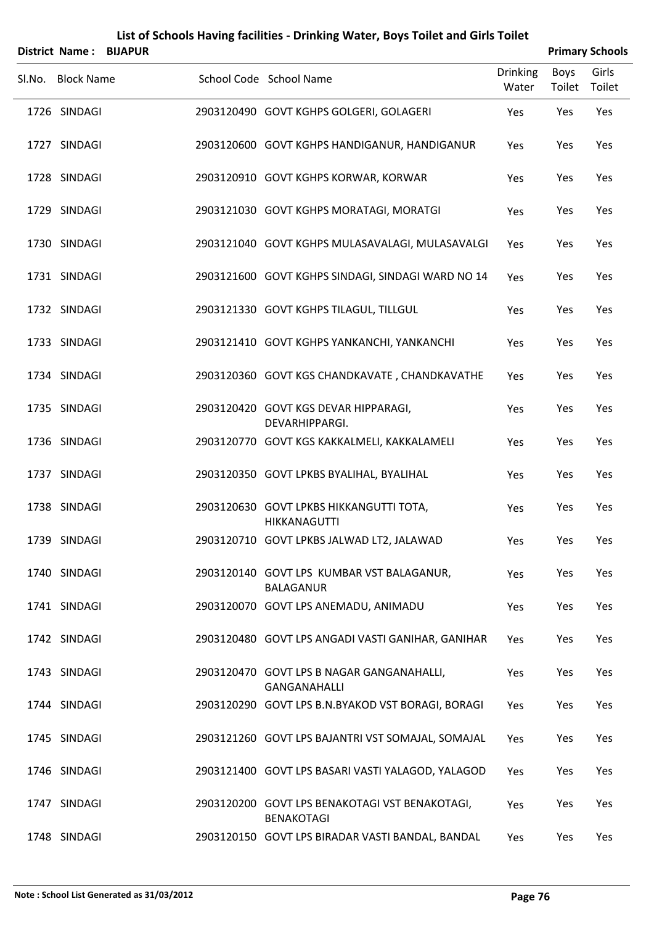| <b>District Name:</b> | <b>BIJAPUR</b> | List of Schools Having facilities - Drinking Water, Boys Toilet and Girls Toilet |                          |                | <b>Primary Schools</b> |
|-----------------------|----------------|----------------------------------------------------------------------------------|--------------------------|----------------|------------------------|
| Sl.No. Block Name     |                | School Code School Name                                                          | <b>Drinking</b><br>Water | Boys<br>Toilet | Girls<br>Toilet        |
| 1726 SINDAGI          |                | 2903120490 GOVT KGHPS GOLGERI, GOLAGERI                                          | Yes                      | Yes            | Yes                    |
| 1727 SINDAGI          |                | 2903120600 GOVT KGHPS HANDIGANUR, HANDIGANUR                                     | Yes                      | Yes            | Yes                    |
| 1728 SINDAGI          |                | 2903120910 GOVT KGHPS KORWAR, KORWAR                                             | Yes                      | Yes            | Yes                    |
| 1729 SINDAGI          |                | 2903121030 GOVT KGHPS MORATAGI, MORATGI                                          | Yes                      | Yes            | Yes                    |
| 1730 SINDAGI          |                | 2903121040 GOVT KGHPS MULASAVALAGI, MULASAVALGI                                  | Yes                      | Yes            | Yes                    |
| 1731 SINDAGI          |                | 2903121600 GOVT KGHPS SINDAGI, SINDAGI WARD NO 14                                | Yes                      | Yes            | Yes                    |
| 1732 SINDAGI          |                | 2903121330 GOVT KGHPS TILAGUL, TILLGUL                                           | Yes                      | Yes            | Yes                    |
| 1733 SINDAGI          |                | 2903121410 GOVT KGHPS YANKANCHI, YANKANCHI                                       | Yes                      | Yes            | Yes                    |
| 1734 SINDAGI          |                | 2903120360 GOVT KGS CHANDKAVATE, CHANDKAVATHE                                    | Yes                      | Yes            | Yes                    |
| 1735 SINDAGI          |                | 2903120420 GOVT KGS DEVAR HIPPARAGI,<br>DEVARHIPPARGI.                           | Yes                      | Yes            | Yes                    |
| 1736 SINDAGI          |                | 2903120770 GOVT KGS KAKKALMELI, KAKKALAMELI                                      | Yes                      | Yes            | Yes                    |
| 1737 SINDAGI          |                | 2903120350 GOVT LPKBS BYALIHAL, BYALIHAL                                         | Yes                      | Yes            | Yes                    |
| 1738 SINDAGI          |                | 2903120630 GOVT LPKBS HIKKANGUTTI TOTA,<br>HIKKANAGUTTI                          | Yes                      | Yes            | Yes                    |
| 1739 SINDAGI          |                | 2903120710 GOVT LPKBS JALWAD LT2, JALAWAD                                        | Yes                      | Yes            | Yes                    |
| 1740 SINDAGI          |                | 2903120140 GOVT LPS KUMBAR VST BALAGANUR,<br><b>BALAGANUR</b>                    | Yes                      | Yes            | Yes                    |
| 1741 SINDAGI          |                | 2903120070 GOVT LPS ANEMADU, ANIMADU                                             | Yes                      | Yes            | Yes                    |
| 1742 SINDAGI          |                | 2903120480 GOVT LPS ANGADI VASTI GANIHAR, GANIHAR                                | Yes                      | Yes            | Yes                    |
| 1743 SINDAGI          |                | 2903120470 GOVT LPS B NAGAR GANGANAHALLI,<br><b>GANGANAHALLI</b>                 | Yes                      | Yes            | Yes                    |
| 1744 SINDAGI          |                | 2903120290 GOVT LPS B.N.BYAKOD VST BORAGI, BORAGI                                | Yes                      | Yes            | Yes                    |
| 1745 SINDAGI          |                | 2903121260 GOVT LPS BAJANTRI VST SOMAJAL, SOMAJAL                                | Yes                      | Yes            | Yes                    |
| 1746 SINDAGI          |                | 2903121400 GOVT LPS BASARI VASTI YALAGOD, YALAGOD                                | Yes                      | Yes            | Yes                    |
| 1747 SINDAGI          |                | 2903120200 GOVT LPS BENAKOTAGI VST BENAKOTAGI,<br><b>BENAKOTAGI</b>              | Yes                      | Yes            | Yes                    |
| 1748 SINDAGI          |                | 2903120150 GOVT LPS BIRADAR VASTI BANDAL, BANDAL                                 | Yes                      | Yes            | Yes                    |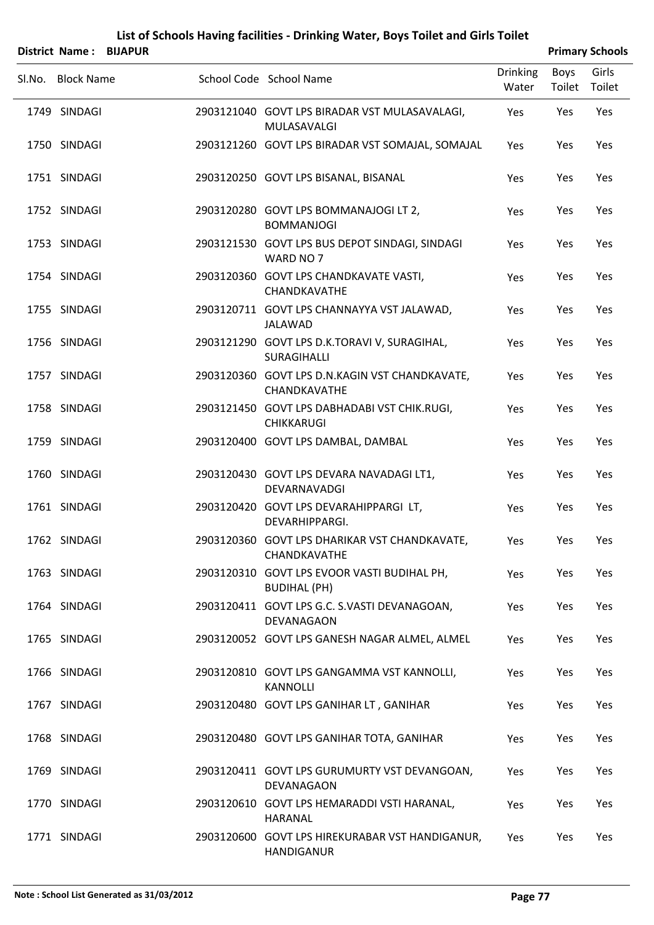|                   | District Name: BIJAPUR |                                                                      |                          |                       | <b>Primary Schools</b> |
|-------------------|------------------------|----------------------------------------------------------------------|--------------------------|-----------------------|------------------------|
| Sl.No. Block Name |                        | School Code School Name                                              | <b>Drinking</b><br>Water | Boys<br>Toilet Toilet | Girls                  |
| 1749 SINDAGI      |                        | 2903121040 GOVT LPS BIRADAR VST MULASAVALAGI,<br>MULASAVALGI         | Yes                      | Yes                   | Yes                    |
| 1750 SINDAGI      |                        | 2903121260 GOVT LPS BIRADAR VST SOMAJAL, SOMAJAL                     | Yes                      | Yes                   | Yes                    |
| 1751 SINDAGI      |                        | 2903120250 GOVT LPS BISANAL, BISANAL                                 | Yes                      | Yes                   | Yes                    |
| 1752 SINDAGI      |                        | 2903120280 GOVT LPS BOMMANAJOGI LT 2,<br><b>BOMMANJOGI</b>           | Yes                      | Yes                   | Yes                    |
| 1753 SINDAGI      |                        | 2903121530 GOVT LPS BUS DEPOT SINDAGI, SINDAGI<br>WARD NO 7          | Yes                      | Yes                   | Yes                    |
| 1754 SINDAGI      |                        | 2903120360 GOVT LPS CHANDKAVATE VASTI,<br>CHANDKAVATHE               | Yes                      | Yes                   | Yes                    |
| 1755 SINDAGI      |                        | 2903120711 GOVT LPS CHANNAYYA VST JALAWAD,<br><b>JALAWAD</b>         | Yes                      | Yes                   | Yes                    |
| 1756 SINDAGI      |                        | 2903121290 GOVT LPS D.K.TORAVI V, SURAGIHAL,<br>SURAGIHALLI          | Yes                      | Yes                   | Yes                    |
| 1757 SINDAGI      |                        | 2903120360 GOVT LPS D.N.KAGIN VST CHANDKAVATE,<br>CHANDKAVATHE       | Yes                      | Yes                   | Yes                    |
| 1758 SINDAGI      |                        | 2903121450 GOVT LPS DABHADABI VST CHIK.RUGI,<br><b>CHIKKARUGI</b>    | Yes                      | Yes                   | Yes                    |
| 1759 SINDAGI      |                        | 2903120400 GOVT LPS DAMBAL, DAMBAL                                   | Yes                      | Yes                   | Yes                    |
| 1760 SINDAGI      |                        | 2903120430 GOVT LPS DEVARA NAVADAGI LT1,<br>DEVARNAVADGI             | Yes                      | Yes                   | Yes                    |
| 1761 SINDAGI      |                        | 2903120420 GOVT LPS DEVARAHIPPARGI LT,<br>DEVARHIPPARGI.             | Yes                      | Yes                   | Yes                    |
| 1762 SINDAGI      |                        | 2903120360 GOVT LPS DHARIKAR VST CHANDKAVATE,<br>CHANDKAVATHE        | Yes                      | Yes                   | Yes                    |
| 1763 SINDAGI      |                        | 2903120310 GOVT LPS EVOOR VASTI BUDIHAL PH,<br><b>BUDIHAL (PH)</b>   | Yes                      | Yes                   | Yes                    |
| 1764 SINDAGI      |                        | 2903120411 GOVT LPS G.C. S.VASTI DEVANAGOAN,<br><b>DEVANAGAON</b>    | Yes                      | Yes                   | Yes                    |
| 1765 SINDAGI      |                        | 2903120052 GOVT LPS GANESH NAGAR ALMEL, ALMEL                        | Yes                      | Yes                   | Yes                    |
| 1766 SINDAGI      |                        | 2903120810 GOVT LPS GANGAMMA VST KANNOLLI,<br><b>KANNOLLI</b>        | <b>Yes</b>               | Yes                   | Yes                    |
| 1767 SINDAGI      |                        | 2903120480 GOVT LPS GANIHAR LT, GANIHAR                              | Yes                      | Yes                   | Yes                    |
| 1768 SINDAGI      |                        | 2903120480 GOVT LPS GANIHAR TOTA, GANIHAR                            | <b>Yes</b>               | Yes                   | Yes                    |
| 1769 SINDAGI      |                        | 2903120411 GOVT LPS GURUMURTY VST DEVANGOAN,<br>DEVANAGAON           | Yes                      | Yes                   | Yes                    |
| 1770 SINDAGI      |                        | 2903120610 GOVT LPS HEMARADDI VSTI HARANAL,<br>HARANAL               | Yes                      | Yes                   | Yes                    |
| 1771 SINDAGI      |                        | 2903120600 GOVT LPS HIREKURABAR VST HANDIGANUR,<br><b>HANDIGANUR</b> | Yes                      | Yes                   | Yes                    |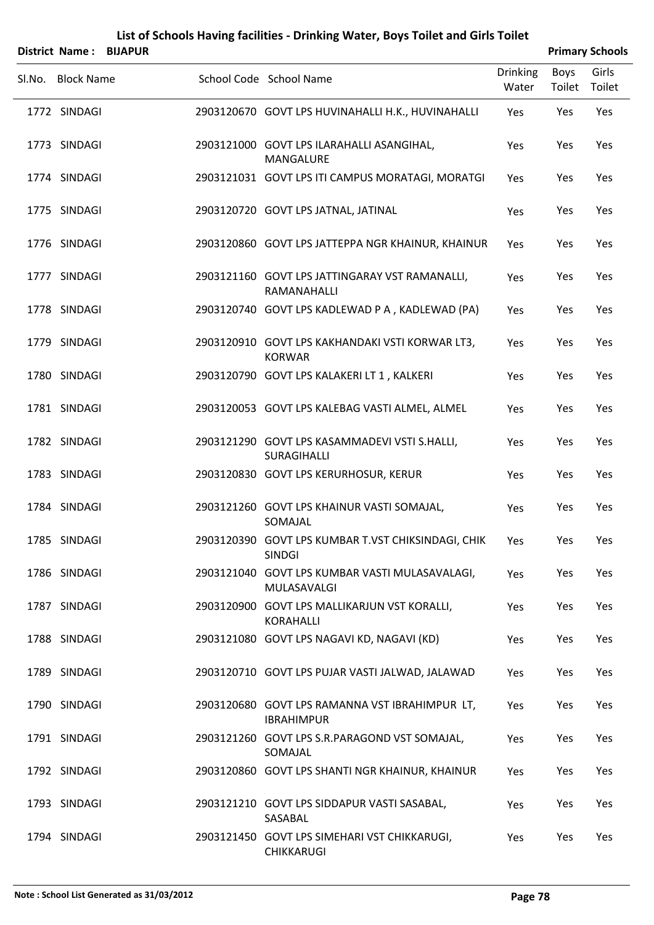|  | List of Schools Having facilities - Drinking Water, Boys Toilet and Girls Toilet |
|--|----------------------------------------------------------------------------------|
|--|----------------------------------------------------------------------------------|

|                   | District Name: BIJAPUR |                                                                     |                          |                | <b>Primary Schools</b> |
|-------------------|------------------------|---------------------------------------------------------------------|--------------------------|----------------|------------------------|
| Sl.No. Block Name |                        | School Code School Name                                             | <b>Drinking</b><br>Water | Boys<br>Toilet | Girls<br>Toilet        |
| 1772 SINDAGI      |                        | 2903120670 GOVT LPS HUVINAHALLI H.K., HUVINAHALLI                   | Yes                      | Yes            | Yes                    |
| 1773 SINDAGI      |                        | 2903121000 GOVT LPS ILARAHALLI ASANGIHAL,<br><b>MANGALURE</b>       | Yes                      | Yes            | Yes                    |
| 1774 SINDAGI      |                        | 2903121031 GOVT LPS ITI CAMPUS MORATAGI, MORATGI                    | Yes                      | Yes            | Yes                    |
| 1775 SINDAGI      |                        | 2903120720 GOVT LPS JATNAL, JATINAL                                 | Yes                      | Yes            | Yes                    |
| 1776 SINDAGI      |                        | 2903120860 GOVT LPS JATTEPPA NGR KHAINUR, KHAINUR                   | Yes                      | Yes            | Yes                    |
| 1777 SINDAGI      |                        | 2903121160 GOVT LPS JATTINGARAY VST RAMANALLI,<br>RAMANAHALLI       | Yes                      | Yes            | Yes                    |
| 1778 SINDAGI      |                        | 2903120740 GOVT LPS KADLEWAD P A, KADLEWAD (PA)                     | Yes                      | Yes            | Yes                    |
| 1779 SINDAGI      |                        | 2903120910 GOVT LPS KAKHANDAKI VSTI KORWAR LT3,<br><b>KORWAR</b>    | Yes                      | Yes            | Yes                    |
| 1780 SINDAGI      |                        | 2903120790 GOVT LPS KALAKERI LT 1, KALKERI                          | Yes                      | Yes            | Yes                    |
| 1781 SINDAGI      |                        | 2903120053 GOVT LPS KALEBAG VASTI ALMEL, ALMEL                      | Yes                      | Yes            | Yes                    |
| 1782 SINDAGI      |                        | 2903121290 GOVT LPS KASAMMADEVI VSTI S.HALLI,<br>SURAGIHALLI        | Yes                      | Yes            | Yes                    |
| 1783 SINDAGI      |                        | 2903120830 GOVT LPS KERURHOSUR, KERUR                               | Yes                      | Yes            | Yes                    |
| 1784 SINDAGI      |                        | 2903121260 GOVT LPS KHAINUR VASTI SOMAJAL,<br>SOMAJAL               | Yes                      | Yes            | Yes                    |
| 1785 SINDAGI      |                        | 2903120390 GOVT LPS KUMBAR T.VST CHIKSINDAGI, CHIK<br><b>SINDGI</b> | Yes                      | Yes            | Yes                    |
| 1786 SINDAGI      |                        | 2903121040 GOVT LPS KUMBAR VASTI MULASAVALAGI,<br>MULASAVALGI       | Yes                      | Yes            | Yes                    |
| 1787 SINDAGI      |                        | 2903120900 GOVT LPS MALLIKARJUN VST KORALLI,<br><b>KORAHALLI</b>    | Yes                      | Yes            | Yes                    |
| 1788 SINDAGI      |                        | 2903121080 GOVT LPS NAGAVI KD, NAGAVI (KD)                          | Yes                      | Yes            | Yes                    |
| 1789 SINDAGI      |                        | 2903120710 GOVT LPS PUJAR VASTI JALWAD, JALAWAD                     | Yes                      | Yes            | Yes                    |
| 1790 SINDAGI      |                        | 2903120680 GOVT LPS RAMANNA VST IBRAHIMPUR LT,<br><b>IBRAHIMPUR</b> | Yes                      | Yes            | Yes                    |
| 1791 SINDAGI      |                        | 2903121260 GOVT LPS S.R.PARAGOND VST SOMAJAL,<br>SOMAJAL            | Yes                      | Yes            | Yes                    |
| 1792 SINDAGI      |                        | 2903120860 GOVT LPS SHANTI NGR KHAINUR, KHAINUR                     | Yes                      | Yes            | Yes                    |
| 1793 SINDAGI      |                        | 2903121210 GOVT LPS SIDDAPUR VASTI SASABAL,<br>SASABAL              | Yes                      | Yes            | Yes                    |
| 1794 SINDAGI      |                        | 2903121450 GOVT LPS SIMEHARI VST CHIKKARUGI,<br><b>CHIKKARUGI</b>   | Yes                      | Yes            | Yes                    |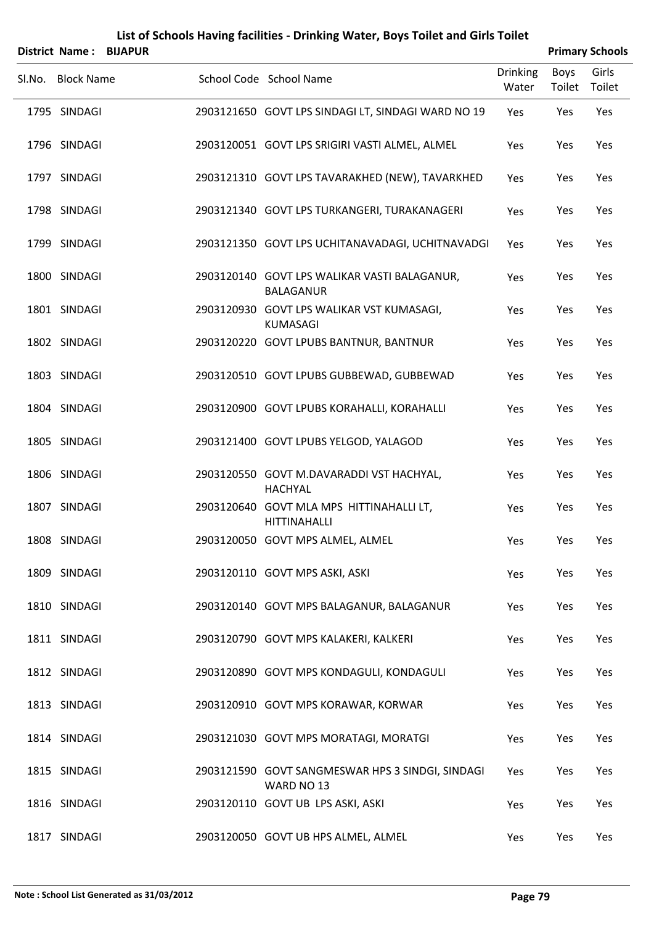| <b>District Name: BIJAPUR</b> |  |                                                                  |                          |                | <b>Primary Schools</b> |
|-------------------------------|--|------------------------------------------------------------------|--------------------------|----------------|------------------------|
| SI.No. Block Name             |  | School Code School Name                                          | <b>Drinking</b><br>Water | Boys<br>Toilet | Girls<br>Toilet        |
| 1795 SINDAGI                  |  | 2903121650 GOVT LPS SINDAGI LT, SINDAGI WARD NO 19               | Yes                      | Yes            | Yes                    |
| 1796 SINDAGI                  |  | 2903120051 GOVT LPS SRIGIRI VASTI ALMEL, ALMEL                   | Yes                      | Yes            | Yes                    |
| 1797 SINDAGI                  |  | 2903121310 GOVT LPS TAVARAKHED (NEW), TAVARKHED                  | Yes                      | Yes            | Yes                    |
| 1798 SINDAGI                  |  | 2903121340 GOVT LPS TURKANGERI, TURAKANAGERI                     | Yes                      | Yes            | Yes                    |
| 1799 SINDAGI                  |  | 2903121350 GOVT LPS UCHITANAVADAGI, UCHITNAVADGI                 | Yes                      | Yes            | Yes                    |
| 1800 SINDAGI                  |  | 2903120140 GOVT LPS WALIKAR VASTI BALAGANUR,<br><b>BALAGANUR</b> | Yes                      | Yes            | Yes                    |
| 1801 SINDAGI                  |  | 2903120930 GOVT LPS WALIKAR VST KUMASAGI,<br><b>KUMASAGI</b>     | Yes                      | Yes            | Yes                    |
| 1802 SINDAGI                  |  | 2903120220 GOVT LPUBS BANTNUR, BANTNUR                           | Yes                      | Yes            | Yes                    |
| 1803 SINDAGI                  |  | 2903120510 GOVT LPUBS GUBBEWAD, GUBBEWAD                         | Yes                      | Yes            | Yes                    |
| 1804 SINDAGI                  |  | 2903120900 GOVT LPUBS KORAHALLI, KORAHALLI                       | Yes                      | Yes            | Yes                    |
| 1805 SINDAGI                  |  | 2903121400 GOVT LPUBS YELGOD, YALAGOD                            | Yes                      | Yes            | Yes                    |
| 1806 SINDAGI                  |  | 2903120550 GOVT M.DAVARADDI VST HACHYAL,<br><b>HACHYAL</b>       | Yes                      | Yes            | Yes                    |
| 1807 SINDAGI                  |  | 2903120640 GOVT MLA MPS HITTINAHALLI LT,<br><b>HITTINAHALLI</b>  | Yes                      | Yes            | Yes                    |
| 1808 SINDAGI                  |  | 2903120050 GOVT MPS ALMEL, ALMEL                                 | Yes                      | Yes            | Yes                    |
| 1809 SINDAGI                  |  | 2903120110 GOVT MPS ASKI, ASKI                                   | Yes                      | Yes            | Yes                    |
| 1810 SINDAGI                  |  | 2903120140 GOVT MPS BALAGANUR, BALAGANUR                         | Yes                      | Yes            | Yes                    |
| 1811 SINDAGI                  |  | 2903120790 GOVT MPS KALAKERI, KALKERI                            | Yes                      | Yes            | Yes                    |
| 1812 SINDAGI                  |  | 2903120890 GOVT MPS KONDAGULI, KONDAGULI                         | Yes                      | Yes            | Yes                    |
| 1813 SINDAGI                  |  | 2903120910 GOVT MPS KORAWAR, KORWAR                              | Yes                      | Yes            | Yes                    |
| 1814 SINDAGI                  |  | 2903121030 GOVT MPS MORATAGI, MORATGI                            | Yes                      | Yes            | Yes                    |
| 1815 SINDAGI                  |  | 2903121590 GOVT SANGMESWAR HPS 3 SINDGI, SINDAGI<br>WARD NO 13   | Yes                      | Yes            | Yes                    |
| 1816 SINDAGI                  |  | 2903120110 GOVT UB LPS ASKI, ASKI                                | Yes                      | Yes            | Yes                    |
| 1817 SINDAGI                  |  | 2903120050 GOVT UB HPS ALMEL, ALMEL                              | Yes                      | Yes            | Yes                    |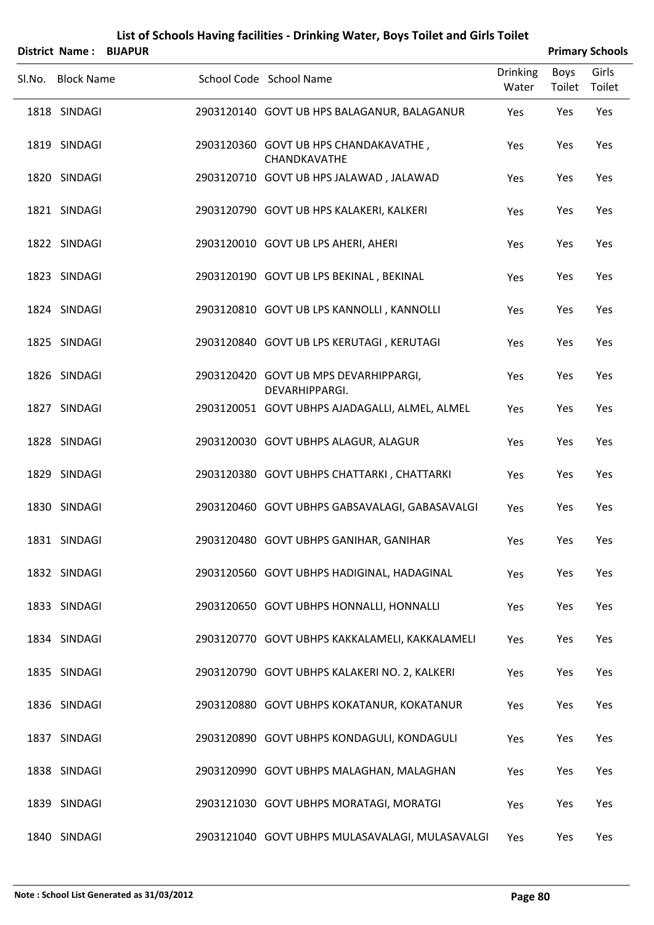|        | <b>District Name:</b> | <b>BIJAPUR</b> |                                                         |                          |                | <b>Primary Schools</b> |
|--------|-----------------------|----------------|---------------------------------------------------------|--------------------------|----------------|------------------------|
| Sl.No. | <b>Block Name</b>     |                | School Code School Name                                 | <b>Drinking</b><br>Water | Boys<br>Toilet | Girls<br>Toilet        |
|        | 1818 SINDAGI          |                | 2903120140 GOVT UB HPS BALAGANUR, BALAGANUR             | Yes                      | Yes            | Yes                    |
|        | 1819 SINDAGI          |                | 2903120360 GOVT UB HPS CHANDAKAVATHE,<br>CHANDKAVATHE   | Yes                      | Yes            | Yes                    |
|        | 1820 SINDAGI          |                | 2903120710 GOVT UB HPS JALAWAD, JALAWAD                 | Yes                      | Yes            | Yes                    |
|        | 1821 SINDAGI          |                | 2903120790 GOVT UB HPS KALAKERI, KALKERI                | Yes                      | Yes            | Yes                    |
|        | 1822 SINDAGI          |                | 2903120010 GOVT UB LPS AHERI, AHERI                     | Yes                      | Yes            | Yes                    |
|        | 1823 SINDAGI          |                | 2903120190 GOVT UB LPS BEKINAL, BEKINAL                 | Yes                      | Yes            | Yes                    |
|        | 1824 SINDAGI          |                | 2903120810 GOVT UB LPS KANNOLLI, KANNOLLI               | Yes                      | Yes            | Yes                    |
|        | 1825 SINDAGI          |                | 2903120840 GOVT UB LPS KERUTAGI, KERUTAGI               | Yes                      | Yes            | Yes                    |
|        | 1826 SINDAGI          |                | 2903120420 GOVT UB MPS DEVARHIPPARGI,<br>DEVARHIPPARGI. | Yes                      | Yes            | Yes                    |
|        | 1827 SINDAGI          |                | 2903120051 GOVT UBHPS AJADAGALLI, ALMEL, ALMEL          | Yes                      | Yes            | Yes                    |
|        | 1828 SINDAGI          |                | 2903120030 GOVT UBHPS ALAGUR, ALAGUR                    | Yes                      | Yes            | Yes                    |
|        | 1829 SINDAGI          |                | 2903120380 GOVT UBHPS CHATTARKI, CHATTARKI              | Yes                      | Yes            | Yes                    |
|        | 1830 SINDAGI          |                | 2903120460 GOVT UBHPS GABSAVALAGI, GABASAVALGI          | Yes                      | Yes            | Yes                    |
|        | 1831 SINDAGI          |                | 2903120480 GOVT UBHPS GANIHAR, GANIHAR                  | Yes                      | Yes            | Yes                    |
|        | 1832 SINDAGI          |                | 2903120560 GOVT UBHPS HADIGINAL, HADAGINAL              | Yes                      | Yes            | Yes                    |
|        | 1833 SINDAGI          |                | 2903120650 GOVT UBHPS HONNALLI, HONNALLI                | Yes                      | Yes            | Yes                    |
|        | 1834 SINDAGI          |                | 2903120770 GOVT UBHPS KAKKALAMELI, KAKKALAMELI          | Yes                      | Yes            | Yes                    |
|        | 1835 SINDAGI          |                | 2903120790 GOVT UBHPS KALAKERI NO. 2, KALKERI           | Yes                      | Yes            | Yes                    |
|        | 1836 SINDAGI          |                | 2903120880 GOVT UBHPS KOKATANUR, KOKATANUR              | Yes                      | Yes            | Yes                    |
|        | 1837 SINDAGI          |                | 2903120890 GOVT UBHPS KONDAGULI, KONDAGULI              | Yes                      | Yes            | Yes                    |
|        | 1838 SINDAGI          |                | 2903120990 GOVT UBHPS MALAGHAN, MALAGHAN                | Yes                      | Yes            | Yes                    |
|        | 1839 SINDAGI          |                | 2903121030 GOVT UBHPS MORATAGI, MORATGI                 | Yes                      | Yes            | Yes                    |
|        | 1840 SINDAGI          |                | 2903121040 GOVT UBHPS MULASAVALAGI, MULASAVALGI         | Yes                      | Yes            | Yes                    |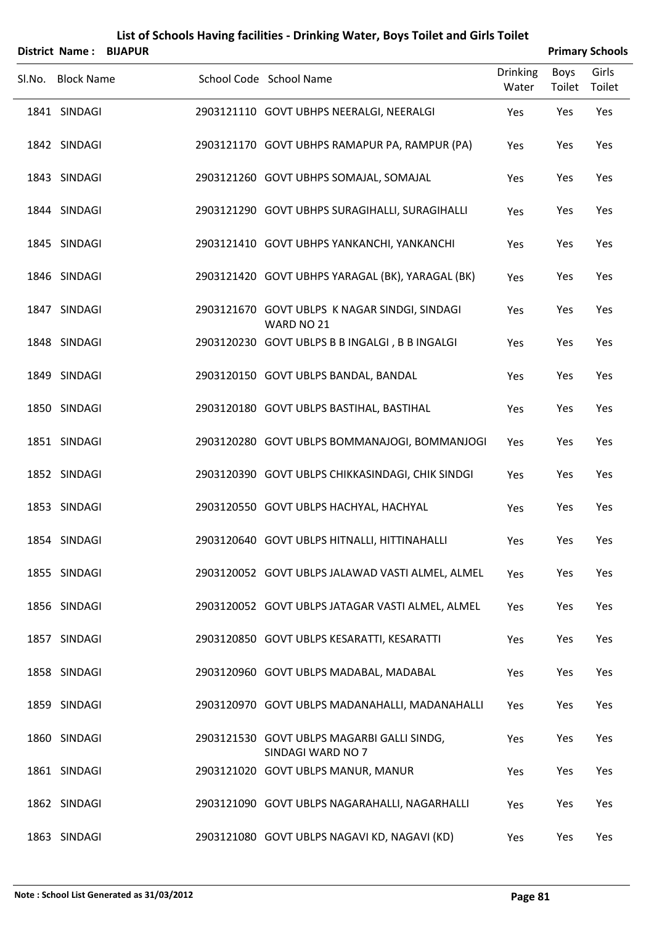| District Name:    | <b>BIJAPUR</b> |                                                                 |                          |                       | <b>Primary Schools</b> |
|-------------------|----------------|-----------------------------------------------------------------|--------------------------|-----------------------|------------------------|
| Sl.No. Block Name |                | School Code School Name                                         | <b>Drinking</b><br>Water | <b>Boys</b><br>Toilet | Girls<br>Toilet        |
| 1841 SINDAGI      |                | 2903121110 GOVT UBHPS NEERALGI, NEERALGI                        | Yes                      | Yes                   | Yes                    |
| 1842 SINDAGI      |                | 2903121170 GOVT UBHPS RAMAPUR PA, RAMPUR (PA)                   | Yes                      | Yes                   | Yes                    |
| 1843 SINDAGI      |                | 2903121260 GOVT UBHPS SOMAJAL, SOMAJAL                          | Yes                      | Yes                   | Yes                    |
| 1844 SINDAGI      |                | 2903121290 GOVT UBHPS SURAGIHALLI, SURAGIHALLI                  | Yes                      | Yes                   | Yes                    |
| 1845 SINDAGI      |                | 2903121410 GOVT UBHPS YANKANCHI, YANKANCHI                      | Yes                      | Yes                   | Yes                    |
| 1846 SINDAGI      |                | 2903121420 GOVT UBHPS YARAGAL (BK), YARAGAL (BK)                | Yes                      | Yes                   | Yes                    |
| 1847 SINDAGI      |                | 2903121670 GOVT UBLPS K NAGAR SINDGI, SINDAGI<br>WARD NO 21     | Yes                      | Yes                   | Yes                    |
| 1848 SINDAGI      |                | 2903120230 GOVT UBLPS B B INGALGI, B B INGALGI                  | Yes                      | Yes                   | Yes                    |
| 1849 SINDAGI      |                | 2903120150 GOVT UBLPS BANDAL, BANDAL                            | Yes                      | Yes                   | Yes                    |
| 1850 SINDAGI      |                | 2903120180 GOVT UBLPS BASTIHAL, BASTIHAL                        | Yes                      | Yes                   | Yes                    |
| 1851 SINDAGI      |                | 2903120280 GOVT UBLPS BOMMANAJOGI, BOMMANJOGI                   | Yes                      | Yes                   | Yes                    |
| 1852 SINDAGI      |                | 2903120390 GOVT UBLPS CHIKKASINDAGI, CHIK SINDGI                | Yes                      | Yes                   | Yes                    |
| 1853 SINDAGI      |                | 2903120550 GOVT UBLPS HACHYAL, HACHYAL                          | Yes                      | Yes                   | Yes                    |
| 1854 SINDAGI      |                | 2903120640 GOVT UBLPS HITNALLI, HITTINAHALLI                    | Yes                      | Yes                   | Yes                    |
| 1855 SINDAGI      |                | 2903120052 GOVT UBLPS JALAWAD VASTI ALMEL, ALMEL                | Yes                      | Yes                   | Yes                    |
| 1856 SINDAGI      |                | 2903120052 GOVT UBLPS JATAGAR VASTI ALMEL, ALMEL                | Yes                      | Yes                   | Yes                    |
| 1857 SINDAGI      |                | 2903120850 GOVT UBLPS KESARATTI, KESARATTI                      | Yes                      | Yes                   | Yes                    |
| 1858 SINDAGI      |                | 2903120960 GOVT UBLPS MADABAL, MADABAL                          | Yes                      | Yes                   | Yes                    |
| 1859 SINDAGI      |                | 2903120970 GOVT UBLPS MADANAHALLI, MADANAHALLI                  | Yes                      | Yes                   | Yes                    |
| 1860 SINDAGI      |                | 2903121530 GOVT UBLPS MAGARBI GALLI SINDG,<br>SINDAGI WARD NO 7 | Yes                      | Yes                   | Yes                    |
| 1861 SINDAGI      |                | 2903121020 GOVT UBLPS MANUR, MANUR                              | Yes                      | Yes                   | Yes                    |
| 1862 SINDAGI      |                | 2903121090 GOVT UBLPS NAGARAHALLI, NAGARHALLI                   | Yes                      | Yes                   | Yes                    |
| 1863 SINDAGI      |                | 2903121080 GOVT UBLPS NAGAVI KD, NAGAVI (KD)                    | Yes                      | Yes                   | Yes                    |